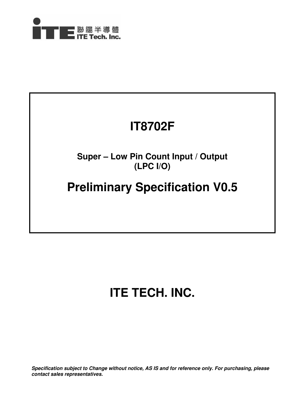

# **IT8702F**

# **Super – Low Pin Count Input / Output (LPC I/O)**

# **Preliminary Specification V0.5**

# **ITE TECH. INC.**

*Specification subject to Change without notice, AS IS and for reference only. For purchasing, please contact sales representatives.*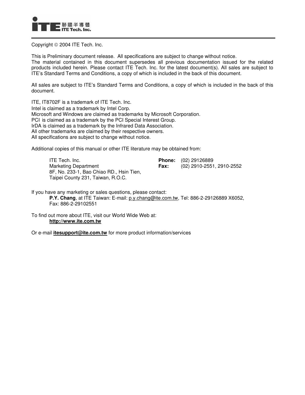

Copyright © 2004 ITE Tech. Inc.

This is Preliminary document release. All specifications are subject to change without notice. The material contained in this document supersedes all previous documentation issued for the related products included herein. Please contact ITE Tech. Inc. for the latest document(s). All sales are subject to ITE's Standard Terms and Conditions, a copy of which is included in the back of this document.

All sales are subject to ITE's Standard Terms and Conditions, a copy of which is included in the back of this document.

ITE, IT8702F is a trademark of ITE Tech. Inc. Intel is claimed as a trademark by Intel Corp. Microsoft and Windows are claimed as trademarks by Microsoft Corporation. PCI is claimed as a trademark by the PCI Special Interest Group. IrDA is claimed as a trademark by the Infrared Data Association. All other trademarks are claimed by their respective owners. All specifications are subject to change without notice.

Additional copies of this manual or other ITE literature may be obtained from:

| ITE Tech. Inc.                           |             | <b>Phone:</b> (02) 29126889 |
|------------------------------------------|-------------|-----------------------------|
| Marketing Department                     | <b>Fax:</b> | (02) 2910-2551, 2910-2552   |
| 8F, No. 233-1, Bao Chiao RD., Hsin Tien, |             |                             |
| Taipei County 231, Taiwan, R.O.C.        |             |                             |

If you have any marketing or sales questions, please contact:

**P.Y. Chang**, at ITE Taiwan: E-mail: p.y.chang@ite.com.tw, Tel: 886-2-29126889 X6052, Fax: 886-2-29102551

To find out more about ITE, visit our World Wide Web at: **http://www.ite.com.tw**

Or e-mail **itesupport@ite.com.tw** for more product information/services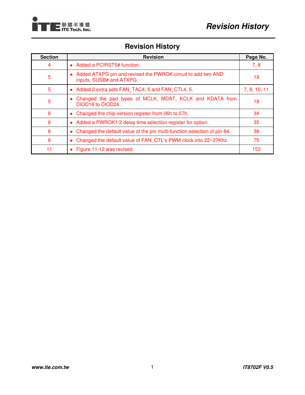

# **Revision History**

| <b>Section</b> | <b>Revision</b>                                                                            | Page No.     |
|----------------|--------------------------------------------------------------------------------------------|--------------|
| 4              | • Added a PCIRST5# function.                                                               | 7, 8         |
| $\overline{5}$ | • Added ATXPG pin and revised the PWROK circuit to add two AND<br>inputs, SUSB# and ATXPG. | 19           |
| 5              | • Added 2 extra sets FAN TAC4, 5 and FAN CTL4, 5.                                          | 7, 8, 10, 11 |
| 5              | Changed the pad types of MCLK, MDAT, KCLK and KDATA from<br>DIOD16 to DIOD24.              | 18           |
| 6              | • Changed the chip version register from 06h to 07h.                                       | 34           |
| 6              | • Added a PWROK1/2 delay time selection register for option.                               | 35           |
| 6              | Changed the default value of the pin multi-function selection of pin-84.                   | 38           |
| 6              | Changed the default value of FAN CTL's PWM clock into 22~27Khz.                            | 75           |
| 11             | • Figure 11-12 was revised.                                                                | 153          |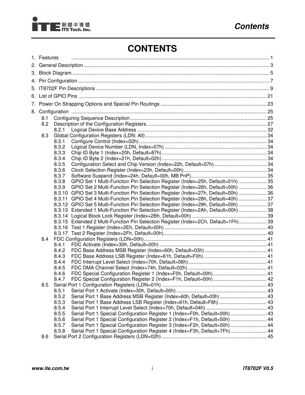

# **CONTENTS**

| 1. Features |                                                                                        |  |
|-------------|----------------------------------------------------------------------------------------|--|
|             |                                                                                        |  |
|             |                                                                                        |  |
|             |                                                                                        |  |
|             |                                                                                        |  |
|             |                                                                                        |  |
|             |                                                                                        |  |
|             |                                                                                        |  |
| 8.1         |                                                                                        |  |
| 8.2         |                                                                                        |  |
|             | 8.2.1                                                                                  |  |
| 8.3         |                                                                                        |  |
|             | 8.3.1<br>8.3.2                                                                         |  |
|             | 8.3.3                                                                                  |  |
|             | 8.3.4                                                                                  |  |
|             | 8.3.5                                                                                  |  |
|             | 8.3.6                                                                                  |  |
|             | 8.3.7                                                                                  |  |
|             | GPIO Set 1 Multi-Function Pin Selection Register (Index=25h, Default=01h)  35<br>8.3.8 |  |
|             | GPIO Set 2 Multi-Function Pin Selection Register (Index=26h, Default=00h)  36<br>8.3.9 |  |
|             | 8.3.10 GPIO Set 3 Multi-Function Pin Selection Register (Index=27h, Default=00h)  36   |  |
|             | 8.3.11 GPIO Set 4 Multi-Function Pin Selection Register (Index=28h, Default=40h)  37   |  |
|             | 8.3.12 GPIO Set 5 Multi-Function Pin Selection Register (Index=29h, Default=00h)  37   |  |
|             | 8.3.13 Extended 1 Multi-Function Pin Selection Register (Index=2Ah, Default=00h)  38   |  |
|             |                                                                                        |  |
|             | 8.3.15 Extended 2 Multi-Function Pin Selection Register (Index=2Ch, Default=1Fh) 39    |  |
|             |                                                                                        |  |
|             |                                                                                        |  |
| 8.4         | 8.4.1                                                                                  |  |
|             | 8.4.2                                                                                  |  |
|             | 8.4.3                                                                                  |  |
|             | 8.4.4                                                                                  |  |
|             | 8.4.5                                                                                  |  |
|             | 8.4.6                                                                                  |  |
|             | 8.4.7                                                                                  |  |
| 8.5         |                                                                                        |  |
|             | 8.5.1                                                                                  |  |
|             | Serial Port 1 Base Address MSB Register (Index=60h, Default=03h)  43<br>8.5.2          |  |
|             | Serial Port 1 Base Address LSB Register (Index=61h, Default=F8h) 43<br>8.5.3           |  |
|             | 8.5.4                                                                                  |  |
|             | Serial Port 1 Special Configuration Register 1 (Index=F0h, Default=00h)  43<br>8.5.5   |  |
|             | 8.5.6<br>Serial Port 1 Special Configuration Register 2 (Index=F1h, Default=50h)  44   |  |
|             | Serial Port 1 Special Configuration Register 3 (Index=F2h, Default=00h)  44<br>8.5.7   |  |
|             | 8.5.8<br>Serial Port 1 Special Configuration Register 4 (Index=F3h, Default=7Fh)  44   |  |
| 8.6         |                                                                                        |  |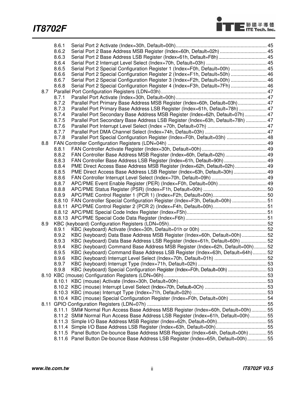*IT8702F* 



|     | 8.6.1 |                                                                                                                                                         |     |
|-----|-------|---------------------------------------------------------------------------------------------------------------------------------------------------------|-----|
|     | 8.6.2 | Serial Port 2 Base Address MSB Register (Index=60h, Default=02h)  45                                                                                    |     |
|     | 8.6.3 | Serial Port 2 Base Address LSB Register (Index=61h, Default=F8h) 45                                                                                     |     |
|     | 8.6.4 |                                                                                                                                                         |     |
|     | 8.6.5 | Serial Port 2 Special Configuration Register 1 (Index=F0h, Default=00h)  45                                                                             |     |
|     | 8.6.6 | Serial Port 2 Special Configuration Register 2 (Index=F1h, Default=50h)  46                                                                             |     |
|     | 8.6.7 | Serial Port 2 Special Configuration Register 3 (Index=F2h, Default=00h)  46                                                                             |     |
|     | 8.6.8 | Serial Port 2 Special Configuration Register 4 (Index=F3h, Default=7Fh)  46                                                                             |     |
| 8.7 |       |                                                                                                                                                         |     |
|     | 8.7.1 |                                                                                                                                                         |     |
|     | 8.7.2 | Parallel Port Primary Base Address MSB Register (Index=60h, Default=03h) 47                                                                             |     |
|     | 8.7.3 | Parallel Port Primary Base Address LSB Register (Index=61h, Default=78h)  47                                                                            |     |
|     | 8.7.4 | Parallel Port Secondary Base Address MSB Register (Index=62h, Default=07h) 47                                                                           |     |
|     | 8.7.5 | Parallel Port Secondary Base Address LSB Register (Index=63h, Default=78h)  47                                                                          |     |
|     | 8.7.6 |                                                                                                                                                         |     |
|     | 8.7.7 |                                                                                                                                                         |     |
|     | 8.7.8 | Parallel Port Special Configuration Register (Index=F0h, Default=03h)  48                                                                               |     |
| 8.8 |       |                                                                                                                                                         |     |
|     | 8.8.1 |                                                                                                                                                         |     |
|     | 8.8.2 | FAN Controller Base Address MSB Register (Index=60h, Default=02h)  49                                                                                   |     |
|     | 8.8.3 | FAN Controller Base Address LSB Register (Index=61h, Default=90h)  49                                                                                   |     |
|     | 8.8.4 | PME Direct Access Base Address MSB Register (Index=62h, Default=02h) 49                                                                                 |     |
|     | 8.8.5 | PME Direct Access Base Address LSB Register (Index=63h, Default=30h) 49                                                                                 |     |
|     | 8.8.6 |                                                                                                                                                         |     |
|     | 8.8.7 |                                                                                                                                                         |     |
|     | 8.8.8 |                                                                                                                                                         |     |
|     | 8.8.9 |                                                                                                                                                         |     |
|     |       | 8.8.10 FAN Controller Special Configuration Register (Index=F3h, Default=00h)  51                                                                       |     |
|     |       |                                                                                                                                                         |     |
|     |       |                                                                                                                                                         |     |
|     |       |                                                                                                                                                         |     |
| 8.9 |       |                                                                                                                                                         |     |
|     |       |                                                                                                                                                         |     |
|     | 8.9.1 |                                                                                                                                                         |     |
|     | 8.9.2 | KBC (keyboard) Data Base Address MSB Register (Index=60h, Default=00h) 52<br>KBC (keyboard) Data Base Address LSB Register (Index=61h, Default=60h)  52 |     |
|     | 8.9.3 |                                                                                                                                                         |     |
|     | 8.9.4 | KBC (keyboard) Command Base Address MSB Register (Index=62h, Default=00h)52                                                                             |     |
|     | 8.9.5 | KBC (keyboard) Command Base Address LSB Register (Index=63h, Default=64h) 52                                                                            |     |
|     | 8.9.6 |                                                                                                                                                         |     |
|     | 8.9.7 |                                                                                                                                                         | .53 |
|     |       | 8.9.8 KBC (keyboard) Special Configuration Register (Index=F0h, Default=00h) 53                                                                         |     |
|     |       |                                                                                                                                                         |     |
|     |       |                                                                                                                                                         |     |
|     |       |                                                                                                                                                         |     |
|     |       |                                                                                                                                                         |     |
|     |       | 8.10.4 KBC (mouse) Special Configuration Register (Index=F0h, Default=00h)  54                                                                          |     |
|     |       |                                                                                                                                                         |     |
|     |       | 8.11.1 SMI# Normal Run Access Base Address MSB Register (Index=60h, Default=00h)55                                                                      |     |
|     |       | 8.11.2 SMI# Normal Run Access Base Address LSB Register (Index=61h, Default=00h)55                                                                      |     |
|     |       | 8.11.3 Simple I/O Base Address MSB Register (Index=62h, Default=00h) 55                                                                                 |     |
|     |       |                                                                                                                                                         |     |
|     |       | 8.11.5 Panel Button De-bounce Base Address MSB Register (Index=64h, Default=00h) 55                                                                     |     |
|     |       | 8.11.6 Panel Button De-bounce Base Address LSB Register (Index=65h, Default=00h) 55                                                                     |     |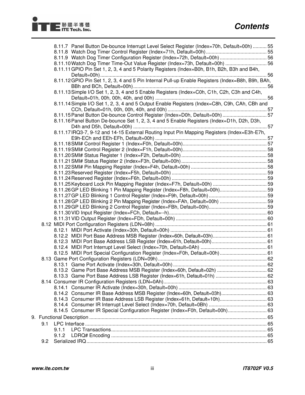|     | 8.11.7 Panel Button De-bounce Interrupt Level Select Register (Index=70h, Default=00h)  55       |  |
|-----|--------------------------------------------------------------------------------------------------|--|
|     |                                                                                                  |  |
|     | 8.11.9 Watch Dog Timer Configuration Register (Index=72h, Default=00h)  56                       |  |
|     | 8.11.10 Watch Dog Timer Time-Out Value Register (Index=73h, Default=00h)  56                     |  |
|     | 8.11.11 GPIO Pin Set 1, 2, 3, 4 and 5 Polarity Registers (Index=B0h, B1h, B2h, B3h and B4h,      |  |
|     |                                                                                                  |  |
|     | 8.11.12GPIO Pin Set 1, 2, 3, 4 and 5 Pin Internal Pull-up Enable Registers (Index=B8h, B9h, BAh, |  |
|     |                                                                                                  |  |
|     | 8.11.13 Simple I/O Set 1, 2, 3, 4 and 5 Enable Registers (Index=C0h, C1h, C2h, C3h and C4h,      |  |
|     |                                                                                                  |  |
|     | 8.11.14 Simple I/O Set 1, 2, 3, 4 and 5 Output Enable Registers (Index=C8h, C9h, CAh, CBh and    |  |
|     |                                                                                                  |  |
|     | 8.11.15 Panel Button De-bounce Control Register (Index=D0h, Default=00h)  57                     |  |
|     | 8.11.16 Panel Button De-bounce Set 1, 2, 3, 4 and 5 Enable Registers (Index=D1h, D2h, D3h,       |  |
|     | 8.11.17IRQ3-7, 9-12 and 14-15 External Routing Input Pin Mapping Registers (Index=E3h-E7h,       |  |
|     |                                                                                                  |  |
|     |                                                                                                  |  |
|     |                                                                                                  |  |
|     |                                                                                                  |  |
|     |                                                                                                  |  |
|     |                                                                                                  |  |
|     |                                                                                                  |  |
|     |                                                                                                  |  |
|     |                                                                                                  |  |
|     | 8.11.26 GP LED Blinking 1 Pin Mapping Register (Index=F8h, Default=00h) 59                       |  |
|     |                                                                                                  |  |
|     | 8.11.28 GP LED Blinking 2 Pin Mapping Register (Index=FAh, Default=00h)  59                      |  |
|     |                                                                                                  |  |
|     |                                                                                                  |  |
|     |                                                                                                  |  |
|     |                                                                                                  |  |
|     |                                                                                                  |  |
|     |                                                                                                  |  |
|     |                                                                                                  |  |
|     |                                                                                                  |  |
|     | 8.12.5 MIDI Port Special Configuration Register (Index=F0h, Default=00h)  61                     |  |
|     |                                                                                                  |  |
|     |                                                                                                  |  |
|     |                                                                                                  |  |
|     |                                                                                                  |  |
|     |                                                                                                  |  |
|     | 8.14.2 Consumer IR Base Address MSB Register (Index=60h, Default=03h) 63                         |  |
|     | 8.14.3 Consumer IR Base Address LSB Register (Index=61h, Default=10h) 63                         |  |
|     |                                                                                                  |  |
|     | 8.14.5 Consumer IR Special Configuration Register (Index=F0h, Default=00h) 63                    |  |
|     |                                                                                                  |  |
|     |                                                                                                  |  |
| 9.1 | 9.1.1                                                                                            |  |
|     | 9.1.2                                                                                            |  |
| 9.2 |                                                                                                  |  |
|     |                                                                                                  |  |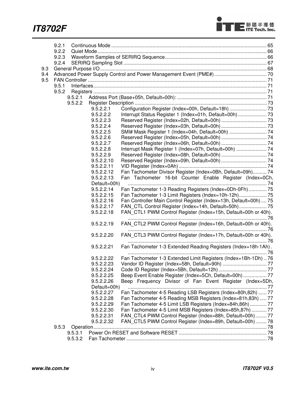

|     | 9.2.1 |                    |              |                                                                 |  |
|-----|-------|--------------------|--------------|-----------------------------------------------------------------|--|
|     | 9.2.2 |                    |              |                                                                 |  |
|     | 9.2.3 |                    |              |                                                                 |  |
|     | 9.2.4 |                    |              |                                                                 |  |
| 9.3 |       |                    |              |                                                                 |  |
| 9.4 |       |                    |              |                                                                 |  |
| 9.5 |       |                    |              |                                                                 |  |
|     | 9.5.1 |                    |              |                                                                 |  |
|     | 9.5.2 | 9.5.2.1            |              |                                                                 |  |
|     |       | 9.5.2.2            |              |                                                                 |  |
|     |       |                    | 9.5.2.2.1    |                                                                 |  |
|     |       |                    | 9.5.2.2.2    |                                                                 |  |
|     |       |                    | 9.5.2.2.3    |                                                                 |  |
|     |       |                    | 9.5.2.2.4    |                                                                 |  |
|     |       |                    | 9.5.2.2.5    | SMI# Mask Register 1 (Index=04h, Default=00h)  74               |  |
|     |       |                    | 9.5.2.2.6    |                                                                 |  |
|     |       |                    | 9.5.2.2.7    |                                                                 |  |
|     |       |                    | 9.5.2.2.8    | Interrupt Mask Register 1 (Index=07h, Default=00h)  74          |  |
|     |       |                    | 9.5.2.2.9    |                                                                 |  |
|     |       |                    | 9.5.2.2.10   |                                                                 |  |
|     |       |                    | 9.5.2.2.11   |                                                                 |  |
|     |       |                    | 9.5.2.2.12   | Fan Tachometer Divisor Register (Index=0Bh, Default=09h) 74     |  |
|     |       |                    | 9.5.2.2.13   | Fan Tachometer 16-bit Counter Enable Register (Index=0Ch,       |  |
|     |       |                    | Default=00h) |                                                                 |  |
|     |       |                    | 9.5.2.2.14   | Fan Tachometer 1-3 Reading Registers (Index=0Dh-0Fh)  75        |  |
|     |       |                    | 9.5.2.2.15   |                                                                 |  |
|     |       |                    | 9.5.2.2.16   | Fan Controller Main Control Register (Index=13h, Default=00h)75 |  |
|     |       |                    | 9.5.2.2.17   | FAN_CTL Control Register (Index=14h, Default=50h) 75            |  |
|     |       |                    | 9.5.2.2.18   | FAN CTL1 PWM Control Register (Index=15h, Default=00h or 40h).  |  |
|     |       |                    |              |                                                                 |  |
|     |       |                    | 9.5.2.2.19   | FAN_CTL2 PWM Control Register (Index=16h, Default=00h or 40h).  |  |
|     |       |                    | 9.5.2.2.20   | FAN_CTL3 PWM Control Register (Index=17h, Default=00h or 40h).  |  |
|     |       |                    |              |                                                                 |  |
|     |       |                    | 9.5.2.2.21   | Fan Tachometer 1-3 Extended Reading Registers (Index=18h-1Ah).  |  |
|     |       |                    |              |                                                                 |  |
|     |       |                    | 9.5.2.2.22   | Fan Tachometer 1-3 Extended Limit Registers (Index=1Bh-1Dh)  76 |  |
|     |       |                    | 9.5.2.2.23   |                                                                 |  |
|     |       |                    | 9.5.2.2.24   |                                                                 |  |
|     |       |                    | 9.5.2.2.25   | Beep Event Enable Register (Index=5Ch, Default=00h)  77         |  |
|     |       |                    | 9.5.2.2.26   | Beep Frequency Divisor of Fan Event Register (Index=5Dh,        |  |
|     |       |                    | Default=00h) |                                                                 |  |
|     |       |                    | 9.5.2.2.27   | Fan Tachometer 4-5 Reading LSB Registers (Index=80h,82h)  77    |  |
|     |       |                    | 9.5.2.2.28   | Fan Tachometer 4-5 Reading MSB Registers (Index=81h,83h)  77    |  |
|     |       |                    | 9.5.2.2.29   | Fan Tachometer 4-5 Limit LSB Registers (Index=84h, 86h)  77     |  |
|     |       |                    | 9.5.2.2.30   | Fan Tachometer 4-5 Limit MSB Registers (Index=85h,87h)  77      |  |
|     |       |                    | 9.5.2.2.31   | FAN CTL4 PWM Control Register (Index=88h, Default=00h)77        |  |
|     |       |                    | 9.5.2.2.32   | FAN CTL5 PWM Control Register (Index=89h, Default=00h)78        |  |
|     | 9.5.3 |                    |              |                                                                 |  |
|     |       | 9.5.3.1<br>9.5.3.2 |              |                                                                 |  |
|     |       |                    |              |                                                                 |  |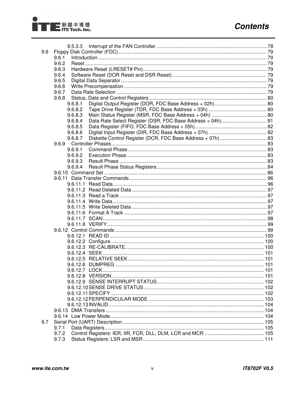

|     | 9.5.3.3                                                               |  |
|-----|-----------------------------------------------------------------------|--|
| 9.6 |                                                                       |  |
|     | 9.6.1                                                                 |  |
|     | 9.6.2                                                                 |  |
|     | 9.6.3                                                                 |  |
|     | 9.6.4                                                                 |  |
|     | 9.6.5                                                                 |  |
|     | 9.6.6                                                                 |  |
|     | 9.6.7                                                                 |  |
|     | 9.6.8                                                                 |  |
|     | 9.6.8.1                                                               |  |
|     | 9.6.8.2                                                               |  |
|     | 9.6.8.3                                                               |  |
|     | Data Rate Select Register (DSR, FDC Base Address + 04h) 81<br>9.6.8.4 |  |
|     | 9.6.8.5                                                               |  |
|     | 9.6.8.6                                                               |  |
|     | 9.6.8.7                                                               |  |
|     |                                                                       |  |
|     | 9.6.9.1<br>9.6.9.2                                                    |  |
|     | 9.6.9.3                                                               |  |
|     | 9.6.9.4                                                               |  |
|     |                                                                       |  |
|     |                                                                       |  |
|     |                                                                       |  |
|     |                                                                       |  |
|     |                                                                       |  |
|     |                                                                       |  |
|     |                                                                       |  |
|     |                                                                       |  |
|     |                                                                       |  |
|     |                                                                       |  |
|     |                                                                       |  |
|     |                                                                       |  |
|     |                                                                       |  |
|     |                                                                       |  |
|     |                                                                       |  |
|     |                                                                       |  |
|     |                                                                       |  |
|     |                                                                       |  |
|     |                                                                       |  |
|     |                                                                       |  |
|     |                                                                       |  |
|     |                                                                       |  |
|     |                                                                       |  |
|     |                                                                       |  |
|     |                                                                       |  |
|     |                                                                       |  |
| 9.7 |                                                                       |  |
|     | 9.7.1                                                                 |  |
|     | 9.7.2                                                                 |  |
|     | 9.7.3                                                                 |  |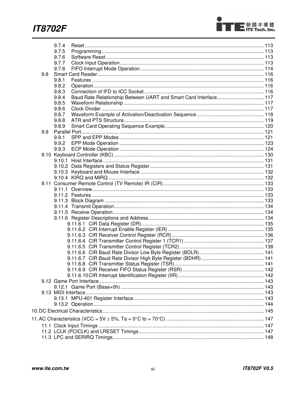# **IT8702F**



|     | 9.7.4 |                                                                  |  |
|-----|-------|------------------------------------------------------------------|--|
|     | 9.7.5 |                                                                  |  |
|     | 9.7.6 |                                                                  |  |
|     | 9.7.7 |                                                                  |  |
|     | 9.7.8 |                                                                  |  |
| 9.8 |       |                                                                  |  |
|     | 9.8.1 |                                                                  |  |
|     | 9.8.2 |                                                                  |  |
|     | 9.8.3 |                                                                  |  |
|     | 9.8.4 | Baud Rate Relationship Between UART and Smart Card Interface 117 |  |
|     | 9.8.5 |                                                                  |  |
|     | 9.8.6 |                                                                  |  |
|     | 9.8.7 |                                                                  |  |
|     | 9.8.8 |                                                                  |  |
|     | 9.8.9 |                                                                  |  |
| 9.9 |       |                                                                  |  |
|     | 9.9.1 |                                                                  |  |
|     | 9.9.2 |                                                                  |  |
|     | 9.9.3 |                                                                  |  |
|     |       |                                                                  |  |
|     |       |                                                                  |  |
|     |       |                                                                  |  |
|     |       |                                                                  |  |
|     |       |                                                                  |  |
|     |       |                                                                  |  |
|     |       |                                                                  |  |
|     |       |                                                                  |  |
|     |       |                                                                  |  |
|     |       |                                                                  |  |
|     |       |                                                                  |  |
|     |       |                                                                  |  |
|     |       |                                                                  |  |
|     |       |                                                                  |  |
|     |       |                                                                  |  |
|     |       |                                                                  |  |
|     |       |                                                                  |  |
|     |       |                                                                  |  |
|     |       |                                                                  |  |
|     |       |                                                                  |  |
|     |       |                                                                  |  |
|     |       |                                                                  |  |
|     |       |                                                                  |  |
|     |       |                                                                  |  |
|     |       |                                                                  |  |
|     |       |                                                                  |  |
|     |       |                                                                  |  |
|     |       |                                                                  |  |
|     |       |                                                                  |  |
|     |       |                                                                  |  |
|     |       |                                                                  |  |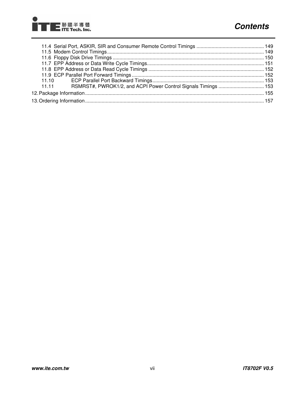

| 11.11 RSMRST#, PWROK1/2, and ACPI Power Control Signals Timings  153 |  |
|----------------------------------------------------------------------|--|
|                                                                      |  |
|                                                                      |  |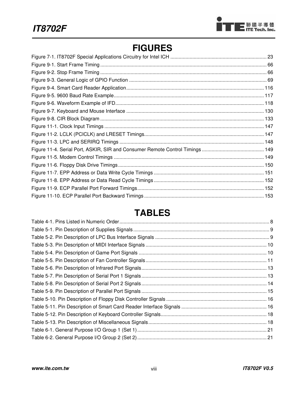# **FIGURES**

# **TABLES**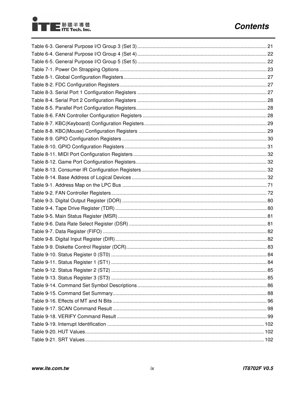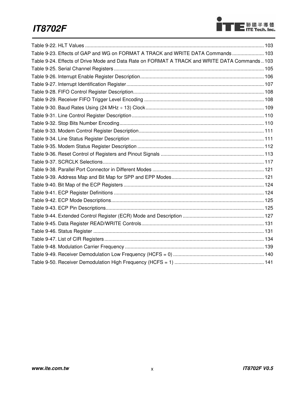| Table 9-23. Effects of GAP and WG on FORMAT A TRACK and WRITE DATA Commands 103               |  |
|-----------------------------------------------------------------------------------------------|--|
| Table 9-24. Effects of Drive Mode and Data Rate on FORMAT A TRACK and WRITE DATA Commands 103 |  |
|                                                                                               |  |
|                                                                                               |  |
|                                                                                               |  |
|                                                                                               |  |
|                                                                                               |  |
|                                                                                               |  |
|                                                                                               |  |
|                                                                                               |  |
|                                                                                               |  |
|                                                                                               |  |
|                                                                                               |  |
|                                                                                               |  |
|                                                                                               |  |
|                                                                                               |  |
|                                                                                               |  |
|                                                                                               |  |
|                                                                                               |  |
|                                                                                               |  |
|                                                                                               |  |
|                                                                                               |  |
|                                                                                               |  |
|                                                                                               |  |
|                                                                                               |  |
|                                                                                               |  |
|                                                                                               |  |
|                                                                                               |  |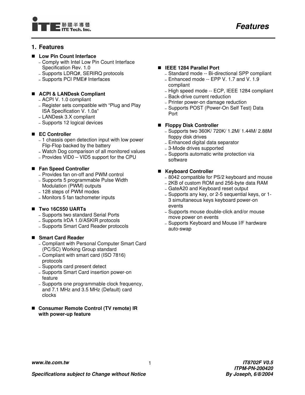

### **1. Features**

#### ■ Low Pin Count Interface

- − Comply with Intel Low Pin Count Interface Specification Rev. 1.0
- − Supports LDRQ#, SERIRQ protocols
- − Supports PCI PME# Interfaces

#### **ACPI & LANDesk Compliant**

- − ACPI V. 1.0 compliant
- − Register sets compatible with "Plug and Play ISA Specification V. 1.0a"
- − LANDesk 3.X compliant
- − Supports 12 logical devices

#### ■ **EC Controller**

- − 1 chassis open detection input with low power Flip-Flop backed by the battery
- − Watch Dog comparison of all monitored values
- − Provides VID0 VID5 support for the CPU

#### ■ Fan Speed Controller

- − Provides fan on-off and PWM control
- − Supports 5 programmable Pulse Width Modulation (PWM) outputs
- − 128 steps of PWM modes
- − Monitors 5 fan tachometer inputs

#### **Two 16C550 UARTs**

- − Supports two standard Serial Ports
- − Supports IrDA 1.0/ASKIR protocols
- − Supports Smart Card Reader protocols

#### **Smart Card Reader**

- − Compliant with Personal Computer Smart Card (PC/SC) Working Group standard
- − Compliant with smart card (ISO 7816) protocols
- − Supports card present detect
- − Supports Smart Card insertion power-on feature
- − Supports one programmable clock frequency, and 7.1 MHz and 3.5 MHz (Default) card clocks

#### ■ Consumer Remote Control (TV remote) IR **with power-up feature**

#### **IEEE 1284 Parallel Port**

- − Standard mode -- Bi-directional SPP compliant
- − Enhanced mode -- EPP V. 1.7 and V. 1.9 compliant
- − High speed mode -- ECP, IEEE 1284 compliant
- − Back-drive current reduction
- − Printer power-on damage reduction
- − Supports POST (Power-On Self Test) Data Port

#### **Floppy Disk Controller**

- − Supports two 360K/ 720K/ 1.2M/ 1.44M/ 2.88M floppy disk drives
- − Enhanced digital data separator
- − 3-Mode drives supported
- − Supports automatic write protection via software

#### **Keyboard Controller**

- − 8042 compatible for PS/2 keyboard and mouse
- − 2KB of custom ROM and 256-byte data RAM
- − GateA20 and Keyboard reset output
- − Supports any key, or 2-5 sequential keys, or 1- 3 simultaneous keys keyboard power-on events
- − Supports mouse double-click and/or mouse move power on events
- − Supports Keyboard and Mouse I/F hardware auto-swap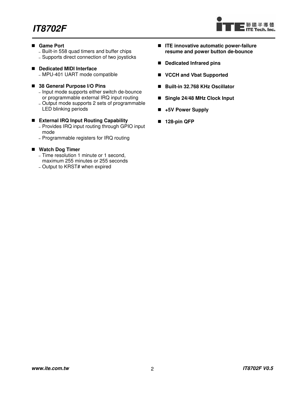# *IT8702F*



#### **Game Port**

- − Built-in 558 quad timers and buffer chips
- − Supports direct connection of two joysticks

#### **Dedicated MIDI Interface**

− MPU-401 UART mode compatible

#### ■ 38 General Purpose I/O Pins

- − Input mode supports either switch de-bounce or programmable external IRQ input routing
- − Output mode supports 2 sets of programmable LED blinking periods

#### **External IRQ Input Routing Capability**

- − Provides IRQ input routing through GPIO input mode
- − Programmable registers for IRQ routing

#### **Watch Dog Timer**

- − Time resolution 1 minute or 1 second, maximum 255 minutes or 255 seconds
- − Output to KRST# when expired
- **ITE innovative automatic power-failure resume and power button de-bounce**
- **Dedicated Infrared pins**
- **VCCH and Vbat Supported**
- **Built-in 32.768 KHz Oscillator**
- **Single 24/48 MHz Clock Input**
- **+5V Power Supply**
- **128-pin QFP**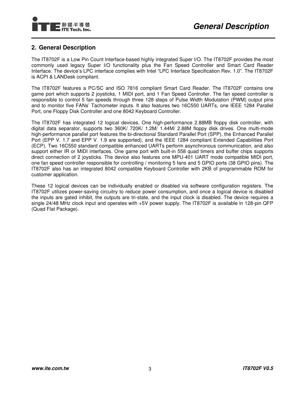

### **2. General Description**

The IT8702F is a Low Pin Count Interface-based highly integrated Super I/O. The IT8702F provides the most commonly used legacy Super I/O functionality plus the Fan Speed Controller and Smart Card Reader Interface. The device's LPC interface complies with Intel "LPC Interface Specification Rev. 1.0". The IT8702F is ACPI & LANDesk compliant.

The IT8702F features a PC/SC and ISO 7816 compliant Smart Card Reader. The IT8702F contains one game port which supports 2 joysticks, 1 MIDI port, and 1 Fan Speed Controller. The fan speed controller is responsible to control 5 fan speeds through three 128 steps of Pulse Width Modulation (PWM) output pins and to monitor five FANs' Tachometer inputs. It also features two 16C550 UARTs, one IEEE 1284 Parallel Port, one Floppy Disk Controller and one 8042 Keyboard Controller.

The IT8702F has integrated 12 logical devices. One high-performance 2.88MB floppy disk controller, with digital data separator, supports two 360K/ 720K/ 1.2M/ 1.44M/ 2.88M floppy disk drives. One multi-mode high-performance parallel port features the bi-directional Standard Parallel Port (SPP), the Enhanced Parallel Port (EPP V. 1.7 and EPP V. 1.9 are supported), and the IEEE 1284 compliant Extended Capabilities Port (ECP). Two 16C550 standard compatible enhanced UARTs perform asynchronous communication, and also support either IR or MIDI interfaces. One game port with built-in 558 quad timers and buffer chips supports direct connection of 2 joysticks. The device also features one MPU-401 UART mode compatible MIDI port, one fan speed controller responsible for controlling / monitoring 5 fans and 5 GPIO ports (38 GPIO pins). The IT8702F also has an integrated 8042 compatible Keyboard Controller with 2KB of programmable ROM for customer application.

These 12 logical devices can be individually enabled or disabled via software configuration registers. The IT8702F utilizes power-saving circuitry to reduce power consumption, and once a logical device is disabled the inputs are gated inhibit, the outputs are tri-state, and the input clock is disabled. The device requires a single 24/48 MHz clock input and operates with +5V power supply. The IT8702F is available in 128-pin QFP (Quad Flat Package).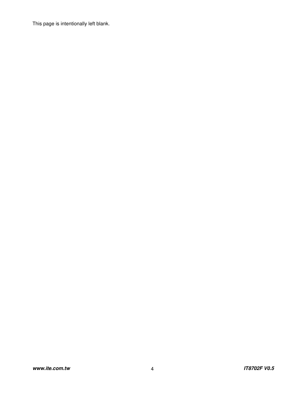This page is intentionally left blank.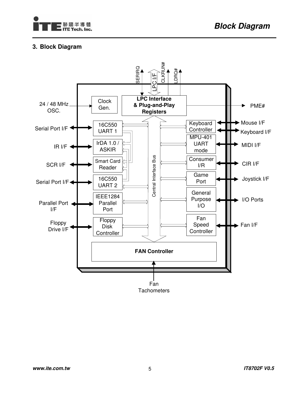

## **3. Block Diagram**

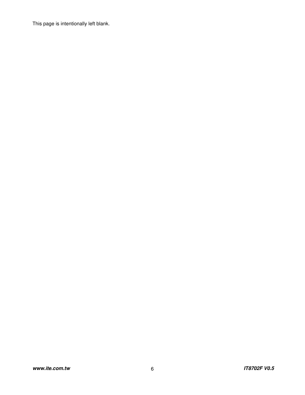This page is intentionally left blank.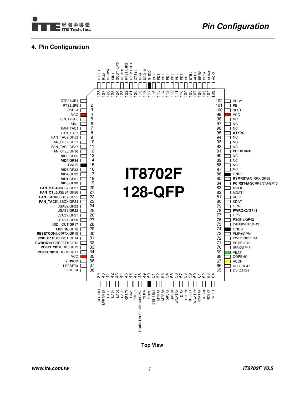

## **4. Pin Configuration**



**Top View**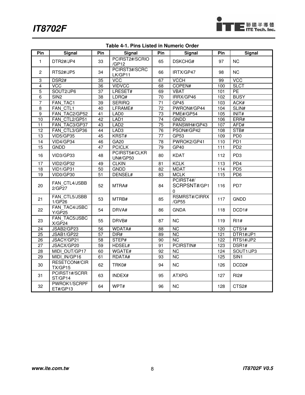

| Pin             | Signal                   | Pin             | Signal                           | Pin             | Signal                         | Pin | Signal            |
|-----------------|--------------------------|-----------------|----------------------------------|-----------------|--------------------------------|-----|-------------------|
|                 |                          |                 |                                  |                 |                                |     |                   |
| $\mathbf{1}$    | DTR2#/JP4                | 33              | PCIRST2#/SCRIO<br>/GP12          | 65              | DSKCHG#                        | 97  | <b>NC</b>         |
| $\overline{2}$  | RTS2#/JP5                | 34              | PCIRST3#/SCRC<br>LK/GP11         | 66              | IRTX/GP47                      | 98  | <b>NC</b>         |
| 3               | DSR <sub>2#</sub>        | 35              | <b>VCC</b>                       | 67              | <b>VCCH</b>                    | 99  | <b>VCC</b>        |
| $\overline{4}$  | $\overline{VCC}$         | $\overline{36}$ | <b>VIDVCC</b>                    | 68              | COPEN#                         | 100 | <b>SLCT</b>       |
| 5               | SOUT2/JP6                | 37              | LRESET#                          | 69              | <b>VBAT</b>                    | 101 | <b>PE</b>         |
| 6               | SIN <sub>2</sub>         | 38              | LDRQ#                            | 70              | IRRX/GP46                      | 102 | <b>BUSY</b>       |
| $\overline{7}$  | <b>FAN TAC1</b>          | 39              | <b>SERIRQ</b>                    | $\overline{71}$ | GP45                           | 103 | ACK#              |
| $\overline{8}$  | FAN CTL1                 | 40              | LFRAME#                          | 72              | PWRON#/GP44                    | 104 | SLIN#             |
| 9               | FAN TAC2/GP52            | 41              | LAD <sub>0</sub>                 | $\overline{73}$ | PME#/GP54                      | 105 | INT#              |
| 10              | FAN CTL2/GP51            | 42              | LAD1                             | $\overline{74}$ | <b>GNDD</b>                    | 106 | ERR#              |
| 11              | FAN TAC3/GP37            | 43              | LAD <sub>2</sub>                 | 75              | PANSWH#/GP43                   | 107 | AFD#              |
| 12              | FAN CTL3/GP36            | 44              | LAD <sub>3</sub>                 | 76              | PSON#/GP42                     | 108 | STB#              |
| 13              | VID5/GP35                | 45              | KRST#                            | 77              | GP53                           | 109 | PD <sub>0</sub>   |
| $\overline{14}$ | VID4/GP34                | 46              | GA20                             | $\overline{78}$ | PWROK2/GP41                    | 110 | PD <sub>1</sub>   |
| $\overline{15}$ | <b>GNDD</b>              | 47              | <b>PCICLK</b>                    | 79              | GP40                           | 111 | PD2               |
| 16              | VID3/GP33                | 48              | PCIRST5#/CLKR<br><b>UN#/GP50</b> | 80              | <b>KDAT</b>                    | 112 | PD <sub>3</sub>   |
| 17              | VID2/GP32                | 49              | <b>CLKIN</b>                     | 81              | <b>KCLK</b>                    | 113 | PD <sub>4</sub>   |
| 18              | VID1/GP31                | 50              | <b>GNDD</b>                      | 82              | <b>MDAT</b>                    | 114 | PD <sub>5</sub>   |
| $\overline{19}$ | VID0/GP30                | 51              | DENSEL#                          | 83              | <b>MCLK</b>                    | 115 | PD <sub>6</sub>   |
| 20              | FAN CTL4/JSBB<br>2/GP27  | 52              | MTRA#                            | 84              | PCIRST4#/<br>SCRPSNT#/GP1<br>0 | 116 | PD <sub>7</sub>   |
| 21              | FAN CTL5/JSBB<br>1/GP26  | 53              | MTRB#                            | 85              | RSMRST#/CIRRX<br>/GP55         | 117 | <b>GNDD</b>       |
| 22              | FAN TAC4/JSBC<br>Y/GP25  | 54              | DRVA#                            | 86              | <b>GNDA</b>                    | 118 | DCD1#             |
| 23              | FAN TAC5/JSBC<br>X/GP24  | 55              | DRVB#                            | 87              | NC                             | 119 | R11#              |
| 24              | JSAB2/GP23               | 56              | WDATA#                           | 88              | NC                             | 120 | CTS1#             |
| 25              | JSAB1/GP22               | 57              | DIR#                             | 89              | NC                             | 121 | DTR1#/JP1         |
| $\overline{26}$ | JSACY/GP21               | $\overline{58}$ | STEP#                            | $\overline{90}$ | NC                             | 122 | RTS1#/JP2         |
| $\overline{27}$ | JSACX/GP20               | 59              | HDSEL#                           | 91              | PCIRSTIN#                      | 123 | DSR1#             |
| 28              | MIDI OUT/GP17            | 60              | WGATE#                           | 92              | $\overline{NC}$                | 124 | SOUT1/JP3         |
| 29              | MIDI IN/GP16             | 61              | RDATA#                           | 93              | <b>NC</b>                      | 125 | SIN <sub>1</sub>  |
| 30              | RESETCON#/CIR<br>TX/GP15 | 62              | TRK0#                            | 94              | NC                             | 126 | DCD <sub>2#</sub> |
| 31              | PCIRST1#/SCRR<br>ST/GP14 | 63              | INDEX#                           | 95              | <b>ATXPG</b>                   | 127 | R12#              |
| 32              | PWROK1/SCRPF<br>ET#/GP13 | 64              | WPT#                             | 96              | NC                             | 128 | CTS2#             |

### **Table 4-1. Pins Listed in Numeric Order**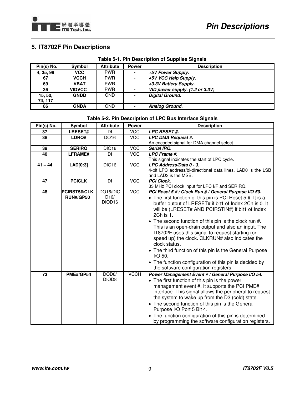# **5. IT8702F Pin Descriptions**

| Table 5-1. Pin Description of Supplies Signals |  |
|------------------------------------------------|--|
|------------------------------------------------|--|

| Pin(s) No. | <b>Symbol</b> | <b>Attribute</b> | <b>Power</b> | <b>Description</b>              |
|------------|---------------|------------------|--------------|---------------------------------|
| 4, 35, 99  | <b>VCC</b>    | <b>PWR</b>       |              | +5V Power Supply.               |
| 67         | <b>VCCH</b>   | <b>PWR</b>       |              | +5V VCC Help Supply.            |
| 69         | <b>VBAT</b>   | <b>PWR</b>       |              | +3.3V Battery Supply.           |
| 36         | <b>VIDVCC</b> | <b>PWR</b>       |              | VID power supply. (1.2 or 3.3V) |
| 15, 50,    | <b>GNDD</b>   | <b>GND</b>       |              | Digital Ground.                 |
| 74.117     |               |                  |              |                                 |
| 86         | <b>GNDA</b>   | <b>GND</b>       |              | Analog Ground.                  |

#### **Table 5-2. Pin Description of LPC Bus Interface Signals**

| Pin(s) No. | Symbol                                  | <b>Attribute</b>                        | <b>Power</b>     | <b>Description</b>                                                                                                                                                                                                                                                                                                                                                                                                                                                                                                                                                                                                                                                |
|------------|-----------------------------------------|-----------------------------------------|------------------|-------------------------------------------------------------------------------------------------------------------------------------------------------------------------------------------------------------------------------------------------------------------------------------------------------------------------------------------------------------------------------------------------------------------------------------------------------------------------------------------------------------------------------------------------------------------------------------------------------------------------------------------------------------------|
| 37         | <b>LRESET#</b>                          | DI                                      | <b>VCC</b>       | <b>LPC RESET#.</b>                                                                                                                                                                                                                                                                                                                                                                                                                                                                                                                                                                                                                                                |
| 38         | LDRQ#                                   | DO16                                    | <b>VCC</b>       | <b>LPC DMA Request #.</b>                                                                                                                                                                                                                                                                                                                                                                                                                                                                                                                                                                                                                                         |
|            |                                         |                                         |                  | An encoded signal for DMA channel select.                                                                                                                                                                                                                                                                                                                                                                                                                                                                                                                                                                                                                         |
| 39         | <b>SERIRQ</b>                           | <b>DIO16</b>                            | <b>VCC</b>       | <b>Serial IRQ.</b>                                                                                                                                                                                                                                                                                                                                                                                                                                                                                                                                                                                                                                                |
| 40         | <b>LFRAME#</b>                          | <b>DI</b>                               | $\overline{VCC}$ | LPC Frame #.<br>This signal indicates the start of LPC cycle.                                                                                                                                                                                                                                                                                                                                                                                                                                                                                                                                                                                                     |
| $41 - 44$  | LAD[0:3]                                | <b>DIO16</b>                            | $\overline{VCC}$ | LPC Address/Data 0 - 3.<br>4-bit LPC address/bi-directional data lines. LAD0 is the LSB<br>and LAD3 is the MSB.                                                                                                                                                                                                                                                                                                                                                                                                                                                                                                                                                   |
| 47         | <b>PCICLK</b>                           | <b>DI</b>                               | <b>VCC</b>       | <b>PCI Clock.</b><br>33 MHz PCI clock input for LPC I/F and SERIRQ.                                                                                                                                                                                                                                                                                                                                                                                                                                                                                                                                                                                               |
| 48         | <b>PCIRST5#/CLK</b><br><b>RUN#/GP50</b> | DO16/DIO<br>D16/<br>DIOD <sub>16</sub>  | <b>VCC</b>       | PCI Reset 5 # / Clock Run # / General Purpose I/O 50.<br>• The first function of this pin is PCI Reset 5 #. It is a<br>buffer output of LRESET# if bit1 of Index 2Ch is 0. It<br>will be (LRESET# AND PCIRSTIN#) if bit1 of Index<br>2Ch is 1.<br>• The second function of this pin is the clock run #.<br>This is an open-drain output and also an input. The<br>IT8702F uses this signal to request starting (or<br>speed up) the clock. CLKRUN# also indicates the<br>clock status.<br>• The third function of this pin is the General Purpose<br>$I/O$ 50.<br>• The function configuration of this pin is decided by<br>the software configuration registers. |
| 73         | PME#/GP54                               | DOD <sub>8</sub> /<br>DIOD <sub>8</sub> | <b>VCCH</b>      | Power Management Event # / General Purpose I/O 54.<br>• The first function of this pin is the power<br>management event #. It supports the PCI PME#<br>interface. This signal allows the peripheral to request<br>the system to wake up from the D3 (cold) state.<br>• The second function of this pin is the General<br>Purpose I/O Port 5 Bit 4.<br>• The function configuration of this pin is determined<br>by programming the software configuration registers.                                                                                                                                                                                              |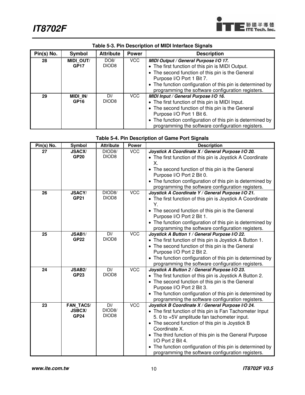| 聯陽半導體                 |
|-----------------------|
| <b>ITE Tech. Inc.</b> |

| Pin(s) No. | Symbol                         | <b>Attribute</b>                       | <b>Power</b> | <b>Description</b>                                                                                                                                                                                                                                                                           |
|------------|--------------------------------|----------------------------------------|--------------|----------------------------------------------------------------------------------------------------------------------------------------------------------------------------------------------------------------------------------------------------------------------------------------------|
| 28         | MIDI OUT/<br><b>GP17</b>       | DO <sub>8</sub> /<br>DIOD <sub>8</sub> | <b>VCC</b>   | MIDI Output / General Purpose I/O 17.<br>• The first function of this pin is MIDI Output.<br>• The second function of this pin is the General<br>Purpose I/O Port 1 Bit 7.<br>• The function configuration of this pin is determined by<br>programming the software configuration registers. |
| 29         | <b>MIDI IN/</b><br><b>GP16</b> | DI/<br>DIOD <sub>8</sub>               | VCC          | MIDI Input / General Purpose I/O 16.<br>• The first function of this pin is MIDI Input.<br>• The second function of this pin is the General<br>Purpose I/O Port 1 Bit 6.<br>• The function configuration of this pin is determined by<br>programming the software configuration registers.   |

|  |  |  |  | Table 5-4. Pin Description of Game Port Signals |
|--|--|--|--|-------------------------------------------------|
|  |  |  |  |                                                 |

| Pin(s) No. | Symbol                                    | <b>Attribute</b>             | <b>Power</b>     | <b>Description</b>                                                                                                                                                                                                                                                                                                                                                                                                                 |
|------------|-------------------------------------------|------------------------------|------------------|------------------------------------------------------------------------------------------------------------------------------------------------------------------------------------------------------------------------------------------------------------------------------------------------------------------------------------------------------------------------------------------------------------------------------------|
| 27         | <b>JSACX/</b><br><b>GP20</b>              | DIOD <sub>8</sub> /<br>DIOD8 | $\overline{VCC}$ | Joystick A Coordinate X / General Purpose I/O 20.<br>• The first function of this pin is Joystick A Coordinate<br>Χ.                                                                                                                                                                                                                                                                                                               |
|            |                                           |                              |                  | • The second function of this pin is the General<br>Purpose I/O Port 2 Bit 0.<br>• The function configuration of this pin is determined by<br>programming the software configuration registers.                                                                                                                                                                                                                                    |
| 26         | <b>JSACY/</b><br><b>GP21</b>              | DIOD8/<br>DIOD <sub>8</sub>  | $\overline{VCC}$ | Joystick A Coordinate Y / General Purpose I/O 21.<br>• The first function of this pin is Joystick A Coordinate<br>Y.<br>• The second function of this pin is the General<br>Purpose I/O Port 2 Bit 1.<br>• The function configuration of this pin is determined by<br>programming the software configuration registers.                                                                                                            |
| 25         | JSAB1/<br><b>GP22</b>                     | DI/<br>DIOD <sub>8</sub>     | <b>VCC</b>       | Joystick A Button 1 / General Purpose I/O 22.<br>• The first function of this pin is Joystick A Button 1.<br>• The second function of this pin is the General<br>Purpose I/O Port 2 Bit 2.<br>• The function configuration of this pin is determined by<br>programming the software configuration registers.                                                                                                                       |
| 24         | <b>JSAB2/</b><br><b>GP23</b>              | DI/<br>DIOD <sub>8</sub>     | <b>VCC</b>       | Joystick A Button 2 / General Purpose I/O 23.<br>• The first function of this pin is Joystick A Button 2.<br>• The second function of this pin is the General<br>Purpose I/O Port 2 Bit 3.<br>• The function configuration of this pin is determined by<br>programming the software configuration registers.                                                                                                                       |
| 23         | FAN TAC5/<br><b>JSBCX/</b><br><b>GP24</b> | DI/<br>DIOD8/<br>DIOD8       | $\overline{VCC}$ | Joystick B Coordinate X / General Purpose I/O 24.<br>• The first function of this pin is Fan Tachometer Input<br>5. 0 to +5V amplitude fan tachometer input.<br>• The second function of this pin is Joystick B<br>Coordinate X.<br>• The third function of this pin is the General Purpose<br>I/O Port 2 Bit 4.<br>• The function configuration of this pin is determined by<br>programming the software configuration registers. |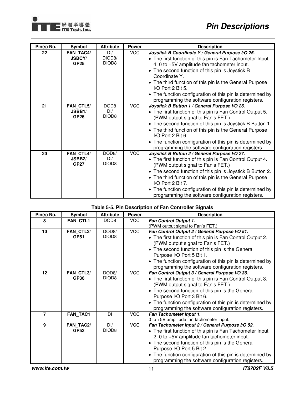

| Pin(s) No. | Symbol                                          | <b>Attribute</b>                                | <b>Power</b> | <b>Description</b>                                                                                                                                                                                                                                                                                                                                                                                                                 |
|------------|-------------------------------------------------|-------------------------------------------------|--------------|------------------------------------------------------------------------------------------------------------------------------------------------------------------------------------------------------------------------------------------------------------------------------------------------------------------------------------------------------------------------------------------------------------------------------------|
| 22         | FAN TAC4/<br><b>JSBCY/</b><br><b>GP25</b>       | DI/<br>DIOD <sub>8</sub> /<br>DIOD <sub>8</sub> | <b>VCC</b>   | Joystick B Coordinate Y / General Purpose I/O 25.<br>• The first function of this pin is Fan Tachometer Input<br>4. 0 to +5V amplitude fan tachometer input.<br>• The second function of this pin is Joystick B<br>Coordinate Y.<br>• The third function of this pin is the General Purpose<br>I/O Port 2 Bit 5.<br>• The function configuration of this pin is determined by<br>programming the software configuration registers. |
| 21         | FAN_CTL5/<br>JSBB1/<br>GP26                     | DOD <sub>8</sub><br>DI/<br>DIOD8                | <b>VCC</b>   | Joystick B Button 1 / General Purpose I/O 26.<br>• The first function of this pin is Fan Control Output 5.<br>(PWM output signal to Fan's FET.)<br>• The second function of this pin is Joystick B Button 1.<br>• The third function of this pin is the General Purpose<br>I/O Port 2 Bit 6.<br>• The function configuration of this pin is determined by<br>programming the software configuration registers.                     |
| 20         | FAN CTL4/<br>JSBB <sub>2</sub> /<br><b>GP27</b> | DOD <sub>8</sub> /<br>DI/<br>DIOD <sub>8</sub>  | <b>VCC</b>   | Joystick B Button 2 / General Purpose I/O 27.<br>• The first function of this pin is Fan Control Output 4.<br>(PWM output signal to Fan's FET.)<br>• The second function of this pin is Joystick B Button 2.<br>• The third function of this pin is the General Purpose<br>I/O Port 2 Bit 7.<br>• The function configuration of this pin is determined by<br>programming the software configuration registers.                     |

### **Table 5-5. Pin Description of Fan Controller Signals**

| Pin(s) No.     | Symbol          | <b>Attribute</b>   | <b>Power</b>     | <b>Description</b>                                                            |
|----------------|-----------------|--------------------|------------------|-------------------------------------------------------------------------------|
| 8              | <b>FAN CTL1</b> | DOD <sub>8</sub>   | <b>VCC</b>       | Fan Control Output 1.                                                         |
|                |                 |                    |                  | (PWM output signal to Fan's FET.)                                             |
| 10             | FAN CTL2/       | DOD8/              | $\overline{VCC}$ | Fan Control Output 2 / General Purpose I/O 51.                                |
|                | <b>GP51</b>     | DIOD <sub>8</sub>  |                  | • The first function of this pin is Fan Control Output 2.                     |
|                |                 |                    |                  | (PWM output signal to Fan's FET.)                                             |
|                |                 |                    |                  | • The second function of this pin is the General<br>Purpose I/O Port 5 Bit 1. |
|                |                 |                    |                  | • The function configuration of this pin is determined by                     |
|                |                 |                    |                  | programming the software configuration registers.                             |
| 12             | FAN CTL3/       | DOD <sub>8</sub> / | <b>VCC</b>       | Fan Control Output 3 / General Purpose I/O 36.                                |
|                | <b>GP36</b>     | DIOD <sub>8</sub>  |                  | • The first function of this pin is Fan Control Output 3.                     |
|                |                 |                    |                  | (PWM output signal to Fan's FET.)                                             |
|                |                 |                    |                  | • The second function of this pin is the General                              |
|                |                 |                    |                  | Purpose I/O Port 3 Bit 6.                                                     |
|                |                 |                    |                  | • The function configuration of this pin is determined by                     |
|                |                 |                    |                  | programming the software configuration registers.                             |
| $\overline{7}$ | <b>FAN TAC1</b> | DI                 | <b>VCC</b>       | Fan Tachometer Input 1.                                                       |
|                |                 |                    |                  | 0 to +5V amplitude fan tachometer input.                                      |
| 9              | FAN TAC2/       | DI/                | <b>VCC</b>       | Fan Tachometer Input 2 / General Purpose I/O 52.                              |
|                | <b>GP52</b>     | DIOD <sub>8</sub>  |                  | • The first function of this pin is Fan Tachometer Input                      |
|                |                 |                    |                  | 2. 0 to +5V amplitude fan tachometer input.                                   |
|                |                 |                    |                  | • The second function of this pin is the General                              |
|                |                 |                    |                  | Purpose I/O Port 5 Bit 2.                                                     |
|                |                 |                    |                  | • The function configuration of this pin is determined by                     |
|                |                 |                    |                  | programming the software configuration registers.                             |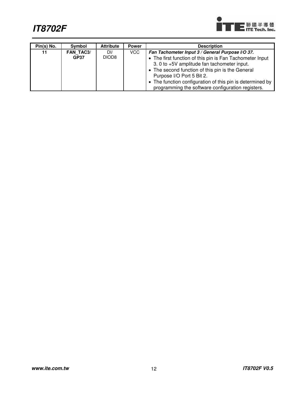



| Pin(s) No. | Symbol                          | <b>Attribute</b>         | <b>Power</b> | <b>Description</b>                                                                                                                                                                                                                                                                                                                                             |
|------------|---------------------------------|--------------------------|--------------|----------------------------------------------------------------------------------------------------------------------------------------------------------------------------------------------------------------------------------------------------------------------------------------------------------------------------------------------------------------|
| 11         | <b>FAN TAC3/</b><br><b>GP37</b> | DI/<br>DIOD <sub>8</sub> | VCC.         | Fan Tachometer Input 3 / General Purpose I/O 37.<br>• The first function of this pin is Fan Tachometer Input<br>3. 0 to +5V amplitude fan tachometer input.<br>• The second function of this pin is the General<br>Purpose I/O Port 5 Bit 2.<br>• The function configuration of this pin is determined by<br>programming the software configuration registers. |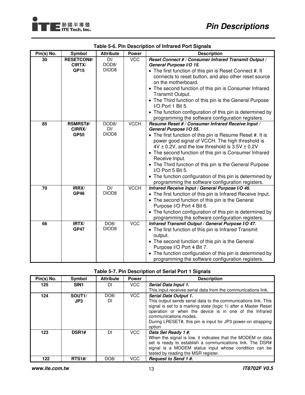

| Pin(s) No. | <b>Symbol</b>                              | <b>Attribute</b>                               | <b>Power</b>     | <b>Description</b>                                                                                                                                                                                                                                                                                                                                                                                                                                                                                                                       |
|------------|--------------------------------------------|------------------------------------------------|------------------|------------------------------------------------------------------------------------------------------------------------------------------------------------------------------------------------------------------------------------------------------------------------------------------------------------------------------------------------------------------------------------------------------------------------------------------------------------------------------------------------------------------------------------------|
| 30         | <b>RESETCON#/</b><br>CIRTX/<br><b>GP15</b> | DI/<br>DOD8/<br>DIOD8                          | $\overline{VCC}$ | Reset Connect # / Consumer Infrared Transmit Output /<br>General Purpose I/O 15.<br>• The first function of this pin is Reset Connect #. It<br>connects to reset button, and also other reset source<br>on the motherboard.<br>• The second function of this pin is Consumer Infrared<br>Transmit Output.<br>• The Third function of this pin is the General Purpose<br>I/O Port 1 Bit 5.<br>• The function configuration of this pin is determined by<br>programming the software configuration registers.                              |
| 85         | <b>RSMRST#/</b><br>CIRRX/<br><b>GP55</b>   | DOD <sub>8</sub> /<br>DI/<br>DIOD <sub>8</sub> | <b>VCCH</b>      | Resume Reset # / Consumer Infrared Receive Input /<br>General Purpose I/O 55.<br>• The first function of this pin is Resume Reset #. It is<br>power good signal of VCCH. The high threshold is<br>$4V \pm 0.2V$ , and the low threshold is 3.5V $\pm$ 0.2V<br>• The second function of this pin is Consumer Infrared<br>Receive Input.<br>• The Third function of this pin is the General Purpose<br>I/O Port 5 Bit 5.<br>• The function configuration of this pin is determined by<br>programming the software configuration registers. |
| 70         | IRRX/<br><b>GP46</b>                       | DV<br>DIOD <sub>8</sub>                        | <b>VCCH</b>      | Infrared Receive Input / General Purpose I/O 46.<br>• The first function of this pin is Infrared Receive Input.<br>• The second function of this pin is the General<br>Purpose I/O Port 4 Bit 6.<br>• The function configuration of this pin is determined by<br>programming the software configuration registers.                                                                                                                                                                                                                       |
| 66         | IRTX/<br><b>GP47</b>                       | DO8/<br>DIOD <sub>8</sub>                      | <b>VCC</b>       | Infrared Transmit Output / General Purpose I/O 47.<br>• The first function of this pin is Infrared Transmit<br>output.<br>• The second function of this pin is the General<br>Purpose I/O Port 4 Bit 7.<br>• The function configuration of this pin is determined by<br>programming the software configuration registers.                                                                                                                                                                                                                |

|  |  | Table 5-6. Pin Description of Infrared Port Signals |
|--|--|-----------------------------------------------------|
|  |  |                                                     |

### **Table 5-7. Pin Description of Serial Port 1 Signals**

| Pin(s) No. | <b>Symbol</b>              | <b>Attribute</b>        | <b>Power</b> | <b>Description</b>                                                                                                                                                                                                                                                                                                      |
|------------|----------------------------|-------------------------|--------------|-------------------------------------------------------------------------------------------------------------------------------------------------------------------------------------------------------------------------------------------------------------------------------------------------------------------------|
| 125        | SIN <sub>1</sub>           | DI                      | VCC          | Serial Data Input 1.<br>This input receives serial data from the communications link.                                                                                                                                                                                                                                   |
| 124        | SOUT <sub>1</sub> /<br>JP3 | DO <sub>8</sub> /<br>DI | VCC          | Serial Data Output 1.<br>This output sends serial data to the communications link. This<br>signal is set to a marking state (logic 1) after a Master Reset<br>operation or when the device is in one of the Infrared<br>communications modes.<br>During LRESET#, this pin is input for JP3 power-on strapping<br>option |
| 123        | DSR <sub>1#</sub>          | DΙ                      | <b>VCC</b>   | Data Set Ready 1 #.<br>When the signal is low, it indicates that the MODEM or data<br>set is ready to establish a communications link. The DSR#<br>signal is a MODEM status input whose condition can be<br>tested by reading the MSR register.                                                                         |
| 122        | RTS1#/                     | DO <sub>8</sub> /       | <b>VCC</b>   | Request to Send 1 #.                                                                                                                                                                                                                                                                                                    |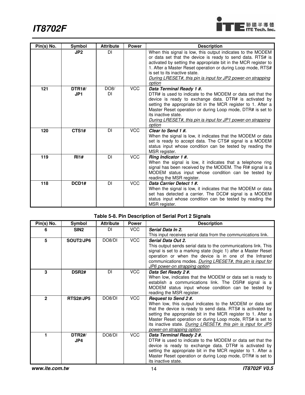

| Pin(s) No. | Symbol                           | <b>Attribute</b> | <b>Power</b> | <b>Description</b>                                                                                                                                                                                                                                                                                                                                                               |
|------------|----------------------------------|------------------|--------------|----------------------------------------------------------------------------------------------------------------------------------------------------------------------------------------------------------------------------------------------------------------------------------------------------------------------------------------------------------------------------------|
|            | JP2                              | <b>DI</b>        |              | When this signal is low, this output indicates to the MODEM<br>or data set that the device is ready to send data. RTS# is<br>activated by setting the appropriate bit in the MCR register to<br>1. After a Master Reset operation or during Loop mode, RTS#<br>is set to its inactive state.<br>During LRESET#, this pin is input for JP2 power-on strapping<br>option           |
| 121        | <b>DTR1#/</b><br>JP <sub>1</sub> | DO8/<br>DI       | <b>VCC</b>   | Data Terminal Ready 1 #.<br>DTR# is used to indicate to the MODEM or data set that the<br>device is ready to exchange data. DTR# is activated by<br>setting the appropriate bit in the MCR register to 1. After a<br>Master Reset operation or during Loop mode, DTR# is set to<br>its inactive state.<br>During LRESET#, this pin is input for JP1 power-on strapping<br>option |
| 120        | CTS1#                            | <b>DI</b>        | <b>VCC</b>   | Clear to Send 1#.<br>When the signal is low, it indicates that the MODEM or data<br>set is ready to accept data. The CTS# signal is a MODEM<br>status input whose condition can be tested by reading the<br>MSR register.                                                                                                                                                        |
| 119        | <b>RI1#</b>                      | <b>DI</b>        | <b>VCC</b>   | Ring Indicator 1 #.<br>When the signal is low, it indicates that a telephone ring<br>signal has been received by the MODEM. The RI# signal is a<br>MODEM status input whose condition can be tested by<br>reading the MSR register.                                                                                                                                              |
| 118        | DCD <sub>1#</sub>                | <b>DI</b>        | <b>VCC</b>   | Data Carrier Detect 1 #.<br>When the signal is low, it indicates that the MODEM or data<br>set has detected a carrier. The DCD# signal is a MODEM<br>status input whose condition can be tested by reading the<br>MSR register.                                                                                                                                                  |

## **Table 5-8. Pin Description of Serial Port 2 Signals**

| Pin(s) No.     | Symbol               | <b>Attribute</b> | <b>Power</b> | <b>Description</b>                                                                                                                                                                                                                                                                                                                                                           |
|----------------|----------------------|------------------|--------------|------------------------------------------------------------------------------------------------------------------------------------------------------------------------------------------------------------------------------------------------------------------------------------------------------------------------------------------------------------------------------|
| 6              | SIN <sub>2</sub>     | DI               | VCC          | Serial Data In 2.<br>This input receives serial data from the communications link.                                                                                                                                                                                                                                                                                           |
| 5              | SOUT2/JP6            | DO8/DI           | <b>VCC</b>   | Serial Data Out 2.<br>This output sends serial data to the communications link. This<br>signal is set to a marking state (logic 1) after a Master Reset<br>operation or when the device is in one of the Infrared<br>communications modes. During LRESET#, this pin is input for<br>JP6 power-on strapping option                                                            |
| 3              | DSR <sub>2#</sub>    | DI               | <b>VCC</b>   | Data Set Ready 2 #.<br>When low, indicates that the MODEM or data set is ready to<br>establish a communications link. The DSR# signal is a<br>MODEM status input whose condition can be tested by<br>reading the MSR register.                                                                                                                                               |
| $\overline{2}$ | <b>RTS2#/JP5</b>     | DO8/DI           | <b>VCC</b>   | Request to Send 2 #.<br>When low, this output indicates to the MODEM or data set<br>that the device is ready to send data. RTS# is activated by<br>setting the appropriate bit in the MCR register to 1. After a<br>Master Reset operation or during Loop mode, RTS# is set to<br>its inactive state. During LRESET#, this pin is input for JP5<br>power-on strapping option |
| 1              | <b>DTR2#/</b><br>JP4 | DO8/DI           | <b>VCC</b>   | Data Terminal Ready 2 #.<br>DTR# is used to indicate to the MODEM or data set that the<br>device is ready to exchange data. DTR# is activated by<br>setting the appropriate bit in the MCR register to 1. After a<br>Master Reset operation or during Loop mode, DTR# is set to<br>its inactive state.                                                                       |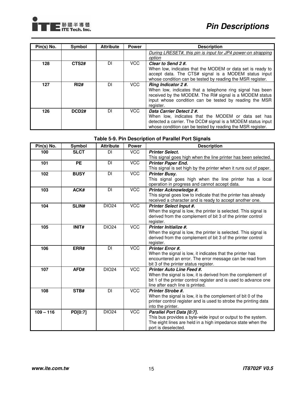

| Pin(s) No. | <b>Symbol</b>     | <b>Attribute</b> | <b>Power</b> | <b>Description</b>                                                                                                                                                                                                 |
|------------|-------------------|------------------|--------------|--------------------------------------------------------------------------------------------------------------------------------------------------------------------------------------------------------------------|
|            |                   |                  |              | During LRESET#, this pin is input for JP4 power-on strapping<br>option                                                                                                                                             |
| 128        | CTS <sub>2#</sub> | DI               | VCC          | Clear to Send 2#.<br>When low, indicates that the MODEM or data set is ready to<br>accept data. The CTS# signal is a MODEM status input<br>whose condition can be tested by reading the MSR register.              |
| 127        | RI2#              | DI               | VCC.         | Ring Indicator 2 #.<br>When low, indicates that a telephone ring signal has been<br>received by the MODEM. The RI# signal is a MODEM status<br>input whose condition can be tested by reading the MSR<br>register. |
| 126        | DCD <sub>2#</sub> | <b>DI</b>        | VCC          | Data Carrier Detect 2 #.<br>When low, indicates that the MODEM or data set has<br>detected a carrier. The DCD# signal is a MODEM status input<br>whose condition can be tested by reading the MSR register.        |

### **Table 5-9. Pin Description of Parallel Port Signals**

| Pin(s) No.  | Symbol      | <b>Attribute</b> | <b>Power</b>     | <b>Description</b>                                                                                                        |
|-------------|-------------|------------------|------------------|---------------------------------------------------------------------------------------------------------------------------|
| 100         | <b>SLCT</b> | DI               | <b>VCC</b>       | <b>Printer Select.</b>                                                                                                    |
|             |             |                  |                  | This signal goes high when the line printer has been selected.                                                            |
| 101         | <b>PE</b>   | DI               | <b>VCC</b>       | <b>Printer Paper End.</b>                                                                                                 |
|             |             |                  |                  | This signal is set high by the printer when it runs out of paper.                                                         |
| 102         | <b>BUSY</b> | <b>DI</b>        | <b>VCC</b>       | <b>Printer Busy.</b>                                                                                                      |
|             |             |                  |                  | This signal goes high when the line printer has a local                                                                   |
|             |             | <b>DI</b>        | $\overline{VCC}$ | operation in progress and cannot accept data.                                                                             |
| 103         | ACK#        |                  |                  | Printer Acknowledge #.                                                                                                    |
|             |             |                  |                  | This signal goes low to indicate that the printer has already<br>received a character and is ready to accept another one. |
| 104         | SLIN#       | <b>DIO24</b>     | $\overline{VCC}$ | <b>Printer Select Input #.</b>                                                                                            |
|             |             |                  |                  | When the signal is low, the printer is selected. This signal is                                                           |
|             |             |                  |                  | derived from the complement of bit 3 of the printer control                                                               |
|             |             |                  |                  | register.                                                                                                                 |
| 105         | INIT#       | <b>DIO24</b>     | <b>VCC</b>       | Printer Initialize #.                                                                                                     |
|             |             |                  |                  | When the signal is low, the printer is selected. This signal is                                                           |
|             |             |                  |                  | derived from the complement of bit 3 of the printer control                                                               |
|             |             |                  |                  | register.                                                                                                                 |
| 106         | ERR#        | DΙ               | <b>VCC</b>       | Printer Error #.                                                                                                          |
|             |             |                  |                  | When the signal is low, it indicates that the printer has                                                                 |
|             |             |                  |                  | encountered an error. The error message can be read from<br>bit 3 of the printer status register.                         |
| 107         | AFD#        | <b>DIO24</b>     | <b>VCC</b>       | Printer Auto Line Feed #.                                                                                                 |
|             |             |                  |                  | When the signal is low, it is derived from the complement of                                                              |
|             |             |                  |                  | bit 1 of the printer control register and is used to advance one                                                          |
|             |             |                  |                  | line after each line is printed.                                                                                          |
| 108         | STB#        | DI               | <b>VCC</b>       | <b>Printer Strobe #.</b>                                                                                                  |
|             |             |                  |                  | When the signal is low, it is the complement of bit 0 of the                                                              |
|             |             |                  |                  | printer control register and is used to strobe the printing data                                                          |
|             |             |                  |                  | into the printer.                                                                                                         |
| $109 - 116$ | PD[0:7]     | <b>DIO24</b>     | $\overline{VCC}$ | Parallel Port Data [0:7].                                                                                                 |
|             |             |                  |                  | This bus provides a byte-wide input or output to the system.                                                              |
|             |             |                  |                  | The eight lines are held in a high impedance state when the                                                               |
|             |             |                  |                  | port is deselected.                                                                                                       |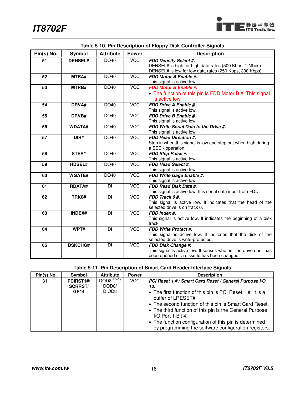

|            |                |                         |                  | r r <i>j</i>                                                    |
|------------|----------------|-------------------------|------------------|-----------------------------------------------------------------|
| Pin(s) No. | Symbol         | <b>Attribute</b>        | <b>Power</b>     | <b>Description</b>                                              |
| 51         | <b>DENSEL#</b> | DO40                    | <b>VCC</b>       | <b>FDD Density Select #.</b>                                    |
|            |                |                         |                  | DENSEL# is high for high data rates (500 Kbps, 1 Mbps).         |
|            |                |                         |                  | DENSEL# is low for low data rates (250 Kbps, 300 Kbps).         |
| 52         | MTRA#          | DO40                    | <b>VCC</b>       | FDD Motor A Enable #.                                           |
|            |                |                         |                  | This signal is active low.                                      |
| 53         | MTRB#          | DO40                    | <b>VCC</b>       | <b>FDD Motor B Enable #.</b>                                    |
|            |                |                         |                  | • The function of this pin is FDD Motor B $#$ . This signal     |
|            |                |                         |                  | is active low.                                                  |
| 54         | DRVA#          | DO40                    | <b>VCC</b>       | FDD Drive A Enable #.                                           |
|            |                |                         |                  | This signal is active low.                                      |
| 55         | DRVB#          | DO40                    | <b>VCC</b>       | FDD Drive B Enable #.                                           |
|            |                |                         |                  | This signal is active low.                                      |
| 56         | <b>WDATA#</b>  | DO40                    | <b>VCC</b>       | FDD Write Serial Data to the Drive #.                           |
|            |                |                         |                  | This signal is active low.                                      |
| 57         | DIR#           | DO40                    | <b>VCC</b>       | FDD Head Direction #.                                           |
|            |                |                         |                  | Step in when this signal is low and step out when high during   |
|            |                |                         |                  | a SEEK operation.                                               |
| 58         | STEP#          | DO40                    | <b>VCC</b>       | FDD Step Pulse #.                                               |
|            |                |                         |                  | This signal is active low.                                      |
| 59         | <b>HDSEL#</b>  | DO40                    | <b>VCC</b>       | FDD Head Select #.                                              |
|            |                |                         |                  | This signal is active low.                                      |
| 60         | <b>WGATE#</b>  | DO40                    | <b>VCC</b>       | FDD Write Gage Enable #.                                        |
|            |                |                         |                  | This signal is active low.                                      |
| 61         | <b>RDATA#</b>  | DI                      | <b>VCC</b>       | FDD Read Disk Data #.                                           |
|            |                |                         |                  | This signal is active low. It is serial data input from FDD.    |
| 62         | TRK0#          | DI                      | <b>VCC</b>       | FDD Track 0 #.                                                  |
|            |                |                         |                  | This signal is active low. It indicates that the head of the    |
|            |                |                         |                  | selected drive is on track 0.                                   |
| 63         | <b>INDEX#</b>  | DI                      | <b>VCC</b>       | FDD Index #.                                                    |
|            |                |                         |                  | This signal is active low. It indicates the beginning of a disk |
|            |                |                         |                  | track.                                                          |
| 64         | WPT#           | $\overline{\mathsf{D}}$ | <b>VCC</b>       | FDD Write Protect #.                                            |
|            |                |                         |                  | This signal is active low. It indicates that the disk of the    |
| 65         | <b>DSKCHG#</b> | $\overline{\mathsf{D}}$ | $\overline{VCC}$ | selected drive is write-protected.<br>FDD Disk Change #.        |
|            |                |                         |                  | This signal is active low. It senses whether the drive door has |
|            |                |                         |                  | been opened or a diskette has been changed.                     |
|            |                |                         |                  |                                                                 |

#### **Table 5-10. Pin Description of Floppy Disk Controller Signals**

### **Table 5-11. Pin Description of Smart Card Reader Interface Signals**

| Pin(s) No. | Symbol         | <b>Attribute</b>      | <b>Power</b> | <b>Description</b>                                                                                             |
|------------|----------------|-----------------------|--------------|----------------------------------------------------------------------------------------------------------------|
| 31         | PCIRST1#/      | DOD8 <sup>Note1</sup> | VCC          | PCI Reset 1 # / Smart Card Reset / General Purpose I/O                                                         |
|            | <b>SCRRST/</b> | DOD <sub>8</sub> /    |              | 13.                                                                                                            |
|            | <b>GP14</b>    | DIOD <sub>8</sub>     |              | • The first function of this pin is PCI Reset 1 #. It is a<br>buffer of LRESET#.                               |
|            |                |                       |              | • The second function of this pin is Smart Card Reset.                                                         |
|            |                |                       |              | • The third function of this pin is the General Purpose<br>$I/O$ Port 1 Bit 4.                                 |
|            |                |                       |              | • The function configuration of this pin is determined<br>by programming the software configuration registers. |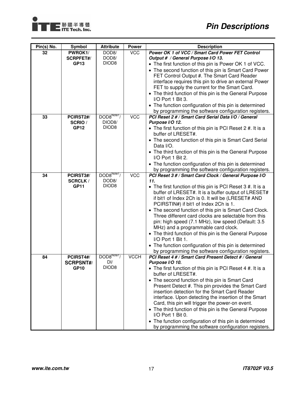

| Pin(s) No. | Symbol                      | <b>Attribute</b>     | <b>Power</b> | <b>Description</b>                                                                                  |
|------------|-----------------------------|----------------------|--------------|-----------------------------------------------------------------------------------------------------|
| 32         | PWROK1/                     | DOD8/                | <b>VCC</b>   | Power OK 1 of VCC / Smart Card Power FET Control                                                    |
|            | <b>SCRPFET#/</b>            | DOD8/                |              | Output # / General Purpose I/O 13.                                                                  |
|            | <b>GP13</b>                 | DIOD8                |              | • The first function of this pin is Power OK 1 of VCC.                                              |
|            |                             |                      |              | • The second function of this pin is Smart Card Power                                               |
|            |                             |                      |              | FET Control Output #. The Smart Card Reader                                                         |
|            |                             |                      |              | interface requires this pin to drive an external Power                                              |
|            |                             |                      |              | FET to supply the current for the Smart Card.                                                       |
|            |                             |                      |              | • The third function of this pin is the General Purpose                                             |
|            |                             |                      |              | I/O Port 1 Bit 3.                                                                                   |
|            |                             |                      |              | • The function configuration of this pin is determined                                              |
|            |                             |                      |              | by programming the software configuration registers.                                                |
| 33         | PCIRST2#/                   | DOB <sup>Notel</sup> | <b>VCC</b>   | PCI Reset 2 # / Smart Card Serial Data I/O / General                                                |
|            | SCRIO /                     | DIOD8/               |              | Purpose I/O 12.                                                                                     |
|            | <b>GP12</b>                 | DIOD8                |              | • The first function of this pin is PCI Reset 2 #. It is a                                          |
|            |                             |                      |              | buffer of LRESET#.                                                                                  |
|            |                             |                      |              | • The second function of this pin is Smart Card Serial                                              |
|            |                             |                      |              | Data I/O.                                                                                           |
|            |                             |                      |              | • The third function of this pin is the General Purpose                                             |
|            |                             |                      |              | I/O Port 1 Bit 2.                                                                                   |
|            |                             |                      |              | • The function configuration of this pin is determined                                              |
|            |                             | $DOD8^{Note1}/$      |              | by programming the software configuration registers.                                                |
| 34         | PCIRST3#/<br><b>SCRCLK/</b> | DOD8/                | <b>VCC</b>   | PCI Reset 3 # / Smart Card Clock / General Purpose I/O<br>11.                                       |
|            | <b>GP11</b>                 | DIOD <sub>8</sub>    |              | • The first function of this pin is PCI Reset 3 #. It is a                                          |
|            |                             |                      |              | buffer of LRESET#. It is a buffer output of LRESET#                                                 |
|            |                             |                      |              | if bit1 of Index 2Ch is 0. It will be (LRESET# AND                                                  |
|            |                             |                      |              | PCIRSTIN#) if bit1 of Index 2Ch is 1.                                                               |
|            |                             |                      |              | • The second function of this pin is Smart Card Clock.                                              |
|            |                             |                      |              | Three different card clocks are selectable from this                                                |
|            |                             |                      |              | pin: high speed (7.1 MHz), low speed (Default: 3.5                                                  |
|            |                             |                      |              | MHz) and a programmable card clock.                                                                 |
|            |                             |                      |              | • The third function of this pin is the General Purpose                                             |
|            |                             |                      |              | I/O Port 1 Bit 1.                                                                                   |
|            |                             |                      |              | • The function configuration of this pin is determined                                              |
|            |                             |                      |              | by programming the software configuration registers.                                                |
| 84         | PCIRST4#/                   | DOD8Note1            | <b>VCCH</b>  | PCI Reset 4 # / Smart Card Present Detect # / General                                               |
|            | <b>SCRPSNT#/</b>            | DI/                  |              | Purpose I/O 10.                                                                                     |
|            | <b>GP10</b>                 | DIOD <sub>8</sub>    |              | • The first function of this pin is PCI Reset 4 #. It is a                                          |
|            |                             |                      |              | buffer of LRESET#.                                                                                  |
|            |                             |                      |              | • The second function of this pin is Smart Card                                                     |
|            |                             |                      |              | Present Detect #. This pin provides the Smart Card<br>insertion detection for the Smart Card Reader |
|            |                             |                      |              | interface. Upon detecting the insertion of the Smart                                                |
|            |                             |                      |              | Card, this pin will trigger the power-on event.                                                     |
|            |                             |                      |              | • The third function of this pin is the General Purpose                                             |
|            |                             |                      |              | I/O Port 1 Bit 0.                                                                                   |
|            |                             |                      |              | • The function configuration of this pin is determined                                              |
|            |                             |                      |              | by programming the software configuration registers.                                                |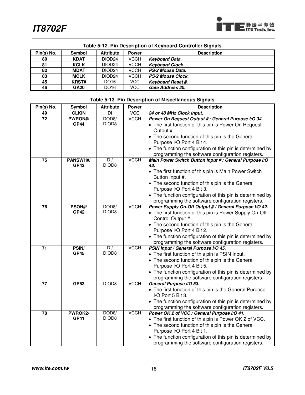

| Pin(s) No. | <b>Symbol</b> | <b>Attribute</b>   | <b>Power</b> | <b>Description</b>       |
|------------|---------------|--------------------|--------------|--------------------------|
| 80         | <b>KDAT</b>   | DIOD <sub>24</sub> | VCCH         | <b>Keyboard Data.</b>    |
| 81         | <b>KCLK</b>   | DIOD <sub>24</sub> | VCCH         | <b>Keyboard Clock.</b>   |
| 82         | <b>MDAT</b>   | DIOD <sub>24</sub> | VCCH         | PS/2 Mouse Data.         |
| 83         | <b>MCLK</b>   | DIOD <sub>24</sub> | VCCH         | <b>PS/2 Mouse Clock.</b> |
| 45         | <b>KRST#</b>  | DO16               | VCC          | <b>Keyboard Reset #.</b> |
| 46         | <b>GA20</b>   | DO16               | <b>VCC</b>   | Gate Address 20.         |

# **Table 5-13. Pin Description of Miscellaneous Signals**

| Symbol       | <b>Attribute</b>                                                                                                                    | <b>Power</b>                                                                                                                                                                       | <b>Description</b>                                                                                             |
|--------------|-------------------------------------------------------------------------------------------------------------------------------------|------------------------------------------------------------------------------------------------------------------------------------------------------------------------------------|----------------------------------------------------------------------------------------------------------------|
| <b>CLKIN</b> | DI                                                                                                                                  | <b>VCC</b>                                                                                                                                                                         | 24 or 48 MHz Clock Input.                                                                                      |
|              |                                                                                                                                     |                                                                                                                                                                                    | Power On Request Output # / General Purpose I/O 34.                                                            |
|              |                                                                                                                                     |                                                                                                                                                                                    | • The first function of this pin is Power On Request                                                           |
|              |                                                                                                                                     |                                                                                                                                                                                    | Output #.                                                                                                      |
|              |                                                                                                                                     |                                                                                                                                                                                    | • The second function of this pin is the General                                                               |
|              |                                                                                                                                     |                                                                                                                                                                                    | Purpose I/O Port 4 Bit 4.                                                                                      |
|              |                                                                                                                                     |                                                                                                                                                                                    | • The function configuration of this pin is determined by                                                      |
|              |                                                                                                                                     |                                                                                                                                                                                    | programming the software configuration registers.                                                              |
|              |                                                                                                                                     |                                                                                                                                                                                    | Main Power Switch Button Input # / General Purpose I/O                                                         |
|              |                                                                                                                                     |                                                                                                                                                                                    | 43.                                                                                                            |
|              |                                                                                                                                     |                                                                                                                                                                                    | • The first function of this pin is Main Power Switch                                                          |
|              |                                                                                                                                     |                                                                                                                                                                                    | Button Input #.                                                                                                |
|              |                                                                                                                                     |                                                                                                                                                                                    | • The second function of this pin is the General<br>Purpose I/O Port 4 Bit 3.                                  |
|              |                                                                                                                                     |                                                                                                                                                                                    | • The function configuration of this pin is determined by                                                      |
|              |                                                                                                                                     |                                                                                                                                                                                    | programming the software configuration registers.                                                              |
|              |                                                                                                                                     |                                                                                                                                                                                    | Power Supply On-Off Output # / General Purpose I/O 42.                                                         |
| <b>GP42</b>  | DIOD <sub>8</sub>                                                                                                                   |                                                                                                                                                                                    | • The first function of this pin is Power Supply On-Off                                                        |
|              |                                                                                                                                     |                                                                                                                                                                                    | Control Output #.                                                                                              |
|              |                                                                                                                                     |                                                                                                                                                                                    | • The second function of this pin is the General                                                               |
|              |                                                                                                                                     |                                                                                                                                                                                    | Purpose I/O Port 4 Bit 2.                                                                                      |
|              |                                                                                                                                     |                                                                                                                                                                                    | • The function configuration of this pin is determined by                                                      |
|              |                                                                                                                                     |                                                                                                                                                                                    | programming the software configuration registers.                                                              |
|              |                                                                                                                                     |                                                                                                                                                                                    | PSIN Input / General Purpose I/O 45.                                                                           |
|              |                                                                                                                                     |                                                                                                                                                                                    | • The first function of this pin is PSIN Input.                                                                |
|              |                                                                                                                                     |                                                                                                                                                                                    | • The second function of this pin is the General                                                               |
|              |                                                                                                                                     |                                                                                                                                                                                    | Purpose I/O Port 4 Bit 5.                                                                                      |
|              |                                                                                                                                     |                                                                                                                                                                                    | • The function configuration of this pin is determined by                                                      |
|              |                                                                                                                                     |                                                                                                                                                                                    | programming the software configuration registers.                                                              |
|              |                                                                                                                                     |                                                                                                                                                                                    | General Purpose I/O 53.                                                                                        |
|              |                                                                                                                                     |                                                                                                                                                                                    | • The first function of this pin is the General Purpose<br>I/O Port 5 Bit 3.                                   |
|              |                                                                                                                                     |                                                                                                                                                                                    |                                                                                                                |
|              |                                                                                                                                     |                                                                                                                                                                                    | • The function configuration of this pin is determined by<br>programming the software configuration registers. |
|              |                                                                                                                                     |                                                                                                                                                                                    | Power OK 2 of VCC / General Purpose I/O 41.                                                                    |
|              |                                                                                                                                     |                                                                                                                                                                                    | • The first function of this pin is Power OK 2 of VCC.                                                         |
|              |                                                                                                                                     |                                                                                                                                                                                    | • The second function of this pin is the General                                                               |
|              |                                                                                                                                     |                                                                                                                                                                                    | Purpose I/O Port 4 Bit 1.                                                                                      |
|              |                                                                                                                                     |                                                                                                                                                                                    | • The function configuration of this pin is determined by                                                      |
|              |                                                                                                                                     |                                                                                                                                                                                    | programming the software configuration registers.                                                              |
|              | PWRON#/<br><b>GP44</b><br><b>PANSWH#/</b><br><b>GP43</b><br>PSON#/<br>PSIN/<br><b>GP45</b><br><b>GP53</b><br>PWROK2/<br><b>GP41</b> | DOD8/<br>DIOD <sub>8</sub><br>DV<br>DIOD <sub>8</sub><br>DOD <sub>8</sub> /<br>$\overline{D}$<br>DIOD <sub>8</sub><br>DIOD <sub>8</sub><br>DOD <sub>8</sub> /<br>DIOD <sub>8</sub> | <b>VCCH</b><br><b>VCCH</b><br><b>VCCH</b><br><b>VCCH</b><br><b>VCCH</b><br><b>VCCH</b>                         |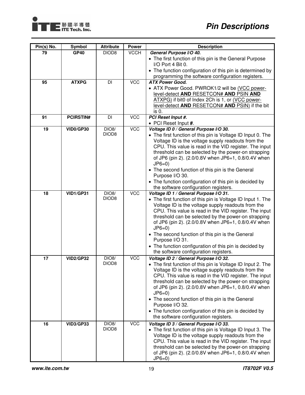

| Pin(s) No. | Symbol           | <b>Attribute</b>  | <b>Power</b>     | <b>Description</b>                                                                                           |
|------------|------------------|-------------------|------------------|--------------------------------------------------------------------------------------------------------------|
| 79         | <b>GP40</b>      | DIOD <sub>8</sub> | <b>VCCH</b>      | General Purpose I/O 40.                                                                                      |
|            |                  |                   |                  | • The first function of this pin is the General Purpose<br>I/O Port 4 Bit 0.                                 |
|            |                  |                   |                  | • The function configuration of this pin is determined by                                                    |
|            |                  |                   |                  | programming the software configuration registers.                                                            |
| 95         | <b>ATXPG</b>     | DI                | <b>VCC</b>       | <b>ATX Power Good.</b>                                                                                       |
|            |                  |                   |                  | • ATX Power Good. PWROK1/2 will be (VCC power-                                                               |
|            |                  |                   |                  | level-detect AND RESETCON# AND PSIN AND                                                                      |
|            |                  |                   |                  | ATXPG) if bit0 of Index 2Ch is 1, or (VCC power-<br>level-detect AND RESETCON# AND PSIN) if the bit          |
|            |                  |                   |                  | is 0.                                                                                                        |
| 91         | <b>PCIRSTIN#</b> | DI                | $\overline{VCC}$ | <b>PCI</b> Reset Input #.                                                                                    |
|            |                  |                   |                  | • PCI Reset Input #.                                                                                         |
| 19         | VID0/GP30        | DIO8/             | <b>VCC</b>       | Voltage ID 0 / General Purpose I/O 30.                                                                       |
|            |                  | DIOD8             |                  | • The first function of this pin is Voltage ID Input 0. The                                                  |
|            |                  |                   |                  | Voltage ID is the voltage supply readouts from the                                                           |
|            |                  |                   |                  | CPU. This value is read in the VID register. The input                                                       |
|            |                  |                   |                  | threshold can be selected by the power-on strapping<br>of JP6 (pin 2). (2.0/0.8V when JP6=1, 0.8/0.4V when   |
|            |                  |                   |                  | $JPG=0$                                                                                                      |
|            |                  |                   |                  | • The second function of this pin is the General                                                             |
|            |                  |                   |                  | Purpose I/O 30.                                                                                              |
|            |                  |                   |                  | • The function configuration of this pin is decided by                                                       |
|            |                  |                   |                  | the software configuration registers.                                                                        |
| 18         | <b>VID1/GP31</b> | DIO8/<br>DIOD8    | $\overline{VCC}$ | Voltage ID 1 / General Purpose I/O 31.                                                                       |
|            |                  |                   |                  | • The first function of this pin is Voltage ID Input 1. The                                                  |
|            |                  |                   |                  | Voltage ID is the voltage supply readouts from the<br>CPU. This value is read in the VID register. The input |
|            |                  |                   |                  | threshold can be selected by the power-on strapping                                                          |
|            |                  |                   |                  | of JP6 (pin 2). (2.0/0.8V when JP6=1, 0.8/0.4V when                                                          |
|            |                  |                   |                  | $JPG=0$                                                                                                      |
|            |                  |                   |                  | • The second function of this pin is the General<br>Purpose I/O 31.                                          |
|            |                  |                   |                  | • The function configuration of this pin is decided by                                                       |
|            |                  |                   |                  | the software configuration registers.                                                                        |
| 17         | <b>VID2/GP32</b> | DIO8/             | <b>VCC</b>       | Voltage ID 2 / General Purpose I/O 32.                                                                       |
|            |                  | DIOD <sub>8</sub> |                  | • The first function of this pin is Voltage ID Input 2. The                                                  |
|            |                  |                   |                  | Voltage ID is the voltage supply readouts from the<br>CPU. This value is read in the VID register. The input |
|            |                  |                   |                  | threshold can be selected by the power-on strapping                                                          |
|            |                  |                   |                  | of JP6 (pin 2). (2.0/0.8V when JP6=1, 0.8/0.4V when                                                          |
|            |                  |                   |                  | $JPG=0$                                                                                                      |
|            |                  |                   |                  | • The second function of this pin is the General<br>Purpose I/O 32.                                          |
|            |                  |                   |                  | • The function configuration of this pin is decided by                                                       |
|            |                  |                   |                  | the software configuration registers.                                                                        |
| 16         | <b>VID3/GP33</b> | DIO8/             | <b>VCC</b>       | Voltage ID 3 / General Purpose I/O 33.                                                                       |
|            |                  | DIOD <sub>8</sub> |                  | • The first function of this pin is Voltage ID Input 3. The                                                  |
|            |                  |                   |                  | Voltage ID is the voltage supply readouts from the                                                           |
|            |                  |                   |                  | CPU. This value is read in the VID register. The input                                                       |
|            |                  |                   |                  | threshold can be selected by the power-on strapping<br>of JP6 (pin 2). (2.0/0.8V when JP6=1, 0.8/0.4V when   |
|            |                  |                   |                  | $JPG=0$                                                                                                      |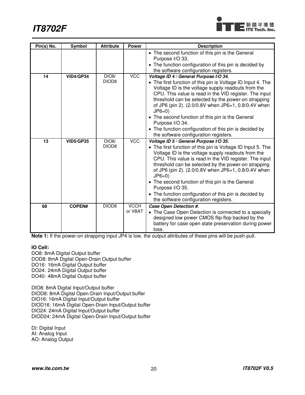

| Pin(s) No. | Symbol           | <b>Attribute</b>                        | <b>Power</b>           | <b>Description</b>                                                                                                                                                                                                                                                                                                                                                                                                                                                                                                       |
|------------|------------------|-----------------------------------------|------------------------|--------------------------------------------------------------------------------------------------------------------------------------------------------------------------------------------------------------------------------------------------------------------------------------------------------------------------------------------------------------------------------------------------------------------------------------------------------------------------------------------------------------------------|
|            |                  |                                         |                        | • The second function of this pin is the General<br>Purpose I/O 33.<br>• The function configuration of this pin is decided by<br>the software configuration registers.                                                                                                                                                                                                                                                                                                                                                   |
| 14         | VID4/GP34        | DIO <sub>8</sub> /<br>DIOD <sub>8</sub> | <b>VCC</b>             | Voltage ID 4 / General Purpose I/O 34.<br>• The first function of this pin is Voltage ID Input 4. The<br>Voltage ID is the voltage supply readouts from the<br>CPU. This value is read in the VID register. The input<br>threshold can be selected by the power-on strapping<br>of JP6 (pin 2). (2.0/0.8V when JP6=1, 0.8/0.4V when<br>$JPG=0$<br>• The second function of this pin is the General<br>Purpose I/O 34.<br>• The function configuration of this pin is decided by<br>the software configuration registers. |
| 13         | <b>VID5/GP35</b> | DIO8/<br>DIOD <sub>8</sub>              | <b>VCC</b>             | Voltage ID 5 / General Purpose I/O 35.<br>• The first function of this pin is Voltage ID Input 5. The<br>Voltage ID is the voltage supply readouts from the<br>CPU. This value is read in the VID register. The input<br>threshold can be selected by the power-on strapping<br>of JP6 (pin 2). (2.0/0.8V when JP6=1, 0.8/0.4V when<br>$JPG=0$<br>• The second function of this pin is the General<br>Purpose I/O 35.<br>• The function configuration of this pin is decided by<br>the software configuration registers. |
| 68         | <b>COPEN#</b>    | DIOD <sub>8</sub>                       | <b>VCCH</b><br>or VBAT | Case Open Detection #.<br>• The Case Open Detection is connected to a specially<br>designed low power CMOS flip-flop backed by the<br>battery for case open state preservation during power<br>loss.                                                                                                                                                                                                                                                                                                                     |

**Note 1:** If the power-on strapping input JP4 is low, the output attributes of these pins will be push-pull.

#### **IO Cell:**

DO8: 8mA Digital Output buffer DOD8: 8mA Digital Open-Drain Output buffer DO16: 16mA Digital Output buffer DO24: 24mA Digital Output buffer DO40: 48mA Digital Output buffer

DIO8: 8mA Digital Input/Output buffer DIOD8: 8mA Digital Open-Drain Input/Output buffer DIO16: 16mA Digital Input/Output buffer DIOD16: 16mA Digital Open-Drain Input/Output buffer DIO24: 24mA Digital Input/Output buffer DIOD24: 24mA Digital Open-Drain Input/Output buffer

DI: Digital Input AI: Analog Input AO: Analog Output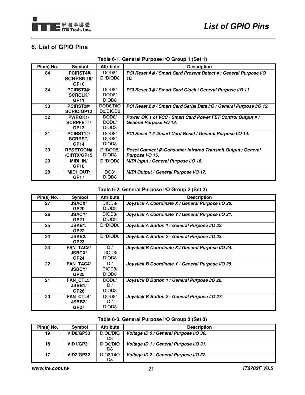

# **6. List of GPIO Pins**

| Pin(s) No. | Symbol            | <b>Attribute</b>   | <b>Description</b>                                                   |
|------------|-------------------|--------------------|----------------------------------------------------------------------|
| 84         | PCIRST4#/         | DOD <sub>8</sub> / | PCI Reset 4 # / Smart Card Present Detect # / General Purpose I/O    |
|            | <b>SCRPSNT#/</b>  | DI/DIOD8           | 10.                                                                  |
|            | <b>GP10</b>       |                    |                                                                      |
| 34         | PCIRST3#/         | DOD <sub>8</sub> / | PCI Reset 3 # / Smart Card Clock / General Purpose I/O 11.           |
|            | <b>SCRCLK/</b>    | DOD <sub>8</sub> / |                                                                      |
|            | <b>GP11</b>       | DIOD <sub>8</sub>  |                                                                      |
| 33         | <b>PCIRST2#/</b>  | DOD8/DIO           | PCI Reset 2 # / Smart Card Serial Data I/O / General Purpose I/O 12. |
|            | <b>SCRIO/GP12</b> | D8/DIOD8           |                                                                      |
| 32         | PWROK1/           | DOD <sub>8</sub> / | Power OK 1 of VCC / Smart Card Power FET Control Output #/           |
|            | <b>SCRPFET#/</b>  | DOD <sub>8</sub> / | General Purpose I/O 13.                                              |
|            | <b>GP13</b>       | DIOD <sub>8</sub>  |                                                                      |
| 31         | PCIRST1#/         | DOD <sub>8</sub> / | PCI Reset 1 # /Smart Card Reset / General Purpose I/O 14.            |
|            | <b>SCRRST/</b>    | DOD <sub>8</sub> / |                                                                      |
|            | <b>GP14</b>       | DIOD <sub>8</sub>  |                                                                      |
| 30         | <b>RESETCON#</b>  | DI/DOD8/           | Reset Connect # / Consumer Infrared Transmit Output / General        |
|            | /CIRTX/GP15       | DIOD <sub>8</sub>  | Purpose I/O 15.                                                      |
| 29         | <b>MIDI IN/</b>   | DI/DIOD8           | MIDI Input / General Purpose I/O 16.                                 |
|            | <b>GP16</b>       |                    |                                                                      |
| 28         | <b>MIDI OUT/</b>  | DO <sub>8</sub> /  | MIDI Output / General Purpose I/O 17.                                |
|            | <b>GP17</b>       | DIOD <sub>8</sub>  |                                                                      |

**Table 6-1. General Purpose I/O Group 1 (Set 1)** 

## **Table 6-2. General Purpose I/O Group 2 (Set 2)**

| Pin(s) No. | Symbol              | <b>Attribute</b>    | <b>Description</b>                                |
|------------|---------------------|---------------------|---------------------------------------------------|
| 27         | <b>JSACX/</b>       | DIOD <sub>8</sub> / | Joystick A Coordinate X / General Purpose I/O 20. |
|            | <b>GP20</b>         | DIOD <sub>8</sub>   |                                                   |
| 26         | <b>JSACY/</b>       | DIOD <sub>8</sub> / | Joystick A Coordinate Y / General Purpose I/O 21. |
|            | GP21                | DIOD <sub>8</sub>   |                                                   |
| 25         | <b>JSAB1/</b>       | DI/DIOD8            | Joystick A Button 1 / General Purpose I/O 22.     |
|            | <b>GP22</b>         |                     |                                                   |
| 24         | <b>JSAB2/</b>       | DI/DIOD8            | Joystick A Button 2 / General Purpose I/O 23.     |
|            | <b>GP23</b>         |                     |                                                   |
| 23         | <b>FAN TAC5/</b>    | DI/                 | Joystick B Coordinate X / General Purpose I/O 24. |
|            | <b>JSBCX/</b>       | DIOD <sub>8</sub> / |                                                   |
|            | <b>GP24</b>         | DIOD <sub>8</sub>   |                                                   |
| 22         | <b>FAN TAC4/</b>    | DI/                 | Joystick B Coordinate Y / General Purpose I/O 25. |
|            | <b>JSBCY/</b>       | DIOD <sub>8</sub> / |                                                   |
|            | <b>GP25</b>         | DIOD <sub>8</sub>   |                                                   |
| 21         | <b>FAN CTL5/</b>    | DOD <sub>8</sub> /  | Joystick B Button 1 / General Purpose I/O 26.     |
|            | JSBB1/              | DI/                 |                                                   |
|            | GP <sub>26</sub>    | DIOD <sub>8</sub>   |                                                   |
| 20         | <b>FAN CTL4/</b>    | DOD <sub>8</sub> /  | Joystick B Button 2 / General Purpose I/O 27.     |
|            | JSBB <sub>2</sub> / | DI/                 |                                                   |
|            | <b>GP27</b>         | DIOD <sub>8</sub>   |                                                   |

| Pin(s) No. | <b>Symbol</b>    | <b>Attribute</b> | <b>Description</b>                     |
|------------|------------------|------------------|----------------------------------------|
| 19         | <b>VIDO/GP30</b> | DIO8/DIO<br>D8   | Voltage ID 0 / General Purpose I/O 30. |
| 18         | VID1/GP31        | DIO8/DIO<br>D8   | Voltage ID 1 / General Purpose I/O 31. |
| 17         | <b>VID2/GP32</b> | DIO8/DIO<br>D8   | Voltage ID 2 / General Purpose I/O 32. |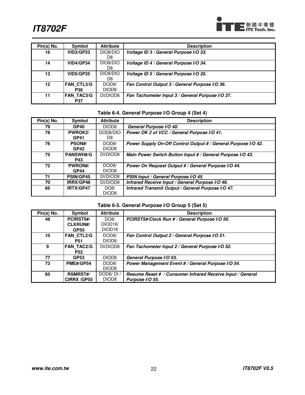

| Pin(s) No. | Symbol                          | <b>Attribute</b>                        | <b>Description</b>                               |
|------------|---------------------------------|-----------------------------------------|--------------------------------------------------|
| 16         | VID3/GP33                       | DIO8/DIO<br>D8                          | Voltage ID 3 / General Purpose I/O 33.           |
| 14         | VID4/GP34                       | DIO8/DIO<br>D8.                         | Voltage ID 4 / General Purpose I/O 34.           |
| 13         | <b>VID5/GP35</b>                | DIO8/DIO<br>D8                          | Voltage ID 5 / General Purpose I/O 35.           |
| 12         | <b>FAN CTL3/G</b><br><b>P36</b> | DOD <sub>8</sub> /<br>DIOD <sub>8</sub> | Fan Control Output 3 / General Purpose I/O 36.   |
| 11         | <b>FAN TAC3/G</b><br><b>P37</b> | DI/DIOD8                                | Fan Tachometer Input 3 / General Purpose I/O 37. |

# **Table 6-4. General Purpose I/O Group 4 (Set 4)**

| Pin(s) No. | <b>Symbol</b>    | <b>Attribute</b>   | <b>Description</b>                                             |
|------------|------------------|--------------------|----------------------------------------------------------------|
| 79         | <b>GP40</b>      | DIOD <sub>8</sub>  | General Purpose I/O 40.                                        |
| 78         | PWROK2/          | DOD8/DIO           | Power OK 2 of VCC / General Purpose I/O 41.                    |
|            | <b>GP41</b>      | D8.                |                                                                |
| 76         | <b>PSON#/</b>    | DOD <sub>8</sub> / | Power Supply On-Off Control Output # / General Purpose I/O 42. |
|            | <b>GP42</b>      | DIOD <sub>8</sub>  |                                                                |
| 75         | <b>PANSWH#/G</b> | DI/DIOD8           | Main Power Switch Button Input # / General Purpose I/O 43.     |
|            | <b>P43</b>       |                    |                                                                |
| 72         | <b>PWRON#/</b>   | DOD <sub>8</sub> / | Power On Request Output # / General Purpose I/O 44.            |
|            | <b>GP44</b>      | DIOD <sub>8</sub>  |                                                                |
| 71         | PSIN/GP45        | DI/DIOD8           | PSIN Input / General Purpose I/O 45.                           |
| 70         | IRRX/GP46        | DI/DIOD8           | Infrared Receive Input / General Purpose I/O 46.               |
| 66         | IRTX/GP47        | DOB/               | Infrared Transmit Output / General Purpose I/O 47.             |
|            |                  | DIOD <sub>8</sub>  |                                                                |

## **Table 6-5. General Purpose I/O Group 5 (Set 5)**

| Pin(s) No. | Symbol             | <b>Attribute</b>     | <b>Description</b>                                         |
|------------|--------------------|----------------------|------------------------------------------------------------|
| 48         | PCIRST5#/          | DO <sub>8</sub> /    | PCIRST5#/Clock Run # / General Purpose I/O 50.             |
|            | <b>CLKRUN#/</b>    | DIOD <sub>16</sub> / |                                                            |
|            | <b>GP50</b>        | DIOD <sub>16</sub>   |                                                            |
| 10         | <b>FAN CTL2/G</b>  | DOD <sub>8</sub> /   | Fan Control Output 2 / General Purpose I/O 51.             |
|            | <b>P51</b>         | DIOD <sub>8</sub>    |                                                            |
| 9          | <b>FAN TAC2/G</b>  | DI/DIOD8             | Fan Tachometer Input 2 / General Purpose I/O 52.           |
|            | <b>P52</b>         |                      |                                                            |
| 77         | <b>GP53</b>        | DIOD <sub>8</sub>    | General Purpose I/O 53.                                    |
| 73         | PME#/GP54          | DOD <sub>8</sub> /   | Power Management Event # / General Purpose I/O 54.         |
|            |                    | DIOD <sub>8</sub>    |                                                            |
| 85         | <b>RSMRST#/</b>    | DOD8/DI/             | Resume Reset # / Consumer Infrared Receive Input / General |
|            | <b>CIRRX /GP55</b> | DIOD <sub>8</sub>    | Purpose I/O 55.                                            |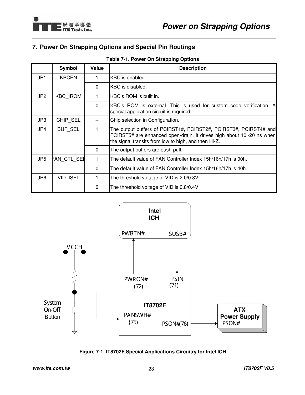# **7. Power On Strapping Options and Special Pin Routings**

|                 | Symbol          | Value        | <b>Description</b>                                                                                                                                                                               |  |  |
|-----------------|-----------------|--------------|--------------------------------------------------------------------------------------------------------------------------------------------------------------------------------------------------|--|--|
| JP <sub>1</sub> | <b>KBCEN</b>    |              | KBC is enabled.                                                                                                                                                                                  |  |  |
|                 |                 | $\mathbf{0}$ | KBC is disabled.                                                                                                                                                                                 |  |  |
| JP <sub>2</sub> | <b>KBC IROM</b> |              | KBC's ROM is built in.                                                                                                                                                                           |  |  |
|                 |                 | $\mathbf{0}$ | KBC's ROM is external. This is used for custom code verification. A<br>special application circuit is required.                                                                                  |  |  |
| JP3             | CHIP SEL        |              | Chip selection in Configuration.                                                                                                                                                                 |  |  |
| JP4             | <b>BUF_SEL</b>  |              | The output buffers of PCIRST1#, PCIRST2#, PCIRST3#, PCIRST4# and<br>PCIRST5# are enhanced open-drain. It drives high about 10~20 ns when<br>the signal transits from low to high, and then Hi-Z. |  |  |
|                 |                 | $\mathbf{0}$ | The output buffers are push-pull.                                                                                                                                                                |  |  |
| JP <sub>5</sub> | FAN CTL SEI     |              | The default value of FAN Controller Index 15h/16h/17h is 00h.                                                                                                                                    |  |  |
|                 |                 | $\mathbf{0}$ | The default value of FAN Controller Index 15h/16h/17h is 40h.                                                                                                                                    |  |  |
| JP <sub>6</sub> | <b>VID ISEL</b> |              | The threshold voltage of VID is 2.0/0.8V.                                                                                                                                                        |  |  |
|                 |                 | $\mathbf{0}$ | The threshold voltage of VID is 0.8/0.4V.                                                                                                                                                        |  |  |



**Figure 7-1. IT8702F Special Applications Circuitry for Intel ICH**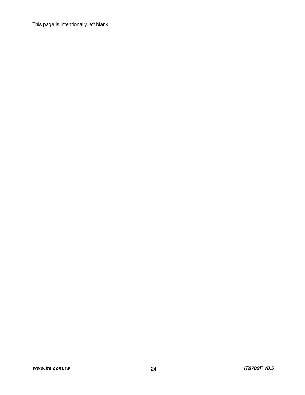This page is intentionally left blank.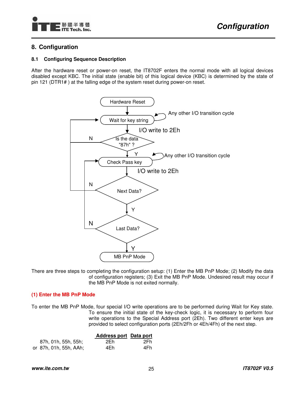

# **8. Configuration**

## **8.1 Configuring Sequence Description**

After the hardware reset or power-on reset, the IT8702F enters the normal mode with all logical devices disabled except KBC. The initial state (enable bit) of this logical device (KBC) is determined by the state of pin 121 (DTR1# ) at the falling edge of the system reset during power-on reset.



There are three steps to completing the configuration setup: (1) Enter the MB PnP Mode; (2) Modify the data of configuration registers; (3) Exit the MB PnP Mode. Undesired result may occur if the MB PnP Mode is not exited normally.

## **(1) Enter the MB PnP Mode**

To enter the MB PnP Mode, four special I/O write operations are to be performed during Wait for Key state. To ensure the initial state of the key-check logic, it is necessary to perform four write operations to the Special Address port (2Eh). Two different enter keys are provided to select configuration ports (2Eh/2Fh or 4Eh/4Fh) of the next step.

|                        | <b>Address port Data port</b> |      |
|------------------------|-------------------------------|------|
| 87h, 01h, 55h, 55h;    | 2Eh                           | -2Fh |
| or 87h, 01h, 55h, AAh; | 4Eh                           | 4Fh  |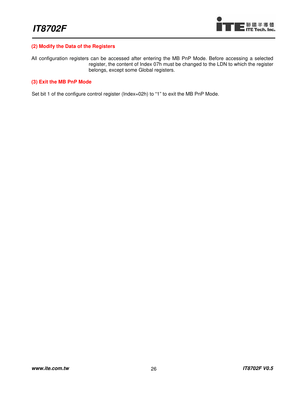

## **(2) Modify the Data of the Registers**

All configuration registers can be accessed after entering the MB PnP Mode. Before accessing a selected register, the content of Index 07h must be changed to the LDN to which the register belongs, except some Global registers.

## **(3) Exit the MB PnP Mode**

Set bit 1 of the configure control register (Index=02h) to "1" to exit the MB PnP Mode.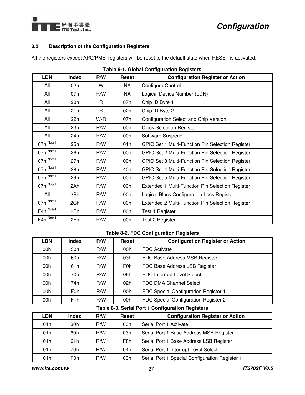

## **8.2 Description of the Configuration Registers**

All the registers except APC/PME' registers will be reset to the default state when RESET is activated.

| <b>LDN</b>             | <b>Index</b> | R/W          | Reset     | <b>Configuration Register or Action</b>          |
|------------------------|--------------|--------------|-----------|--------------------------------------------------|
| All                    | 02h          | W            | <b>NA</b> | <b>Configure Control</b>                         |
| All                    | 07h          | R/W          | NA        | Logical Device Number (LDN)                      |
| All                    | 20h          | R            | 87h       | Chip ID Byte 1                                   |
| All                    | 21h          | $\mathsf{R}$ | 02h       | Chip ID Byte 2                                   |
| All                    | 22h          | W-R          | 07h       | Configuration Select and Chip Version            |
| All                    | 23h          | R/W          | 00h       | <b>Clock Selection Register</b>                  |
| All                    | 24h          | R/W          | 00h       | Software Suspend                                 |
| $07h$ Note1            | 25h          | R/W          | 01h       | GPIO Set 1 Multi-Function Pin Selection Register |
| $07h$ Note1            | 26h          | R/W          | 00h       | GPIO Set 2 Multi-Function Pin Selection Register |
| $07h$ Note1            | 27h          | R/W          | 00h       | GPIO Set 3 Multi-Function Pin Selection Register |
| $07h$ Note1            | 28h          | R/W          | 40h       | GPIO Set 4 Multi-Function Pin Selection Register |
| 07h Note1              | 29h          | R/W          | 00h       | GPIO Set 5 Multi-Function Pin Selection Register |
| 07h Note1              | 2Ah          | R/W          | 00h       | Extended 1 Multi-Function Pin Selection Register |
| All                    | 2Bh          | R/W          | 00h       | Logical Block Configuration Lock Register        |
| $07h$ Note1            | 2Ch          | R/W          | 00h       | Extended 2 Multi-Function Pin Selection Register |
| $F4h$ <sup>Note1</sup> | 2Eh          | R/W          | 00h       | Test 1 Register                                  |
| F4h Note1              | 2Fh          | R/W          | 00h       | Test 2 Register                                  |

## **Table 8-1. Global Configuration Registers**

## **Table 8-2. FDC Configuration Registers**

| LDN | <b>Index</b>     | R/W | <b>Reset</b>     | <b>Configuration Register or Action</b> |  |  |
|-----|------------------|-----|------------------|-----------------------------------------|--|--|
| 00h | 30h              | R/W | 00h              | <b>FDC Activate</b>                     |  |  |
| 00h | 60h              | R/W | 03h              | FDC Base Address MSB Register           |  |  |
| 00h | 61h              | R/W | F <sub>0</sub> h | FDC Base Address LSB Register           |  |  |
| 00h | 70h              | R/W | 06h              | FDC Interrupt Level Select              |  |  |
| 00h | 74h              | R/W | 02h              | <b>FDC DMA Channel Select</b>           |  |  |
| 00h | F0h              | R/W | 00h              | FDC Special Configuration Register 1    |  |  |
| 00h | F <sub>1</sub> h | R/W | 00h              | FDC Special Configuration Register 2    |  |  |
|     | - -              |     |                  |                                         |  |  |

**Table 8-3. Serial Port 1 Configuration Registers** 

| LDN | <b>Index</b>     | R/W | <b>Reset</b> | <b>Configuration Register or Action</b>        |
|-----|------------------|-----|--------------|------------------------------------------------|
| 01h | 30 <sub>h</sub>  | R/W | 00h          | Serial Port 1 Activate                         |
| 01h | 60h              | R/W | 03h          | Serial Port 1 Base Address MSB Register        |
| 01h | 61h              | R/W | F8h          | Serial Port 1 Base Address LSB Register        |
| 01h | 70h              | R/W | 04h          | Serial Port 1 Interrupt Level Select           |
| 01h | F <sub>0</sub> h | R/W | 00h          | Serial Port 1 Special Configuration Register 1 |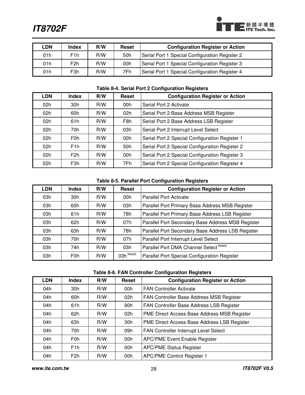| LDN | <b>Index</b>     | R/W | <b>Reset</b> | <b>Configuration Register or Action</b>        |
|-----|------------------|-----|--------------|------------------------------------------------|
| 01h | F <sub>1</sub> h | R/W | 50h          | Serial Port 1 Special Configuration Register 2 |
| 01h | F <sub>2</sub> h | R/W | 00h          | Serial Port 1 Special Configuration Register 3 |
| 01h | F <sub>3</sub> h | R/W | 7Fh          | Serial Port 1 Special Configuration Register 4 |

| <b>LDN</b> | <b>Index</b>     | R/W | <b>Reset</b> | <b>Configuration Register or Action</b>        |  |  |
|------------|------------------|-----|--------------|------------------------------------------------|--|--|
| 02h        | 30h              | R/W | 00h          | Serial Port 2 Activate                         |  |  |
| 02h        | 60h              | R/W | 02h          | Serial Port 2 Base Address MSB Register        |  |  |
| 02h        | 61h              | R/W | F8h          | Serial Port 2 Base Address LSB Register        |  |  |
| 02h        | 70h              | R/W | 03h          | Serial Port 2 Interrupt Level Select           |  |  |
| 02h        | F0h              | R/W | 00h          | Serial Port 2 Special Configuration Register 1 |  |  |
| 02h        | F <sub>1</sub> h | R/W | 50h          | Serial Port 2 Special Configuration Register 2 |  |  |
| 02h        | F <sub>2</sub> h | R/W | 00h          | Serial Port 2 Special Configuration Register 3 |  |  |
| 02h        | F3h              | R/W | 7Fh          | Serial Port 2 Special Configuration Register 4 |  |  |

# **Table 8-4. Serial Port 2 Configuration Registers**

**Table 8-5. Parallel Port Configuration Registers** 

| <b>LDN</b> | <b>Index</b>     | R/W | <b>Reset</b>  | <b>Configuration Register or Action</b>           |
|------------|------------------|-----|---------------|---------------------------------------------------|
| 03h        | 30h              | R/W | 00h           | <b>Parallel Port Activate</b>                     |
| 03h        | 60h              | R/W | 03h           | Parallel Port Primary Base Address MSB Register   |
| 03h        | 61h              | R/W | 78h           | Parallel Port Primary Base Address LSB Register   |
| 03h        | 62h              | R/W | 07h           | Parallel Port Secondary Base Address MSB Register |
| 03h        | 63h              | R/W | 78h           | Parallel Port Secondary Base Address LSB Register |
| 03h        | 70h              | R/W | 07h           | Parallel Port Interrupt Level Select              |
| 03h        | 74h              | R/W | 03h           | Parallel Port DMA Channel Select Note2            |
| 03h        | F <sub>0</sub> h | R/W | $03h^{Note3}$ | Parallel Port Special Configuration Register      |

# **Table 8-6. FAN Controller Configuration Registers**

| LDN | <b>Index</b>     | R/W | <b>Reset</b> | <b>Configuration Register or Action</b>     |
|-----|------------------|-----|--------------|---------------------------------------------|
| 04h | 30h              | R/W | 00h          | <b>FAN Controller Activate</b>              |
| 04h | 60h              | R/W | 02h          | FAN Controller Base Address MSB Register    |
| 04h | 61h              | R/W | 90h          | FAN Controller Base Address LSB Register    |
| 04h | 62h              | R/W | 02h          | PME Direct Access Base Address MSB Register |
| 04h | 63h              | R/W | 30h          | PME Direct Access Base Address LSB Register |
| 04h | 70h              | R/W | 09h          | FAN Controller Interrupt Level Select       |
| 04h | F0h              | R/W | 00h          | <b>APC/PME Event Enable Register</b>        |
| 04h | F <sub>1</sub> h | R/W | 00h          | <b>APC/PME Status Register</b>              |
| 04h | F <sub>2</sub> h | R/W | 00h          | <b>APC/PME Control Register 1</b>           |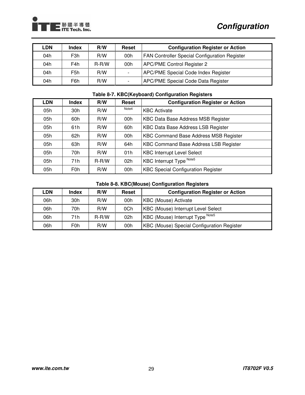

| LDN | <b>Index</b>     | R/W     | <b>Reset</b> | <b>Configuration Register or Action</b>       |
|-----|------------------|---------|--------------|-----------------------------------------------|
| 04h | F3h              | R/W     | 00h          | FAN Controller Special Configuration Register |
| 04h | F4h              | $R-R/W$ | 00h          | <b>APC/PME Control Register 2</b>             |
| 04h | F <sub>5</sub> h | R/W     |              | <b>APC/PME Special Code Index Register</b>    |
| 04h | F6h              | R/W     |              | APC/PME Special Code Data Register            |

聯陽半導體<br>ITE Tech. Inc.

# **Table 8-7. KBC(Keyboard) Configuration Registers**

| <b>LDN</b> | <b>Index</b>     | R/W     | <b>Reset</b> | <b>Configuration Register or Action</b>      |
|------------|------------------|---------|--------------|----------------------------------------------|
| 05h        | 30h              | R/W     | Note4        | <b>KBC Activate</b>                          |
| 05h        | 60h              | R/W     | 00h          | <b>KBC Data Base Address MSB Register</b>    |
| 05h        | 61h              | R/W     | 60h          | KBC Data Base Address LSB Register           |
| 05h        | 62h              | R/W     | 00h          | <b>KBC Command Base Address MSB Register</b> |
| 05h        | 63h              | R/W     | 64h          | <b>KBC Command Base Address LSB Register</b> |
| 05h        | 70h              | R/W     | 01h          | <b>KBC Interrupt Level Select</b>            |
| 05h        | 71h              | $R-R/W$ | 02h          | KBC Interrupt Type Note5                     |
| 05h        | F <sub>0</sub> h | R/W     | 00h          | <b>KBC Special Configuration Register</b>    |

## **Table 8-8. KBC(Mouse) Configuration Registers**

| LDN | <b>Index</b> | R/W     | <b>Reset</b> | <b>Configuration Register or Action</b>                  |
|-----|--------------|---------|--------------|----------------------------------------------------------|
| 06h | 30h          | R/W     | 00h          | <b>KBC (Mouse) Activate</b>                              |
| 06h | 70h          | R/W     | 0Ch          | KBC (Mouse) Interrupt Level Select                       |
| 06h | 71h          | $R-R/W$ | 02h          | <sup>I</sup> KBC (Mouse) Interrupt Type <sup>Note5</sup> |
| 06h | F0h          | R/W     | 00h          | KBC (Mouse) Special Configuration Register               |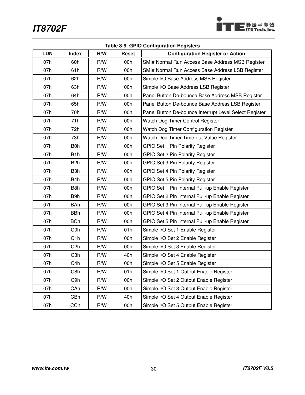

| rable 0-9. GFTO Comiguration Registers |                  |     |       |                                                        |  |
|----------------------------------------|------------------|-----|-------|--------------------------------------------------------|--|
| <b>LDN</b>                             | <b>Index</b>     | R/W | Reset | <b>Configuration Register or Action</b>                |  |
| 07h                                    | 60h              | R/W | 00h   | SMI# Normal Run Access Base Address MSB Register       |  |
| 07h                                    | 61h              | R/W | 00h   | SMI# Normal Run Access Base Address LSB Register       |  |
| 07h                                    | 62h              | R/W | 00h   | Simple I/O Base Address MSB Register                   |  |
| 07h                                    | 63h              | R/W | 00h   | Simple I/O Base Address LSB Register                   |  |
| 07h                                    | 64h              | R/W | 00h   | Panel Button De-bounce Base Address MSB Register       |  |
| 07h                                    | 65h              | R/W | 00h   | Panel Button De-bounce Base Address LSB Register       |  |
| 07h                                    | 70h              | R/W | 00h   | Panel Button De-bounce Interrupt Level Select Register |  |
| 07h                                    | 71h              | R/W | 00h   | Watch Dog Timer Control Register                       |  |
| 07h                                    | 72h              | R/W | 00h   | Watch Dog Timer Configuration Register                 |  |
| 07h                                    | 73h              | R/W | 00h   | Watch Dog Timer Time-out Value Register                |  |
| 07h                                    | B <sub>0</sub> h | R/W | 00h   | <b>GPIO Set 1 Pin Polarity Register</b>                |  |
| 07h                                    | B <sub>1</sub> h | R/W | 00h   | GPIO Set 2 Pin Polarity Register                       |  |
| 07h                                    | B <sub>2</sub> h | R/W | 00h   | GPIO Set 3 Pin Polarity Register                       |  |
| 07h                                    | B <sub>3</sub> h | R/W | 00h   | GPIO Set 4 Pin Polarity Register                       |  |
| 07h                                    | B4h              | R/W | 00h   | GPIO Set 5 Pin Polarity Register                       |  |
| 07h                                    | B <sub>8</sub> h | R/W | 00h   | GPIO Set 1 Pin Internal Pull-up Enable Register        |  |
| 07h                                    | B9h              | R/W | 00h   | GPIO Set 2 Pin Internal Pull-up Enable Register        |  |
| 07h                                    | <b>BAh</b>       | R/W | 00h   | GPIO Set 3 Pin Internal Pull-up Enable Register        |  |
| 07h                                    | <b>BBh</b>       | R/W | 00h   | GPIO Set 4 Pin Internal Pull-up Enable Register        |  |
| 07h                                    | <b>BCh</b>       | R/W | 00h   | GPIO Set 5 Pin Internal Pull-up Enable Register        |  |
| 07h                                    | C <sub>0</sub> h | R/W | 01h   | Simple I/O Set 1 Enable Register                       |  |
| 07h                                    | C <sub>1</sub> h | R/W | 00h   | Simple I/O Set 2 Enable Register                       |  |
| 07h                                    | C <sub>2</sub> h | R/W | 00h   | Simple I/O Set 3 Enable Register                       |  |
| 07h                                    | C <sub>3</sub> h | R/W | 40h   | Simple I/O Set 4 Enable Register                       |  |
| 07h                                    | C4h              | R/W | 00h   | Simple I/O Set 5 Enable Register                       |  |
| 07h                                    | C8h              | R/W | 01h   | Simple I/O Set 1 Output Enable Register                |  |
| 07h                                    | C9h              | R/W | 00h   | Simple I/O Set 2 Output Enable Register                |  |
| 07h                                    | CAh              | R/W | 00h   | Simple I/O Set 3 Output Enable Register                |  |
| 07h                                    | CBh              | R/W | 40h   | Simple I/O Set 4 Output Enable Register                |  |
| 07h                                    | CCh              | R/W | 00h   | Simple I/O Set 5 Output Enable Register                |  |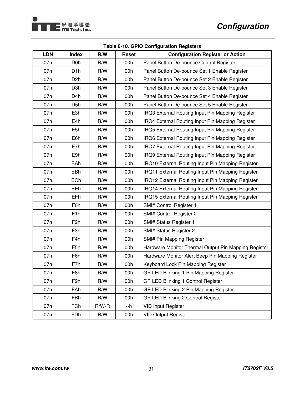| <b>LDN</b> | <b>Index</b>     | R/W     | <b>Reset</b> | <b>Configuration Register or Action</b>              |  |
|------------|------------------|---------|--------------|------------------------------------------------------|--|
| 07h        | D <sub>0</sub> h | R/W     | 00h          | Panel Button De-bounce Control Register              |  |
| 07h        | D <sub>1</sub> h | R/W     | 00h          | Panel Button De-bounce Set 1 Enable Register         |  |
| 07h        | D <sub>2</sub> h | R/W     | 00h          | Panel Button De-bounce Set 2 Enable Register         |  |
| 07h        | D3h              | R/W     | 00h          | Panel Button De-bounce Set 3 Enable Register         |  |
| 07h        | D4h              | R/W     | 00h          | Panel Button De-bounce Set 4 Enable Register         |  |
| 07h        | D <sub>5</sub> h | R/W     | 00h          | Panel Button De-bounce Set 5 Enable Register         |  |
| 07h        | E3h              | R/W     | 00h          | IRQ3 External Routing Input Pin Mapping Register     |  |
| 07h        | E4h              | R/W     | 00h          | IRQ4 External Routing Input Pin Mapping Register     |  |
| 07h        | E <sub>5</sub> h | R/W     | 00h          | IRQ5 External Routing Input Pin Mapping Register     |  |
| 07h        | E6h              | R/W     | 00h          | IRQ6 External Routing Input Pin Mapping Register     |  |
| 07h        | E7h              | R/W     | 00h          | IRQ7 External Routing Input Pin Mapping Register     |  |
| 07h        | E9h              | R/W     | 00h          | IRQ9 External Routing Input Pin Mapping Register     |  |
| 07h        | EAh              | R/W     | 00h          | IRQ10 External Routing Input Pin Mapping Register    |  |
| 07h        | EBh              | R/W     | 00h          | IRQ11 External Routing Input Pin Mapping Register    |  |
| 07h        | ECh              | R/W     | 00h          | IRQ12 External Routing Input Pin Mapping Register    |  |
| 07h        | EEh              | R/W     | 00h          | IRQ14 External Routing Input Pin Mapping Register    |  |
| 07h        | <b>EFh</b>       | R/W     | 00h          | IRQ15 External Routing Input Pin Mapping Register    |  |
| 07h        | F <sub>0</sub> h | R/W     | 00h          | SMI# Control Register 1                              |  |
| 07h        | F <sub>1</sub> h | R/W     | 00h          | SMI# Control Register 2                              |  |
| 07h        | F <sub>2</sub> h | R/W     | 00h          | SMI# Status Register 1                               |  |
| 07h        | F <sub>3</sub> h | R/W     | 00h          | SMI# Status Register 2                               |  |
| 07h        | F4h              | R/W     | 00h          | SMI# Pin Mapping Register                            |  |
| 07h        | F <sub>5</sub> h | R/W     | 00h          | Hardware Monitor Thermal Output Pin Mapping Register |  |
| 07h        | F6h              | R/W     | 00h          | Hardware Monitor Alert Beep Pin Mapping Register     |  |
| 07h        | F7h              | R/W     | 00h          | Keyboard Lock Pin Mapping Register                   |  |
| 07h        | F8h              | R/W     | 00h          | GP LED Blinking 1 Pin Mapping Register               |  |
| 07h        | F9h              | R/W     | 00h          | GP LED Blinking 1 Control Register                   |  |
| 07h        | FAh              | R/W     | 00h          | GP LED Blinking 2 Pin Mapping Register               |  |
| 07h        | FBh              | R/W     | 00h          | GP LED Blinking 2 Control Register                   |  |
| 07h        | FCh              | $R/W-R$ | $-h$         | <b>VID Input Register</b>                            |  |
| 07h        | FDh              | R/W     | 00h          | <b>VID Output Register</b>                           |  |

|  |  | Table 8-10. GPIO Configuration Registers |  |
|--|--|------------------------------------------|--|
|--|--|------------------------------------------|--|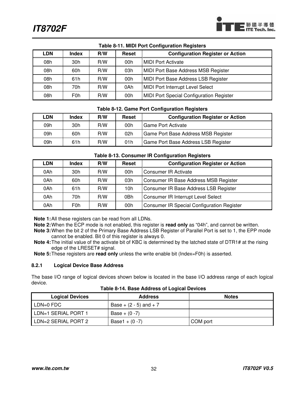| <u>rapic officialment or cominguration ricgisters</u> |                  |     |              |                                                 |  |
|-------------------------------------------------------|------------------|-----|--------------|-------------------------------------------------|--|
| LDN                                                   | <b>Index</b>     | R/W | <b>Reset</b> | <b>Configuration Register or Action</b>         |  |
| 08h                                                   | 30 <sub>h</sub>  | R/W | 00h          | <b>MIDI Port Activate</b>                       |  |
| 08h                                                   | 60h              | R/W | 03h          | MIDI Port Base Address MSB Register             |  |
| 08h                                                   | 61h              | R/W | 00h          | <b>MIDI Port Base Address LSB Register</b>      |  |
| 08h                                                   | 70h              | R/W | 0Ah          | <b>MIDI Port Interrupt Level Select</b>         |  |
| 08h                                                   | F <sub>0</sub> h | R/W | 00h          | <b>MIDI Port Special Configuration Register</b> |  |

## **Table 8-11. MIDI Port Configuration Registers**

## **Table 8-12. Game Port Configuration Registers**

| LDN | Index | R/W | <b>Reset</b> | <b>Configuration Register or Action</b> |
|-----|-------|-----|--------------|-----------------------------------------|
| 09h | 30h   | R/W | 00h          | <b>Game Port Activate</b>               |
| 09h | 60h   | R/W | 02h          | Game Port Base Address MSB Register     |
| 09h | 61h   | R/W | 01h          | Game Port Base Address LSB Register     |

## **Table 8-13. Consumer IR Configuration Registers**

| LDN | <b>Index</b>    | R/W | <b>Reset</b> | <b>Configuration Register or Action</b>           |
|-----|-----------------|-----|--------------|---------------------------------------------------|
| 0Ah | 30 <sub>h</sub> | R/W | 00h          | <b>Consumer IR Activate</b>                       |
| 0Ah | 60h             | R/W | 03h          | Consumer IR Base Address MSB Register             |
| 0Ah | 61h             | R/W | 10h          | Consumer IR Base Address LSB Register             |
| 0Ah | 70h             | R/W | 0Bh          | Consumer IR Interrupt Level Select                |
| 0Ah | F0h             | R/W | 00h          | <b>Consumer IR Special Configuration Register</b> |

**Note 1:** All these registers can be read from all LDNs.

**Note 2:** When the ECP mode is not enabled, this register is **read only** as "04h", and cannot be written.

- **Note 3:** When the bit 2 of the Primary Base Address LSB Register of Parallel Port is set to 1, the EPP mode cannot be enabled. Bit 0 of this register is always 0.
- **Note 4:** The initial value of the activate bit of KBC is determined by the latched state of DTR1# at the rising edge of the LRESET# signal.

**Note 5:** These registers are **read only** unless the write enable bit (Index=F0h) is asserted.

## **8.2.1 Logical Device Base Address**

The base I/O range of logical devices shown below is located in the base I/O address range of each logical device.

| <b>Logical Devices</b> | <b>Address</b>           | <b>Notes</b> |
|------------------------|--------------------------|--------------|
| LDN=0 FDC              | Base + $(2 - 5)$ and + 7 |              |
| LDN=1 SERIAL PORT 1    | Base $+ (0 - 7)$         |              |
| LDN=2 SERIAL PORT 2    | Base1 + $(0 - 7)$        | COM port     |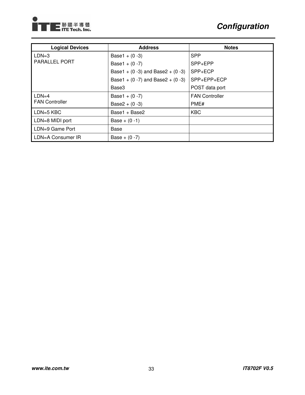

| <b>Logical Devices</b> | <b>Address</b>                          | <b>Notes</b>          |
|------------------------|-----------------------------------------|-----------------------|
| $LDN=3$                | $Base1 + (0 - 3)$                       | <b>SPP</b>            |
| PARALLEL PORT          | Base1 + $(0 - 7)$                       | $SPP + EPP$           |
|                        | Base1 + $(0 -3)$ and Base2 + $(0 -3)$   | $SPP + ECP$           |
|                        | Base1 + $(0 - 7)$ and Base2 + $(0 - 3)$ | SPP+EPP+ECP           |
|                        | Base3                                   | POST data port        |
| $LDN=4$                | Base1 + $(0 - 7)$                       | <b>FAN Controller</b> |
| <b>FAN Controller</b>  | Base2 + $(0 -3)$                        | PME#                  |
| LDN=5 KBC              | Base1 + Base2                           | <b>KBC</b>            |
| LDN=8 MIDI port        | Base + $(0 - 1)$                        |                       |
| LDN=9 Game Port        | Base                                    |                       |
| LDN=A Consumer IR      | Base + $(0 - 7)$                        |                       |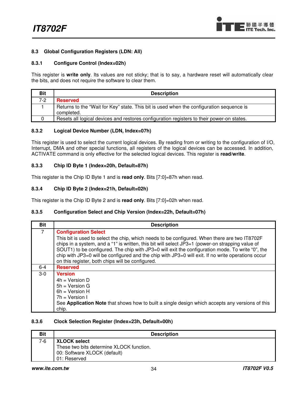## **8.3 Global Configuration Registers (LDN: All)**

## **8.3.1 Configure Control (Index=02h)**

This register is **write only**. Its values are not sticky; that is to say, a hardware reset will automatically clear the bits, and does not require the software to clear them.

| Bit   | <b>Description</b>                                                                                     |
|-------|--------------------------------------------------------------------------------------------------------|
| $7-2$ | <b>Reserved</b>                                                                                        |
|       | Returns to the "Wait for Key" state. This bit is used when the configuration sequence is<br>completed. |
|       | Resets all logical devices and restores configuration registers to their power-on states.              |

## **8.3.2 Logical Device Number (LDN, Index=07h)**

This register is used to select the current logical devices. By reading from or writing to the configuration of I/O, Interrupt, DMA and other special functions, all registers of the logical devices can be accessed. In addition, ACTIVATE command is only effective for the selected logical devices. This register is **read/write**.

## **8.3.3 Chip ID Byte 1 (Index=20h, Default=87h)**

This register is the Chip ID Byte 1 and is **read only**. Bits [7:0]=87h when read.

## **8.3.4 Chip ID Byte 2 (Index=21h, Default=02h)**

This register is the Chip ID Byte 2 and is **read only**. Bits [7:0]=02h when read.

## **8.3.5 Configuration Select and Chip Version (Index=22h, Default=07h)**

| <b>Bit</b> | <b>Description</b>                                                                                                                                                                                                                                                                                                                                                                                                                                                                             |
|------------|------------------------------------------------------------------------------------------------------------------------------------------------------------------------------------------------------------------------------------------------------------------------------------------------------------------------------------------------------------------------------------------------------------------------------------------------------------------------------------------------|
| 7          | <b>Configuration Select</b><br>This bit is used to select the chip, which needs to be configured. When there are two IT8702F<br>chips in a system, and a "1" is written, this bit will select JP3=1 (power-on strapping value of<br>SOUT1) to be configured. The chip with JP3=0 will exit the configuration mode. To write "0", the<br>chip with JP3=0 will be configured and the chip with JP3=0 will exit. If no write operations occur<br>on this register, both chips will be configured. |
| $6 - 4$    | <b>Reserved</b>                                                                                                                                                                                                                                                                                                                                                                                                                                                                                |
| $3-0$      | <b>Version</b><br>$4h = Version D$<br>$5h = Version G$<br>$6h = Version H$<br>$7h = Version I$<br>See Application Note that shows how to built a single design which accepts any versions of this<br>chip.                                                                                                                                                                                                                                                                                     |

#### **8.3.6 Clock Selection Register (Index=23h, Default=00h)**

| <b>Bit</b> | <b>Description</b>                                                                                              |
|------------|-----------------------------------------------------------------------------------------------------------------|
| 7-6        | <b>XLOCK select</b><br>These two bits determine XLOCK function.<br>00: Software XLOCK (default)<br>01: Reserved |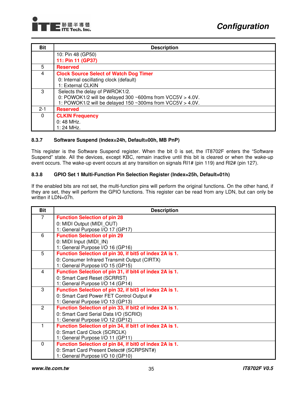| <b>Bit</b> | <b>Description</b>                                                |
|------------|-------------------------------------------------------------------|
|            | 10: Pin 48 (GP50)                                                 |
|            | 11: Pin 11 (GP37)                                                 |
| 5          | <b>Reserved</b>                                                   |
| 4          | <b>Clock Source Select of Watch Dog Timer</b>                     |
|            | 0: Internal oscillating clock (default)                           |
|            | 1: External CLKIN                                                 |
| 3          | Selects the delay of PWROK1/2.                                    |
|            | 0: POWOK1/2 will be delayed 300 $\sim$ 600ms from VCC5V $>$ 4.0V. |
|            | 1: POWOK1/2 will be delayed 150 ~300ms from VCC5V > 4.0V.         |
| $2 - 1$    | <b>Reserved</b>                                                   |
| $\Omega$   | <b>CLKIN Frequency</b>                                            |
|            | $0:48$ MHz.                                                       |
|            | $1:24$ MHz.                                                       |

## **8.3.7 Software Suspend (Index=24h, Default=00h, MB PnP)**

This register is the Software Suspend register. When the bit 0 is set, the IT8702F enters the "Software Suspend" state. All the devices, except KBC, remain inactive until this bit is cleared or when the wake-up event occurs. The wake-up event occurs at any transition on signals RI1# (pin 119) and Rl2# (pin 127).

## **8.3.8 GPIO Set 1 Multi-Function Pin Selection Register (Index=25h, Default=01h)**

If the enabled bits are not set, the multi-function pins will perform the original functions. On the other hand, if they are set, they will perform the GPIO functions. This register can be read from any LDN, but can only be written if LDN=07h.

| <b>Bit</b>     | <b>Description</b>                                      |
|----------------|---------------------------------------------------------|
| $\overline{7}$ | <b>Function Selection of pin 28</b>                     |
|                | 0: MIDI Output (MIDI OUT)                               |
|                | 1: General Purpose I/O 17 (GP17)                        |
| 6              | <b>Function Selection of pin 29</b>                     |
|                | 0: MIDI Input (MIDI IN)                                 |
|                | 1: General Purpose I/O 16 (GP16)                        |
| 5              | Function Selection of pin 30, if bit5 of index 2A is 1. |
|                | 0: Consumer Infrared Transmit Output (CIRTX)            |
|                | 1: General Purpose I/O 15 (GP15)                        |
| $\overline{4}$ | Function Selection of pin 31, if bit4 of index 2A is 1. |
|                | 0: Smart Card Reset (SCRRST)                            |
|                | 1: General Purpose I/O 14 (GP14)                        |
| 3              | Function Selection of pin 32, if bit3 of index 2A is 1. |
|                | 0: Smart Card Power FET Control Output #                |
|                | 1: General Purpose I/O 13 (GP13)                        |
| $\overline{2}$ | Function Selection of pin 33, if bit2 of index 2A is 1. |
|                | 0: Smart Card Serial Data I/O (SCRIO)                   |
|                | 1: General Purpose I/O 12 (GP12)                        |
|                | Function Selection of pin 34, if bit1 of index 2A is 1. |
|                | 0: Smart Card Clock (SCRCLK)                            |
|                | 1: General Purpose I/O 11 (GP11)                        |
| $\Omega$       | Function Selection of pin 84, if bit0 of index 2A is 1. |
|                | 0: Smart Card Present Detect# (SCRPSNT#)                |
|                | 1: General Purpose I/O 10 (GP10)                        |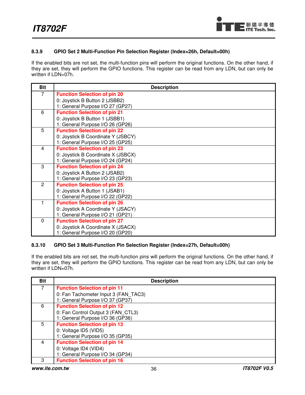

## **8.3.9 GPIO Set 2 Multi-Function Pin Selection Register (Index=26h, Default=00h)**

If the enabled bits are not set, the multi-function pins will perform the original functions. On the other hand, if they are set, they will perform the GPIO functions. This register can be read from any LDN, but can only be written if LDN=07h.

| <b>Bit</b> | <b>Description</b>                  |
|------------|-------------------------------------|
| 7          | <b>Function Selection of pin 20</b> |
|            | 0: Joystick B Button 2 (JSBB2)      |
|            | 1: General Purpose I/O 27 (GP27)    |
| 6          | <b>Function Selection of pin 21</b> |
|            | 0: Joystick B Button 1 (JSBB1)      |
|            | 1: General Purpose I/O 26 (GP26)    |
| 5          | <b>Function Selection of pin 22</b> |
|            | 0: Joystick B Coordinate Y (JSBCY)  |
|            | 1: General Purpose I/O 25 (GP25)    |
| 4          | <b>Function Selection of pin 23</b> |
|            | 0: Joystick B Coordinate X (JSBCX)  |
|            | 1: General Purpose I/O 24 (GP24)    |
| 3          | <b>Function Selection of pin 24</b> |
|            | 0: Joystick A Button 2 (JSAB2)      |
|            | 1: General Purpose I/O 23 (GP23)    |
| 2          | <b>Function Selection of pin 25</b> |
|            | 0: Joystick A Button 1 (JSAB1)      |
|            | 1: General Purpose I/O 22 (GP22)    |
|            | <b>Function Selection of pin 26</b> |
|            | 0: Joystick A Coordinate Y (JSACY)  |
|            | 1: General Purpose I/O 21 (GP21)    |
| $\Omega$   | <b>Function Selection of pin 27</b> |
|            | 0: Joystick A Coordinate X (JSACX)  |
|            | 1: General Purpose I/O 20 (GP20)    |

## **8.3.10 GPIO Set 3 Multi-Function Pin Selection Register (Index=27h, Default=00h)**

If the enabled bits are not set, the multi-function pins will perform the original functions. On the other hand, if they are set, they will perform the GPIO functions. This register can be read from any LDN, but can only be written if LDN=07h.

| <b>Bit</b> | <b>Description</b>                   |
|------------|--------------------------------------|
|            | <b>Function Selection of pin 11</b>  |
|            | 0: Fan Tachometer Input 3 (FAN TAC3) |
|            | 1: General Purpose I/O 37 (GP37)     |
| 6          | <b>Function Selection of pin 12</b>  |
|            | 0: Fan Control Output 3 (FAN CTL3)   |
|            | 1: General Purpose I/O 36 (GP36)     |
| 5          | <b>Function Selection of pin 13</b>  |
|            | 0: Voltage ID5 (VID5)                |
|            | 1: General Purpose I/O 35 (GP35)     |
| 4          | <b>Function Selection of pin 14</b>  |
|            | 0: Voltage ID4 (VID4)                |
|            | 1: General Purpose I/O 34 (GP34)     |
| З          | <b>Function Selection of pin 16</b>  |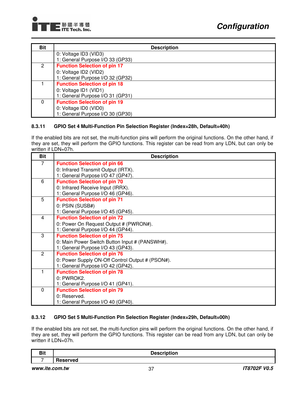

| Bit | <b>Description</b>                  |
|-----|-------------------------------------|
|     | 0: Voltage ID3 (VID3)               |
|     | 1: General Purpose I/O 33 (GP33)    |
| 2   | <b>Function Selection of pin 17</b> |
|     | 0: Voltage ID2 (VID2)               |
|     | 1: General Purpose I/O 32 (GP32)    |
|     | <b>Function Selection of pin 18</b> |
|     | 0: Voltage ID1 (VID1)               |
|     | 1: General Purpose I/O 31 (GP31)    |
| 0   | <b>Function Selection of pin 19</b> |
|     | 0: Voltage ID0 (VID0)               |
|     | 1: General Purpose I/O 30 (GP30)    |

## **8.3.11 GPIO Set 4 Multi-Function Pin Selection Register (Index=28h, Default=40h)**

If the enabled bits are not set, the multi-function pins will perform the original functions. On the other hand, if they are set, they will perform the GPIO functions. This register can be read from any LDN, but can only be written if LDN=07h.

| <b>Bit</b>              | <b>Description</b>                               |
|-------------------------|--------------------------------------------------|
| $\overline{7}$          | <b>Function Selection of pin 66</b>              |
|                         | 0: Infrared Transmit Output (IRTX).              |
|                         | 1: General Purpose I/O 47 (GP47).                |
| 6                       | <b>Function Selection of pin 70</b>              |
|                         | 0: Infrared Receive Input (IRRX).                |
|                         | 1: General Purpose I/O 46 (GP46).                |
| 5                       | <b>Function Selection of pin 71</b>              |
|                         | 0: PSIN (SUSB#)                                  |
|                         | 1: General Purpose I/O 45 (GP45).                |
| $\overline{\mathbf{4}}$ | <b>Function Selection of pin 72</b>              |
|                         | 0: Power On Request Output # (PWRON#).           |
|                         | 1: General Purpose I/O 44 (GP44).                |
| 3                       | <b>Function Selection of pin 75</b>              |
|                         | 0: Main Power Switch Button Input # (PANSWH#).   |
|                         | 1: General Purpose I/O 43 (GP43).                |
| 2                       | <b>Function Selection of pin 76</b>              |
|                         | 0: Power Supply ON-Off Control Output # (PSON#). |
|                         | 1: General Purpose I/O 42 (GP42).                |
| 1                       | <b>Function Selection of pin 78</b>              |
|                         | 0: PWROK2.                                       |
|                         | 1: General Purpose I/O 41 (GP41).                |
| $\Omega$                | <b>Function Selection of pin 79</b>              |
|                         | 0: Reserved.                                     |
|                         | 1: General Purpose I/O 40 (GP40).                |

## **8.3.12 GPIO Set 5 Multi-Function Pin Selection Register (Index=29h, Default=00h)**

If the enabled bits are not set, the multi-function pins will perform the original functions. On the other hand, if they are set, they will perform the GPIO functions. This register can be read from any LDN, but can only be written if LDN=07h.

| D12 | <b>Description</b> |
|-----|--------------------|
| --  | ווטוו              |
|     | Re.<br>-veo        |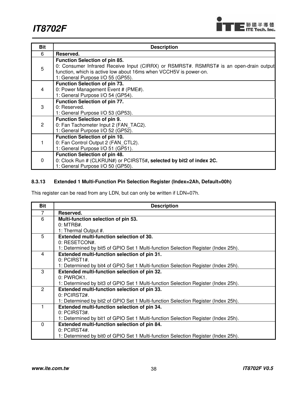| <b>Bit</b>     | <b>Description</b>                                                                                                                                                                                                                       |
|----------------|------------------------------------------------------------------------------------------------------------------------------------------------------------------------------------------------------------------------------------------|
| 6              | Reserved.                                                                                                                                                                                                                                |
| 5              | <b>Function Selection of pin 85.</b><br>0: Consumer Infrared Receive Input (CIRRX) or RSMRST#. RSMRST# is an open-drain output<br>function, which is active low about 16ms when VCCH5V is power-on.<br>1: General Purpose I/O 55 (GP55). |
| 4              | <b>Function Selection of pin 73.</b><br>0: Power Management Event # (PME#).<br>1: General Purpose I/O 54 (GP54).                                                                                                                         |
| 3              | Function Selection of pin 77.<br>0: Reserved.<br>1: General Purpose I/O 53 (GP53).                                                                                                                                                       |
| $\overline{2}$ | <b>Function Selection of pin 9.</b><br>0: Fan Tachometer Input 2 (FAN TAC2).<br>1: General Purpose I/O 52 (GP52).                                                                                                                        |
|                | Function Selection of pin 10.<br>0: Fan Control Output 2 (FAN CTL2).<br>1: General Purpose I/O 51 (GP51).                                                                                                                                |
| $\Omega$       | Function Selection of pin 48.<br>0: Clock Run # (CLKRUN#) or PCIRST5#, selected by bit2 of index 2C.<br>1: General Purpose I/O 50 (GP50).                                                                                                |

# **8.3.13 Extended 1 Multi-Function Pin Selection Register (Index=2Ah, Default=00h)**

This register can be read from any LDN, but can only be written if LDN=07h.

| Bit            | <b>Description</b>                                                                 |
|----------------|------------------------------------------------------------------------------------|
| $\overline{7}$ | Reserved.                                                                          |
| 6              | Multi-function selection of pin 53.                                                |
|                | $0: MTRB#$ .                                                                       |
|                | 1: Thermal Output #.                                                               |
| 5              | Extended multi-function selection of 30.                                           |
|                | 0: RESETCON#.                                                                      |
|                | 1: Determined by bit5 of GPIO Set 1 Multi-function Selection Register (Index 25h). |
| 4              | Extended multi-function selection of pin 31.                                       |
|                | $0: PCIRST1#$ .                                                                    |
|                | 1: Determined by bit4 of GPIO Set 1 Multi-function Selection Register (Index 25h). |
| 3              | Extended multi-function selection of pin 32.                                       |
|                | 0: PWROK1.                                                                         |
|                | 1: Determined by bit3 of GPIO Set 1 Multi-function Selection Register (Index 25h). |
| 2              | Extended multi-function selection of pin 33.                                       |
|                | 0: PCIRST2#                                                                        |
|                | 1: Determined by bit2 of GPIO Set 1 Multi-function Selection Register (Index 25h). |
|                | Extended multi-function selection of pin 34.                                       |
|                | $0: PCIRST3#$ .                                                                    |
|                | 1: Determined by bit1 of GPIO Set 1 Multi-function Selection Register (Index 25h). |
| $\Omega$       | Extended multi-function selection of pin 84.                                       |
|                | $0: PCIRST4#$ .                                                                    |
|                | 1: Determined by bit0 of GPIO Set 1 Multi-function Selection Register (Index 25h). |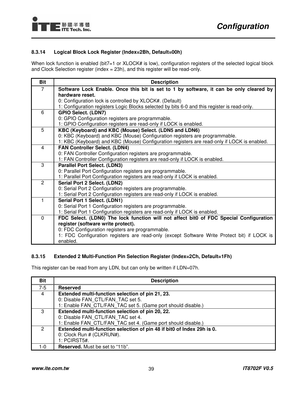

## **8.3.14 Logical Block Lock Register (Index=2Bh, Default=00h)**

When lock function is enabled (bit7=1 or XLOCK# is low), configuration registers of the selected logical block and Clock Selection register (index = 23h), and this register will be read-only.

| <b>Bit</b>     | <b>Description</b>                                                                           |
|----------------|----------------------------------------------------------------------------------------------|
| 7              | Software Lock Enable. Once this bit is set to 1 by software, it can be only cleared by       |
|                | hardware reset.                                                                              |
|                | 0: Configuration lock is controlled by XLOCK#. (Default)                                     |
|                | 1: Configuration registers Logic Blocks selected by bits 6-0 and this register is read-only. |
| 6              | <b>GPIO Select. (LDN7)</b>                                                                   |
|                | 0: GPIO Configuration registers are programmable.                                            |
|                | 1: GPIO Configuration registers are read-only if LOCK is enabled.                            |
| 5              | KBC (Keyboard) and KBC (Mouse) Select. (LDN5 and LDN6)                                       |
|                | 0: KBC (Keyboard) and KBC (Mouse) Configuration registers are programmable.                  |
|                | 1: KBC (Keyboard) and KBC (Mouse) Configuration registers are read-only if LOCK is enabled.  |
| 4              | <b>FAN Controller Select. (LDN4)</b>                                                         |
|                | 0: FAN Controller Configuration registers are programmable.                                  |
|                | 1: FAN Controller Configuration registers are read-only if LOCK is enabled.                  |
| 3              | <b>Parallel Port Select. (LDN3)</b>                                                          |
|                | 0: Parallel Port Configuration registers are programmable.                                   |
|                | 1: Parallel Port Configuration registers are read-only if LOCK is enabled.                   |
| $\overline{2}$ | Serial Port 2 Select. (LDN2)                                                                 |
|                | 0: Serial Port 2 Configuration registers are programmable.                                   |
|                | 1: Serial Port 2 Configuration registers are read-only if LOCK is enabled.                   |
|                | Serial Port 1 Select. (LDN1)                                                                 |
|                | 0: Serial Port 1 Configuration registers are programmable.                                   |
|                | 1: Serial Port 1 Configuration registers are read-only if LOCK is enabled.                   |
| $\Omega$       | FDC Select. (LDN0) The lock function will not affect bit0 of FDC Special Configuration       |
|                | register (software write protect).                                                           |
|                | 0: FDC Configuration registers are programmable.                                             |
|                | 1: FDC Configuration registers are read-only (except Software Write Protect bit) if LOCK is  |
|                | enabled.                                                                                     |

## **8.3.15 Extended 2 Multi-Function Pin Selection Register (Index=2Ch, Default=1Fh)**

This register can be read from any LDN, but can only be written if LDN=07h.

| <b>Bit</b> | <b>Description</b>                                                     |
|------------|------------------------------------------------------------------------|
| $7-5$      | <b>Reserved</b>                                                        |
| 4          | Extended multi-function selection of pin 21, 23.                       |
|            | 0: Disable FAN CTL/FAN TAC set 5.                                      |
|            | 1: Enable FAN CTL/FAN TAC set 5. (Game port should disable.)           |
| 3          | Extended multi-function selection of pin 20, 22.                       |
|            | 0: Disable FAN CTL/FAN TAC set 4.                                      |
|            | 1: Enable FAN CTL/FAN_TAC set 4. (Game port should disable.)           |
| 2          | Extended multi-function selection of pin 48 if bit0 of Index 29h is 0. |
|            | 0: Clock Run # (CLKRUN#).                                              |
|            | 1: PCIRST5#.                                                           |
| 1-0        | Reserved. Must be set to "11b".                                        |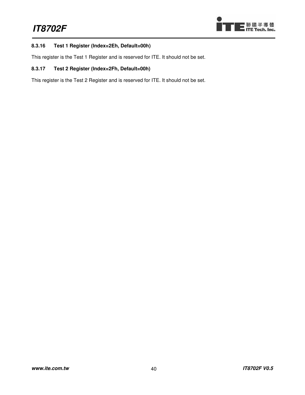# *IT8702F*



# **8.3.16 Test 1 Register (Index=2Eh, Default=00h)**

This register is the Test 1 Register and is reserved for ITE. It should not be set.

## **8.3.17 Test 2 Register (Index=2Fh, Default=00h)**

This register is the Test 2 Register and is reserved for ITE. It should not be set.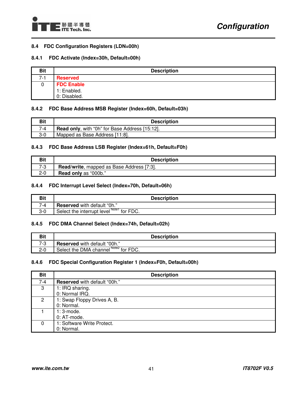

## **8.4 FDC Configuration Registers (LDN=00h)**

## **8.4.1 FDC Activate (Index=30h, Default=00h)**

| <b>Bit</b> | <b>Description</b> |
|------------|--------------------|
| 7.,        | <b>Reserved</b>    |
|            | <b>FDC Enable</b>  |
|            | 1: Enabled.        |
|            | 0: Disabled.       |

## **8.4.2 FDC Base Address MSB Register (Index=60h, Default=03h)**

| Bit   | <b>Description</b>                                    |
|-------|-------------------------------------------------------|
|       | <b>Read only, with "0h" for Base Address [15:12].</b> |
| $3-0$ | Mapped as Base Address [11:8].                        |

## **8.4.3 FDC Base Address LSB Register (Index=61h, Default=F0h)**

| Bit     | <b>Description</b>                               |
|---------|--------------------------------------------------|
| 7-3     | <b>Read/write, mapped as Base Address [7:3].</b> |
| $2 - 0$ | Read only as "000b."                             |

## **8.4.4 FDC Interrupt Level Select (Index=70h, Default=06h)**

| Bit                             | Description                                            |
|---------------------------------|--------------------------------------------------------|
| $\overline{\phantom{0}}$<br>′-4 | <b>Reserved</b> with default "0h."                     |
| $3-0$                           | Note1<br>FDC.<br>1 Select the interrupt level "<br>for |

### **8.4.5 FDC DMA Channel Select (Index=74h, Default=02h)**

| Bit       | <b>Description</b>                                   |
|-----------|------------------------------------------------------|
| 70<br>د-/ | <b>Reserved</b> with default "00h."                  |
| 2-0       | Note <sub>2</sub> for FDC.<br>Select the DMA channel |

## **8.4.6 FDC Special Configuration Register 1 (Index=F0h, Default=00h)**

| <b>Bit</b> | <b>Description</b>                  |
|------------|-------------------------------------|
| $7 - 4$    | <b>Reserved with default "00h."</b> |
| 3          | 1: IRQ sharing.                     |
|            | 0: Normal IRQ.                      |
| 2          | 1: Swap Floppy Drives A, B.         |
|            | 0: Normal.                          |
|            | $1:3$ -mode.                        |
|            | 0: AT-mode.                         |
| 0          | 1: Software Write Protect.          |
|            | 0: Normal.                          |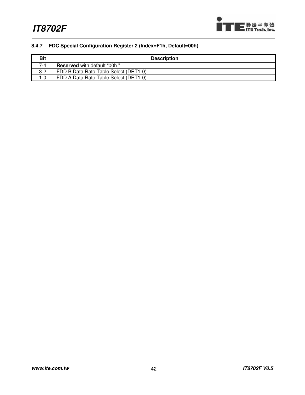

# **8.4.7 FDC Special Configuration Register 2 (Index=F1h, Default=00h)**

| Bit     | <b>Description</b>                     |
|---------|----------------------------------------|
| 7-4     | <b>Reserved with default "00h."</b>    |
| $3 - 2$ | FDD B Data Rate Table Select (DRT1-0). |
| 1-0     | FDD A Data Rate Table Select (DRT1-0). |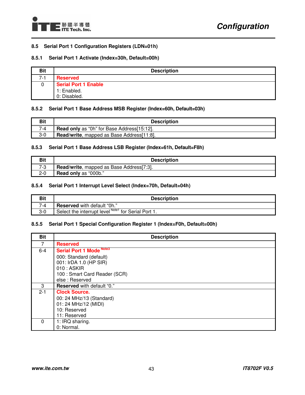

## **8.5 Serial Port 1 Configuration Registers (LDN=01h)**

## **8.5.1 Serial Port 1 Activate (Index=30h, Default=00h)**

| <b>Bit</b> | <b>Description</b>          |
|------------|-----------------------------|
| $7-1$      | <b>Reserved</b>             |
|            | <b>Serial Port 1 Enable</b> |
|            | 1: Enabled.                 |
|            | 0: Disabled.                |

#### **8.5.2 Serial Port 1 Base Address MSB Register (Index=60h, Default=03h)**

| Bit   | Description                                       |
|-------|---------------------------------------------------|
|       | <b>Read only</b> as "0h" for Base Address[15:12]. |
| $3-0$ | <b>Read/write, mapped as Base Address[11:8].</b>  |

## **8.5.3 Serial Port 1 Base Address LSB Register (Index=61h, Default=F8h)**

| Bit        | Description                                      |
|------------|--------------------------------------------------|
| ¬ ∩<br>د-′ | <b>Read/write, mapped as Base Address</b> [7:3]. |
| 2-0        | <b>Read only as "000b."</b>                      |

#### **8.5.4 Serial Port 1 Interrupt Level Select (Index=70h, Default=04h)**

| Bit   | <b>Description</b>                                        |
|-------|-----------------------------------------------------------|
| $7-4$ | <b>Reserved</b> with default "0h."                        |
| 3-0   | Note1<br>for Serial Port 1<br>Select the interrupt level" |

## **8.5.5 Serial Port 1 Special Configuration Register 1 (Index=F0h, Default=00h)**

| <b>Bit</b> | <b>Description</b>                |
|------------|-----------------------------------|
| 7          | <b>Reserved</b>                   |
| $6-4$      | <b>Serial Port 1 Mode Note3</b>   |
|            | 000: Standard (default)           |
|            | 001: IrDA 1.0 (HP SIR)            |
|            | 010: ASKIR                        |
|            | 100 : Smart Card Reader (SCR)     |
|            | else: Reserved                    |
| 3          | <b>Reserved with default "0."</b> |
| $2 - 1$    | <b>Clock Source.</b>              |
|            | 00: 24 MHz/13 (Standard)          |
|            | 01: 24 MHz/12 (MIDI)              |
|            | 10: Reserved                      |
|            | 11: Reserved                      |
| 0          | 1: IRQ sharing.                   |
|            | 0: Normal.                        |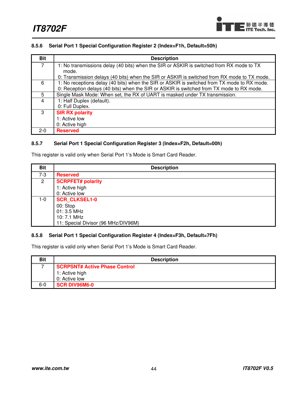

## **8.5.6 Serial Port 1 Special Configuration Register 2 (Index=F1h, Default=50h)**

| <b>Bit</b>     | <b>Description</b>                                                                          |
|----------------|---------------------------------------------------------------------------------------------|
| $\overline{7}$ | 1: No transmissions delay (40 bits) when the SIR or ASKIR is switched from RX mode to TX    |
|                | mode.                                                                                       |
|                | 0: Transmission delays (40 bits) when the SIR or ASKIR is switched from RX mode to TX mode. |
| 6              | 1: No receptions delay (40 bits) when the SIR or ASKIR is switched from TX mode to RX mode. |
|                | 0: Reception delays (40 bits) when the SIR or ASKIR is switched from TX mode to RX mode.    |
| 5              | Single Mask Mode: When set, the RX of UART is masked under TX transmission.                 |
| 4              | 1: Half Duplex (default).                                                                   |
|                | 0: Full Duplex.                                                                             |
| 3              | <b>SIR RX polarity</b>                                                                      |
|                | 1: Active low                                                                               |
|                | 0: Active high                                                                              |
| $2 - 0$        | <b>Reserved</b>                                                                             |

## **8.5.7 Serial Port 1 Special Configuration Register 3 (Index=F2h, Default=00h)**

This register is valid only when Serial Port 1's Mode is Smart Card Reader.

| <b>Bit</b> | <b>Description</b>                  |
|------------|-------------------------------------|
| $7 - 3$    | <b>Reserved</b>                     |
| 2          | <b>SCRPFET# polarity</b>            |
|            | 1: Active high                      |
|            | 0: Active low                       |
| 1-0        | <b>SCR CLKSEL1-0</b>                |
|            | 00: Stop                            |
|            | 01:3.5 MHz                          |
|            | 10: 7.1 MHz                         |
|            | 11: Special Divisor (96 MHz/DIV96M) |

#### **8.5.8 Serial Port 1 Special Configuration Register 4 (Index=F3h, Default=7Fh)**

This register is valid only when Serial Port 1's Mode is Smart Card Reader.

| Bit   | <b>Description</b>                   |
|-------|--------------------------------------|
|       | <b>SCRPSNT# Active Phase Control</b> |
|       | 1: Active high                       |
|       | 0: Active low                        |
| $6-0$ | <b>SCR DIV96M6-0</b>                 |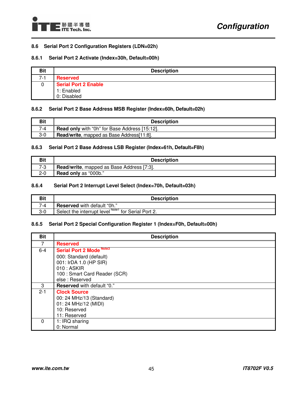

## **8.6 Serial Port 2 Configuration Registers (LDN=02h)**

## **8.6.1 Serial Port 2 Activate (Index=30h, Default=00h)**

| <b>Bit</b> | <b>Description</b>          |
|------------|-----------------------------|
| $7-1$      | <b>Reserved</b>             |
|            | <b>Serial Port 2 Enable</b> |
|            | 1: Enabled                  |
|            | 0: Disabled                 |

#### **8.6.2 Serial Port 2 Base Address MSB Register (Index=60h, Default=02h)**

| Bit   | <b>Description</b>                                   |
|-------|------------------------------------------------------|
|       | <b>Read only</b> with "0h" for Base Address [15:12]. |
| $3-0$ | <b>Read/write, mapped as Base Address[11:8].</b>     |

### **8.6.3 Serial Port 2 Base Address LSB Register (Index=61h, Default=F8h)**

| Bit        | <b>Description</b>                               |
|------------|--------------------------------------------------|
| ה ד<br>د-′ | <b>Read/write, mapped as Base Address [7:3].</b> |
| 2-0        | <b>Read only as "000b."</b>                      |

#### **8.6.4 Serial Port 2 Interrupt Level Select (Index=70h, Default=03h)**

| Bit   | <b>Description</b>                                         |
|-------|------------------------------------------------------------|
| $7-4$ | <b>Reserved</b> with default "0h."                         |
| 3-0   | Note1<br>for Serial Port 2.<br>Select the interrupt level" |

## **8.6.5 Serial Port 2 Special Configuration Register 1 (Index=F0h, Default=00h)**

| <b>Bit</b> | <b>Description</b>                |
|------------|-----------------------------------|
| 7          | <b>Reserved</b>                   |
| $6-4$      | <b>Serial Port 2 Mode Note3</b>   |
|            | 000: Standard (default)           |
|            | 001: IrDA 1.0 (HP SIR)            |
|            | 010 : ASKIR                       |
|            | 100 : Smart Card Reader (SCR)     |
|            | else: Reserved                    |
| 3          | <b>Reserved</b> with default "0." |
| $2 - 1$    | <b>Clock Source</b>               |
|            | 00: 24 MHz/13 (Standard)          |
|            | 01: 24 MHz/12 (MIDI)              |
|            | 10: Reserved                      |
|            | 11: Reserved                      |
| 0          | 1: IRQ sharing                    |
|            | 0: Normal                         |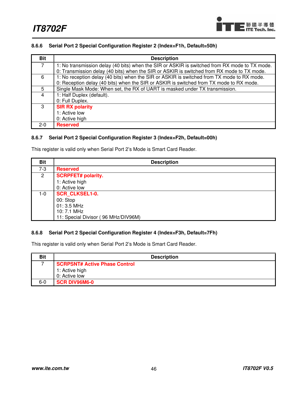

## **8.6.6 Serial Port 2 Special Configuration Register 2 (Index=F1h, Default=50h)**

| <b>Bit</b>     | <b>Description</b>                                                                            |
|----------------|-----------------------------------------------------------------------------------------------|
| $\overline{7}$ | 1: No transmission delay (40 bits) when the SIR or ASKIR is switched from RX mode to TX mode. |
|                | 0: Transmission delay (40 bits) when the SIR or ASKIR is switched from RX mode to TX mode.    |
| 6              | 1: No reception delay (40 bits) when the SIR or ASKIR is switched from TX mode to RX mode.    |
|                | 0: Reception delay (40 bits) when the SIR or ASKIR is switched from TX mode to RX mode.       |
| 5              | Single Mask Mode: When set, the RX of UART is masked under TX transmission.                   |
| 4              | 1: Half Duplex (default).                                                                     |
|                | 0: Full Duplex.                                                                               |
| з              | <b>SIR RX polarity</b>                                                                        |
|                | 1: Active low                                                                                 |
|                | 0: Active high                                                                                |
| $2-0$          | <b>Reserved</b>                                                                               |

## **8.6.7 Serial Port 2 Special Configuration Register 3 (Index=F2h, Default=00h)**

This register is valid only when Serial Port 2's Mode is Smart Card Reader.

| <b>Bit</b> | <b>Description</b>                  |
|------------|-------------------------------------|
| $7 - 3$    | <b>Reserved</b>                     |
| 2          | <b>SCRPFET# polarity.</b>           |
|            | 1: Active high                      |
|            | 0: Active low                       |
| 1-0        | <b>SCR CLKSEL1-0.</b>               |
|            | 00: Stop                            |
|            | 01:3.5 MHz                          |
|            | 10: 7.1 MHz                         |
|            | 11: Special Divisor (96 MHz/DIV96M) |

## **8.6.8 Serial Port 2 Special Configuration Register 4 (Index=F3h, Default=7Fh)**

This register is valid only when Serial Port 2's Mode is Smart Card Reader.

| Bit   | <b>Description</b>                   |
|-------|--------------------------------------|
|       | <b>SCRPSNT# Active Phase Control</b> |
|       | 1: Active high                       |
|       | 0: Active low                        |
| $6-0$ | <b>SCR DIV96M6-0</b>                 |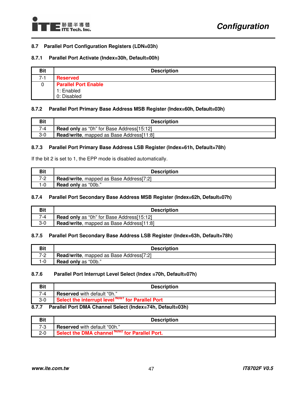

## **8.7 Parallel Port Configuration Registers (LDN=03h)**

#### **8.7.1 Parallel Port Activate (Index=30h, Default=00h)**

| <b>Bit</b> | <b>Description</b>          |
|------------|-----------------------------|
| 7-1        | <b>Reserved</b>             |
|            | <b>Parallel Port Enable</b> |
|            | 1: Enabled                  |
|            | 0: Disabled                 |

#### **8.7.2 Parallel Port Primary Base Address MSB Register (Index=60h, Default=03h)**

| Bit   | Description                                      |
|-------|--------------------------------------------------|
|       | <b>Read only</b> as "0h" for Base Address[15:12] |
| $3-0$ | Read/write, mapped as Base Address[11:8]         |

#### **8.7.3 Parallel Port Primary Base Address LSB Register (Index=61h, Default=78h)**

If the bit 2 is set to 1, the EPP mode is disabled automatically.

| Bit             | <b>Description</b>                              |
|-----------------|-------------------------------------------------|
| 7-2<br><u>_</u> | <b>Read/write, mapped as Base Address</b> [7:2] |
| 1-0             | <b>Read only as "00b."</b>                      |

## **8.7.4 Parallel Port Secondary Base Address MSB Register (Index=62h, Default=07h)**

| Bit   | <b>Description</b>                               |
|-------|--------------------------------------------------|
| 7-4   | <b>Read only</b> as "0h" for Base Address[15:12] |
| $3-0$ | Read/write, mapped as Base Address[11:8]         |

#### **8.7.5 Parallel Port Secondary Base Address LSB Register (Index=63h, Default=78h)**

| Bit | <b>Description</b>                              |
|-----|-------------------------------------------------|
| 7-2 | <b>Read/write, mapped as Base Address</b> [7:2] |
| 1-0 | <b>Read only as "00b."</b>                      |

#### **8.7.6 Parallel Port Interrupt Level Select (Index =70h, Default=07h)**

| <b>Bit</b> | <b>Description</b>                                                     |
|------------|------------------------------------------------------------------------|
| 7-4        | <b>Reserved</b> with default "0h."                                     |
| $3-0$      | evel <sup>Note1</sup> for Parallel Port<br>Select the interrupt level" |

## **8.7.7 Parallel Port DMA Channel Select (Index=74h, Default=03h)**

| Bit     | <b>Description</b>                                                    |
|---------|-----------------------------------------------------------------------|
| 7-3     | <b>Reserved with default "00h."</b>                                   |
| $2 - 0$ | Note <sub>2</sub> for Parallel Port.<br><b>Select the DMA channel</b> |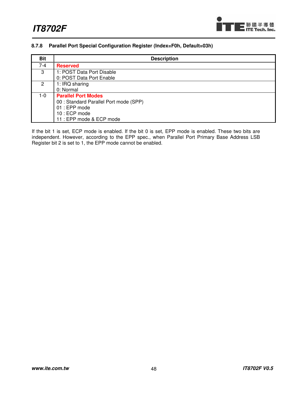## **8.7.8 Parallel Port Special Configuration Register (Index=F0h, Default=03h)**

| Bit     | <b>Description</b>                     |
|---------|----------------------------------------|
| $7 - 4$ | <b>Reserved</b>                        |
| 3       | 1: POST Data Port Disable              |
|         | 0: POST Data Port Enable               |
| 2       | 1: IRQ sharing                         |
|         | 0: Normal                              |
| 1-0     | <b>Parallel Port Modes</b>             |
|         | 00 : Standard Parallel Port mode (SPP) |
|         | 01 : EPP mode                          |
|         | 10 : ECP mode                          |
|         | 11 : EPP mode & ECP mode               |

If the bit 1 is set, ECP mode is enabled. If the bit 0 is set, EPP mode is enabled. These two bits are independent. However, according to the EPP spec., when Parallel Port Primary Base Address LSB Register bit 2 is set to 1, the EPP mode cannot be enabled.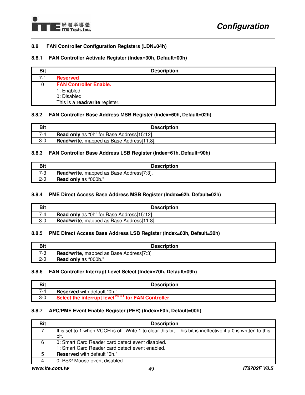

## **8.8 FAN Controller Configuration Registers (LDN=04h)**

#### **8.8.1 FAN Controller Activate Register (Index=30h, Default=00h)**

| <b>Bit</b> | <b>Description</b>             |
|------------|--------------------------------|
| $7 - 1$    | <b>Reserved</b>                |
|            | <b>FAN Controller Enable.</b>  |
|            | 1: Enabled                     |
|            | 0: Disabled                    |
|            | This is a read/write register. |

#### **8.8.2 FAN Controller Base Address MSB Register (Index=60h, Default=02h)**

| Bit     | Description                                       |
|---------|---------------------------------------------------|
| $7 - 4$ | <b>Read only</b> as "0h" for Base Address[15:12]. |
| $3-0$   | Read/write, mapped as Base Address[11:8].         |

#### **8.8.3 FAN Controller Base Address LSB Register (Index=61h, Default=90h)**

| Bit | <b>Description</b>                               |
|-----|--------------------------------------------------|
| 7-3 | <b>Read/write, mapped as Base Address</b> [7:3]. |
| 2-0 | <b>Read only as "000b."</b>                      |

#### **8.8.4 PME Direct Access Base Address MSB Register (Index=62h, Default=02h)**

| Bit   | <b>Description</b>                               |
|-------|--------------------------------------------------|
| $7-4$ | <b>Read only</b> as "0h" for Base Address[15:12] |
| $3-0$ | <b>Read/write, mapped as Base Address</b> [11:8] |

## **8.8.5 PME Direct Access Base Address LSB Register (Index=63h, Default=30h)**

| Bit     | Description                                     |
|---------|-------------------------------------------------|
| 7-3     | <b>Read/write, mapped as Base Address</b> [7:3] |
| $2 - 0$ | <b>Read only</b> as "000b."                     |

#### **8.8.6 FAN Controller Interrupt Level Select (Index=70h, Default=09h)**

| Bit   | <b>Description</b>                                  |
|-------|-----------------------------------------------------|
| 7-4   | <b>Reserved</b> with default "0h."                  |
| $3-0$ | Select the interrupt level Note1 for FAN Controller |

### **8.8.7 APC/PME Event Enable Register (PER) (Index=F0h, Default=00h)**

| <b>Bit</b> | <b>Description</b>                                                                                                    |
|------------|-----------------------------------------------------------------------------------------------------------------------|
|            | It is set to 1 when VCCH is off. Write 1 to clear this bit. This bit is ineffective if a 0 is written to this<br>bit. |
|            | 0: Smart Card Reader card detect event disabled.<br>1: Smart Card Reader card detect event enabled.                   |
|            | <b>Reserved</b> with default "0h."                                                                                    |
|            | 0: PS/2 Mouse event disabled.                                                                                         |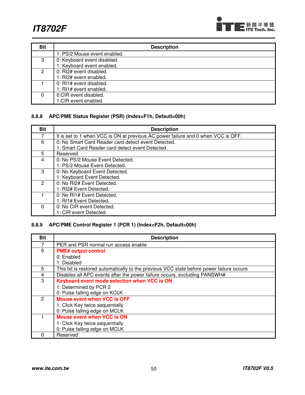# *IT8702F*

| <b>Bit</b> | <b>Description</b>           |  |
|------------|------------------------------|--|
|            | 1: PS/2 Mouse event enabled. |  |
| 3          | 0: Keyboard event disabled.  |  |
|            | 1: Keyboard event enabled.   |  |
| 2          | 0: RI2# event disabled.      |  |
|            | 1: RI2# event enabled.       |  |
|            | 0: RI1# event disabled.      |  |
|            | 1: RI1# event enabled.       |  |
| 0          | 0:CIR event disabled.        |  |
|            | 1:CIR event enabled.         |  |

## **8.8.8 APC/PME Status Register (PSR) (Index=F1h, Default=00h)**

| <b>Bit</b> | <b>Description</b>                                                                |
|------------|-----------------------------------------------------------------------------------|
|            | It is set to 1 when VCC is ON at previous AC power failure and 0 when VCC is OFF. |
| 6          | 0: No Smart Card Reader card detect event Detected.                               |
|            | 1: Smart Card Reader card detect event Detected.                                  |
| 5          | Reserved                                                                          |
| 4          | 0: No PS/2 Mouse Event Detected.                                                  |
|            | 1: PS/2 Mouse Event Detected.                                                     |
| 3          | 0: No Keyboard Event Detected.                                                    |
|            | 1: Keyboard Event Detected.                                                       |
| 2          | 0: No RI2# Event Detected.                                                        |
|            | 1: RI2# Event Detected.                                                           |
|            | 0: No RI1# Event Detected.                                                        |
|            | 1: RI1# Event Detected.                                                           |
| U          | 0: No CIR event Detected.                                                         |
|            | 1: CIR event Detected.                                                            |

# **8.8.9 APC/PME Control Register 1 (PCR 1) (Index=F2h, Default=00h)**

| Bit | <b>Description</b>                                                                       |
|-----|------------------------------------------------------------------------------------------|
|     | PER and PSR normal run access enable                                                     |
| 6   | <b>PME# output control</b>                                                               |
|     | 0: Enabled                                                                               |
|     | 1: Disabled                                                                              |
| 5   | This bit is restored automatically to the previous VCC state before power failure occurs |
| 4   | Disables all APC events after the power failure occurs, excluding PANSWH#                |
| 3   | Keyboard event mode selection when VCC is ON                                             |
|     | 1: Determined by PCR 2                                                                   |
|     | 0: Pulse falling edge on KCLK                                                            |
| 2   | <b>Mouse event when VCC is OFF</b>                                                       |
|     | 1: Click Key twice sequentially                                                          |
|     | 0: Pulse falling edge on MCLK                                                            |
|     | <b>Mouse event when VCC is ON</b>                                                        |
|     | 1: Click Key twice sequentially                                                          |
|     | 0: Pulse falling edge on MCLK                                                            |
|     | Reserved                                                                                 |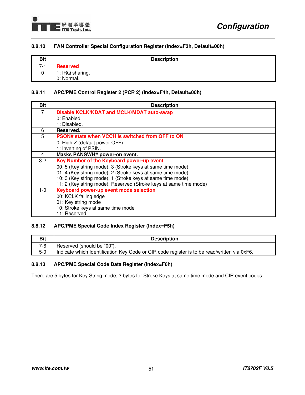## **8.8.10 FAN Controller Special Configuration Register (Index=F3h, Default=00h)**

| Bit | <b>Description</b>            |
|-----|-------------------------------|
| , I | <b>Reserved</b>               |
|     | 1: IRQ sharing.<br>0: Normal. |

## **8.8.11 APC/PME Control Register 2 (PCR 2) (Index=F4h, Default=00h)**

| <b>Bit</b> | <b>Description</b>                                                |
|------------|-------------------------------------------------------------------|
|            | <b>Disable KCLK/KDAT and MCLK/MDAT auto-swap</b>                  |
|            | 0: Enabled.                                                       |
|            | 1: Disabled.                                                      |
| 6          | Reserved.                                                         |
| 5          | PSON# state when VCCH is switched from OFF to ON                  |
|            | 0: High-Z (default power OFF).                                    |
|            | 1: Inverting of PSIN.                                             |
| 4          | Masks PANSWH# power-on event.                                     |
| $3 - 2$    | Key Number of the Keyboard power-up event                         |
|            | 00: 5 (Key string mode), 3 (Stroke keys at same time mode)        |
|            | 01: 4 (Key string mode), 2 (Stroke keys at same time mode)        |
|            | 10: 3 (Key string mode), 1 (Stroke keys at same time mode)        |
|            | 11: 2 (Key string mode), Reserved (Stroke keys at same time mode) |
| 1-0        | Keyboard power-up event mode selection                            |
|            | 00: KCLK falling edge                                             |
|            | 01: Key string mode                                               |
|            | 10: Stroke keys at same time mode                                 |
|            | 11: Reserved                                                      |

## **8.8.12 APC/PME Special Code Index Register (Index=F5h)**

| Bit   | <b>Description</b>                                                                          |
|-------|---------------------------------------------------------------------------------------------|
| 7-6   | Reserved (should be "00").                                                                  |
| $5-0$ | Indicate which Identification Key Code or CIR code register is to be read/written via 0xF6. |

#### **8.8.13 APC/PME Special Code Data Register (Index=F6h)**

There are 5 bytes for Key String mode, 3 bytes for Stroke Keys at same time mode and CIR event codes.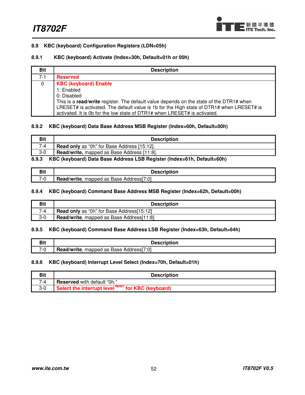## **8.9 KBC (keyboard) Configuration Registers (LDN=05h)**

## **8.9.1 KBC (keyboard) Activate (Index=30h, Default=01h or 00h)**

| <b>Bit</b>     | <b>Description</b>                                                                        |
|----------------|-------------------------------------------------------------------------------------------|
| $7 - 1$        | <b>Reserved</b>                                                                           |
| $\overline{0}$ | <b>KBC (keyboard) Enable</b>                                                              |
|                | 1: Enabled                                                                                |
|                | 0: Disabled                                                                               |
|                | This is a read/write register. The default value depends on the state of the DTR1# when   |
|                | LRESET# is activated. The default value is 1b for the High state of DTR1# when LRESET# is |
|                | activated. It is 0b for the low state of DTR1# when LRESET# is activated.                 |

## **8.9.2 KBC (keyboard) Data Base Address MSB Register (Index=60h, Default=00h)**

| Bit   | <b>Description</b>                                                     |
|-------|------------------------------------------------------------------------|
| 7-4   | <b>Read only</b> as "0h" for Base Address [15:12].                     |
| $3-0$ | <b>Read/write, mapped as Base Address [11:8].</b>                      |
| 8.9.3 | KBC (keyboard) Data Base Address LSB Register (Index=61h, Default=60h) |

| Bit | <b>Description</b>                             |
|-----|------------------------------------------------|
|     | <b>Read/write, mapped as Base Address[7:0]</b> |

## **8.9.4 KBC (keyboard) Command Base Address MSB Register (Index=62h, Default=00h)**

| Bit   | <b>Description</b>                               |
|-------|--------------------------------------------------|
| 7-4   | <b>Read only</b> as "0h" for Base Address[15:12] |
| $3-0$ | <b>Read/write, mapped as Base Address</b> [11:8] |

#### **8.9.5 KBC (keyboard) Command Base Address LSB Register (Index=63h, Default=64h)**

| וס.       | <b>Description</b>          |
|-----------|-----------------------------|
| -         | mapped as Base Address[7:0] |
| <u>-บ</u> | Read/write,                 |

## **8.9.6 KBC (keyboard) Interrupt Level Select (Index=70h, Default=01h)**

| <b>Bit</b> | <b>Description</b>                                  |
|------------|-----------------------------------------------------|
| $7 - 4$    | <b>Reserved</b> with default "0h."                  |
| $3-0$      | Select the interrupt level Noted for KBC (keyboard) |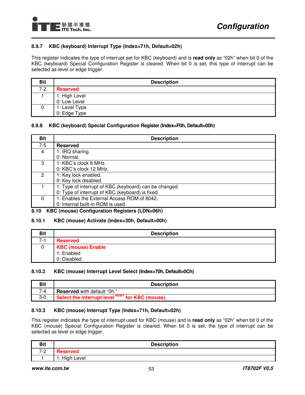## **8.9.7 KBC (keyboard) Interrupt Type (Index=71h, Default=02h)**

This register indicates the type of interrupt set for KBC (keyboard) and is **read only** as "02h" when bit 0 of the KBC (keyboard) Special Configuration Register is cleared. When bit 0 is set, this type of interrupt can be selected as level or edge trigger.

| <b>Bit</b> | <b>Description</b>            |
|------------|-------------------------------|
| $7-2$      | <b>Reserved</b>               |
|            | 1: High Level                 |
|            | 0: Low Level                  |
|            | 1: Level Type<br>0: Edge Type |
|            |                               |

## **8.9.8 KBC (keyboard) Special Configuration Register (Index=F0h, Default=00h)**

| <b>Bit</b> | <b>Description</b>                                     |
|------------|--------------------------------------------------------|
| 7-5        | <b>Reserved</b>                                        |
| 4          | 1: IRQ sharing.                                        |
|            | 0: Normal.                                             |
| 3          | 1: KBC's clock 8 MHz.                                  |
|            | 0: KBC's clock 12 MHz.                                 |
| 2          | 1: Key lock enabled.                                   |
|            | 0: Key lock disabled.                                  |
|            | 1: Type of interrupt of KBC (keyboard) can be changed. |
|            | 0: Type of interrupt of KBC (keyboard) is fixed.       |
| O          | 1: Enables the External Access ROM of 8042.            |
|            | 0: Internal built-in ROM is used.                      |

## **8.10 KBC (mouse) Configuration Registers (LDN=06h)**

#### **8.10.1 KBC (mouse) Activate (Index=30h, Default=00h)**

| <b>Bit</b> | <b>Description</b>        |
|------------|---------------------------|
| 7-1        | <b>Reserved</b>           |
|            | <b>KBC (mouse) Enable</b> |
|            | 1: Enabled                |
|            | 0: Disabled               |

#### **8.10.2 KBC (mouse) Interrupt Level Select (Index=70h, Default=0Ch)**

| Bit   | <b>Description</b>                                |
|-------|---------------------------------------------------|
| $7-4$ | <b>Reserved</b> with default "0h."                |
| $3-0$ | Select the interrupt level Noted for KBC (mouse). |

## **8.10.3 KBC (mouse) Interrupt Type (Index=71h, Default=02h)**

This register indicates the type of interrupt used for KBC (mouse) and is **read only** as "02h" when bit 0 of the KBC (mouse) Special Configuration Register is cleared. When bit 0 is set, the type of interrupt can be selected as level or edge trigger.

| <b>Bit</b> | <b>Description</b> |
|------------|--------------------|
| $7-2$      | Reserved           |
|            | 1: High Level      |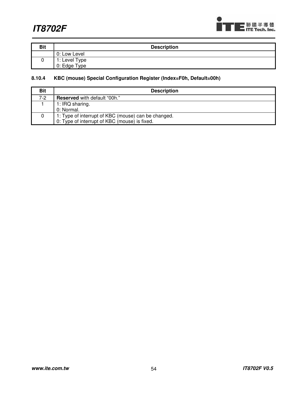# *IT8702F*



| <b>Bit</b> | <b>Description</b>            |
|------------|-------------------------------|
|            | 0: Low Level                  |
|            | 1: Level Type<br>0: Edge Type |

# **8.10.4 KBC (mouse) Special Configuration Register (Index=F0h, Default=00h)**

| Bit   | <b>Description</b>                                  |
|-------|-----------------------------------------------------|
| $7-2$ | <b>Reserved</b> with default "00h."                 |
|       | 1: IRQ sharing.                                     |
|       | 0: Normal.                                          |
|       | 1: Type of interrupt of KBC (mouse) can be changed. |
|       | 0: Type of interrupt of KBC (mouse) is fixed.       |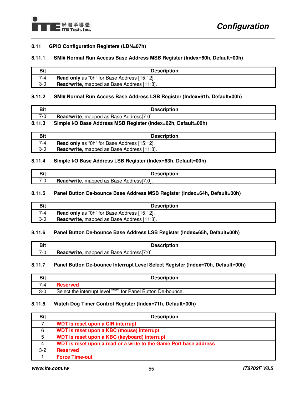

#### **8.11 GPIO Configuration Registers (LDN=07h)**

#### **8.11.1 SMI# Normal Run Access Base Address MSB Register (Index=60h, Default=00h)**

| Bit   | Description                                        |
|-------|----------------------------------------------------|
| $7-4$ | <b>Read only</b> as "0h" for Base Address [15:12]. |
| $3-0$ | <b>Read/write, mapped as Base Address [11:8].</b>  |

## **8.11.2 SMI# Normal Run Access Base Address LSB Register (Index=61h, Default=00h)**

| Bit    | <b>Description</b>                                             |
|--------|----------------------------------------------------------------|
| 7-0    | <b>Read/write, mapped as Base Address</b> [7:0].               |
| 0.44 Q | Cimple UO Dess Address MCD Decision (Index, COL, Default, COL) |

#### **8.11.3 Simple I/O Base Address MSB Register (Index=62h, Default=00h)**

| Bit   | <b>Description</b>                                 |
|-------|----------------------------------------------------|
|       | <b>Read only</b> as "0h" for Base Address [15:12]. |
| $3-0$ | <b>Read/write, mapped as Base Address [11:8].</b>  |

#### **8.11.4 Simple I/O Base Address LSB Register (Index=63h, Default=00h)**

| .   | Description                                      |
|-----|--------------------------------------------------|
| 7-0 | <b>Read/write, mapped as Base Address</b> [7:0]. |

#### **8.11.5 Panel Button De-bounce Base Address MSB Register (Index=64h, Default=00h)**

| Bit   | <b>Description</b>                                 |
|-------|----------------------------------------------------|
| 7-4   | <b>Read only</b> as "0h" for Base Address [15:12]. |
| $3-0$ | <b>Read/write, mapped as Base Address [11:8].</b>  |

#### **8.11.6 Panel Button De-bounce Base Address LSB Register (Index=65h, Default=00h)**

| D 1+<br>וס | Description                                      |
|------------|--------------------------------------------------|
| 7-0        | <b>Read/write, mapped as Base Address</b> [7:0]. |

#### **8.11.7 Panel Button De-bounce Interrupt Level Select Register (Index=70h, Default=00h)**

| Bit   | <b>Description</b>                                                     |
|-------|------------------------------------------------------------------------|
| 7-4   | <b>Reserved</b>                                                        |
| $3-0$ | , Note 1<br>for Panel Button De-bounce.<br>Select the interrupt level" |

#### **8.11.8 Watch Dog Timer Control Register (Index=71h, Default=00h)**

| Bit   | <b>Description</b>                                                |
|-------|-------------------------------------------------------------------|
|       | WDT is reset upon a CIR interrupt                                 |
| 6     | WDT is reset upon a KBC (mouse) interrupt                         |
| 5     | WDT is reset upon a KBC (keyboard) interrupt                      |
| 4     | WDT is reset upon a read or a write to the Game Port base address |
| $3-2$ | <b>Reserved</b>                                                   |
|       | <b>Force Time-out</b>                                             |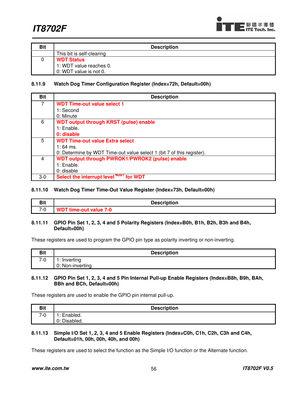



| Bit | <b>Description</b>                                |  |
|-----|---------------------------------------------------|--|
|     | This bit is self-clearing                         |  |
|     | <b>WDT Status</b>                                 |  |
|     | 1: WDT value reaches 0.<br>0: WDT value is not 0. |  |

## **8.11.9 Watch Dog Timer Configuration Register (Index=72h, Default=00h)**

| <b>Bit</b> | <b>Description</b>                                                    |
|------------|-----------------------------------------------------------------------|
| 7          | <b>WDT Time-out value select 1</b>                                    |
|            | 1: Second                                                             |
|            | 0: Minute                                                             |
| 6          | <b>WDT output through KRST (pulse) enable</b>                         |
|            | 1: Enable.                                                            |
|            | 0: disable                                                            |
| 5          | <b>WDT Time-out value Extra select</b>                                |
|            | $1:64$ ms.                                                            |
|            | 0: Determine by WDT Time-out value select 1 (bit 7 of this register). |
| 4          | WDT output through PWROK1/PWROK2 (pulse) enable                       |
|            | 1: Enable.                                                            |
|            | 0: disable                                                            |
| $3-0$      | Select the interrupt level Note1<br>for WDT                           |

## **8.11.10 Watch Dog Timer Time-Out Value Register (Index=73h, Default=00h)**

| DH.<br>ы            | <b>Description</b>                |
|---------------------|-----------------------------------|
| -<br>$\sim$<br>' -u | <b>WD</b><br>value<br>ume<br>-out |

#### **8.11.11 GPIO Pin Set 1, 2, 3, 4 and 5 Polarity Registers (Index=B0h, B1h, B2h, B3h and B4h, Default=00h)**

These registers are used to program the GPIO pin type as polarity inverting or non-inverting.

| Di+<br>DΙl                      | <b>Description</b>            |
|---------------------------------|-------------------------------|
| $\overline{\phantom{0}}$<br>7-0 | Inverting<br>0: Non-inverting |

#### **8.11.12 GPIO Pin Set 1, 2, 3, 4 and 5 Pin Internal Pull-up Enable Registers (Index=B8h, B9h, BAh, BBh and BCh, Default=00h)**

These registers are used to enable the GPIO pin internal pull-up.

| <b>Bit</b>    | <b>Description</b> |
|---------------|--------------------|
| $\rightarrow$ | 1: Enabled.        |
| -0            | 0: Disabled.       |

## **8.11.13 Simple I/O Set 1, 2, 3, 4 and 5 Enable Registers (Index=C0h, C1h, C2h, C3h and C4h, Default=01h, 00h, 00h, 40h, and 00h)**

These registers are used to select the function as the Simple I/O function or the Alternate function.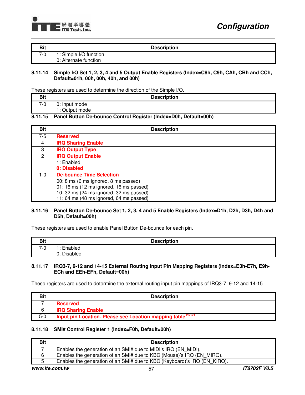



| Bit |                                                 | <b>Description</b> |  |
|-----|-------------------------------------------------|--------------------|--|
| 7-0 | 1: Simple I/O function<br>0: Alternate function |                    |  |

### **8.11.14 Simple I/O Set 1, 2, 3, 4 and 5 Output Enable Registers (Index=C8h, C9h, CAh, CBh and CCh, Default=01h, 00h, 00h, 40h, and 00h)**

These registers are used to determine the direction of the Simple I/O.

| Bit      | <b>Description</b>     |
|----------|------------------------|
| -<br>-0' | ∩.<br>Input mode<br>u. |
|          | ': Output mode         |

### **8.11.15 Panel Button De-bounce Control Register (Index=D0h, Default=00h)**

| <b>Bit</b> | <b>Description</b>                     |
|------------|----------------------------------------|
| $7 - 5$    | <b>Reserved</b>                        |
| 4          | <b>IRQ Sharing Enable</b>              |
| 3          | <b>IRQ Output Type</b>                 |
| 2          | <b>IRQ Output Enable</b>               |
|            | 1: Enabled                             |
|            | 0: Disabled                            |
| 1-0        | <b>De-bounce Time Selection</b>        |
|            | 00: 8 ms (6 ms ignored, 8 ms passed)   |
|            | 01:16 ms (12 ms ignored, 16 ms passed) |
|            | 10:32 ms (24 ms ignored, 32 ms passed) |
|            | 11:64 ms (48 ms ignored, 64 ms passed) |

### **8.11.16 Panel Button De-bounce Set 1, 2, 3, 4 and 5 Enable Registers (Index=D1h, D2h, D3h, D4h and D5h, Default=00h)**

These registers are used to enable Panel Button De-bounce for each pin.

| <b>Bit</b> | <b>Description</b>                  |
|------------|-------------------------------------|
| 7-0        | 1: Enabled<br><b>Disabled</b><br>0: |

### **8.11.17 IRQ3-7, 9-12 and 14-15 External Routing Input Pin Mapping Registers (Index=E3h-E7h, E9h-ECh and EEh-EFh, Default=00h)**

These registers are used to determine the external routing input pin mappings of IRQ3-7, 9-12 and 14-15.

| Bit   | <b>Description</b>                                          |
|-------|-------------------------------------------------------------|
|       | <b>Reserved</b>                                             |
|       | <b>IRQ Sharing Enable</b>                                   |
| $5-0$ | Input pin Location. Please see Location mapping table Note4 |

### **8.11.18 SMI# Control Register 1 (Index=F0h, Default=00h)**

| <b>Bit</b> | <b>Description</b>                                                       |
|------------|--------------------------------------------------------------------------|
|            | Enables the generation of an SMI# due to MIDI's IRQ (EN MIDI).           |
|            | Enables the generation of an SMI# due to KBC (Mouse)'s IRQ (EN MIRQ).    |
|            | Enables the generation of an SMI# due to KBC (Keyboard)'s IRQ (EN KIRQ). |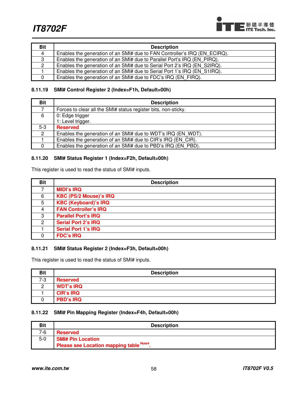# *IT8702F*



| Bit          | <b>Description</b>                                                        |
|--------------|---------------------------------------------------------------------------|
| 4            | Enables the generation of an SMI# due to FAN Controller's IRQ (EN ECIRQ). |
| 3            | Enables the generation of an SMI# due to Parallel Port's IRQ (EN PIRQ).   |
| $\mathbf{2}$ | Enables the generation of an SMI# due to Serial Port 2's IRQ (EN_S2IRQ).  |
|              | Enables the generation of an SMI# due to Serial Port 1's IRQ (EN S1IRQ).  |
|              | Enables the generation of an SMI# due to FDC's IRQ (EN_FIRQ).             |

### **8.11.19 SMI# Control Register 2 (Index=F1h, Default=00h)**

| <b>Bit</b> | <b>Description</b>                                             |
|------------|----------------------------------------------------------------|
|            | Forces to clear all the SMI# status register bits, non-sticky. |
| 6          | 0: Edge trigger                                                |
|            | 1: Level trigger.                                              |
| $5-3$      | <b>Reserved</b>                                                |
| 2          | Enables the generation of an SMI# due to WDT's IRQ (EN WDT).   |
|            | Enables the generation of an SMI# due to CIR's IRQ (EN_CIR).   |
|            | Enables the generation of an SMI# due to PBD's IRQ (EN_PBD).   |

### **8.11.20 SMI# Status Register 1 (Index=F2h, Default=00h)**

This register is used to read the status of SMI# inputs.

| <b>Bit</b> | <b>Description</b>            |
|------------|-------------------------------|
|            | <b>MIDI's IRQ</b>             |
| 6          | <b>KBC (PS/2 Mouse)'s IRQ</b> |
| 5          | <b>KBC (Keyboard)'s IRQ</b>   |
| 4          | <b>FAN Controller's IRQ</b>   |
| З          | <b>Parallel Port's IRQ</b>    |
| 2          | <b>Serial Port 2's IRQ</b>    |
|            | <b>Serial Port 1's IRQ</b>    |
|            | <b>FDC's IRQ</b>              |

### **8.11.21 SMI# Status Register 2 (Index=F3h, Default=00h)**

This register is used to read the status of SMI# inputs.

| <b>Bit</b> | <b>Description</b> |
|------------|--------------------|
| 7-3        | <b>Reserved</b>    |
|            | <b>WDT's IRQ</b>   |
|            | <b>CIR's IRQ</b>   |
|            | <b>PBD's IRQ</b>   |

### **8.11.22 SMI# Pin Mapping Register (Index=F4h, Default=00h)**

| Bit   | <b>Description</b>                                                   |
|-------|----------------------------------------------------------------------|
| 7-6   | <b>Reserved</b>                                                      |
| $5-0$ | <b>SMI# Pin Location</b><br>Please see Location mapping table Note4. |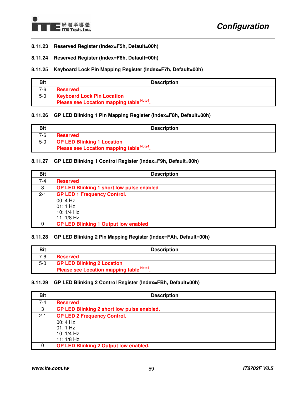

- **8.11.23 Reserved Register (Index=F5h, Default=00h)**
- **8.11.24 Reserved Register (Index=F6h, Default=00h)**

### **8.11.25 Keyboard Lock Pin Mapping Register (Index=F7h, Default=00h)**

| Bit   | <b>Description</b>                                                            |
|-------|-------------------------------------------------------------------------------|
| 7-6   | Reserved                                                                      |
| $5-0$ | <b>Keyboard Lock Pin Location</b><br>Please see Location mapping table Note4. |

### **8.11.26 GP LED Blinking 1 Pin Mapping Register (Index=F8h, Default=00h)**

| Bit   | <b>Description</b>                       |
|-------|------------------------------------------|
| 7-6   | <b>Reserved</b>                          |
| $5-0$ | <b>GP LED Blinking 1 Location</b>        |
|       | Please see Location mapping table Note4. |

### **8.11.27 GP LED Blinking 1 Control Register (Index=F9h, Default=00h)**

| <b>Bit</b> | <b>Description</b>                               |
|------------|--------------------------------------------------|
| $7 - 4$    | <b>Reserved</b>                                  |
| 3          | <b>GP LED Blinking 1 short low pulse enabled</b> |
| $2 - 1$    | <b>GP LED 1 Frequency Control.</b>               |
|            | $00:4$ Hz                                        |
|            | 01:1 Hz                                          |
|            | 10: $1/4$ Hz                                     |
|            | $11:1/8$ Hz                                      |
|            | <b>GP LED Blinking 1 Output low enabled</b>      |

### **8.11.28 GP LED Blinking 2 Pin Mapping Register (Index=FAh, Default=00h)**

| Bit   | <b>Description</b>                       |
|-------|------------------------------------------|
| 7-6   | Reserved                                 |
| $5-0$ | <b>GP LED Blinking 2 Location</b>        |
|       | Please see Location mapping table Note4. |

### **8.11.29 GP LED Blinking 2 Control Register (Index=FBh, Default=00h)**

| <b>Bit</b> | <b>Description</b>                           |
|------------|----------------------------------------------|
| $7 - 4$    | <b>Reserved</b>                              |
| 3          | GP LED Blinking 2 short low pulse enabled.   |
| $2 - 1$    | <b>GP LED 2 Frequency Control.</b>           |
|            | $00:4$ Hz                                    |
|            | $01:1$ Hz                                    |
|            | 10: $1/4$ Hz                                 |
|            | $11:1/8$ Hz                                  |
|            | <b>GP LED Blinking 2 Output low enabled.</b> |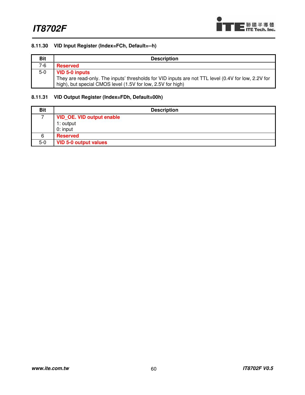# **8.11.30 VID Input Register (Index=FCh, Default=--h)**

| <b>Bit</b> | <b>Description</b>                                                                                                                                                                   |
|------------|--------------------------------------------------------------------------------------------------------------------------------------------------------------------------------------|
| $7-6$      | <b>Reserved</b>                                                                                                                                                                      |
| $5-0$      | VID 5-0 inputs<br>They are read-only. The inputs' thresholds for VID inputs are not TTL level (0.4V for low, 2.2V for<br>high), but special CMOS level (1.5V for low, 2.5V for high) |

# **8.11.31 VID Output Register (Index=FDh, Default=00h)**

| <b>Bit</b> | <b>Description</b>               |
|------------|----------------------------------|
|            | <b>VID OE. VID output enable</b> |
|            | $1:$ output                      |
|            | $0:$ input                       |
| 6          | <b>Reserved</b>                  |
| $5-0$      | <b>VID 5-0 output values</b>     |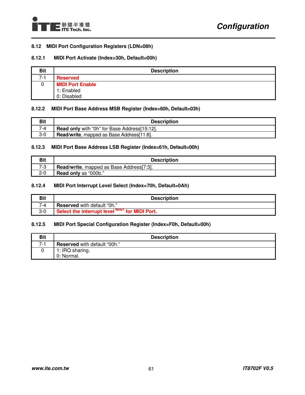

### **8.12 MIDI Port Configuration Registers (LDN=08h)**

### **8.12.1 MIDI Port Activate (Index=30h, Default=00h)**

| <b>Bit</b> | <b>Description</b>      |
|------------|-------------------------|
| $7-1$      | <b>Reserved</b>         |
|            | <b>MIDI Port Enable</b> |
|            | 1: Enabled              |
|            | 0: Disabled             |

### **8.12.2 MIDI Port Base Address MSB Register (Index=60h, Default=03h)**

| Bit   | <b>Description</b>                                  |
|-------|-----------------------------------------------------|
|       | <b>Read only</b> with "0h" for Base Address[15:12]. |
| $3-0$ | <b>Read/write, mapped as Base Address[11:8].</b>    |

### **8.12.3 MIDI Port Base Address LSB Register (Index=61h, Default=00h)**

| Bit       | Description                                      |
|-----------|--------------------------------------------------|
| 70<br>د-′ | <b>Read/write, mapped as Base Address</b> [7:3]. |
| $2 - 0$   | <b>Read only as "000b."</b>                      |

### **8.12.4 MIDI Port Interrupt Level Select (Index=70h, Default=0Ah)**

| Bit   | <b>Description</b>                              |
|-------|-------------------------------------------------|
| $7-4$ | <b>Reserved</b> with default "0h."              |
| 3-0   | Select the interrupt level Noted for MIDI Port. |

### **8.12.5 MIDI Port Special Configuration Register (Index=F0h, Default=00h)**

| Bit | <b>Description</b>                  |
|-----|-------------------------------------|
| 7-1 | <b>Reserved with default "00h."</b> |
|     | 1: IRQ sharing.<br>0: Normal.       |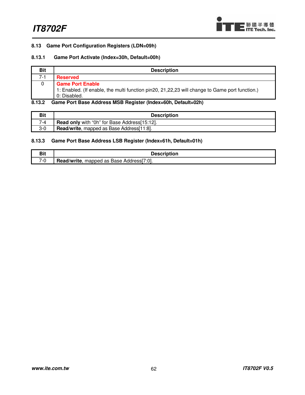### **8.13 Game Port Configuration Registers (LDN=09h)**

### **8.13.1 Game Port Activate (Index=30h, Default=00h)**

| Bit   | <b>Description</b>                                                                                                                          |
|-------|---------------------------------------------------------------------------------------------------------------------------------------------|
| $7-1$ | <b>Reserved</b>                                                                                                                             |
|       | <b>Game Port Enable</b><br>1: Enabled. (If enable, the multi function pin20, 21, 22, 23 will change to Game port function.)<br>0: Disabled. |

### **8.13.2 Game Port Base Address MSB Register (Index=60h, Default=02h)**

| Bit     | <b>Description</b>                                  |
|---------|-----------------------------------------------------|
| $7 - 4$ | <b>Read only</b> with "0h" for Base Address[15:12]. |
| $3-0$   | <b>Read/write, mapped as Base Address[11:8].</b>    |

### **8.13.3 Game Port Base Address LSB Register (Index=61h, Default=01h)**

|   | Description                                   |
|---|-----------------------------------------------|
| - | , mapped as Base Address[7:0].<br>Read/write, |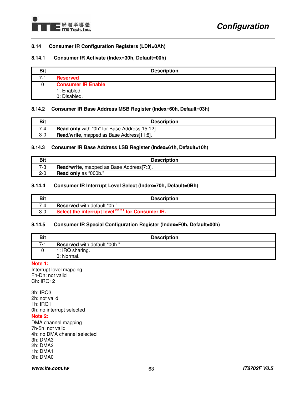

### **8.14 Consumer IR Configuration Registers (LDN=0Ah)**

### **8.14.1 Consumer IR Activate (Index=30h, Default=00h)**

| <b>Bit</b> | <b>Description</b>        |
|------------|---------------------------|
| 7-1        | <b>Reserved</b>           |
|            | <b>Consumer IR Enable</b> |
|            | 1: Enabled.               |
|            | 0: Disabled.              |

#### **8.14.2 Consumer IR Base Address MSB Register (Index=60h, Default=03h)**

| Bit     | <b>Description</b>                                  |
|---------|-----------------------------------------------------|
| $7 - 4$ | <b>Read only</b> with "0h" for Base Address[15:12]. |
| $3-0$   | <b>Read/write, mapped as Base Address[11:8].</b>    |

#### **8.14.3 Consumer IR Base Address LSB Register (Index=61h, Default=10h)**

| Bit        | Description                                      |
|------------|--------------------------------------------------|
| 70<br>د∹ ⁄ | <b>Read/write, mapped as Base Address</b> [7:3]. |
| $2 - 0$    | <b>Read only as "000b."</b>                      |

#### **8.14.4 Consumer IR Interrupt Level Select (Index=70h, Default=0Bh)**

| Bit | <b>Description</b>                                |
|-----|---------------------------------------------------|
| 7-4 | <b>Reserved</b> with default "0h."                |
| 3-0 | Select the interrupt level Note1 for Consumer IR. |

#### **8.14.5 Consumer IR Special Configuration Register (Index=F0h, Default=00h)**

| <b>Bit</b> | <b>Description</b>                  |
|------------|-------------------------------------|
| $7-1$      | <b>Reserved with default "00h."</b> |
|            | 1: IRQ sharing.<br>0: Normal.       |

### **Note 1:**

Interrupt level mapping Fh-Dh: not valid Ch: IRQ12

3h: IRQ3 2h: not valid 1h: IRQ1 0h: no interrupt selected **Note 2:**  DMA channel mapping 7h-5h: not valid 4h: no DMA channel selected 3h: DMA3 2h: DMA2 1h: DMA1

0h: DMA0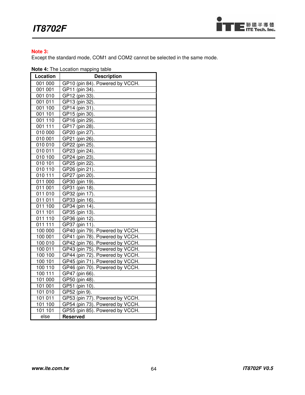

### **Note 3:**

Except the standard mode, COM1 and COM2 cannot be selected in the same mode.

|          | <b>Note 4:</b> The Location mapping table |
|----------|-------------------------------------------|
| Location | <b>Description</b>                        |
| 001 000  | GP10 (pin 84). Powered by VCCH.           |
| 001 001  | GP11 (pin 34).                            |
| 001 010  | GP12 (pin 33).                            |
| 001 011  | GP13 (pin 32).                            |
| 001 100  | GP14 (pin $31$ ).                         |
| 001 101  | GP15 (pin 30).                            |
| 001 110  | GP16 (pin 29).                            |
| 001 111  | GP17 (pin 28).                            |
| 010 000  | GP20 (pin 27).                            |
| 010 001  | GP21 (pin 26).                            |
| 010 010  | GP22 (pin 25).                            |
| 010 011  | GP23 (pin 24).                            |
| 010 100  | GP24 (pin 23).                            |
| 010 101  | GP25 (pin 22).                            |
| 010 110  | GP26 (pin 21).                            |
| 010 111  | GP27 (pin 20).                            |
| 011 000  | GP30 (pin 19).                            |
| 011 001  | GP31 (pin 18).                            |
| 011 010  | GP32 (pin 17).                            |
| 011 011  | GP33 (pin 16).                            |
| 011 100  | GP34 (pin 14).                            |
| 011 101  | GP35 (pin 13).                            |
| 011 110  | GP36 (pin 12).                            |
| 011 111  | GP37 (pin 11).                            |
| 100 000  | GP40 (pin 79). Powered by VCCH.           |
| 100 001  | GP41 (pin 78). Powered by VCCH.           |
| 100 010  | GP42 (pin 76). Powered by VCCH.           |
| 100 011  | GP43 (pin 75). Powered by VCCH.           |
| 100 100  | GP44 (pin 72). Powered by VCCH.           |
| 100 101  | GP45 (pin 71). Powered by VCCH.           |
| 100 110  | GP46 (pin 70). Powered by VCCH.           |
| 100 111  | GP47 (pin 66).                            |
| 101 000  | GP50 (pin 48).                            |
| 101 001  | GP51 (pin 10).                            |
| 101 010  | GP52 (pin 9).                             |
| 101 011  | GP53 (pin 77). Powered by VCCH.           |
| 101 100  | GP54 (pin 73). Powered by VCCH.           |
| 101 101  | GP55 (pin 85). Powered by VCCH.           |
| else     | <b>Reserved</b>                           |

|  |  | Note 4: The Location mapping table |
|--|--|------------------------------------|
|--|--|------------------------------------|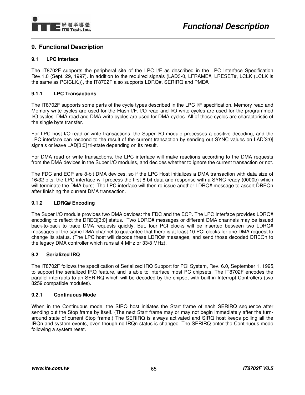

## **9. Functional Description**

### **9.1 LPC Interface**

The IT8702F supports the peripheral site of the LPC I/F as described in the LPC Interface Specification Rev.1.0 (Sept. 29, 1997). In addition to the required signals (LAD3-0, LFRAME#, LRESET#, LCLK (LCLK is the same as PCICLK.)), the IT8702F also supports LDRQ#, SERIRQ and PME#.

### **9.1.1 LPC Transactions**

The IT8702F supports some parts of the cycle types described in the LPC I/F specification. Memory read and Memory write cycles are used for the Flash I/F. I/O read and I/O write cycles are used for the programmed I/O cycles. DMA read and DMA write cycles are used for DMA cycles. All of these cycles are characteristic of the single byte transfer.

For LPC host I/O read or write transactions, the Super I/O module processes a positive decoding, and the LPC interface can respond to the result of the current transaction by sending out SYNC values on LAD[3:0] signals or leave LAD[3:0] tri-state depending on its result.

For DMA read or write transactions, the LPC interface will make reactions according to the DMA requests from the DMA devices in the Super I/O modules, and decides whether to ignore the current transaction or not.

The FDC and ECP are 8-bit DMA devices, so if the LPC Host initializes a DMA transaction with data size of 16/32 bits, the LPC interface will process the first 8-bit data and response with a SYNC ready (0000b) which will terminate the DMA burst. The LPC interface will then re-issue another LDRQ# message to assert DREQn after finishing the current DMA transaction.

### **9.1.2 LDRQ# Encoding**

The Super I/O module provides two DMA devices: the FDC and the ECP. The LPC Interface provides LDRQ# encoding to reflect the DREQ[3:0] status. Two LDRQ# messages or different DMA channels may be issued back-to-back to trace DMA requests quickly. But, four PCI clocks will be inserted between two LDRQ# messages of the same DMA channel to guarantee that there is at least 10 PCI clocks for one DMA request to change its status. (The LPC host will decode these LDRQ# messages, and send those decoded DREQn to the legacy DMA controller which runs at 4 MHz or 33/8 MHz).

### **9.2 Serialized IRQ**

The IT8702F follows the specification of Serialized IRQ Support for PCI System, Rev. 6.0, September 1, 1995, to support the serialized IRQ feature, and is able to interface most PC chipsets. The IT8702F encodes the parallel interrupts to an SERIRQ which will be decoded by the chipset with built-in Interrupt Controllers (two 8259 compatible modules).

### **9.2.1 Continuous Mode**

When in the Continuous mode, the SIRQ host initiates the Start frame of each SERIRQ sequence after sending out the Stop frame by itself. (The next Start frame may or may not begin immediately after the turnaround state of current Stop frame.) The SERIRQ is always activated and SIRQ host keeps polling all the IRQn and system events, even though no IRQn status is changed. The SERIRQ enter the Continuous mode following a system reset.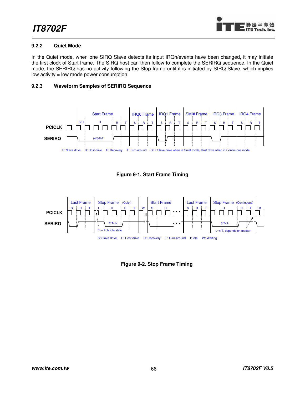

### **9.2.2 Quiet Mode**

In the Quiet mode, when one SIRQ Slave detects its input IRQn/events have been changed, it may initiate the first clock of Start frame. The SIRQ host can then follow to complete the SERIRQ sequence. In the Quiet mode, the SERIRQ has no activity following the Stop frame until it is initiated by SIRQ Slave, which implies low activity = low mode power consumption.

### **9.2.3 Waveform Samples of SERIRQ Sequence**



**Figure 9-1. Start Frame Timing** 



**Figure 9-2. Stop Frame Timing**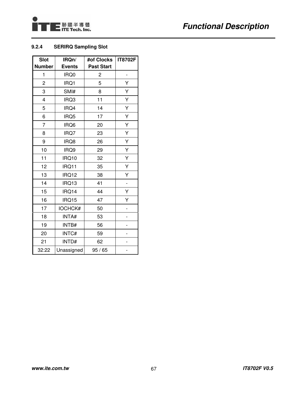

# **9.2.4 SERIRQ Sampling Slot**

| <b>Slot</b>   | IRQn/          | #of Clocks        | <b>IT8702F</b> |
|---------------|----------------|-------------------|----------------|
| <b>Number</b> | <b>Events</b>  | <b>Past Start</b> |                |
| 1             | IRQ0           | $\overline{c}$    |                |
| 2             | IRQ1           | 5                 | Υ              |
| 3             | SMI#           | 8                 | Υ              |
| 4             | IRQ3           | 11                | Y              |
| 5             | IRQ4           | 14                | Y              |
| 6             | IRQ5           | 17                | Υ              |
| 7             | IRQ6           | 20                | Υ              |
| 8             | IRQ7           | 23                | Υ              |
| 9             | IRQ8           | 26                | Y              |
| 10            | IRQ9           | 29                | Υ              |
| 11            | <b>IRQ10</b>   | 32                | Ý              |
| 12            | IRQ11          | 35                | Υ              |
| 13            | <b>IRQ12</b>   | 38                | Y              |
| 14            | IRQ13          | 41                | $\overline{a}$ |
| 15            | IRQ14          | 44                | Y              |
| 16            | IRQ15          | 47                | Υ              |
| 17            | <b>IOCHCK#</b> | 50                |                |
| 18            | <b>INTA#</b>   | 53                |                |
| 19            | INTB#          | 56                |                |
| 20            | INTC#          | 59                |                |
| 21            | INTD#          | 62                |                |
| 32:22         | Unassigned     | 95/65             |                |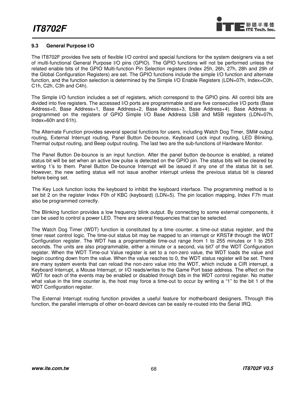

### **9.3 General Purpose I/O**

The IT8702F provides five sets of flexible I/O control and special functions for the system designers via a set of multi-functional General Purpose I/O pins (GPIO). The GPIO functions will not be performed unless the related enable bits of the GPIO Multi-function Pin Selection registers (Index 25h, 26h, 27h, 28h and 29h of the Global Configuration Registers) are set. The GPIO functions include the simple I/O function and alternate function, and the function selection is determined by the Simple I/O Enable Registers (LDN=07h, Index=C0h, C1h, C2h, C3h and C4h).

The Simple I/O function includes a set of registers, which correspond to the GPIO pins. All control bits are divided into five registers. The accessed I/O ports are programmable and are five consecutive I/O ports (Base Address+0, Base Address+1, Base Address+2, Base Address+3, Base Address+4). Base Address is programmed on the registers of GPIO Simple I/O Base Address LSB and MSB registers (LDN=07h, Index=60h and 61h).

The Alternate Function provides several special functions for users, including Watch Dog Timer, SMI# output routing, External Interrupt routing, Panel Button De-bounce, Keyboard Lock input routing, LED Blinking, Thermal output routing, and Beep output routing. The last two are the sub-functions of Hardware Monitor.

The Panel Button De-bounce is an input function. After the panel button de-bounce is enabled, a related status bit will be set when an active low pulse is detected on the GPIO pin. The status bits will be cleared by writing 1's to them. Panel Button De-bounce Interrupt will be issued if any one of the status bit is set. However, the new setting status will not issue another interrupt unless the previous status bit is cleared before being set.

The Key Lock function locks the keyboard to inhibit the keyboard interface. The programming method is to set bit 2 on the register Index F0h of KBC (keyboard) (LDN=5). The pin location mapping, Index F7h must also be programmed correctly.

The Blinking function provides a low frequency blink output. By connecting to some external components, it can be used to control a power LED. There are several frequencies that can be selected.

The Watch Dog Timer (WDT) function is constituted by a time counter, a time-out status register, and the timer reset control logic. The time-out status bit may be mapped to an interrupt or KRST# through the WDT Configuration register. The WDT has a programmable time-out range from 1 to 255 minutes or 1 to 255 seconds. The units are also programmable, either a minute or a second, via bit7 of the WDT Configuration register. When the WDT Time-out Value register is set to a non-zero value, the WDT loads the value and begin counting down from the value. When the value reaches to 0, the WDT status register will be set. There are many system events that can reload the non-zero value into the WDT, which include a CIR interrupt, a Keyboard Interrupt, a Mouse Interrupt, or I/O reads/writes to the Game Port base address. The effect on the WDT for each of the events may be enabled or disabled through bits in the WDT control register. No matter what value in the time counter is, the host may force a time-out to occur by writing a "1" to the bit 1 of the WDT Configuration register.

The External Interrupt routing function provides a useful feature for motherboard designers. Through this function, the parallel interrupts of other on-board devices can be easily re-routed into the Serial IRQ.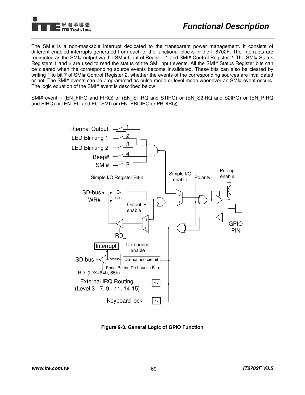

The SMI# is a non-maskable interrupt dedicated to the transparent power management. It consists of different enabled interrupts generated from each of the functional blocks in the IT8702F. The interrupts are redirected as the SMI# output via the SMI# Control Register 1 and SMI# Control Register 2. The SMI# Status Registers 1 and 2 are used to read the status of the SMI input events. All the SMI# Status Register bits can be cleared when the corresponding source events become invalidated. These bits can also be cleared by writing 1 to bit 7 of SMI# Control Register 2, whether the events of the corresponding sources are invalidated or not. The SMI# events can be programmed as pulse mode or level mode whenever an SMI# event occurs. The logic equation of the SMI# event is described below:

SMI# event = (EN\_FIRQ and FIRQ) or (EN\_S1IRQ and S1IRQ) or (EN\_S2IRQ and S2IRQ) or (EN\_PIRQ and PIRQ) or (EN\_EC and EC\_SMI) or (EN\_PBDIRQ or PBDIRQ).



**Figure 9-3. General Logic of GPIO Function**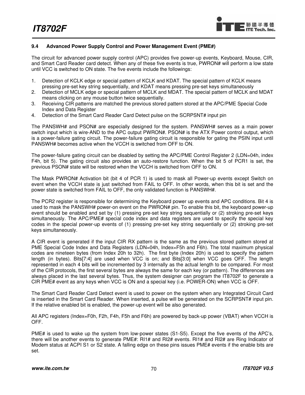

### **9.4 Advanced Power Supply Control and Power Management Event (PME#)**

The circuit for advanced power supply control (APC) provides five power-up events, Keyboard, Mouse, CIR, and Smart Card Reader card detect. When any of these five events is true, PWRON# will perform a low state until VCC is switched to ON state. The five events include the followings:

- 1. Detection of KCLK edge or special pattern of KCLK and KDAT. The special pattern of KCLK means pressing pre-set key string sequentially, and KDAT means pressing pre-set keys simultaneously
- 2. Detection of MCLK edge or special pattern of MCLK and MDAT. The special pattern of MCLK and MDAT means clicking on any mouse button twice sequentially.
- 3. Receiving CIR patterns are matched the previous stored pattern stored at the APC/PME Special Code Index and Data Register
- 4. Detection of the Smart Card Reader Card Detect pulse on the SCRPSNT# input pin

The PANSWH# and PSON# are especially designed for the system. PANSWH# serves as a main power switch input which is wire-AND to the APC output PWRON#. PSON# is the ATX Power control output, which is a power-failure gating circuit. The power-failure gating circuit is responsible for gating the PSIN input until PANSWH# becomes active when the VCCH is switched from OFF to ON.

The power-failure gating circuit can be disabled by setting the APC/PME Control Register 2 (LDN=04h, index F4h, bit 5). The gating circuit also provides an auto-restore function. When the bit 5 of PCR1 is set, the previous PSON# state will be restored when the VCCH is switched from OFF to ON.

The Mask PWRON# Activation bit (bit 4 of PCR 1) is used to mask all Power-up events except Switch on event when the VCCH state is just switched from FAIL to OFF. In other words, when this bit is set and the power state is switched from FAIL to OFF, the only validated function is PANSWH#.

The PCR2 register is responsible for determining the Keyboard power up events and APC conditions. Bit 4 is used to mask the PANSWH# power-on event on the PWRON# pin. To enable this bit, the keyboard power-up event should be enabled and set by (1) pressing pre-set key string sequentially or (2) stroking pre-set keys simultaneously. The APC/PME# special code index and data registers are used to specify the special key codes in the special power-up events of (1) pressing pre-set key string sequentially or (2) stroking pre-set keys simultaneously.

A CIR event is generated if the input CIR RX pattern is the same as the previous stored pattern stored at PME Special Code Index and Data Registers (LDN=04h, Index=F5h and F6h). The total maximum physical codes are nineteen bytes (from Index 20h to 32h). The first byte (Index 20h) is used to specify the pattern length (in bytes). Bits[7:4] are used when VCC is on; and Bits[3:0] when VCC goes OFF. The length represented in each 4 bits will be incremented by 3 internally as the actual length to be compared. For most of the CIR protocols, the first several bytes are always the same for each key (or pattern). The differences are always placed in the last several bytes. Thus, the system designer can program the IT8702F to generate a CIR PME# event as any keys when VCC is ON and a special key (i.e. POWER-ON) when VCC is OFF.

The Smart Card Reader Card Detect event is used to power on the system when any Integrated Circuit Card is inserted in the Smart Card Reader. When inserted, a pulse will be generated on the SCRPSNT# input pin. If the relative enabled bit is enabled, the power-up event will be also generated.

All APC registers (Index=F0h, F2h, F4h, F5h and F6h) are powered by back-up power (VBAT) when VCCH is OFF.

PME# is used to wake up the system from low-power states (S1-S5). Except the five events of the APC's, there will be another events to generate PME#: RI1# and RI2# events. RI1# and RI2# are Ring Indicator of Modem status at ACPI S1 or S2 state. A falling edge on these pins issues PME# events if the enable bits are set.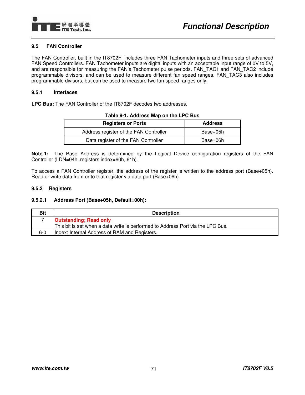

### **9.5 FAN Controller**

The FAN Controller, built in the IT8702F, includes three FAN Tachometer inputs and three sets of advanced FAN Speed Controllers. FAN Tachometer inputs are digital inputs with an acceptable input range of 0V to 5V, and are responsible for measuring the FAN's Tachometer pulse periods. FAN\_TAC1 and FAN\_TAC2 include programmable divisors, and can be used to measure different fan speed ranges. FAN\_TAC3 also includes programmable divisors, but can be used to measure two fan speed ranges only.

#### **9.5.1 Interfaces**

**LPC Bus:** The FAN Controller of the IT8702F decodes two addresses.

#### **Table 9-1. Address Map on the LPC Bus**

| <b>Registers or Ports</b>              | <b>Address</b> |
|----------------------------------------|----------------|
| Address register of the FAN Controller | Base+05h       |
| Data register of the FAN Controller    | Base+06h       |

**Note 1:** The Base Address is determined by the Logical Device configuration registers of the FAN Controller (LDN=04h, registers index=60h, 61h).

To access a FAN Controller register, the address of the register is written to the address port (Base+05h). Read or write data from or to that register via data port (Base+06h).

#### **9.5.2 Registers**

### **9.5.2.1 Address Port (Base+05h, Default=00h):**

| Bit   | <b>Description</b>                                                              |
|-------|---------------------------------------------------------------------------------|
|       | <b>Outstanding; Read only</b>                                                   |
|       | This bit is set when a data write is performed to Address Port via the LPC Bus. |
| $6-0$ | Index: Internal Address of RAM and Registers.                                   |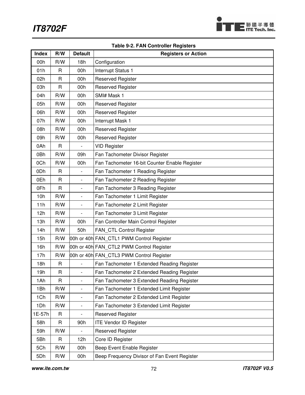

|  | <b>Table 9-2. FAN Controller Registers</b> |  |
|--|--------------------------------------------|--|
|  |                                            |  |

| <b>Index</b> | R/W          | <b>Default</b>           | <b>Registers or Action</b>                    |
|--------------|--------------|--------------------------|-----------------------------------------------|
| 00h          | R/W          | 18h                      | Configuration                                 |
| 01h          | $\mathsf{R}$ | 00h                      | Interrupt Status 1                            |
| 02h          | $\mathsf{R}$ | 00h                      | <b>Reserved Register</b>                      |
| 03h          | $\mathsf{R}$ | 00h                      | <b>Reserved Register</b>                      |
| 04h          | R/W          | 00h                      | SMI# Mask 1                                   |
| 05h          | R/W          | 00h                      | Reserved Register                             |
| 06h          | R/W          | 00h                      | <b>Reserved Register</b>                      |
| 07h          | R/W          | 00h                      | Interrupt Mask 1                              |
| 08h          | R/W          | 00h                      | <b>Reserved Register</b>                      |
| 09h          | R/W          | 00h                      | <b>Reserved Register</b>                      |
| 0Ah          | $\mathsf{R}$ | $\qquad \qquad -$        | <b>VID Register</b>                           |
| 0Bh          | R/W          | 09h                      | Fan Tachometer Divisor Register               |
| 0Ch          | R/W          | 00h                      | Fan Tachometer 16-bit Counter Enable Register |
| 0Dh          | $\mathsf{R}$ |                          | Fan Tachometer 1 Reading Register             |
| 0Eh          | $\mathsf{R}$ | $\blacksquare$           | Fan Tachometer 2 Reading Register             |
| 0Fh          | $\mathsf{R}$ | $\overline{\phantom{a}}$ | Fan Tachometer 3 Reading Register             |
| 10h          | R/W          | $\overline{\phantom{a}}$ | Fan Tachometer 1 Limit Register               |
| 11h          | R/W          | $\overline{\phantom{a}}$ | Fan Tachometer 2 Limit Register               |
| 12h          | R/W          |                          | Fan Tachometer 3 Limit Register               |
| 13h          | R/W          | 00h                      | Fan Controller Main Control Register          |
| 14h          | R/W          | 50h                      | FAN_CTL Control Register                      |
| 15h          | R/W          |                          | 00h or 40h FAN_CTL1 PWM Control Register      |
| 16h          | R/W          |                          | 00h or 40h FAN CTL2 PWM Control Register      |
| 17h          | R/W          |                          | 00h or 40h FAN CTL3 PWM Control Register      |
| 18h          | R            |                          | Fan Tachometer 1 Extended Reading Register    |
| 19h          | $\mathsf R$  |                          | Fan Tachometer 2 Extended Reading Register    |
| 1Ah          | R            | $\overline{\phantom{a}}$ | Fan Tachometer 3 Extended Reading Register    |
| 1Bh          | R/W          | $\overline{\phantom{a}}$ | Fan Tachometer 1 Extended Limit Register      |
| 1Ch          | R/W          | $\overline{\phantom{a}}$ | Fan Tachometer 2 Extended Limit Register      |
| 1Dh          | R/W          | $\overline{\phantom{a}}$ | Fan Tachometer 3 Extended Limit Register      |
| 1E-57h       | $\mathsf{R}$ | $\overline{\phantom{a}}$ | Reserved Register                             |
| 58h          | $\mathsf{R}$ | 90h                      | <b>ITE Vendor ID Register</b>                 |
| 59h          | R/W          |                          | <b>Reserved Register</b>                      |
| 5Bh          | R            | 12h                      | Core ID Register                              |
| 5Ch          | R/W          | 00h                      | Beep Event Enable Register                    |
| 5Dh          | R/W          | 00h                      | Beep Frequency Divisor of Fan Event Register  |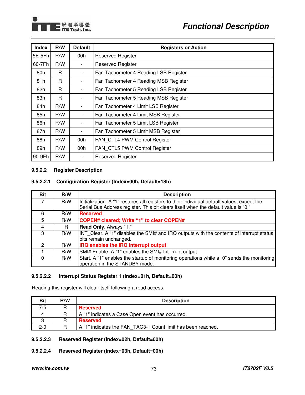| <b>Index</b> | R/W | <b>Default</b> | <b>Registers or Action</b>            |
|--------------|-----|----------------|---------------------------------------|
| 5E-5Fh       | R/W | 00h            | <b>Reserved Register</b>              |
| 60-7Fh       | R/W |                | <b>Reserved Register</b>              |
| 80h          | R.  | -              | Fan Tachometer 4 Reading LSB Register |
| 81 h         | R   |                | Fan Tachometer 4 Reading MSB Register |
| 82h          | R   |                | Fan Tachometer 5 Reading LSB Register |
| 83h          | R.  |                | Fan Tachometer 5 Reading MSB Register |
| 84h          | R/W |                | Fan Tachometer 4 Limit LSB Register   |
| 85h          | R/W |                | Fan Tachometer 4 Limit MSB Register   |
| 86h          | R/W |                | Fan Tachometer 5 Limit LSB Register   |
| 87h          | R/W | -              | Fan Tachometer 5 Limit MSB Register   |
| 88h          | R/W | 00h            | FAN CTL4 PWM Control Register         |
| 89h          | R/W | 00h            | FAN CTL5 PWM Control Register         |
| 90-9Fh       | R/W |                | <b>Reserved Register</b>              |

### **9.5.2.2 Register Description**

聯 陽 半 導 體<br>ITE Tech. Inc.

## **9.5.2.2.1 Configuration Register (Index=00h, Default=18h)**

| <b>Bit</b> | R/W | <b>Description</b>                                                                                                           |
|------------|-----|------------------------------------------------------------------------------------------------------------------------------|
| 7          | R/W | Initialization. A "1" restores all registers to their individual default values, except the                                  |
|            |     | Serial Bus Address register. This bit clears itself when the default value is "0."                                           |
| 6          | R/W | <b>Reserved</b>                                                                                                              |
| 5          | R/W | COPEN# cleared; Write "1" to clear COPEN#                                                                                    |
| 4          | R   | Read Only, Always "1."                                                                                                       |
| 3          | R/W | INT Clear. A "1" disables the SMI# and IRQ outputs with the contents of interrupt status                                     |
|            |     | bits remain unchanged.                                                                                                       |
| 2          | R/W | <b>IRQ enables the IRQ Interrupt output</b>                                                                                  |
|            | R/W | SMI# Enable. A "1" enables the SMI# Interrupt output.                                                                        |
| 0          | R/W | Start. A "1" enables the startup of monitoring operations while a "0" sends the monitoring<br>operation in the STANDBY mode. |

### **9.5.2.2.2 Interrupt Status Register 1 (Index=01h, Default=00h)**

Reading this register will clear itself following a read access.

| Bit     | R/W | <b>Description</b>                                           |
|---------|-----|--------------------------------------------------------------|
| 7-5     |     | <b>Reserved</b>                                              |
|         |     | A "1" indicates a Case Open event has occurred.              |
|         |     | <b>Reserved</b>                                              |
| $2 - 0$ |     | A "1" indicates the FAN TAC3-1 Count limit has been reached. |

### **9.5.2.2.3 Reserved Register (Index=02h, Default=00h)**

### **9.5.2.2.4 Reserved Register (Index=03h, Default=00h)**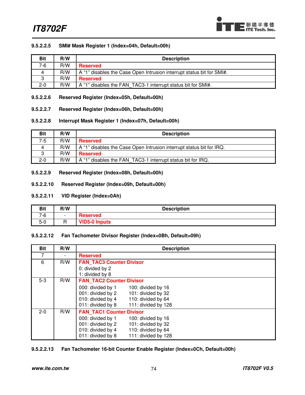# *IT8702F*



### **9.5.2.2.5 SMI# Mask Register 1 (Index=04h, Default=00h)**

| Bit   | R/W | <b>Description</b>                                                    |
|-------|-----|-----------------------------------------------------------------------|
| 7-6   | R/W | <b>Reserved</b>                                                       |
| 4     | R/W | A "1" disables the Case Open Intrusion interrupt status bit for SMI#. |
| ົ     | R/W | <b>Reserved</b>                                                       |
| $2-0$ | R/W | A "1" disables the FAN TAC3-1 interrupt status bit for SMI#.          |

### **9.5.2.2.6 Reserved Register (Index=05h, Default=00h)**

**9.5.2.2.7 Reserved Register (Index=06h, Default=00h)** 

### **9.5.2.2.8 Interrupt Mask Register 1 (Index=07h, Default=00h)**

| Bit     | R/W | <b>Description</b>                                                   |
|---------|-----|----------------------------------------------------------------------|
| 7-5     | R/W | <b>Reserved</b>                                                      |
|         | R/W | A "1" disables the Case Open Intrusion interrupt status bit for IRQ. |
| 3       | R/W | <b>Reserved</b>                                                      |
| $2 - 0$ | R/W | A "1" disables the FAN TAC3-1 interrupt status bit for IRQ.          |

### **9.5.2.2.9 Reserved Register (Index=08h, Default=00h)**

**9.5.2.2.10 Reserved Register (Index=09h, Default=00h)** 

### **9.5.2.2.11 VID Register (Index=0Ah)**

| Bit | R/W                      | <b>Description</b>   |
|-----|--------------------------|----------------------|
| 7-6 | $\overline{\phantom{a}}$ | Reserved             |
| 5-0 |                          | <b>VID5-0 Inputs</b> |

### **9.5.2.2.12 Fan Tachometer Divisor Register (Index=0Bh, Default=09h)**

| <b>Bit</b> | R/W | <b>Description</b>                       |
|------------|-----|------------------------------------------|
|            |     | <b>Reserved</b>                          |
| 6          | R/W | <b>FAN TAC3 Counter Divisor</b>          |
|            |     | 0: divided by 2                          |
|            |     | 1: divided by 8                          |
| $5-3$      | R/W | <b>FAN TAC2 Counter Divisor</b>          |
|            |     | 000: divided by 1<br>100: divided by 16  |
|            |     | 001: divided by 2<br>101: divided by 32  |
|            |     | 010: divided by 4<br>110: divided by 64  |
|            |     | 011: divided by 8<br>111: divided by 128 |
| $2 - 0$    | R/W | <b>FAN TAC1 Counter Divisor</b>          |
|            |     | 000: divided by 1<br>100: divided by 16  |
|            |     | 001: divided by 2<br>101: divided by 32  |
|            |     | 010: divided by 4<br>110: divided by 64  |
|            |     | 011: divided by 8<br>111: divided by 128 |

**9.5.2.2.13 Fan Tachometer 16-bit Counter Enable Register (Index=0Ch, Default=00h)**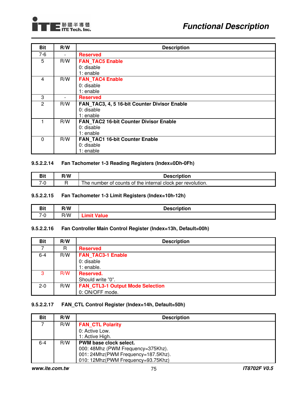

| <b>Bit</b> | R/W | <b>Description</b>                           |
|------------|-----|----------------------------------------------|
| $7-6$      |     | <b>Reserved</b>                              |
| 5          | R/W | <b>FAN TAC5 Enable</b>                       |
|            |     | 0: disable                                   |
|            |     | 1: enable                                    |
| 4          | R/W | <b>FAN TAC4 Enable</b>                       |
|            |     | $0:$ disable                                 |
|            |     | 1: enable                                    |
| 3          | ۰   | <b>Reserved</b>                              |
| 2          | R/W | FAN TAC3, 4, 5 16-bit Counter Divisor Enable |
|            |     | 0: disable                                   |
|            |     | 1: enable                                    |
|            | R/W | FAN TAC2 16-bit Counter Divisor Enable       |
|            |     | 0: disable                                   |
|            |     | 1: enable                                    |
| $\Omega$   | R/W | <b>FAN TAC1 16-bit Counter Enable</b>        |
|            |     | 0: disable                                   |
|            |     | 1: enable                                    |

### **9.5.2.2.14 Fan Tachometer 1-3 Reading Registers (Index=0Dh-0Fh)**

| Bit | R/W | Description                                                |
|-----|-----|------------------------------------------------------------|
| '-0 |     | The number of counts of the internal clock per revolution. |

### **9.5.2.2.15 Fan Tachometer 1-3 Limit Registers (Index=10h-12h)**

| Di+<br>οπ                                                    | R/W                 | <b>Description</b> |
|--------------------------------------------------------------|---------------------|--------------------|
| $\overline{\phantom{a}}$<br>$\overline{\phantom{a}}$<br>′ -∪ | R/M<br><b>U V V</b> |                    |

## **9.5.2.2.16 Fan Controller Main Control Register (Index=13h, Default=00h)**

| <b>Bit</b> | R/W | <b>Description</b>                      |
|------------|-----|-----------------------------------------|
|            | R   | <b>Reserved</b>                         |
| $6 - 4$    | R/W | <b>FAN TAC3-1 Enable</b>                |
|            |     | 0: disable                              |
|            |     | $1:$ enable.                            |
| з          | R/W | Reserved.                               |
|            |     | Should write "0".                       |
| $2 - 0$    | R/W | <b>FAN_CTL3-1 Output Mode Selection</b> |
|            |     | 0: ON/OFF mode.                         |

### **9.5.2.2.17 FAN\_CTL Control Register (Index=14h, Default=50h)**

| <b>Bit</b> | R/W | <b>Description</b>                  |
|------------|-----|-------------------------------------|
|            | R/W | <b>FAN CTL Polarity</b>             |
|            |     | 0: Active Low.                      |
|            |     | 1: Active High.                     |
| $6 - 4$    | R/W | PWM base clock select.              |
|            |     | 000: 48Mhz (PWM Frequency=375Khz).  |
|            |     | 001: 24Mhz(PWM Frequency=187.5Khz). |
|            |     | 010: 12Mhz(PWM Frequency=93.75Khz)  |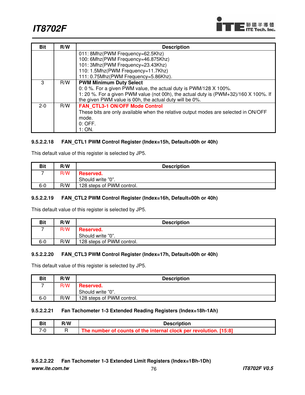| <b>Bit</b> | R/W | <b>Description</b>                                                                   |
|------------|-----|--------------------------------------------------------------------------------------|
|            |     | 011: 8Mhz(PWM Frequency=62.5Khz)                                                     |
|            |     | 100: 6Mhz(PWM Frequency=46.875Khz)                                                   |
|            |     | 101: 3Mhz(PWM Frequency=23.43Khz)                                                    |
|            |     | 110: 1.5Mhz(PWM Frequency=11.7Khz)                                                   |
|            |     | 111: 0.75Mhz(PWM Frequency=5.86Khz).                                                 |
| 3          | R/W | <b>PWM Minimum Duty Select</b>                                                       |
|            |     | 0: 0 %. For a given PWM value, the actual duty is PWM/128 X 100%.                    |
|            |     | 1: 20 %. For a given PWM value (not 00h), the actual duty is (PWM+32)/160 X 100%. If |
|            |     | the given PWM value is 00h, the actual duty will be 0%.                              |
| $2 - 0$    | R/W | FAN CTL3-1 ON/OFF Mode Control                                                       |
|            |     | These bits are only available when the relative output modes are selected in ON/OFF  |
|            |     | mode.                                                                                |
|            |     | $0:$ OFF.                                                                            |
|            |     | 1: ON.                                                                               |

### **9.5.2.2.18 FAN\_CTL1 PWM Control Register (Index=15h, Default=00h or 40h)**

This default value of this register is selected by JP5.

| Bit   | R/W | <b>Description</b>        |
|-------|-----|---------------------------|
|       | R/W | Reserved.                 |
|       |     | Should write "0".         |
| $6-0$ | R/W | 128 steps of PWM control. |

### **9.5.2.2.19 FAN\_CTL2 PWM Control Register (Index=16h, Default=00h or 40h)**

This default value of this register is selected by JP5.

| Bit | R/W | <b>Description</b>        |
|-----|-----|---------------------------|
|     | R/W | Reserved.                 |
|     |     | Should write "0".         |
| 6-0 | R/W | 128 steps of PWM control. |

### **9.5.2.2.20 FAN\_CTL3 PWM Control Register (Index=17h, Default=00h or 40h)**

This default value of this register is selected by JP5.

| Bit   | R/W | <b>Description</b>        |
|-------|-----|---------------------------|
|       | R/W | Reserved.                 |
|       |     | Should write "0".         |
| $6-0$ | R/W | 128 steps of PWM control. |

### **9.5.2.2.21 Fan Tachometer 1-3 Extended Reading Registers (Index=18h-1Ah)**

| Bit | R/W | <b>Description</b>                                                |
|-----|-----|-------------------------------------------------------------------|
|     |     | The number of counts of the internal clock per revolution. [15:8] |

# **9.5.2.2.22 Fan Tachometer 1-3 Extended Limit Registers (Index=1Bh-1Dh)**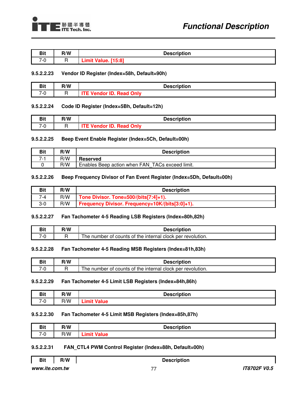

| <b>Bit</b> | R/W | <b>Description</b> |
|------------|-----|--------------------|
| -<br>7-0   |     | alue.<br>19.O      |

### **9.5.2.2.23 Vendor ID Register (Index=58h, Default=90h)**

| D:+<br>ווס    | $\frac{2}{M}$ | <b>Description</b>          |
|---------------|---------------|-----------------------------|
| $\sim$<br>ำ−∪ |               | <b>Vendor ID. Read Only</b> |

### **9.5.2.2.24 Code ID Register (Index=5Bh, Default=12h)**

| DH.<br>DК                       | R/W | <b>Description</b>                         |
|---------------------------------|-----|--------------------------------------------|
| $\overline{\phantom{0}}$<br>7-0 |     | . Read Only<br>ID.<br><b>Vendor</b><br>1 E |

### **9.5.2.2.25 Beep Event Enable Register (Index=5Ch, Default=00h)**

| Bit | R/W | <b>Description</b>                              |
|-----|-----|-------------------------------------------------|
|     | R/W | Reserved                                        |
|     | R/W | Enables Beep action when FAN TACs exceed limit. |

### **9.5.2.2.26 Beep Frequency Divisor of Fan Event Register (Index=5Dh, Default=00h)**

| Bit   | R/W | <b>Description</b>                              |
|-------|-----|-------------------------------------------------|
| $7-4$ | R/W | Tone Divisor. Tone=500/(bits[7:4]+1).           |
| $3-0$ | R/W | Frequency Divisor. Frequency=10K/(bits[3:0]+1). |

### **9.5.2.2.27 Fan Tachometer 4-5 Reading LSB Registers (Index=80h,82h)**

|     | R/W | <b>Description</b>                                         |  |  |  |
|-----|-----|------------------------------------------------------------|--|--|--|
| 7-0 |     | The number of counts of the internal clock per revolution. |  |  |  |

### **9.5.2.2.28 Fan Tachometer 4-5 Reading MSB Registers (Index=81h,83h)**

| О.   | R/W | Description                                                      |  |  |
|------|-----|------------------------------------------------------------------|--|--|
| ' -u |     | a number of counts of the internal clock per revolution.<br>' he |  |  |

#### **9.5.2.2.29 Fan Tachometer 4-5 Limit LSB Registers (Index=84h,86h)**

| <b>DIA</b><br>οπ<br>__ | R/W<br>-- - - | <b>Description</b> |  |  |
|------------------------|---------------|--------------------|--|--|
| 7-0                    | R/M<br>.      | J۱                 |  |  |

### **9.5.2.2.30 Fan Tachometer 4-5 Limit MSB Registers (Index=85h,87h)**

| m:4<br>DI.<br>--<br>$\sim$ | R/W               | Description |  |  |
|----------------------------|-------------------|-------------|--|--|
| 7-0<br>-                   | R/M<br><b>U</b> A | -           |  |  |

### **9.5.2.2.31 FAN\_CTL4 PWM Control Register (Index=88h, Default=00h)**

| <b>Bit</b> | R/W | <b>Description</b> |
|------------|-----|--------------------|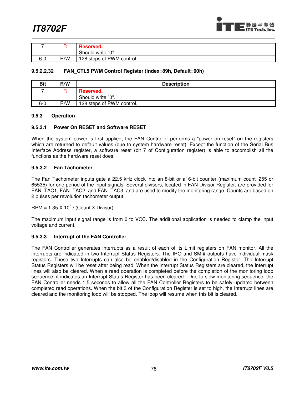# *IT8702F*



| -   |     | <b>Heserved.</b>          |
|-----|-----|---------------------------|
|     |     | Should write "0".         |
| 6-0 | R/W | 128 steps of PWM control. |

### **9.5.2.2.32 FAN\_CTL5 PWM Control Register (Index=89h, Default=00h)**

| Bit   | R/W    | <b>Description</b>        |  |  |  |
|-------|--------|---------------------------|--|--|--|
|       | n<br>n | Reserved.                 |  |  |  |
|       |        | Should write "0".         |  |  |  |
| $6-0$ | R/W    | 128 steps of PWM control. |  |  |  |

### **9.5.3 Operation**

#### **9.5.3.1 Power On RESET and Software RESET**

When the system power is first applied, the FAN Controller performs a "power on reset" on the registers which are returned to default values (due to system hardware reset). Except the function of the Serial Bus Interface Address register, a software reset (bit 7 of Configuration register) is able to accomplish all the functions as the hardware reset does.

#### **9.5.3.2 Fan Tachometer**

The Fan Tachometer inputs gate a 22.5 kHz clock into an 8-bit or a16-bit counter (maximum count=255 or 65535) for one period of the input signals. Several divisors, located in FAN Divisor Register, are provided for FAN\_TAC1, FAN\_TAC2, and FAN\_TAC3, and are used to modify the monitoring range. Counts are based on 2 pulses per revolution tachometer output.

 $RPM = 1.35 \times 10^6$  / (Count X Divisor)

The maximum input signal range is from 0 to VCC. The additional application is needed to clamp the input voltage and current.

#### **9.5.3.3 Interrupt of the FAN Controller**

The FAN Controller generates interrupts as a result of each of its Limit registers on FAN monitor. All the interrupts are indicated in two Interrupt Status Registers. The IRQ and SMI# outputs have individual mask registers. These two Interrupts can also be enabled/disabled in the Configuration Register. The Interrupt Status Registers will be reset after being read. When the Interrupt Status Registers are cleared, the Interrupt lines will also be cleared. When a read operation is completed before the completion of the monitoring loop sequence, it indicates an Interrupt Status Register has been cleared. Due to slow monitoring sequence, the FAN Controller needs 1.5 seconds to allow all the FAN Controller Registers to be safely updated between completed read operations. When the bit 3 of the Configuration Register is set to high, the Interrupt lines are cleared and the monitoring loop will be stopped. The loop will resume when this bit is cleared.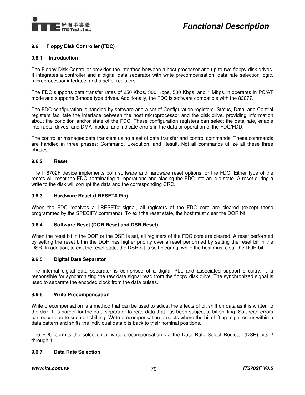

### **9.6 Floppy Disk Controller (FDC)**

#### **9.6.1 Introduction**

The Floppy Disk Controller provides the interface between a host processor and up to two floppy disk drives. It integrates a controller and a digital data separator with write precompensation, data rate selection logic, microprocessor interface, and a set of registers.

The FDC supports data transfer rates of 250 Kbps, 300 Kbps, 500 Kbps, and 1 Mbps. It operates in PC/AT mode and supports 3-mode type drives. Additionally, the FDC is software compatible with the 82077.

The FDC configuration is handled by software and a set of Configuration registers. Status, Data, and Control registers facilitate the interface between the host microprocessor and the disk drive, providing information about the condition and/or state of the FDC. These configuration registers can select the data rate, enable interrupts, drives, and DMA modes, and indicate errors in the data or operation of the FDC/FDD.

The controller manages data transfers using a set of data transfer and control commands. These commands are handled in three phases: Command, Execution, and Result. Not all commands utilize all these three phases.

#### **9.6.2 Reset**

The IT8702F device implements both software and hardware reset options for the FDC. Either type of the resets will reset the FDC, terminating all operations and placing the FDC into an idle state. A reset during a write to the disk will corrupt the data and the corresponding CRC.

#### **9.6.3 Hardware Reset (LRESET# Pin)**

When the FDC receives a LRESET# signal, all registers of the FDC core are cleared (except those programmed by the SPECIFY command). To exit the reset state, the host must clear the DOR bit.

### **9.6.4 Software Reset (DOR Reset and DSR Reset)**

When the reset bit in the DOR or the DSR is set, all registers of the FDC core are cleared. A reset performed by setting the reset bit in the DOR has higher priority over a reset performed by setting the reset bit in the DSR. In addition, to exit the reset state, the DSR bit is self-clearing, while the host must clear the DOR bit.

#### **9.6.5 Digital Data Separator**

The internal digital data separator is comprised of a digital PLL and associated support circuitry. It is responsible for synchronizing the raw data signal read from the floppy disk drive. The synchronized signal is used to separate the encoded clock from the data pulses.

#### **9.6.6 Write Precompensation**

Write precompensation is a method that can be used to adjust the effects of bit shift on data as it is written to the disk. It is harder for the data separator to read data that has been subject to bit shifting. Soft read errors can occur due to such bit shifting. Write precompensation predicts where the bit shifting might occur within a data pattern and shifts the individual data bits back to their nominal positions.

The FDC permits the selection of write precompensation via the Data Rate Select Register (DSR) bits 2 through 4.

#### **9.6.7 Data Rate Selection**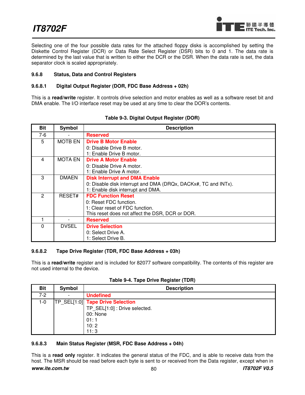

Selecting one of the four possible data rates for the attached floppy disks is accomplished by setting the Diskette Control Register (DCR) or Data Rate Select Register (DSR) bits to 0 and 1. The data rate is determined by the last value that is written to either the DCR or the DSR. When the data rate is set, the data separator clock is scaled appropriately.

### **9.6.8 Status, Data and Control Registers**

### **9.6.8.1 Digital Output Register (DOR, FDC Base Address + 02h)**

This is a **read/write** register. It controls drive selection and motor enables as well as a software reset bit and DMA enable. The I/O interface reset may be used at any time to clear the DOR's contents.

| Bit   | <b>Symbol</b>  | <b>Description</b>                                             |  |  |  |
|-------|----------------|----------------------------------------------------------------|--|--|--|
| $7-6$ |                | <b>Reserved</b>                                                |  |  |  |
| 5     | <b>MOTB EN</b> | <b>Drive B Motor Enable</b>                                    |  |  |  |
|       |                | 0: Disable Drive B motor.                                      |  |  |  |
|       |                | 1: Enable Drive B motor.                                       |  |  |  |
| 4     | <b>MOTA EN</b> | <b>Drive A Motor Enable</b>                                    |  |  |  |
|       |                | 0: Disable Drive A motor.                                      |  |  |  |
|       |                | 1: Enable Drive A motor.                                       |  |  |  |
| 3     | <b>DMAEN</b>   | <b>Disk Interrupt and DMA Enable</b>                           |  |  |  |
|       |                | 0: Disable disk interrupt and DMA (DRQx, DACKx#, TC and INTx). |  |  |  |
|       |                | 1: Enable disk interrupt and DMA.                              |  |  |  |
| 2     | RESET#         | <b>FDC Function Reset</b>                                      |  |  |  |
|       |                | 0: Reset FDC function.                                         |  |  |  |
|       |                | 1: Clear reset of FDC function.                                |  |  |  |
|       |                | This reset does not affect the DSR, DCR or DOR.                |  |  |  |
|       |                | <b>Reserved</b>                                                |  |  |  |
| 0     | <b>DVSEL</b>   | <b>Drive Selection</b>                                         |  |  |  |
|       |                | 0: Select Drive A.                                             |  |  |  |
|       |                | 1: Select Drive B.                                             |  |  |  |

### **Table 9-3. Digital Output Register (DOR)**

### **9.6.8.2 Tape Drive Register (TDR, FDC Base Address + 03h)**

This is a **read/write** register and is included for 82077 software compatibility. The contents of this register are not used internal to the device.

|  | Table 9-4. Tape Drive Register (TDR) |  |
|--|--------------------------------------|--|
|  |                                      |  |

| <b>Bit</b> | Symbol | <b>Description</b>                                                                                    |  |  |
|------------|--------|-------------------------------------------------------------------------------------------------------|--|--|
| 7-2        |        | <b>Undefined</b>                                                                                      |  |  |
| 1-0        |        | TP_SEL[1:0] Tape Drive Selection<br>TP_SEL[1:0] : Drive selected.<br>00: None<br>01:1<br>10:2<br>11:3 |  |  |

### **9.6.8.3 Main Status Register (MSR, FDC Base Address + 04h)**

This is a **read only** register. It indicates the general status of the FDC, and is able to receive data from the host. The MSR should be read before each byte is sent to or received from the Data register, except when in

*www.ite.com.tw* 80 *IT8702F V0.5*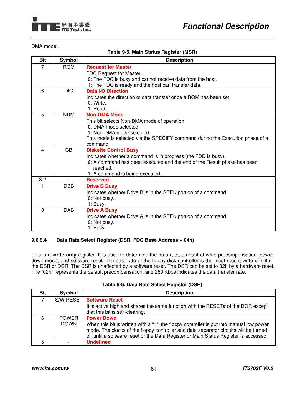

DMA mode.

### **Table 9-5. Main Status Register (MSR)**

| <b>Bit</b>   | Symbol                   | <b>Description</b>                                                                                                                                                                                                      |  |  |  |  |
|--------------|--------------------------|-------------------------------------------------------------------------------------------------------------------------------------------------------------------------------------------------------------------------|--|--|--|--|
| 7            | <b>RQM</b>               | <b>Request for Master</b><br>FDC Request for Master.<br>0: The FDC is busy and cannot receive data from the host.<br>1: The FDC is ready and the host can transfer data.                                                |  |  |  |  |
| 6            | <b>DIO</b>               | Data I/O Direction<br>Indicates the direction of data transfer once a RQM has been set.<br>0: Write.<br>1: Read.                                                                                                        |  |  |  |  |
| 5            | <b>NDM</b>               | <b>Non-DMA Mode</b><br>This bit selects Non-DMA mode of operation.<br>0: DMA mode selected.<br>1: Non-DMA mode selected.<br>This mode is selected via the SPECIFY command during the Execution phase of a<br>command.   |  |  |  |  |
| 4            | CB                       | <b>Diskette Control Busy</b><br>Indicates whether a command is in progress (the FDD is busy).<br>0: A command has been executed and the end of the Result phase has been<br>reached.<br>1: A command is being executed. |  |  |  |  |
| $3-2$        | $\overline{\phantom{a}}$ | <b>Reserved</b>                                                                                                                                                                                                         |  |  |  |  |
| 1            | <b>DBB</b>               | <b>Drive B Busy</b><br>Indicates whether Drive B is in the SEEK portion of a command.<br>0: Not busy.<br>1: Busy.                                                                                                       |  |  |  |  |
| $\mathbf{0}$ | <b>DAB</b>               | <b>Drive A Busy</b><br>Indicates whether Drive A is in the SEEK portion of a command.<br>0: Not busy.<br>1: Busy.                                                                                                       |  |  |  |  |

### **9.6.8.4 Data Rate Select Register (DSR, FDC Base Address + 04h)**

This is a **write only** register. It is used to determine the data rate, amount of write precompensation, power down mode, and software reset. The data rate of the floppy disk controller is the most recent write of either the DSR or DCR. The DSR is unaffected by a software reset. The DSR can be set to 02h by a hardware reset. The "02h" represents the default precompensation, and 250 Kbps indicates the data transfer rate.

| Table 9-6. Data Rate Select Register (DSR) |  |  |  |  |  |
|--------------------------------------------|--|--|--|--|--|
|--------------------------------------------|--|--|--|--|--|

| Bit | Symbol                      | <b>Description</b>                                                                                                                                                                                                                                                                           |
|-----|-----------------------------|----------------------------------------------------------------------------------------------------------------------------------------------------------------------------------------------------------------------------------------------------------------------------------------------|
|     |                             | <b>S/W RESET Software Reset</b>                                                                                                                                                                                                                                                              |
|     |                             | It is active high and shares the same function with the RESET# of the DOR except<br>that this bit is self-clearing.                                                                                                                                                                          |
| 6   | <b>POWER</b><br><b>DOWN</b> | <b>Power Down</b><br>When this bit is written with a "1", the floppy controller is put into manual low power<br>mode. The clocks of the floppy controller and data separator circuits will be turned<br>off until a software reset or the Data Register or Main Status Register is accessed. |
| 5   |                             | <b>Undefined</b>                                                                                                                                                                                                                                                                             |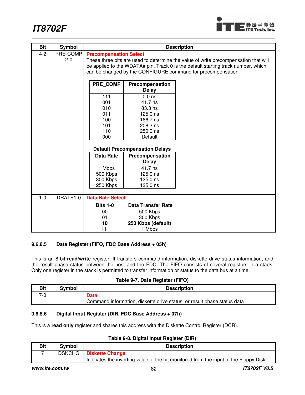

| <b>Bit</b> | Symbol              |                               |                                       | <b>Description</b>                                                                                                                                |
|------------|---------------------|-------------------------------|---------------------------------------|---------------------------------------------------------------------------------------------------------------------------------------------------|
| $4 - 2$    | PRE-COMP<br>$2 - 0$ | <b>Precompensation Select</b> |                                       | These three bits are used to determine the value of write precompensation that will                                                               |
|            |                     |                               |                                       | be applied to the WDATA# pin. Track 0 is the default starting track number, which<br>can be changed by the CONFIGURE command for precompensation. |
|            |                     | PRE_COMP                      | Precompensation<br><b>Delay</b>       |                                                                                                                                                   |
|            |                     | 111                           | 0.0 <sub>ns</sub>                     |                                                                                                                                                   |
|            |                     | 001                           | 41.7 ns                               |                                                                                                                                                   |
|            |                     | 010                           | 83.3 ns                               |                                                                                                                                                   |
|            |                     | 011                           | 125.0 ns                              |                                                                                                                                                   |
|            |                     | 100                           | 166.7 ns                              |                                                                                                                                                   |
|            |                     | 101                           | 208.3 ns                              |                                                                                                                                                   |
|            |                     | 110                           | 250.0 ns                              |                                                                                                                                                   |
|            |                     | 000                           | Default                               |                                                                                                                                                   |
|            |                     |                               | <b>Default Precompensation Delays</b> |                                                                                                                                                   |
|            |                     | <b>Data Rate</b>              | Precompensation                       |                                                                                                                                                   |
|            |                     |                               | <b>Delay</b>                          |                                                                                                                                                   |
|            |                     | 1 Mbps                        | 41.7 ns                               |                                                                                                                                                   |
|            |                     | 500 Kbps                      | 125.0 ns                              |                                                                                                                                                   |
|            |                     | 300 Kbps                      | 125.0 ns                              |                                                                                                                                                   |
|            |                     | 250 Kbps                      | 125.0 ns                              |                                                                                                                                                   |
|            |                     |                               |                                       |                                                                                                                                                   |
| $1-0$      | DRATE1-0            | <b>Data Rate Select</b>       |                                       |                                                                                                                                                   |
|            |                     | <b>Bits 1-0</b>               | <b>Data Transfer Rate</b>             |                                                                                                                                                   |
|            |                     | 00                            | 500 Kbps                              |                                                                                                                                                   |
|            |                     | 01                            | 300 Kbps                              |                                                                                                                                                   |
|            |                     | 10                            | 250 Kbps (default)                    |                                                                                                                                                   |
|            |                     | 11                            | 1 Mbps                                |                                                                                                                                                   |

### **9.6.8.5 Data Register (FIFO, FDC Base Address + 05h)**

This is an 8-bit **read/write** register. It transfers command information, diskette drive status information, and the result phase status between the host and the FDC. The FIFO consists of several registers in a stack. Only one register in the stack is permitted to transfer information or status to the data bus at a time.

### **Table 9-7. Data Register (FIFO)**

| Bit | <b>Symbol</b> | <b>Description</b>                                                      |
|-----|---------------|-------------------------------------------------------------------------|
|     |               | <b>Data</b>                                                             |
|     |               | Command information, diskette drive status, or result phase status data |

### **9.6.8.6 Digital Input Register (DIR, FDC Base Address + 07h)**

This is a **read only** register and shares this address with the Diskette Control Register (DCR).

| Table 9-8. Digital Input Register (DIR) |  |  |
|-----------------------------------------|--|--|
|                                         |  |  |

| Bit | <b>Symbol</b> | <b>Description</b>                                                                   |
|-----|---------------|--------------------------------------------------------------------------------------|
|     | <b>DSKCHG</b> | <b>Diskette Change</b>                                                               |
|     |               | Indicates the inverting value of the bit monitored from the input of the Floppy Disk |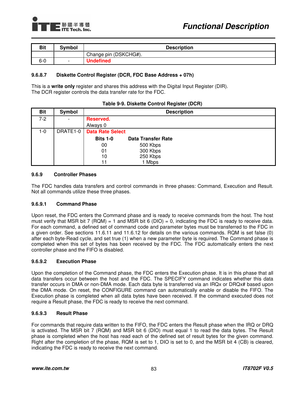| Bit | Svmbol                   | <b>Description</b>    |  |
|-----|--------------------------|-----------------------|--|
|     |                          | Change pin (DSKCHG#). |  |
| 6-0 | $\overline{\phantom{0}}$ | Undefined             |  |

### **9.6.8.7 Diskette Control Register (DCR, FDC Base Address + 07h)**

This is a **write only** register and shares this address with the Digital Input Register (DIR). The DCR register controls the data transfer rate for the FDC.

| <b>Bit</b> | Symbol   | <b>Description</b>      |                           |  |
|------------|----------|-------------------------|---------------------------|--|
| $7 - 2$    |          | Reserved.               |                           |  |
|            |          | Always 0                |                           |  |
| 1-0        | DRATE1-0 | <b>Data Rate Select</b> |                           |  |
|            |          | <b>Bits 1-0</b>         | <b>Data Transfer Rate</b> |  |
|            |          | 00                      | 500 Kbps                  |  |
|            |          | 01                      | 300 Kbps                  |  |
|            |          | 10                      | 250 Kbps                  |  |
|            |          | 11                      | 1 Mbps                    |  |

### **9.6.9 Controller Phases**

The FDC handles data transfers and control commands in three phases: Command, Execution and Result. Not all commands utilize these three phases.

#### **9.6.9.1 Command Phase**

Upon reset, the FDC enters the Command phase and is ready to receive commands from the host. The host must verify that MSR bit 7 (RQM) = 1 and MSR bit 6 (DIO) = 0, indicating the FDC is ready to receive data. For each command, a defined set of command code and parameter bytes must be transferred to the FDC in a given order. See sections 11.6.11 and 11.6.12 for details on the various commands. RQM is set false (0) after each byte-Read cycle, and set true (1) when a new parameter byte is required. The Command phase is completed when this set of bytes has been received by the FDC. The FDC automatically enters the next controller phase and the FIFO is disabled.

#### **9.6.9.2 Execution Phase**

Upon the completion of the Command phase, the FDC enters the Execution phase. It is in this phase that all data transfers occur between the host and the FDC. The SPECIFY command indicates whether this data transfer occurs in DMA or non-DMA mode. Each data byte is transferred via an IRQx or DRQx# based upon the DMA mode. On reset, the CONFIGURE command can automatically enable or disable the FIFO. The Execution phase is completed when all data bytes have been received. If the command executed does not require a Result phase, the FDC is ready to receive the next command.

### **9.6.9.3 Result Phase**

For commands that require data written to the FIFO, the FDC enters the Result phase when the IRQ or DRQ is activated. The MSR bit 7 (RQM) and MSR bit 6 (DIO) must equal 1 to read the data bytes. The Result phase is completed when the host has read each of the defined set of result bytes for the given command. Right after the completion of the phase, RQM is set to 1, DIO is set to 0, and the MSR bit 4 (CB) is cleared, indicating the FDC is ready to receive the next command.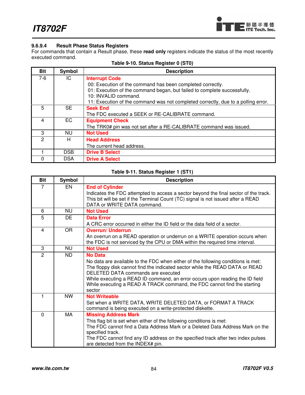

### **9.6.9.4 Result Phase Status Registers**

For commands that contain a Result phase, these **read only** registers indicate the status of the most recently executed command.

| <b>Bit</b>     | Symbol     | <b>Description</b>                                                                |
|----------------|------------|-----------------------------------------------------------------------------------|
| $7-6$          | IC.        | <b>Interrupt Code</b>                                                             |
|                |            | 00: Execution of the command has been completed correctly.                        |
|                |            | 01: Execution of the command began, but failed to complete successfully.          |
|                |            | 10: INVALID command.                                                              |
|                |            | 11: Execution of the command was not completed correctly, due to a polling error. |
| 5              | <b>SE</b>  | <b>Seek End</b>                                                                   |
|                |            | The FDC executed a SEEK or RE-CALIBRATE command.                                  |
| 4              | EC         | <b>Equipment Check</b>                                                            |
|                |            | The TRK0# pin was not set after a RE-CALIBRATE command was issued.                |
| 3              | <b>NU</b>  | <b>Not Used</b>                                                                   |
| $\overline{2}$ | н          | <b>Head Address</b>                                                               |
|                |            | The current head address.                                                         |
|                | <b>DSB</b> | <b>Drive B Select</b>                                                             |
| 0              | DSA        | <b>Drive A Select</b>                                                             |

### **Table 9-10. Status Register 0 (ST0)**

### **Table 9-11. Status Register 1 (ST1)**

| <b>Bit</b>     | <b>Symbol</b> | <b>Description</b>                                                                                                                                                                                                                                                                                                                                                                             |
|----------------|---------------|------------------------------------------------------------------------------------------------------------------------------------------------------------------------------------------------------------------------------------------------------------------------------------------------------------------------------------------------------------------------------------------------|
| 7              | <b>EN</b>     | <b>End of Cylinder</b><br>Indicates the FDC attempted to access a sector beyond the final sector of the track.<br>This bit will be set if the Terminal Count (TC) signal is not issued after a READ<br>DATA or WRITE DATA command.                                                                                                                                                             |
| 6              | <b>NU</b>     | <b>Not Used</b>                                                                                                                                                                                                                                                                                                                                                                                |
| 5              | <b>DE</b>     | <b>Data Error</b><br>A CRC error occurred in either the ID field or the data field of a sector.                                                                                                                                                                                                                                                                                                |
| 4              | OR.           | <b>Overrun/ Underrun</b><br>An overrun on a READ operation or underrun on a WRITE operation occurs when<br>the FDC is not serviced by the CPU or DMA within the required time interval.                                                                                                                                                                                                        |
| 3              | <b>NU</b>     | <b>Not Used</b>                                                                                                                                                                                                                                                                                                                                                                                |
| $\overline{2}$ | <b>ND</b>     | <b>No Data</b><br>No data are available to the FDC when either of the following conditions is met:<br>The floppy disk cannot find the indicated sector while the READ DATA or READ<br>DELETED DATA commands are executed<br>While executing a READ ID command, an error occurs upon reading the ID field<br>While executing a READ A TRACK command, the FDC cannot find the starting<br>sector |
| 1              | <b>NW</b>     | <b>Not Writeable</b><br>Set when a WRITE DATA, WRITE DELETED DATA, or FORMAT A TRACK<br>command is being executed on a write-protected diskette.                                                                                                                                                                                                                                               |
| $\mathbf{0}$   | МA            | <b>Missing Address Mark</b><br>This flag bit is set when either of the following conditions is met:<br>The FDC cannot find a Data Address Mark or a Deleted Data Address Mark on the<br>specified track.<br>The FDC cannot find any ID address on the specified track after two index pulses<br>are detected from the INDEX# pin.                                                              |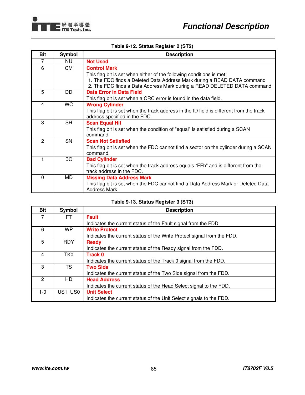# **Table 9-12. Status Register 2 (ST2)**

| Bit            | Symbol    | <b>Description</b>                                                                                  |
|----------------|-----------|-----------------------------------------------------------------------------------------------------|
| 7              | NU.       | <b>Not Used</b>                                                                                     |
| 6              | CM        | <b>Control Mark</b>                                                                                 |
|                |           | This flag bit is set when either of the following conditions is met:                                |
|                |           | 1. The FDC finds a Deleted Data Address Mark during a READ DATA command                             |
| 5              | <b>DD</b> | 2. The FDC finds a Data Address Mark during a READ DELETED DATA command<br>Data Error in Data Field |
|                |           | This flag bit is set when a CRC error is found in the data field.                                   |
| 4              | <b>WC</b> | <b>Wrong Cylinder</b>                                                                               |
|                |           | This flag bit is set when the track address in the ID field is different from the track             |
|                |           | address specified in the FDC.                                                                       |
| 3              | <b>SH</b> | <b>Scan Equal Hit</b>                                                                               |
|                |           | This flag bit is set when the condition of "equal" is satisfied during a SCAN<br>command.           |
| $\overline{2}$ | <b>SN</b> | <b>Scan Not Satisfied</b>                                                                           |
|                |           |                                                                                                     |
|                |           | This flag bit is set when the FDC cannot find a sector on the cylinder during a SCAN<br>command.    |
|                | <b>BC</b> | <b>Bad Cylinder</b>                                                                                 |
|                |           | This flag bit is set when the track address equals "FFh" and is different from the                  |
|                |           | track address in the FDC.                                                                           |
| $\Omega$       | MD.       | <b>Missing Data Address Mark</b>                                                                    |
|                |           | This flag bit is set when the FDC cannot find a Data Address Mark or Deleted Data                   |
|                |           | Address Mark.                                                                                       |

### **Table 9-13. Status Register 3 (ST3)**

| <b>Bit</b> | Symbol     | <b>Description</b>                                                     |
|------------|------------|------------------------------------------------------------------------|
|            | FT.        | <b>Fault</b>                                                           |
|            |            | Indicates the current status of the Fault signal from the FDD.         |
| 6          | <b>WP</b>  | <b>Write Protect</b>                                                   |
|            |            | Indicates the current status of the Write Protect signal from the FDD. |
| 5          | <b>RDY</b> | <b>Ready</b>                                                           |
|            |            | Indicates the current status of the Ready signal from the FDD.         |
| 4          | TK0        | Track 0                                                                |
|            |            | Indicates the current status of the Track 0 signal from the FDD.       |
| 3          | TS.        | <b>Two Side</b>                                                        |
|            |            | Indicates the current status of the Two Side signal from the FDD.      |
| 2          | HD.        | <b>Head Address</b>                                                    |
|            |            | Indicates the current status of the Head Select signal to the FDD.     |
| $1 - 0$    | US1, US0   | <b>Unit Select</b>                                                     |
|            |            | Indicates the current status of the Unit Select signals to the FDD.    |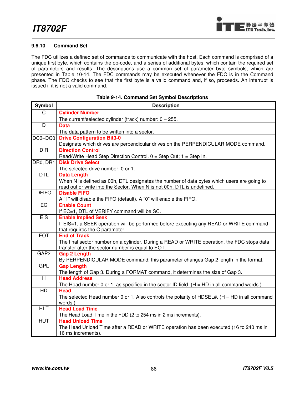

### **9.6.10 Command Set**

The FDC utilizes a defined set of commands to communicate with the host. Each command is comprised of a unique first byte, which contains the op-code, and a series of additional bytes, which contain the required set of parameters and results. The descriptions use a common set of parameter byte symbols, which are presented in Table 10-14. The FDC commands may be executed whenever the FDC is in the Command phase. The FDC checks to see that the first byte is a valid command and, if so, proceeds. An interrupt is issued if it is not a valid command.

| <b>Symbol</b>    | <b>Description</b>                                                                                                                               |
|------------------|--------------------------------------------------------------------------------------------------------------------------------------------------|
| $\mathsf{C}$     | <b>Cylinder Number</b>                                                                                                                           |
|                  | The current/selected cylinder (track) number: $0 - 255$ .                                                                                        |
| D                | <b>Data</b>                                                                                                                                      |
|                  | The data pattern to be written into a sector.                                                                                                    |
| DC3-DC0          | <b>Drive Configuration Bit3-0</b>                                                                                                                |
|                  | Designate which drives are perpendicular drives on the PERPENDICULAR MODE command.                                                               |
| <b>DIR</b>       | <b>Direction Control</b>                                                                                                                         |
|                  | Read/Write Head Step Direction Control. $0 =$ Step Out; $1 =$ Step In.                                                                           |
| DR0, DR1         | <b>Disk Drive Select</b>                                                                                                                         |
|                  | The selected drive number: 0 or 1.                                                                                                               |
| <b>DTL</b>       | <b>Data Length</b>                                                                                                                               |
|                  | When N is defined as 00h, DTL designates the number of data bytes which users are going to                                                       |
|                  | read out or write into the Sector. When N is not 00h, DTL is undefined.                                                                          |
| <b>DFIFO</b>     | <b>Disable FIFO</b>                                                                                                                              |
|                  | A "1" will disable the FIFO (default). A "0" will enable the FIFO.                                                                               |
| EC               | <b>Enable Count</b>                                                                                                                              |
|                  | If EC=1, DTL of VERIFY command will be SC.                                                                                                       |
| EIS              | <b>Enable Implied Seek</b>                                                                                                                       |
|                  | If EIS=1, a SEEK operation will be performed before executing any READ or WRITE command                                                          |
|                  | that requires the C parameter.<br><b>End of Track</b>                                                                                            |
| <b>EOT</b>       |                                                                                                                                                  |
|                  | The final sector number on a cylinder. During a READ or WRITE operation, the FDC stops data<br>transfer after the sector number is equal to EOT. |
| GAP <sub>2</sub> | <b>Gap 2 Length</b>                                                                                                                              |
|                  | By PERPENDICULAR MODE command, this parameter changes Gap 2 length in the format.                                                                |
| <b>GPL</b>       | <b>Gap Length</b>                                                                                                                                |
|                  | The length of Gap 3. During a FORMAT command, it determines the size of Gap 3.                                                                   |
| $\overline{H}$   | <b>Head Address</b>                                                                                                                              |
|                  | The Head number 0 or 1, as specified in the sector ID field. $(H = HD)$ in all command words.)                                                   |
| HD               | <b>Head</b>                                                                                                                                      |
|                  | The selected Head number 0 or 1. Also controls the polarity of $HDSEL#$ . (H = HD in all command                                                 |
|                  | words.)                                                                                                                                          |
| <b>HLT</b>       | <b>Head Load Time</b>                                                                                                                            |
|                  | The Head Load Time in the FDD (2 to 254 ms in 2 ms increments).                                                                                  |
| <b>HUT</b>       | <b>Head Unload Time</b>                                                                                                                          |
|                  | The Head Unload Time after a READ or WRITE operation has been executed (16 to 240 ms in                                                          |
|                  | 16 ms increments).                                                                                                                               |

|  |  | Table 9-14. Command Set Symbol Descriptions |
|--|--|---------------------------------------------|
|--|--|---------------------------------------------|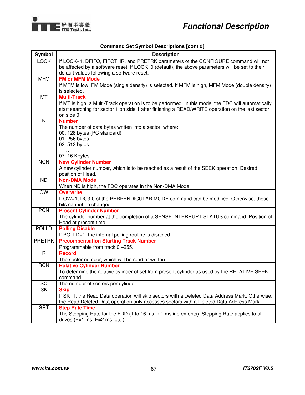

| <b>Symbol</b> | <b>Description</b>                                                                                                                                                                                                                          |
|---------------|---------------------------------------------------------------------------------------------------------------------------------------------------------------------------------------------------------------------------------------------|
| <b>LOCK</b>   | If LOCK=1, DFIFO, FIFOTHR, and PRETRK parameters of the CONFIGURE command will not<br>be affected by a software reset. If LOCK=0 (default), the above parameters will be set to their<br>default values following a software reset.         |
| <b>MFM</b>    | <b>FM or MFM Mode</b><br>If MFM is low, FM Mode (single density) is selected. If MFM is high, MFM Mode (double density)<br>is selected.                                                                                                     |
| <b>MT</b>     | <b>Multi-Track</b><br>If MT is high, a Multi-Track operation is to be performed. In this mode, the FDC will automatically<br>start searching for sector 1 on side 1 after finishing a READ/WRITE operation on the last sector<br>on side 0. |
| $\mathsf{N}$  | <b>Number</b><br>The number of data bytes written into a sector, where:<br>00: 128 bytes (PC standard)<br>01:256 bytes<br>02: 512 bytes<br>07: 16 Kbytes                                                                                    |
| <b>NCN</b>    | <b>New Cylinder Number</b><br>A new cylinder number, which is to be reached as a result of the SEEK operation. Desired<br>position of Head.                                                                                                 |
| <b>ND</b>     | <b>Non-DMA Mode</b><br>When ND is high, the FDC operates in the Non-DMA Mode.                                                                                                                                                               |
| <b>OW</b>     | <b>Overwrite</b><br>If OW=1, DC3-0 of the PERPENDICULAR MODE command can be modified. Otherwise, those<br>bits cannot be changed.                                                                                                           |
| <b>PCN</b>    | <b>Present Cylinder Number</b><br>The cylinder number at the completion of a SENSE INTERRUPT STATUS command. Position of<br>Head at present time.                                                                                           |
| <b>POLLD</b>  | <b>Polling Disable</b><br>If POLLD=1, the internal polling routine is disabled.                                                                                                                                                             |
| <b>PRETRK</b> | <b>Precompensation Starting Track Number</b><br>Programmable from track 0-255.                                                                                                                                                              |
| $\mathsf{R}$  | <b>Record</b><br>The sector number, which will be read or written.                                                                                                                                                                          |
| <b>RCN</b>    | <b>Relative Cylinder Number</b><br>To determine the relative cylinder offset from present cylinder as used by the RELATIVE SEEK<br>command.                                                                                                 |
| SC            | The number of sectors per cylinder.                                                                                                                                                                                                         |
| SK            | <b>Skip</b><br>If SK=1, the Read Data operation will skip sectors with a Deleted Data Address Mark. Otherwise,<br>the Read Deleted Data operation only accesses sectors with a Deleted Data Address Mark.                                   |
| <b>SRT</b>    | <b>Step Rate Time</b><br>The Stepping Rate for the FDD (1 to 16 ms in 1 ms increments). Stepping Rate applies to all<br>drives $(F=1 \text{ ms}, E=2 \text{ ms}, \text{ etc.}).$                                                            |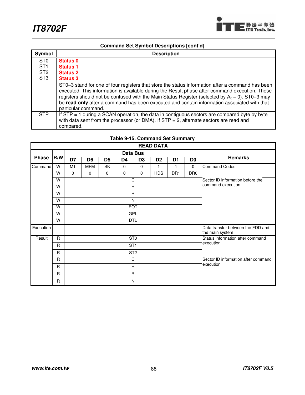

# **Command Set Symbol Descriptions [cont'd]**

| Symbol          | <b>Description</b>                                                                                                                                                                                                                                                                                                                                                                                                             |
|-----------------|--------------------------------------------------------------------------------------------------------------------------------------------------------------------------------------------------------------------------------------------------------------------------------------------------------------------------------------------------------------------------------------------------------------------------------|
| ST <sub>0</sub> | <b>Status 0</b>                                                                                                                                                                                                                                                                                                                                                                                                                |
| ST <sub>1</sub> | <b>Status 1</b>                                                                                                                                                                                                                                                                                                                                                                                                                |
| ST <sub>2</sub> | <b>Status 2</b>                                                                                                                                                                                                                                                                                                                                                                                                                |
| ST <sub>3</sub> | <b>Status 3</b>                                                                                                                                                                                                                                                                                                                                                                                                                |
|                 | ST0-3 stand for one of four registers that store the status information after a command has been<br>executed. This information is available during the Result phase after command execution. These<br>registers should not be confused with the Main Status Register (selected by $A_0 = 0$ ). ST0-3 may<br>be read only after a command has been executed and contain information associated with that<br>particular command. |
| <b>STP</b>      | If $STP = 1$ during a SCAN operation, the data in contiguous sectors are compared byte by byte<br>with data sent from the processor (or DMA). If $STP = 2$ , alternate sectors are read and<br>compared.                                                                                                                                                                                                                       |

|              |              |          |                |                |                   |                                  | <b>READ DATA</b> |                 |                 |                                                      |  |  |  |  |  |
|--------------|--------------|----------|----------------|----------------|-------------------|----------------------------------|------------------|-----------------|-----------------|------------------------------------------------------|--|--|--|--|--|
|              |              |          |                |                |                   | <b>Data Bus</b>                  |                  |                 |                 |                                                      |  |  |  |  |  |
| <b>Phase</b> | R/W          | D7       | D <sub>6</sub> | D <sub>5</sub> | D4                | D <sub>3</sub>                   | D <sub>2</sub>   | D <sub>1</sub>  | D <sub>0</sub>  | <b>Remarks</b>                                       |  |  |  |  |  |
| Command      | W            | MT       | <b>MFM</b>     | SK             | $\mathbf 0$       | $\mathbf 0$                      | 1.               | 1               | $\mathbf 0$     | <b>Command Codes</b>                                 |  |  |  |  |  |
|              | W            | $\Omega$ | $\mathbf 0$    | $\mathbf 0$    | $\mathbf 0$       | $\mathbf 0$                      | <b>HDS</b>       | DR <sub>1</sub> | DR <sub>0</sub> |                                                      |  |  |  |  |  |
|              | W            |          |                |                | C                 | Sector ID information before the |                  |                 |                 |                                                      |  |  |  |  |  |
|              | W            |          |                |                | command execution |                                  |                  |                 |                 |                                                      |  |  |  |  |  |
|              | W            |          |                |                | $\mathsf{R}$      |                                  |                  |                 |                 |                                                      |  |  |  |  |  |
|              | W            |          |                |                |                   | N                                |                  |                 |                 |                                                      |  |  |  |  |  |
|              | W            |          |                |                | <b>EOT</b>        |                                  |                  |                 |                 |                                                      |  |  |  |  |  |
|              | W            |          |                |                | <b>GPL</b>        |                                  |                  |                 |                 |                                                      |  |  |  |  |  |
|              | W            |          |                |                |                   | <b>DTL</b>                       |                  |                 |                 |                                                      |  |  |  |  |  |
| Execution    |              |          |                |                |                   |                                  |                  |                 |                 | Data transfer between the FDD and<br>the main system |  |  |  |  |  |
| Result       | $\mathsf{R}$ |          |                |                |                   | ST <sub>0</sub>                  |                  |                 |                 | Status information after command                     |  |  |  |  |  |
|              | $\mathsf{R}$ |          |                |                |                   | ST <sub>1</sub>                  |                  |                 |                 | execution                                            |  |  |  |  |  |
|              | $\mathsf{R}$ |          |                |                |                   | ST <sub>2</sub>                  |                  |                 |                 |                                                      |  |  |  |  |  |
|              | $\mathsf{R}$ |          |                |                |                   | C                                |                  |                 |                 | Sector ID information after command                  |  |  |  |  |  |
|              | $\mathsf{R}$ |          |                |                |                   | H                                |                  |                 |                 | execution                                            |  |  |  |  |  |
|              | $\mathsf{R}$ |          |                |                |                   | $\mathsf{R}$                     |                  |                 |                 |                                                      |  |  |  |  |  |
|              | $\mathsf{R}$ |          |                |                |                   | N                                |                  |                 |                 |                                                      |  |  |  |  |  |

# **Table 9-15. Command Set Summary**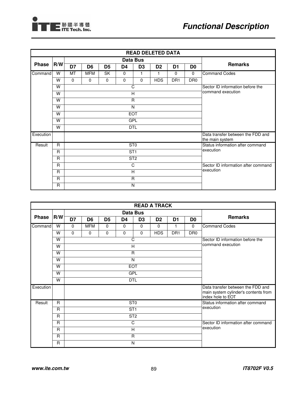| 腦陽半導體<br><b>ITE Tech. Inc.</b> |
|--------------------------------|

|              | <b>READ DELETED DATA</b> |    |                |                |                                  |                 |                |                 |                 |                                                      |  |  |  |  |  |
|--------------|--------------------------|----|----------------|----------------|----------------------------------|-----------------|----------------|-----------------|-----------------|------------------------------------------------------|--|--|--|--|--|
|              |                          |    |                |                |                                  |                 |                |                 |                 |                                                      |  |  |  |  |  |
| <b>Phase</b> | R/W                      | D7 | D <sub>6</sub> | D <sub>5</sub> | D4                               | D <sub>3</sub>  | D <sub>2</sub> | D <sub>1</sub>  | D <sub>0</sub>  | <b>Remarks</b>                                       |  |  |  |  |  |
| Command      | W                        | MT | <b>MFM</b>     | SK             | $\mathbf 0$                      | 1               | 1              | $\mathbf 0$     | $\mathbf 0$     | <b>Command Codes</b>                                 |  |  |  |  |  |
|              | W                        | 0  | $\mathbf 0$    | $\Omega$       | $\Omega$                         | $\Omega$        | <b>HDS</b>     | DR <sub>1</sub> | DR <sub>0</sub> |                                                      |  |  |  |  |  |
|              | W                        |    |                |                | Sector ID information before the |                 |                |                 |                 |                                                      |  |  |  |  |  |
|              | W                        |    |                |                | command execution                |                 |                |                 |                 |                                                      |  |  |  |  |  |
|              | W                        |    |                |                |                                  | $\mathsf{R}$    |                |                 |                 |                                                      |  |  |  |  |  |
|              | W                        |    |                |                |                                  | N               |                |                 |                 |                                                      |  |  |  |  |  |
|              | W                        |    |                |                |                                  |                 |                |                 |                 |                                                      |  |  |  |  |  |
|              | W                        |    |                |                |                                  | <b>GPL</b>      |                |                 |                 |                                                      |  |  |  |  |  |
|              | W                        |    |                |                |                                  | <b>DTL</b>      |                |                 |                 |                                                      |  |  |  |  |  |
| Execution    |                          |    |                |                |                                  |                 |                |                 |                 | Data transfer between the FDD and<br>the main system |  |  |  |  |  |
| Result       | $\mathsf{R}$             |    |                |                |                                  | ST <sub>0</sub> |                |                 |                 | Status information after command                     |  |  |  |  |  |
|              | R                        |    |                |                |                                  | ST <sub>1</sub> |                |                 |                 | execution                                            |  |  |  |  |  |
|              | $\mathsf{R}$             |    |                |                |                                  | ST <sub>2</sub> |                |                 |                 |                                                      |  |  |  |  |  |
|              | $\mathsf{R}$             |    |                |                |                                  | C               |                |                 |                 | Sector ID information after command                  |  |  |  |  |  |
|              | $\mathsf{R}$             |    |                |                |                                  | H               |                |                 |                 | execution                                            |  |  |  |  |  |
|              | $\mathsf{R}$             |    |                |                |                                  | $\mathsf{R}$    |                |                 |                 |                                                      |  |  |  |  |  |
|              | R                        |    |                |                |                                  | N               |                |                 |                 |                                                      |  |  |  |  |  |

|              |                         |          |                |                |                                  |                 | <b>READ A TRACK</b> |                 |                 |                                                                                                |  |  |  |  |  |
|--------------|-------------------------|----------|----------------|----------------|----------------------------------|-----------------|---------------------|-----------------|-----------------|------------------------------------------------------------------------------------------------|--|--|--|--|--|
|              |                         |          |                |                |                                  |                 |                     |                 |                 |                                                                                                |  |  |  |  |  |
| <b>Phase</b> | R/W                     | D7       | D <sub>6</sub> | D <sub>5</sub> | D4                               | D <sub>3</sub>  | D <sub>2</sub>      | D <sub>1</sub>  | D <sub>0</sub>  | <b>Remarks</b>                                                                                 |  |  |  |  |  |
| Command      | W                       | $\Omega$ | <b>MFM</b>     | $\mathbf 0$    | $\mathbf 0$                      | $\mathbf 0$     | $\Omega$            | 1               | $\mathbf 0$     | <b>Command Codes</b>                                                                           |  |  |  |  |  |
|              | W                       | $\Omega$ | 0              | $\mathbf 0$    | $\mathbf 0$                      | $\mathbf 0$     | <b>HDS</b>          | DR <sub>1</sub> | DR <sub>0</sub> |                                                                                                |  |  |  |  |  |
|              | W                       |          |                |                | Sector ID information before the |                 |                     |                 |                 |                                                                                                |  |  |  |  |  |
|              | W                       |          |                |                | command execution                |                 |                     |                 |                 |                                                                                                |  |  |  |  |  |
|              | W                       |          |                |                |                                  | $\mathsf{R}$    |                     |                 |                 |                                                                                                |  |  |  |  |  |
|              | $\overline{\mathsf{w}}$ |          |                |                |                                  | N               |                     |                 |                 |                                                                                                |  |  |  |  |  |
|              | W                       |          |                |                |                                  | <b>EOT</b>      |                     |                 |                 |                                                                                                |  |  |  |  |  |
|              | W                       |          |                |                |                                  | GPL             |                     |                 |                 |                                                                                                |  |  |  |  |  |
|              | W                       |          |                |                |                                  | <b>DTL</b>      |                     |                 |                 |                                                                                                |  |  |  |  |  |
| Execution    |                         |          |                |                |                                  |                 |                     |                 |                 | Data transfer between the FDD and<br>main system cylinder's contents from<br>index hole to EOT |  |  |  |  |  |
| Result       | $\mathsf{R}$            |          |                |                |                                  | ST <sub>0</sub> |                     |                 |                 | Status information after command                                                               |  |  |  |  |  |
|              | $\mathsf{R}$            |          |                |                |                                  | ST <sub>1</sub> |                     |                 |                 | execution                                                                                      |  |  |  |  |  |
|              | $\mathsf{R}$            |          |                |                |                                  | ST <sub>2</sub> |                     |                 |                 |                                                                                                |  |  |  |  |  |
|              | R                       |          |                |                |                                  | C               |                     |                 |                 | Sector ID information after command                                                            |  |  |  |  |  |
|              | $\mathsf{R}$            |          |                |                | execution                        |                 |                     |                 |                 |                                                                                                |  |  |  |  |  |
|              | $\mathsf{R}$            |          |                |                |                                  | $\mathsf{R}$    |                     |                 |                 |                                                                                                |  |  |  |  |  |
|              | R                       |          |                |                |                                  | N               |                     |                 |                 |                                                                                                |  |  |  |  |  |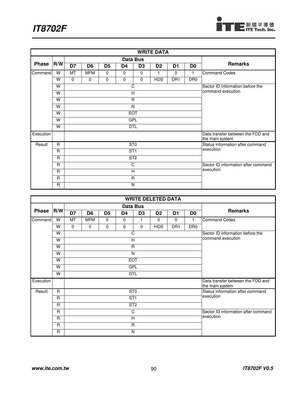|              |                |          |                |                |                 |                                  | <b>WRITE DATA</b> |                 |                 |                                                      |
|--------------|----------------|----------|----------------|----------------|-----------------|----------------------------------|-------------------|-----------------|-----------------|------------------------------------------------------|
|              |                |          |                |                | <b>Data Bus</b> |                                  |                   |                 |                 |                                                      |
| <b>Phase</b> | R/W            | D7       | D <sub>6</sub> | D <sub>5</sub> | D4              | D <sub>3</sub>                   | D <sub>2</sub>    | D <sub>1</sub>  | D <sub>0</sub>  | <b>Remarks</b>                                       |
| Command      | W              | МT       | <b>MFM</b>     | $\mathbf 0$    | $\mathbf{0}$    | 0                                |                   | $\mathbf 0$     | 1               | <b>Command Codes</b>                                 |
|              | W              | $\Omega$ | $\mathbf 0$    | 0              | $\Omega$        | $\Omega$                         | <b>HDS</b>        | DR <sub>1</sub> | DR <sub>0</sub> |                                                      |
|              | W              |          |                |                | C               | Sector ID information before the |                   |                 |                 |                                                      |
|              | W              |          |                |                | H               | command execution                |                   |                 |                 |                                                      |
|              | W              |          |                |                | $\mathsf{R}$    |                                  |                   |                 |                 |                                                      |
|              | W              |          |                |                |                 | N                                |                   |                 |                 |                                                      |
|              | W              |          |                |                | <b>EOT</b>      |                                  |                   |                 |                 |                                                      |
|              | W              |          |                |                | GPL             |                                  |                   |                 |                 |                                                      |
|              | W              |          |                |                |                 | <b>DTL</b>                       |                   |                 |                 |                                                      |
| Execution    |                |          |                |                |                 |                                  |                   |                 |                 | Data transfer between the FDD and<br>the main system |
| Result       | $\mathsf{R}$   |          |                |                |                 | ST <sub>0</sub>                  |                   |                 |                 | Status information after command                     |
|              | $\mathsf{R}$   |          |                |                |                 | ST <sub>1</sub>                  |                   |                 |                 | execution                                            |
|              | $\overline{R}$ |          |                |                |                 | ST <sub>2</sub>                  |                   |                 |                 |                                                      |
|              | R              |          |                |                |                 | C                                |                   |                 |                 | Sector ID information after command                  |
|              | $\mathsf{R}$   |          |                |                |                 | H                                |                   |                 |                 | execution                                            |
|              | $\overline{R}$ |          |                |                |                 | $\overline{R}$                   |                   |                 |                 |                                                      |
|              | $\mathsf{R}$   |          |                |                |                 | N                                |                   |                 |                 |                                                      |

|              | <b>WRITE DELETED DATA</b>                                                 |    |                |                |             |                 |                |                 |                 |                                                      |  |  |  |
|--------------|---------------------------------------------------------------------------|----|----------------|----------------|-------------|-----------------|----------------|-----------------|-----------------|------------------------------------------------------|--|--|--|
|              |                                                                           |    |                |                |             |                 |                |                 |                 |                                                      |  |  |  |
| <b>Phase</b> | R/W                                                                       | D7 | D <sub>6</sub> | D <sub>5</sub> | D4          | D <sub>3</sub>  | D <sub>2</sub> | D <sub>1</sub>  | D <sub>0</sub>  | <b>Remarks</b>                                       |  |  |  |
| Command      | W                                                                         | MT | <b>MFM</b>     | $\mathbf 0$    | $\mathbf 0$ |                 | 0              | $\Omega$        | $\mathbf{1}$    | <b>Command Codes</b>                                 |  |  |  |
|              | W                                                                         | 0  | $\mathbf 0$    | $\mathbf 0$    | $\mathbf 0$ | $\mathbf 0$     | <b>HDS</b>     | DR <sub>1</sub> | DR <sub>0</sub> |                                                      |  |  |  |
|              | W                                                                         |    |                |                |             | C               |                |                 |                 | Sector ID information before the                     |  |  |  |
|              | $\overline{\mathsf{w}}$                                                   |    |                |                |             | H               |                |                 |                 | command execution                                    |  |  |  |
|              | W                                                                         |    |                |                |             | $\mathsf{R}$    |                |                 |                 |                                                      |  |  |  |
|              | W                                                                         |    |                |                |             | N               |                |                 |                 |                                                      |  |  |  |
|              | W                                                                         |    |                |                |             | <b>EOT</b>      |                |                 |                 |                                                      |  |  |  |
|              | W                                                                         |    |                |                |             | <b>GPL</b>      |                |                 |                 |                                                      |  |  |  |
|              | W                                                                         |    |                |                |             | <b>DTL</b>      |                |                 |                 |                                                      |  |  |  |
| Execution    |                                                                           |    |                |                |             |                 |                |                 |                 | Data transfer between the FDD and<br>the main system |  |  |  |
| Result       | $\mathsf{R}$                                                              |    |                |                |             | ST <sub>0</sub> |                |                 |                 | Status information after command                     |  |  |  |
|              | $\mathsf{R}$                                                              |    |                |                |             | ST <sub>1</sub> |                |                 |                 | execution                                            |  |  |  |
|              | $\mathsf{R}$<br>ST <sub>2</sub><br>$\mathsf{R}$<br>C<br>$\mathsf{R}$<br>H |    |                |                |             |                 |                |                 |                 |                                                      |  |  |  |
|              |                                                                           |    |                |                |             |                 |                |                 |                 | Sector ID information after command                  |  |  |  |
|              |                                                                           |    |                |                |             |                 |                |                 |                 | execution                                            |  |  |  |
|              | $\mathsf{R}$                                                              |    |                |                |             | $\mathsf{R}$    |                |                 |                 |                                                      |  |  |  |
|              | $\mathsf{R}$                                                              |    |                |                |             | N               |                |                 |                 |                                                      |  |  |  |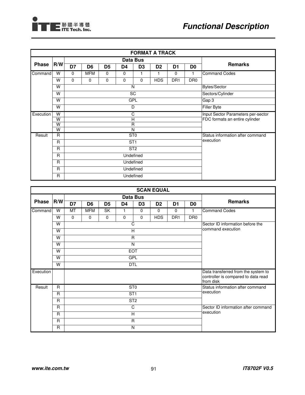

|              | <b>FORMAT A TRACK</b> |          |                |                |                 |                 |            |                 |                 |                                                                      |  |  |  |
|--------------|-----------------------|----------|----------------|----------------|-----------------|-----------------|------------|-----------------|-----------------|----------------------------------------------------------------------|--|--|--|
|              |                       |          |                |                | <b>Data Bus</b> | <b>Remarks</b>  |            |                 |                 |                                                                      |  |  |  |
| <b>Phase</b> | R/W                   | D7       | D <sub>6</sub> | D <sub>5</sub> | D4              |                 |            |                 |                 |                                                                      |  |  |  |
| Command      | W                     | $\Omega$ | <b>MFM</b>     | $\Omega$       | $\Omega$        |                 |            | $\Omega$        | 1               | <b>Command Codes</b>                                                 |  |  |  |
|              | W                     | $\Omega$ | 0              | 0              | $\Omega$        | 0               | <b>HDS</b> | DR <sub>1</sub> | DR <sub>0</sub> |                                                                      |  |  |  |
|              | W                     |          |                |                | N               | Bytes/Sector    |            |                 |                 |                                                                      |  |  |  |
|              | W                     |          |                |                |                 | <b>SC</b>       |            |                 |                 | Sectors/Cylinder                                                     |  |  |  |
|              | W                     |          |                |                |                 | GPL             |            |                 |                 | $\overline{G}$ ap 3                                                  |  |  |  |
|              | W                     |          |                |                |                 | D               |            |                 |                 | Filler Byte                                                          |  |  |  |
| Execution    | W                     |          |                |                |                 | C               |            |                 |                 | Input Sector Parameters per-sector<br>FDC formats an entire cylinder |  |  |  |
|              | W                     |          |                |                |                 | H               |            |                 |                 |                                                                      |  |  |  |
|              | W<br>W                |          |                |                | $\mathsf{R}$    |                 |            |                 |                 |                                                                      |  |  |  |
|              | $\mathsf{R}$          |          |                |                |                 | N               |            |                 |                 |                                                                      |  |  |  |
| Result       |                       |          |                |                |                 | ST <sub>0</sub> |            |                 |                 | Status information after command<br>execution                        |  |  |  |
|              | $\mathsf{R}$          |          |                |                |                 | ST <sub>1</sub> |            |                 |                 |                                                                      |  |  |  |
|              | R                     |          |                |                |                 | ST <sub>2</sub> |            |                 |                 |                                                                      |  |  |  |
|              | $\mathsf{R}$          |          |                |                |                 |                 |            |                 |                 |                                                                      |  |  |  |
|              | $\mathsf{R}$          |          |                |                |                 | Undefined       |            |                 |                 |                                                                      |  |  |  |
|              | $\mathsf{R}$          |          |                |                |                 | Undefined       |            |                 |                 |                                                                      |  |  |  |
|              | $\mathsf R$           |          |                |                |                 | Undefined       |            |                 |                 |                                                                      |  |  |  |

| <b>SCAN EQUAL</b> |              |            |                |                |                                                                            |                |                |                 |                 |                      |  |  |
|-------------------|--------------|------------|----------------|----------------|----------------------------------------------------------------------------|----------------|----------------|-----------------|-----------------|----------------------|--|--|
| <b>Phase</b>      | R/W          |            |                |                | <b>Data Bus</b>                                                            |                |                |                 |                 |                      |  |  |
|                   |              | D7         | D <sub>6</sub> | D <sub>5</sub> | D <sub>4</sub>                                                             | D <sub>3</sub> | D <sub>2</sub> | D <sub>1</sub>  | D <sub>0</sub>  | <b>Remarks</b>       |  |  |
| Command           | W            | MT         | <b>MFM</b>     | <b>SK</b>      | 1                                                                          | 0              | 0              | $\mathbf 0$     | $\mathbf{1}$    | <b>Command Codes</b> |  |  |
|                   | W            | $\Omega$   | $\mathbf 0$    | $\mathbf 0$    | $\Omega$                                                                   | $\Omega$       | <b>HDS</b>     | DR <sub>1</sub> | DR <sub>0</sub> |                      |  |  |
|                   | W            |            |                |                | Sector ID information before the<br>command execution                      |                |                |                 |                 |                      |  |  |
|                   | W            |            |                |                |                                                                            |                |                |                 |                 |                      |  |  |
|                   | W            |            |                |                |                                                                            |                |                |                 |                 |                      |  |  |
|                   | W            |            |                |                |                                                                            |                |                |                 |                 |                      |  |  |
|                   | W            |            |                |                |                                                                            |                |                |                 |                 |                      |  |  |
|                   | W            |            |                |                |                                                                            |                |                |                 |                 |                      |  |  |
|                   | W            | <b>DTL</b> |                |                |                                                                            |                |                |                 |                 |                      |  |  |
| Execution         |              |            |                |                | Data transferred from the system to<br>controller is compared to data read |                |                |                 |                 |                      |  |  |
|                   |              |            |                |                | from disk                                                                  |                |                |                 |                 |                      |  |  |
| Result            | R.           |            |                |                | Status information after command<br>execution                              |                |                |                 |                 |                      |  |  |
|                   | $\mathsf{R}$ |            |                |                |                                                                            |                |                |                 |                 |                      |  |  |
|                   | $\mathsf{R}$ |            |                |                |                                                                            |                |                |                 |                 |                      |  |  |
|                   | $\mathsf{R}$ |            |                |                | Sector ID information after command<br>execution                           |                |                |                 |                 |                      |  |  |
|                   | $\mathsf{R}$ |            |                |                |                                                                            |                |                |                 |                 |                      |  |  |
|                   | $\mathsf{R}$ |            |                |                | $\mathsf{R}$                                                               |                |                |                 |                 |                      |  |  |
|                   | $\mathsf{R}$ |            |                |                |                                                                            |                |                |                 |                 |                      |  |  |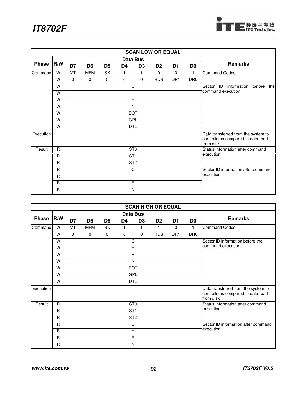|              |              |    |                |                |                 |                                                              | <b>SCAN LOW OR EQUAL</b> |                 |                                                                                         |                      |  |  |
|--------------|--------------|----|----------------|----------------|-----------------|--------------------------------------------------------------|--------------------------|-----------------|-----------------------------------------------------------------------------------------|----------------------|--|--|
|              |              |    |                |                | <b>Data Bus</b> |                                                              |                          |                 |                                                                                         |                      |  |  |
| <b>Phase</b> | R/W          | D7 | D <sub>6</sub> | D <sub>5</sub> | D <sub>4</sub>  | D <sub>3</sub>                                               | D <sub>2</sub>           | D <sub>1</sub>  | D <sub>0</sub>                                                                          | <b>Remarks</b>       |  |  |
| Command      | W            | MT | <b>MFM</b>     | SK             | $\mathbf{1}$    | 1                                                            | $\mathbf 0$              | $\mathbf 0$     | $\mathbf{1}$                                                                            | <b>Command Codes</b> |  |  |
|              | W            | 0  | 0              | $\mathbf 0$    | $\mathbf 0$     | $\mathbf 0$                                                  | <b>HDS</b>               | DR <sub>1</sub> | DR <sub>0</sub>                                                                         |                      |  |  |
|              | W            |    |                |                | C               | Sector ID information<br>before<br>thel<br>command execution |                          |                 |                                                                                         |                      |  |  |
|              | W            |    |                |                | Н               |                                                              |                          |                 |                                                                                         |                      |  |  |
|              | W            |    |                |                |                 | $\mathsf{R}$                                                 |                          |                 |                                                                                         |                      |  |  |
|              | W            |    |                |                |                 | N                                                            |                          |                 |                                                                                         |                      |  |  |
|              | W            |    |                |                | <b>EOT</b>      |                                                              |                          |                 |                                                                                         |                      |  |  |
|              | W            |    |                |                | GPL             |                                                              |                          |                 |                                                                                         |                      |  |  |
|              | W            |    |                |                | <b>DTL</b>      |                                                              |                          |                 |                                                                                         |                      |  |  |
| Execution    |              |    |                |                |                 |                                                              |                          |                 | Data transferred from the system to<br>controller is compared to data read<br>from disk |                      |  |  |
| Result       | $\mathsf{R}$ |    |                |                | ST <sub>0</sub> | Status information after command<br>execution                |                          |                 |                                                                                         |                      |  |  |
|              | $\mathsf{R}$ |    |                |                | ST <sub>1</sub> |                                                              |                          |                 |                                                                                         |                      |  |  |
|              | $\mathsf{R}$ |    |                |                | ST <sub>2</sub> |                                                              |                          |                 |                                                                                         |                      |  |  |
|              | $\mathsf{R}$ |    |                |                | C               | Sector ID information after command<br>execution             |                          |                 |                                                                                         |                      |  |  |
|              | $\mathsf{R}$ |    |                |                | H               |                                                              |                          |                 |                                                                                         |                      |  |  |
|              | $\mathsf{R}$ |    |                |                | $\mathsf{R}$    |                                                              |                          |                 |                                                                                         |                      |  |  |
|              | $\mathsf{R}$ |    |                |                | N               |                                                              |                          |                 |                                                                                         |                      |  |  |

| <b>SCAN HIGH OR EQUAL</b> |              |             |                |                |                 |                                                                            |                |                 |                 |                      |
|---------------------------|--------------|-------------|----------------|----------------|-----------------|----------------------------------------------------------------------------|----------------|-----------------|-----------------|----------------------|
|                           |              |             |                |                | <b>Data Bus</b> |                                                                            |                |                 |                 |                      |
| <b>Phase</b>              | R/W          | D7          | D <sub>6</sub> | D <sub>5</sub> | D4              | D <sub>3</sub>                                                             | D <sub>2</sub> | D <sub>1</sub>  | D <sub>0</sub>  | <b>Remarks</b>       |
| Command                   | W            | MT          | <b>MFM</b>     | SK             | 1               |                                                                            | 1              | $\Omega$        | 1               | <b>Command Codes</b> |
|                           | W            | $\mathbf 0$ | $\mathbf 0$    | 0              | $\mathbf 0$     | 0                                                                          | <b>HDS</b>     | DR <sub>1</sub> | DR <sub>0</sub> |                      |
|                           | W            |             |                |                | C               | Sector ID information before the<br>command execution                      |                |                 |                 |                      |
|                           | W            |             |                |                | H               |                                                                            |                |                 |                 |                      |
|                           | W            |             |                |                | $\mathsf{R}$    |                                                                            |                |                 |                 |                      |
|                           | W            |             |                |                | N               |                                                                            |                |                 |                 |                      |
|                           | W            |             |                |                | <b>EOT</b>      |                                                                            |                |                 |                 |                      |
|                           | W<br>GPL     |             |                |                |                 |                                                                            |                |                 |                 |                      |
|                           | W            | <b>DTL</b>  |                |                |                 |                                                                            |                |                 |                 |                      |
| Execution                 |              |             |                |                |                 | Data transferred from the system to<br>controller is compared to data read |                |                 |                 |                      |
|                           |              |             |                |                |                 | from disk                                                                  |                |                 |                 |                      |
| Result                    | $\mathsf{R}$ |             |                |                | ST <sub>0</sub> | Status information after command<br>execution                              |                |                 |                 |                      |
|                           | $\mathsf{R}$ |             |                |                | ST <sub>1</sub> |                                                                            |                |                 |                 |                      |
|                           | $\mathsf{R}$ |             |                |                | ST2             |                                                                            |                |                 |                 |                      |
|                           | $\mathsf{R}$ |             |                |                | C               | Sector ID information after command<br>execution                           |                |                 |                 |                      |
|                           | $\mathsf{R}$ |             |                |                | H               |                                                                            |                |                 |                 |                      |
|                           | $\mathsf{R}$ |             |                |                | $\mathsf{R}$    |                                                                            |                |                 |                 |                      |
|                           | $\mathsf{R}$ |             |                |                | N               |                                                                            |                |                 |                 |                      |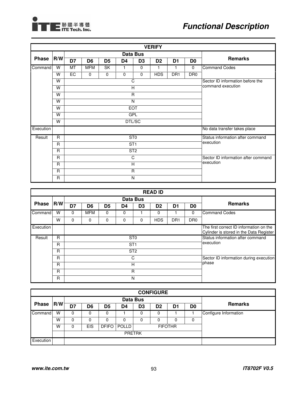

# *Functional Description*

|              |                             |    |                |                |                 |                 | <b>VERIFY</b>  |                 |                 |                                     |  |  |  |
|--------------|-----------------------------|----|----------------|----------------|-----------------|-----------------|----------------|-----------------|-----------------|-------------------------------------|--|--|--|
|              |                             |    |                |                | <b>Data Bus</b> |                 |                |                 |                 |                                     |  |  |  |
| <b>Phase</b> | R/W                         | D7 | D <sub>6</sub> | D <sub>5</sub> | D4              | D <sub>3</sub>  | D <sub>2</sub> | D <sub>1</sub>  | D <sub>0</sub>  | <b>Remarks</b>                      |  |  |  |
| Command      | W                           | МT | <b>MFM</b>     | SK             | 1               | $\mathbf 0$     |                |                 | $\mathbf 0$     | <b>Command Codes</b>                |  |  |  |
|              | W                           | EC | $\mathbf 0$    | $\mathbf 0$    | $\Omega$        | $\Omega$        | <b>HDS</b>     | DR <sub>1</sub> | DR <sub>0</sub> |                                     |  |  |  |
|              | W                           |    |                |                |                 | C               |                |                 |                 | Sector ID information before the    |  |  |  |
|              | W                           | Н  |                |                |                 |                 |                |                 |                 | command execution                   |  |  |  |
|              | W                           |    |                |                | $\mathsf{R}$    |                 |                |                 |                 |                                     |  |  |  |
|              | W                           | N  |                |                |                 |                 |                |                 |                 |                                     |  |  |  |
|              | W                           |    |                |                | EOT             |                 |                |                 |                 |                                     |  |  |  |
|              | W                           |    |                |                |                 | GPL             |                |                 |                 |                                     |  |  |  |
|              | W                           |    |                |                |                 | DTL/SC          |                |                 |                 |                                     |  |  |  |
| Execution    |                             |    |                |                |                 |                 |                |                 |                 | No data transfer takes place        |  |  |  |
| Result       | $\mathsf{R}$                |    |                |                |                 | ST <sub>0</sub> |                |                 |                 | Status information after command    |  |  |  |
|              | $\mathsf{R}$                |    |                |                |                 | ST <sub>1</sub> |                |                 |                 | execution                           |  |  |  |
|              | $\mathsf{R}$                |    |                |                |                 | ST2             |                |                 |                 |                                     |  |  |  |
|              | $\mathsf{R}$                |    |                |                |                 | C               |                |                 |                 | Sector ID information after command |  |  |  |
|              | $\mathsf{R}$                |    |                |                |                 | H               |                |                 |                 | execution                           |  |  |  |
|              | $\mathsf R$<br>$\mathsf{R}$ |    |                |                |                 |                 |                |                 |                 |                                     |  |  |  |
|              | $\mathsf{R}$<br>N           |    |                |                |                 |                 |                |                 |                 |                                     |  |  |  |

|              |     |    |                |                |          |                 | <b>READ ID</b> |                 |                 |                                                                                    |
|--------------|-----|----|----------------|----------------|----------|-----------------|----------------|-----------------|-----------------|------------------------------------------------------------------------------------|
|              |     |    |                |                |          | Data Bus        |                |                 |                 |                                                                                    |
| <b>Phase</b> | R/W | D7 | D <sub>6</sub> | D <sub>5</sub> | D4       | D <sub>3</sub>  | D <sub>2</sub> | D <sub>1</sub>  | D <sub>0</sub>  | <b>Remarks</b>                                                                     |
| Command      | W   | 0  | <b>MFM</b>     | $\Omega$       | $\Omega$ |                 | 0              |                 | 0               | <b>Command Codes</b>                                                               |
|              | W   | 0  | 0              | 0              | 0        | 0               | <b>HDS</b>     | DR <sub>1</sub> | DR <sub>0</sub> |                                                                                    |
| Execution    |     |    |                |                |          |                 |                |                 |                 | The first correct ID information on the<br>Cylinder is stored in the Data Register |
| Result       | R   |    |                |                |          | ST <sub>0</sub> |                |                 |                 | Status information after command                                                   |
|              | R   |    |                |                |          | ST <sub>1</sub> |                |                 |                 | execution                                                                          |
|              | R   |    |                |                |          | ST <sub>2</sub> |                |                 |                 |                                                                                    |
|              | R   |    |                |                |          | C               |                |                 |                 | Sector ID information during execution                                             |
|              | R   |    |                |                |          | H               |                |                 |                 | phase                                                                              |
|              | R   |    |                |                |          | R               |                |                 |                 |                                                                                    |
|              | R   |    |                |                |          | N               |                |                 |                 |                                                                                    |

|              | <b>CONFIGURE</b><br><b>Data Bus</b> |    |            |         |                |   |   |                |   |                       |  |  |  |
|--------------|-------------------------------------|----|------------|---------|----------------|---|---|----------------|---|-----------------------|--|--|--|
|              |                                     |    |            |         |                |   |   |                |   |                       |  |  |  |
| <b>Phase</b> | R/W                                 | D7 | D6         | D0      | <b>Remarks</b> |   |   |                |   |                       |  |  |  |
| Command      | W                                   | 0  | 0          | 0       |                | 0 | 0 |                |   | Configure Information |  |  |  |
|              | W                                   | 0  | 0          | 0       | 0              | 0 |   | 0              | 0 |                       |  |  |  |
|              | W                                   | O  | <b>EIS</b> | DFIFO I | <b>POLLD</b>   |   |   | <b>FIFOTHR</b> |   |                       |  |  |  |
|              |                                     |    |            |         | <b>PRETRK</b>  |   |   |                |   |                       |  |  |  |
| Execution    |                                     |    |            |         |                |   |   |                |   |                       |  |  |  |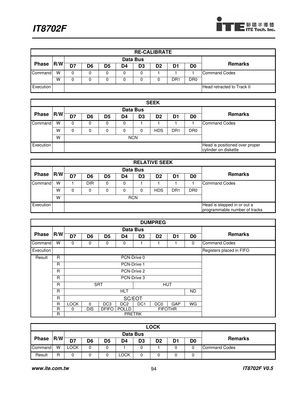|              |     |    |    |    |    |                | <b>RE-CALIBRATE</b> |                 |                 |                           |
|--------------|-----|----|----|----|----|----------------|---------------------|-----------------|-----------------|---------------------------|
|              |     |    |    |    |    |                |                     |                 |                 |                           |
| <b>Phase</b> | R/W | D7 | D6 | D5 | D4 | D <sub>3</sub> | D2                  | D1              | D <sub>0</sub>  | <b>Remarks</b>            |
| Command      | W   |    | 0  |    |    |                |                     |                 |                 | <b>Command Codes</b>      |
|              | W   |    |    |    |    |                |                     | DR <sub>1</sub> | DR <sub>0</sub> |                           |
| Execution    |     |    |    |    |    |                |                     |                 |                 | Head retracted to Track 0 |

| <b>Phase</b> | R/W | D7 | <b>Remarks</b> |   |   |            |            |                 |                 |                                                        |
|--------------|-----|----|----------------|---|---|------------|------------|-----------------|-----------------|--------------------------------------------------------|
| Command      | w   | 0  |                | 0 | 0 |            |            |                 |                 | <b>Command Codes</b>                                   |
|              | W   | 0  |                | 0 | 0 | 0          | <b>HDS</b> | DR <sub>1</sub> | DR <sub>0</sub> |                                                        |
|              | W   |    |                |   |   | <b>NCN</b> |            |                 |                 |                                                        |
| Execution    |     |    |                |   |   |            |            |                 |                 | Head is positioned over proper<br>cylinder on diskette |

|              |     |    |     |    |    |                | <b>RELATIVE SEEK</b> |                 |                 |                                                              |
|--------------|-----|----|-----|----|----|----------------|----------------------|-----------------|-----------------|--------------------------------------------------------------|
|              |     |    |     |    |    |                |                      |                 |                 |                                                              |
| <b>Phase</b> | R/W | D7 | D6  | D5 | D0 | <b>Remarks</b> |                      |                 |                 |                                                              |
| Command      | W   |    | DIR | 0  | 0  |                |                      |                 |                 | ICommand Codes                                               |
|              | W   |    |     | 0  | 0  | 0              | <b>HDS</b>           | DR <sub>1</sub> | DR <sub>0</sub> |                                                              |
|              | W   |    |     |    |    | <b>RCN</b>     |                      |                 |                 |                                                              |
| Execution    |     |    |     |    |    |                |                      |                 |                 | Head is stepped in or out a<br>programmable number of tracks |

|              |              |             |                |                 |                 |                 | <b>DUMPREG</b>  |                |                |                          |
|--------------|--------------|-------------|----------------|-----------------|-----------------|-----------------|-----------------|----------------|----------------|--------------------------|
|              |              |             |                |                 | Data Bus        |                 |                 |                |                |                          |
| <b>Phase</b> | R/W          | D7          | D <sub>6</sub> | D <sub>5</sub>  | D4              | D <sub>3</sub>  | D <sub>2</sub>  | D <sub>1</sub> | D <sub>0</sub> | <b>Remarks</b>           |
| Command      | W            | 0           | 0              | 0               | $\mathbf 0$     |                 |                 |                | 0              | <b>Command Codes</b>     |
| Execution    |              |             |                |                 |                 |                 |                 |                |                | Registers placed in FIFO |
| Result       | R            |             |                |                 | PCN-Drive 0     |                 |                 |                |                |                          |
|              | $\mathsf{R}$ |             |                |                 | PCN-Drive 1     |                 |                 |                |                |                          |
|              | $\mathsf{R}$ |             |                |                 | PCN-Drive 2     |                 |                 |                |                |                          |
|              | $\mathsf{R}$ |             |                |                 | PCN-Drive 3     |                 |                 |                |                |                          |
|              | R            |             |                | <b>SRT</b>      |                 |                 |                 | <b>HUT</b>     |                |                          |
|              | $\mathsf{R}$ |             |                |                 | <b>HLT</b>      | ND.             |                 |                |                |                          |
|              | R            |             |                |                 | SC/EOT          |                 |                 |                |                |                          |
|              | R            | <b>LOCK</b> | $\Omega$       | DC <sub>3</sub> | DC <sub>2</sub> | DC <sub>1</sub> | DC <sub>0</sub> | GAP            | WG             |                          |
|              | R            | 0           | <b>DIS</b>     | <b>DFIFO</b>    | <b>POLLD</b>    |                 |                 | <b>FIFOTHR</b> |                |                          |
|              | R            |             |                |                 | <b>PRETRK</b>   |                 |                 |                |                |                          |

|              | <b>LOCK</b> |             |                |  |             |  |  |  |   |                      |  |  |  |  |
|--------------|-------------|-------------|----------------|--|-------------|--|--|--|---|----------------------|--|--|--|--|
|              |             |             |                |  |             |  |  |  |   |                      |  |  |  |  |
| <b>Phase</b> | R/W         | D7          | <b>Remarks</b> |  |             |  |  |  |   |                      |  |  |  |  |
| Command      | W           | <b>LOCK</b> | 0              |  |             |  |  |  | 0 | <b>Command Codes</b> |  |  |  |  |
| Result       | R           |             |                |  | <b>LOCK</b> |  |  |  | 0 |                      |  |  |  |  |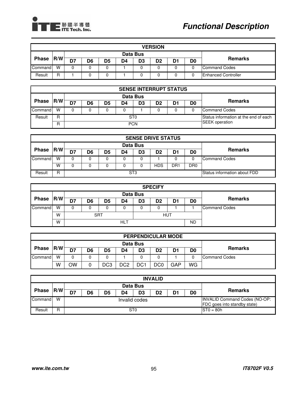

|              | <b>VERSION</b> |    |                      |  |  |  |  |  |  |                     |  |  |  |  |
|--------------|----------------|----|----------------------|--|--|--|--|--|--|---------------------|--|--|--|--|
|              |                |    |                      |  |  |  |  |  |  |                     |  |  |  |  |
| <b>Phase</b> | R/W            | D7 | <b>Remarks</b>       |  |  |  |  |  |  |                     |  |  |  |  |
| Command      | W              |    | <b>Command Codes</b> |  |  |  |  |  |  |                     |  |  |  |  |
| Result       | R              |    |                      |  |  |  |  |  |  | Enhanced Controller |  |  |  |  |

|              | <b>SENSE INTERRUPT STATUS</b> |    |    |    |                 |                |                                       |  |   |                      |  |  |  |  |
|--------------|-------------------------------|----|----|----|-----------------|----------------|---------------------------------------|--|---|----------------------|--|--|--|--|
|              |                               |    |    |    |                 |                |                                       |  |   |                      |  |  |  |  |
| <b>Phase</b> | R/W                           | D7 | D6 | D5 | D0              | <b>Remarks</b> |                                       |  |   |                      |  |  |  |  |
| Command      | W                             |    |    |    |                 |                |                                       |  | 0 | <b>Command Codes</b> |  |  |  |  |
| Result       | R                             |    |    |    | S <sub>T0</sub> |                | Status information at the end of each |  |   |                      |  |  |  |  |
|              | R                             |    |    |    | <b>PCN</b>      |                | SEEK operation                        |  |   |                      |  |  |  |  |

|              | <b>SENSE DRIVE STATUS</b> |                                                 |    |    |                |   |            |                 |     |                      |  |  |  |  |
|--------------|---------------------------|-------------------------------------------------|----|----|----------------|---|------------|-----------------|-----|----------------------|--|--|--|--|
|              |                           |                                                 |    |    |                |   |            |                 |     |                      |  |  |  |  |
| <b>Phase</b> | R/W                       | D7                                              | D6 | D5 | <b>Remarks</b> |   |            |                 |     |                      |  |  |  |  |
| Command      | w                         |                                                 |    |    |                | 0 |            |                 |     | <b>Command Codes</b> |  |  |  |  |
|              | w                         |                                                 |    |    |                |   | <b>HDS</b> | DR <sub>1</sub> | DR0 |                      |  |  |  |  |
| Result       | R                         | ST <sub>3</sub><br>Status information about FDD |    |    |                |   |            |                 |     |                      |  |  |  |  |

| <b>Phase</b> | R/W | D7 | D6         | D5 | D4         | <b>Remarks</b> |  |  |  |                      |
|--------------|-----|----|------------|----|------------|----------------|--|--|--|----------------------|
| Command      | W   |    |            |    | 0          |                |  |  |  | <b>Command Codes</b> |
|              | W   |    | <b>SRT</b> |    |            |                |  |  |  |                      |
|              | W   |    |            |    | <b>HLT</b> | <b>ND</b>      |  |  |  |                      |

| <b>PERPENDICULAR MODE</b> |          |    |    |     |                 |                |                 |     |                |                      |
|---------------------------|----------|----|----|-----|-----------------|----------------|-----------------|-----|----------------|----------------------|
|                           | Data Bus |    |    |     |                 |                |                 |     |                |                      |
| <b>Phase</b>              | R/W      | D7 | D6 | D5  | D <sub>4</sub>  | D <sub>3</sub> | D2              | D1  | D <sub>0</sub> | <b>Remarks</b>       |
| <b>Command</b>            | w        |    | 0  | 0   |                 |                | 0               |     | 0              | <b>Command Codes</b> |
|                           | W        | OW | 0  | DC3 | DC <sub>2</sub> | DC1            | DC <sub>0</sub> | GAP | WG             |                      |

| <b>INVALID</b> |     |          |                                                                |  |  |  |                                                                      |             |  |
|----------------|-----|----------|----------------------------------------------------------------|--|--|--|----------------------------------------------------------------------|-------------|--|
|                |     | Data Bus |                                                                |  |  |  |                                                                      |             |  |
| <b>Phase</b>   | R/W | D7       | D5<br>D <sub>3</sub><br>D6<br>D0<br>D4<br>D1<br>D <sub>2</sub> |  |  |  | <b>Remarks</b>                                                       |             |  |
| Command        | W   |          | Invalid codes                                                  |  |  |  | <b>INVALID Command Codes (NO-OP:</b><br>FDC goes into standby state) |             |  |
| Result         | R   |          | S <sub>T0</sub>                                                |  |  |  |                                                                      | $ST0 = 80h$ |  |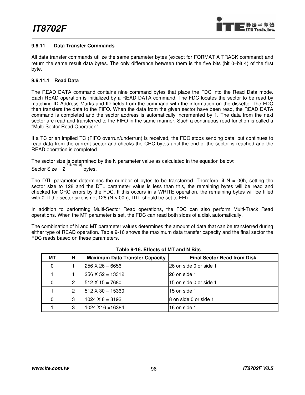# **9.6.11 Data Transfer Commands**

All data transfer commands utilize the same parameter bytes (except for FORMAT A TRACK command) and return the same result data bytes. The only difference between them is the five bits (bit 0−bit 4) of the first byte.

## **9.6.11.1 Read Data**

The READ DATA command contains nine command bytes that place the FDC into the Read Data mode. Each READ operation is initialized by a READ DATA command. The FDC locates the sector to be read by matching ID Address Marks and ID fields from the command with the information on the diskette. The FDC then transfers the data to the FIFO. When the data from the given sector have been read, the READ DATA command is completed and the sector address is automatically incremented by 1. The data from the next sector are read and transferred to the FIFO in the same manner. Such a continuous read function is called a "Multi-Sector Read Operation".

If a TC or an implied TC (FIFO overrun/underrun) is received, the FDC stops sending data, but continues to read data from the current sector and checks the CRC bytes until the end of the sector is reached and the READ operation is completed.

The sector size is determined by the N parameter value as calculated in the equation below:

Sector Size =  $2^{(7+N \text{ value})}$ bytes.

The DTL parameter determines the number of bytes to be transferred. Therefore, if  $N = 00$ h, setting the sector size to 128 and the DTL parameter value is less than this, the remaining bytes will be read and checked for CRC errors by the FDC. If this occurs in a WRITE operation, the remaining bytes will be filled with 0. If the sector size is not 128 ( $N > 00$ h), DTL should be set to FFh.

In addition to performing Multi-Sector Read operations, the FDC can also perform Multi-Track Read operations. When the MT parameter is set, the FDC can read both sides of a disk automatically.

The combination of N and MT parameter values determines the amount of data that can be transferred during either type of READ operation. Table 9-16 shows the maximum data transfer capacity and the final sector the FDC reads based on these parameters.

| <b>MT</b> | N | <b>Maximum Data Transfer Capacity</b> | <b>Final Sector Read from Disk</b> |
|-----------|---|---------------------------------------|------------------------------------|
| 0         |   | $256 X 26 = 6656$                     | 26 on side 0 or side 1             |
|           |   | 256 X 52 = 13312                      | 26 on side 1                       |
| 0         | 2 | $1512 \times 15 = 7680$               | 15 on side 0 or side 1             |
|           | 2 | $ 512 \times 30 = 15360$              | 15 on side 1                       |
| 0         | 3 | $1024 \text{ X } 8 = 8192$            | 8 on side 0 or side 1              |
|           | 3 | $1024 X16 = 16384$                    | 16 on side 1                       |

| Table 9-16. Effects of MT and N Bits |
|--------------------------------------|
|--------------------------------------|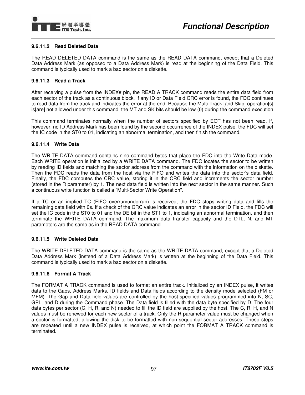

#### **9.6.11.2 Read Deleted Data**

The READ DELETED DATA command is the same as the READ DATA command, except that a Deleted Data Address Mark (as opposed to a Data Address Mark) is read at the beginning of the Data Field. This command is typically used to mark a bad sector on a diskette.

#### **9.6.11.3 Read a Track**

After receiving a pulse from the INDEX# pin, the READ A TRACK command reads the entire data field from each sector of the track as a continuous block. If any ID or Data Field CRC error is found, the FDC continues to read data from the track and indicates the error at the end. Because the Multi-Track [and Skip] operation[s] is[are] not allowed under this command, the MT and SK bits should be low (0) during the command execution.

This command terminates normally when the number of sectors specified by EOT has not been read. If, however, no ID Address Mark has been found by the second occurrence of the INDEX pulse, the FDC will set the IC code in the ST0 to 01, indicating an abnormal termination, and then finish the command.

### **9.6.11.4 Write Data**

The WRITE DATA command contains nine command bytes that place the FDC into the Write Data mode. Each WRITE operation is initialized by a WRITE DATA command. The FDC locates the sector to be written by reading ID fields and matching the sector address from the command with the information on the diskette. Then the FDC reads the data from the host via the FIFO and writes the data into the sector's data field. Finally, the FDC computes the CRC value, storing it in the CRC field and increments the sector number (stored in the R parameter) by 1. The next data field is written into the next sector in the same manner. Such a continuous write function is called a "Multi-Sector Write Operation".

If a TC or an implied TC (FIFO overrun/underrun) is received, the FDC stops writing data and fills the remaining data field with 0s. If a check of the CRC value indicates an error in the sector ID Field, the FDC will set the IC code in the ST0 to 01 and the DE bit in the ST1 to 1, indicating an abnormal termination, and then terminate the WRITE DATA command. The maximum data transfer capacity and the DTL, N, and MT parameters are the same as in the READ DATA command.

#### **9.6.11.5 Write Deleted Data**

The WRITE DELETED DATA command is the same as the WRITE DATA command, except that a Deleted Data Address Mark (instead of a Data Address Mark) is written at the beginning of the Data Field. This command is typically used to mark a bad sector on a diskette.

#### **9.6.11.6 Format A Track**

The FORMAT A TRACK command is used to format an entire track. Initialized by an INDEX pulse, it writes data to the Gaps, Address Marks, ID fields and Data fields according to the density mode selected (FM or MFM). The Gap and Data field values are controlled by the host-specified values programmed into N, SC, GPL, and D during the Command phase. The Data field is filled with the data byte specified by D. The four data bytes per sector (C, H, R, and N) needed to fill the ID field are supplied by the host. The C, R, H, and N values must be renewed for each new sector of a track. Only the R parameter value must be changed when a sector is formatted, allowing the disk to be formatted with non-sequential sector addresses. These steps are repeated until a new INDEX pulse is received, at which point the FORMAT A TRACK command is terminated.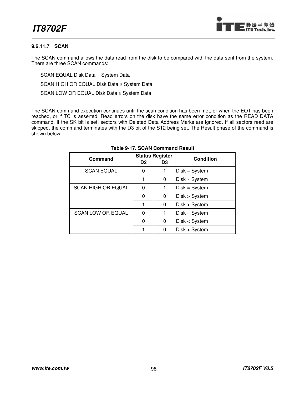

# **9.6.11.7 SCAN**

The SCAN command allows the data read from the disk to be compared with the data sent from the system. There are three SCAN commands:

SCAN EQUAL Disk Data = System Data SCAN HIGH OR EQUAL Disk Data ≥ System Data SCAN LOW OR EQUAL Disk Data ≤ System Data

The SCAN command execution continues until the scan condition has been met, or when the EOT has been reached, or if TC is asserted. Read errors on the disk have the same error condition as the READ DATA command. If the SK bit is set, sectors with Deleted Data Address Marks are ignored. If all sectors read are skipped, the command terminates with the D3 bit of the ST2 being set. The Result phase of the command is shown below:

| Command                   |                | <b>Status Register</b> | <b>Condition</b>   |  |
|---------------------------|----------------|------------------------|--------------------|--|
|                           | D <sub>2</sub> | D <sub>3</sub>         |                    |  |
| <b>SCAN EQUAL</b>         |                |                        | Disk = System      |  |
|                           |                | 0                      | Disk $\neq$ System |  |
| <b>SCAN HIGH OR EQUAL</b> | O              |                        | $Disk = System$    |  |
|                           | O              | 0                      | Disk > System      |  |
|                           |                | 0                      | Disk < System      |  |
| <b>SCAN LOW OR EQUAL</b>  |                |                        | $Disk = System$    |  |
|                           |                | 0                      | Disk < System      |  |
|                           |                | ŋ                      | Disk > System      |  |

# **Table 9-17. SCAN Command Result**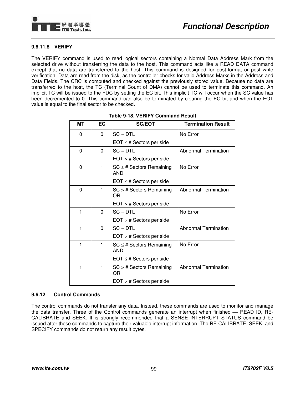

# **9.6.11.8 VERIFY**

The VERIFY command is used to read logical sectors containing a Normal Data Address Mark from the selected drive without transferring the data to the host. This command acts like a READ DATA command except that no data are transferred to the host. This command is designed for post-format or post write verification. Data are read from the disk, as the controller checks for valid Address Marks in the Address and Data Fields. The CRC is computed and checked against the previously stored value. Because no data are transferred to the host, the TC (Terminal Count of DMA) cannot be used to terminate this command. An implicit TC will be issued to the FDC by setting the EC bit. This implicit TC will occur when the SC value has been decremented to 0. This command can also be terminated by clearing the EC bit and when the EOT value is equal to the final sector to be checked.

| МT           | <b>EC</b> | <b>SC/EOT</b>                               | <b>Termination Result</b>   |
|--------------|-----------|---------------------------------------------|-----------------------------|
| 0            | 0         | $SC = DTL$                                  | No Error                    |
|              |           | $EOT \leq #$ Sectors per side               |                             |
| 0            | $\Omega$  | $SC = DTL$                                  | Abnormal Termination        |
|              |           | $EOT$ > # Sectors per side                  |                             |
| 0            | 1         | $SC \leq #$ Sectors Remaining<br>AND        | No Error                    |
|              |           | $EOT \leq #$ Sectors per side               |                             |
| 0            | 1         | $SC > #$ Sectors Remaining<br>OR            | <b>Abnormal Termination</b> |
|              |           | $EOT$ > # Sectors per side                  |                             |
| 1            | 0         | $SC = DTL$                                  | No Error                    |
|              |           | $EOT$ > # Sectors per side                  |                             |
| 1            | 0         | $SC = DTL$                                  | <b>Abnormal Termination</b> |
|              |           | $EOT$ > # Sectors per side                  |                             |
| 1            | 1         | $SC \leq #$ Sectors Remaining<br><b>AND</b> | No Error                    |
|              |           | $EOT \leq #$ Sectors per side               |                             |
| $\mathbf{1}$ | 1         | $SC > #$ Sectors Remaining<br>OR            | <b>Abnormal Termination</b> |
|              |           | $EOT$ > # Sectors per side                  |                             |

| <b>Table 9-18. VERIFY Command Result</b> |  |
|------------------------------------------|--|
|------------------------------------------|--|

# **9.6.12 Control Commands**

The control commands do not transfer any data. Instead, these commands are used to monitor and manage the data transfer. Three of the Control commands generate an interrupt when finished — READ ID, RE-CALIBRATE and SEEK. It is strongly recommended that a SENSE INTERRUPT STATUS command be issued after these commands to capture their valuable interrupt information. The RE-CALIBRATE, SEEK, and SPECIFY commands do not return any result bytes.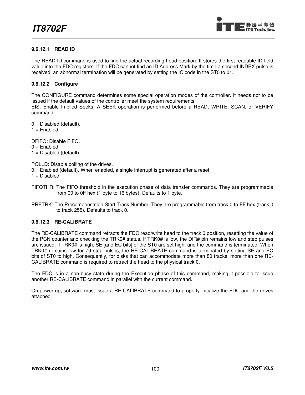

# **9.6.12.1 READ ID**

The READ ID command is used to find the actual recording head position. It stores the first readable ID field value into the FDC registers. If the FDC cannot find an ID Address Mark by the time a second INDEX pulse is received, an abnormal termination will be generated by setting the IC code in the ST0 to 01.

## **9.6.12.2 Configure**

The CONFIGURE command determines some special operation modes of the controller. It needs not to be issued if the default values of the controller meet the system requirements.

EIS: Enable Implied Seeks. A SEEK operation is performed before a READ, WRITE, SCAN, or VERIFY command.

 $0 = Disabled$  (default).

 $1 =$ Enabled.

DFIFO: Disable FIFO.  $0 =$ Enabled.  $1 = Disabled$  (default).

POLLD: Disable polling of the drives.

 $0 =$  Enabled (default). When enabled, a single interrupt is generated after a reset.

 $1 = Disabled$ .

- FIFOTHR: The FIFO threshold in the execution phase of data transfer commands. They are programmable from 00 to 0F hex (1 byte to 16 bytes). Defaults to 1 byte.
- PRETRK: The Precompensation Start Track Number. They are programmable from track 0 to FF hex (track 0 to track 255). Defaults to track 0.

## **9.6.12.3 RE-CALIBRATE**

The RE-CALIBRATE command retracts the FDC read/write head to the track 0 position, resetting the value of the PCN counter and checking the TRK0# status. If TRK0# is low, the DIR# pin remains low and step pulses are issued. If TRK0# is high, SE [and EC bits] of the ST0 are set high, and the command is terminated. When TRK0# remains low for 79 step pulses, the RE-CALIBRATE command is terminated by setting SE and EC bits of ST0 to high. Consequently, for disks that can accommodate more than 80 tracks, more than one RE-CALIBRATE command is required to retract the head to the physical track 0.

The FDC is in a non-busy state during the Execution phase of this command, making it possible to issue another RE-CALIBRATE command in parallel with the current command.

On power-up, software must issue a RE-CALIBRATE command to properly initialize the FDC and the drives attached.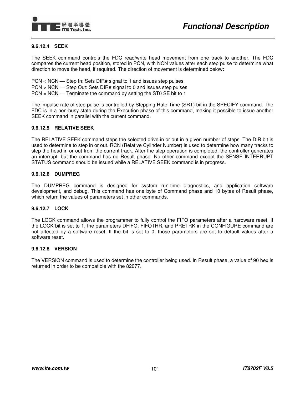

#### **9.6.12.4 SEEK**

The SEEK command controls the FDC read/write head movement from one track to another. The FDC compares the current head position, stored in PCN, with NCN values after each step pulse to determine what direction to move the head, if required. The direction of movement is determined below:

PCN < NCN – Step In: Sets DIR# signal to 1 and issues step pulses PCN > NCN - Step Out: Sets DIR# signal to 0 and issues step pulses PCN = NCN – Terminate the command by setting the ST0 SE bit to 1

The impulse rate of step pulse is controlled by Stepping Rate Time (SRT) bit in the SPECIFY command. The FDC is in a non-busy state during the Execution phase of this command, making it possible to issue another SEEK command in parallel with the current command.

#### **9.6.12.5 RELATIVE SEEK**

The RELATIVE SEEK command steps the selected drive in or out in a given number of steps. The DIR bit is used to determine to step in or out. RCN (Relative Cylinder Number) is used to determine how many tracks to step the head in or out from the current track. After the step operation is completed, the controller generates an interrupt, but the command has no Result phase. No other command except the SENSE INTERRUPT STATUS command should be issued while a RELATIVE SEEK command is in progress.

### **9.6.12.6 DUMPREG**

The DUMPREG command is designed for system run-time diagnostics, and application software development, and debug. This command has one byte of Command phase and 10 bytes of Result phase, which return the values of parameters set in other commands.

#### **9.6.12.7 LOCK**

The LOCK command allows the programmer to fully control the FIFO parameters after a hardware reset. If the LOCK bit is set to 1, the parameters DFIFO, FIFOTHR, and PRETRK in the CONFIGURE command are not affected by a software reset. If the bit is set to 0, those parameters are set to default values after a software reset.

#### **9.6.12.8 VERSION**

The VERSION command is used to determine the controller being used. In Result phase, a value of 90 hex is returned in order to be compatible with the 82077.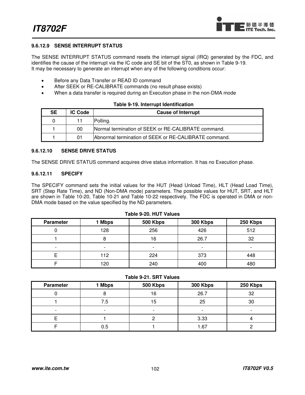

# **9.6.12.9 SENSE INTERRUPT STATUS**

The SENSE INTERRUPT STATUS command resets the interrupt signal (IRQ) generated by the FDC, and identifies the cause of the interrupt via the IC code and SE bit of the ST0, as shown in Table 9-19. It may be necessary to generate an interrupt when any of the following conditions occur:

- Before any Data Transfer or READ ID command
- After SEEK or RE-CALIBRATE commands (no result phase exists)
- When a data transfer is required during an Execution phase in the non-DMA mode

| <b>SE</b> | <b>IC Code</b> | <b>Cause of Interrupt</b>                             |
|-----------|----------------|-------------------------------------------------------|
|           |                | Polling.                                              |
|           | 00             | Normal termination of SEEK or RE-CALIBRATE command.   |
|           | በ1             | Abnormal termination of SEEK or RE-CALIBRATE command. |

#### **Table 9-19. Interrupt Identification**

## **9.6.12.10 SENSE DRIVE STATUS**

The SENSE DRIVE STATUS command acquires drive status information. It has no Execution phase.

## **9.6.12.11 SPECIFY**

The SPECIFY command sets the initial values for the HUT (Head Unload Time), HLT (Head Load Time), SRT (Step Rate Time), and ND (Non-DMA mode) parameters. The possible values for HUT, SRT, and HLT are shown in Table 10-20, Table 10-21 and Table 10-22 respectively. The FDC is operated in DMA or non-DMA mode based on the value specified by the ND parameters.

|  |  |  | Table 9-20. HUT Values |
|--|--|--|------------------------|
|--|--|--|------------------------|

| <b>Parameter</b>         | . Mbps                   | 500 Kbps                 | 300 Kbps                 | 250 Kbps                 |
|--------------------------|--------------------------|--------------------------|--------------------------|--------------------------|
|                          | 128                      | 256                      | 426                      | 512                      |
|                          |                          | 16                       | 26.7                     | 32                       |
| $\overline{\phantom{a}}$ | $\overline{\phantom{a}}$ | $\overline{\phantom{a}}$ | $\overline{\phantom{0}}$ | $\overline{\phantom{0}}$ |
|                          | 112                      | 224                      | 373                      | 448                      |
|                          | 120                      | 240                      | 400                      | 480                      |

# **Table 9-21. SRT Values**

| <b>Parameter</b>         | 1 Mbps                   | 500 Kbps | 300 Kbps | 250 Kbps                 |
|--------------------------|--------------------------|----------|----------|--------------------------|
|                          | О                        | 16       | 26.7     | 32                       |
|                          | 7.5                      | 15       | 25       | 30                       |
| $\overline{\phantom{a}}$ | $\overline{\phantom{a}}$ | ۰        | ٠        | $\overline{\phantom{0}}$ |
|                          |                          |          | 3.33     |                          |
|                          | 0.5                      |          | 1.67     |                          |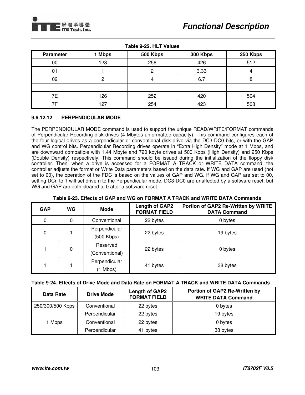| <b>Parameter</b>         | 1 Mbps | 500 Kbps                 | 300 Kbps                 | 250 Kbps                 |  |  |  |  |
|--------------------------|--------|--------------------------|--------------------------|--------------------------|--|--|--|--|
| 00                       | 128    | 256                      | 426                      | 512                      |  |  |  |  |
| 01                       |        |                          | 3.33                     |                          |  |  |  |  |
| 02                       |        |                          | 6.7                      |                          |  |  |  |  |
| $\overline{\phantom{0}}$ |        | $\overline{\phantom{a}}$ | $\overline{\phantom{0}}$ | $\overline{\phantom{0}}$ |  |  |  |  |
| 7E                       | 126    | 252                      | 420                      | 504                      |  |  |  |  |
| 7F                       | 127    | 254                      | 423                      | 508                      |  |  |  |  |
|                          |        |                          |                          |                          |  |  |  |  |

#### **Table 9-22. HLT Values**

# **9.6.12.12 PERPENDICULAR MODE**

The PERPENDICULAR MODE command is used to support the unique READ/WRITE/FORMAT commands of Perpendicular Recording disk drives (4 Mbytes unformatted capacity). This command configures each of the four logical drives as a perpendicular or conventional disk drive via the DC3-DC0 bits, or with the GAP and WG control bits. Perpendicular Recording drives operate in "Extra High Density" mode at 1 Mbps, and are downward compatible with 1.44 Mbyte and 720 kbyte drives at 500 Kbps (High Density) and 250 Kbps (Double Density) respectively. This command should be issued during the initialization of the floppy disk controller. Then, when a drive is accessed for a FORMAT A TRACK or WRITE DATA command, the controller adjusts the format or Write Data parameters based on the data rate. If WG and GAP are used (not set to 00), the operation of the FDC is based on the values of GAP and WG. If WG and GAP are set to 00, setting DCn to 1 will set drive n to the Perpendicular mode. DC3-DC0 are unaffected by a software reset, but WG and GAP are both cleared to 0 after a software reset.

## **Table 9-23. Effects of GAP and WG on FORMAT A TRACK and WRITE DATA Commands**

| <b>GAP</b> | WG | Mode                        | <b>Length of GAP2</b><br><b>FORMAT FIELD</b> | Portion of GAP2 Re-Written by WRITE<br><b>DATA Command</b> |
|------------|----|-----------------------------|----------------------------------------------|------------------------------------------------------------|
| 0          | 0  | Conventional                | 22 bytes                                     | 0 bytes                                                    |
| 0          |    | Perpendicular<br>(500 Kbps) | 22 bytes                                     | 19 bytes                                                   |
|            | 0  | Reserved<br>(Conventional)  | 22 bytes                                     | 0 bytes                                                    |
|            |    | Perpendicular<br>(1 Mbps)   | 41 bytes                                     | 38 bytes                                                   |

#### **Table 9-24. Effects of Drive Mode and Data Rate on FORMAT A TRACK and WRITE DATA Commands**

| <b>Data Rate</b> | <b>Drive Mode</b> | <b>Length of GAP2</b><br><b>FORMAT FIELD</b> | Portion of GAP2 Re-Written by<br><b>WRITE DATA Command</b> |
|------------------|-------------------|----------------------------------------------|------------------------------------------------------------|
| 250/300/500 Kbps | Conventional      | 22 bytes                                     | 0 bytes                                                    |
|                  | Perpendicular     | 22 bytes                                     | 19 bytes                                                   |
| 1 Mbps           | Conventional      | 22 bytes                                     | 0 bytes                                                    |
|                  | Perpendicular     | 41 bytes                                     | 38 bytes                                                   |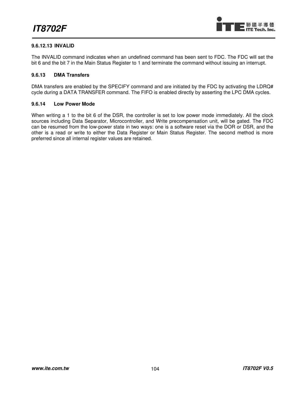

# **9.6.12.13 INVALID**

The INVALID command indicates when an undefined command has been sent to FDC. The FDC will set the bit 6 and the bit 7 in the Main Status Register to 1 and terminate the command without issuing an interrupt.

### **9.6.13 DMA Transfers**

DMA transfers are enabled by the SPECIFY command and are initiated by the FDC by activating the LDRQ# cycle during a DATA TRANSFER command. The FIFO is enabled directly by asserting the LPC DMA cycles.

### **9.6.14 Low Power Mode**

When writing a 1 to the bit 6 of the DSR, the controller is set to low power mode immediately. All the clock sources including Data Separator, Microcontroller, and Write precompensation unit, will be gated. The FDC can be resumed from the low-power state in two ways: one is a software reset via the DOR or DSR, and the other is a read or write to either the Data Register or Main Status Register. The second method is more preferred since all internal register values are retained.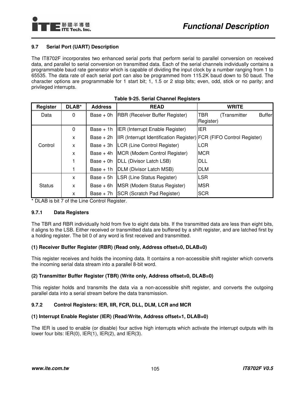

# **9.7 Serial Port (UART) Description**

The IT8702F incorporates two enhanced serial ports that perform serial to parallel conversion on received data, and parallel to serial conversion on transmitted data. Each of the serial channels individually contains a programmable baud rate generator which is capable of dividing the input clock by a number ranging from 1 to 65535. The data rate of each serial port can also be programmed from 115.2K baud down to 50 baud. The character options are programmable for 1 start bit; 1, 1.5 or 2 stop bits; even, odd, stick or no parity; and privileged interrupts.

| Register      | DLAB* | <b>Address</b> | <b>READ</b>                                                         | <b>WRITE</b>                                      |
|---------------|-------|----------------|---------------------------------------------------------------------|---------------------------------------------------|
| Data          | 0     | $Base + 0h$    | <b>RBR (Receiver Buffer Register)</b>                               | <b>Buffer</b><br>TBR<br>(Transmitter<br>Register) |
|               | 0     | $Base + 1h$    | IER (Interrupt Enable Register)                                     | <b>IER</b>                                        |
|               | X     | $Base + 2h$    | IIR (Interrupt Identification Register) FCR (FIFO Control Register) |                                                   |
| Control       | X     | $Base + 3h$    | LCR (Line Control Register)                                         | <b>LCR</b>                                        |
|               | X     | $Base + 4h$    | MCR (Modem Control Register)                                        | <b>MCR</b>                                        |
|               |       | $Base + 0h$    | DLL (Divisor Latch LSB)                                             | DLL                                               |
|               |       | $Base + 1h$    | DLM (Divisor Latch MSB)                                             | <b>DLM</b>                                        |
|               | X     | $Base + 5h$    | LSR (Line Status Register)                                          | <b>LSR</b>                                        |
| <b>Status</b> | X     | $Base + 6h$    | <b>MSR (Modem Status Register)</b>                                  | <b>MSR</b>                                        |
|               | X     | Base + 7h      | <b>SCR (Scratch Pad Register)</b>                                   | <b>SCR</b>                                        |

#### **Table 9-25. Serial Channel Registers**

\* DLAB is bit 7 of the Line Control Register.

#### **9.7.1 Data Registers**

The TBR and RBR individually hold from five to eight data bits. If the transmitted data are less than eight bits, it aligns to the LSB. Either received or transmitted data are buffered by a shift register, and are latched first by a holding register. The bit 0 of any word is first received and transmitted.

# **(1) Receiver Buffer Register (RBR) (Read only, Address offset=0, DLAB=0)**

This register receives and holds the incoming data. It contains a non-accessible shift register which converts the incoming serial data stream into a parallel 8-bit word.

#### **(2) Transmitter Buffer Register (TBR) (Write only, Address offset=0, DLAB=0)**

This register holds and transmits the data via a non-accessible shift register, and converts the outgoing parallel data into a serial stream before the data transmission.

# **9.7.2 Control Registers: IER, IIR, FCR, DLL, DLM, LCR and MCR**

#### **(1) Interrupt Enable Register (IER) (Read/Write, Address offset=1, DLAB=0)**

The IER is used to enable (or disable) four active high interrupts which activate the interrupt outputs with its lower four bits: IER(0), IER(1), IER(2), and IER(3).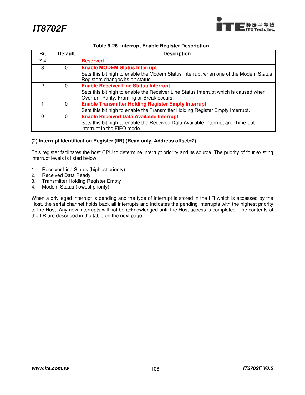

### **Table 9-26. Interrupt Enable Register Description**

| Bit     | <b>Default</b> | <b>Description</b>                                                                   |
|---------|----------------|--------------------------------------------------------------------------------------|
| $7 - 4$ |                | <b>Reserved</b>                                                                      |
| 3       | $\Omega$       | <b>Enable MODEM Status Interrupt</b>                                                 |
|         |                | Sets this bit high to enable the Modem Status Interrupt when one of the Modem Status |
|         |                | Registers changes its bit status.                                                    |
| 2       | 0              | <b>Enable Receiver Line Status Interrupt</b>                                         |
|         |                | Sets this bit high to enable the Receiver Line Status Interrupt which is caused when |
|         |                | Overrun, Parity, Framing or Break occurs.                                            |
|         | $\Omega$       | <b>Enable Transmitter Holding Register Empty Interrupt</b>                           |
|         |                | Sets this bit high to enable the Transmitter Holding Register Empty Interrupt.       |
| O       | 0              | <b>Enable Received Data Available Interrupt</b>                                      |
|         |                | Sets this bit high to enable the Received Data Available Interrupt and Time-out      |
|         |                | interrupt in the FIFO mode.                                                          |

# **(2) Interrupt Identification Register (IIR) (Read only, Address offset=2)**

This register facilitates the host CPU to determine interrupt priority and its source. The priority of four existing interrupt levels is listed below:

- 1. Receiver Line Status (highest priority)<br>2. Received Data Ready
- 2. Received Data Ready<br>3. Transmitter Holding Re
- **Transmitter Holding Register Empty**
- 4. Modem Status (lowest priority)

When a privileged interrupt is pending and the type of interrupt is stored in the IIR which is accessed by the Host, the serial channel holds back all interrupts and indicates the pending interrupts with the highest priority to the Host. Any new interrupts will not be acknowledged until the Host access is completed. The contents of the IIR are described in the table on the next page.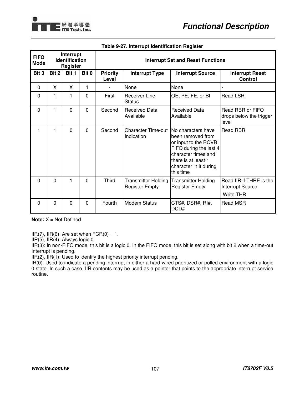| <b>FIFO</b><br><b>Mode</b> | Interrupt<br><b>Identification</b><br>Register |             | <b>Interrupt Set and Reset Functions</b> |                          |                                                     |                                                                                                                                                                                                    |                                                                        |
|----------------------------|------------------------------------------------|-------------|------------------------------------------|--------------------------|-----------------------------------------------------|----------------------------------------------------------------------------------------------------------------------------------------------------------------------------------------------------|------------------------------------------------------------------------|
| Bit 3                      | Bit 2                                          | Bit 1       | Bit 0                                    | <b>Priority</b><br>Level | <b>Interrupt Type</b>                               | <b>Interrupt Source</b>                                                                                                                                                                            | <b>Interrupt Reset</b><br><b>Control</b>                               |
| $\Omega$                   | X                                              | X           | 1                                        |                          | None                                                | None                                                                                                                                                                                               |                                                                        |
| $\Omega$                   | 1                                              | 1           | $\mathbf 0$                              | First                    | <b>Receiver Line</b><br><b>Status</b>               | OE, PE, FE, or BI                                                                                                                                                                                  | <b>Read LSR</b>                                                        |
| $\Omega$                   | 1                                              | $\Omega$    | $\mathbf{0}$                             | Second                   | <b>Received Data</b><br>Available                   | <b>Received Data</b><br>Available                                                                                                                                                                  | Read RBR or FIFO<br>drops below the trigger<br>level                   |
| 1                          | 1                                              | $\Omega$    | $\Omega$                                 | Second                   | Indication                                          | Character Time-out INo characters have<br>been removed from<br>or input to the RCVR<br>FIFO during the last 4<br>character times and<br>there is at least 1<br>character in it during<br>this time | <b>Read RBR</b>                                                        |
| $\Omega$                   | $\mathbf 0$                                    | 1           | $\Omega$                                 | <b>Third</b>             | <b>Transmitter Holding</b><br><b>Register Empty</b> | <b>Transmitter Holding</b><br><b>Register Empty</b>                                                                                                                                                | Read IIR if THRE is the<br><b>Interrupt Source</b><br><b>Write THR</b> |
| $\Omega$                   | $\mathbf{0}$                                   | $\mathbf 0$ | $\mathbf 0$                              | Fourth                   | <b>Modem Status</b>                                 | CTS#, DSR#, RI#,<br>DCD#                                                                                                                                                                           | <b>Read MSR</b>                                                        |

## **Table 9-27. Interrupt Identification Register**

**Note:** X = Not Defined

 $IIR(7)$ ,  $IIR(6)$ : Are set when  $FCR(0) = 1$ .

IIR(5), IIR(4): Always logic 0.

IIR(3): In non-FIFO mode, this bit is a logic 0. In the FIFO mode, this bit is set along with bit 2 when a time-out Interrupt is pending.

IIR(2), IIR(1): Used to identify the highest priority interrupt pending.

IR(0): Used to indicate a pending interrupt in either a hard-wired prioritized or polled environment with a logic 0 state. In such a case, IIR contents may be used as a pointer that points to the appropriate interrupt service routine.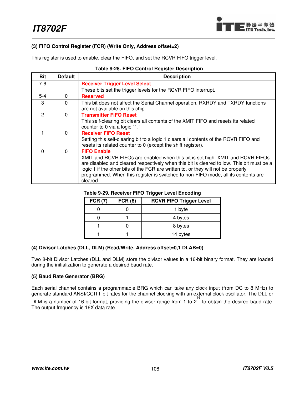# **(3) FIFO Control Register (FCR) (Write Only, Address offset=2)**

This register is used to enable, clear the FIFO, and set the RCVR FIFO trigger level.

| <b>Bit</b> | <b>Default</b> | <b>Description</b>                                                                                                                                                             |
|------------|----------------|--------------------------------------------------------------------------------------------------------------------------------------------------------------------------------|
| 7-6        |                | <b>Receiver Trigger Level Select</b>                                                                                                                                           |
|            |                | These bits set the trigger levels for the RCVR FIFO interrupt.                                                                                                                 |
| $5 - 4$    | $\Omega$       | <b>Reserved</b>                                                                                                                                                                |
| 3          | $\Omega$       | This bit does not affect the Serial Channel operation. RXRDY and TXRDY functions<br>are not available on this chip.                                                            |
| 2          | $\Omega$       | <b>Transmitter FIFO Reset</b>                                                                                                                                                  |
|            |                | This self-clearing bit clears all contents of the XMIT FIFO and resets its related                                                                                             |
|            |                | counter to 0 via a logic "1."                                                                                                                                                  |
|            | $\Omega$       | <b>Receiver FIFO Reset</b>                                                                                                                                                     |
|            |                | Setting this self-clearing bit to a logic 1 clears all contents of the RCVR FIFO and<br>resets its related counter to 0 (except the shift register).                           |
| 0          | $\Omega$       | <b>FIFO Enable</b>                                                                                                                                                             |
|            |                | XMIT and RCVR FIFOs are enabled when this bit is set high. XMIT and RCVR FIFOs                                                                                                 |
|            |                | are disabled and cleared respectively when this bit is cleared to low. This bit must be a<br>logic 1 if the other bits of the FCR are written to, or they will not be properly |
|            |                | programmed. When this register is switched to non-FIFO mode, all its contents are<br>cleared.                                                                                  |

# **Table 9-28. FIFO Control Register Description**

| Table 9-29. Receiver FIFO Trigger Level Encoding |  |  |  |  |  |
|--------------------------------------------------|--|--|--|--|--|
|--------------------------------------------------|--|--|--|--|--|

| <b>FCR (7)</b> | <b>FCR (6)</b> | <b>RCVR FIFO Trigger Level</b> |
|----------------|----------------|--------------------------------|
|                |                | 1 byte                         |
|                |                | 4 bytes                        |
|                |                | 8 bytes                        |
|                |                | 14 bytes                       |

#### **(4) Divisor Latches (DLL, DLM) (Read/Write, Address offset=0,1 DLAB=0)**

Two 8-bit Divisor Latches (DLL and DLM) store the divisor values in a 16-bit binary format. They are loaded during the initialization to generate a desired baud rate.

#### **(5) Baud Rate Generator (BRG)**

Each serial channel contains a programmable BRG which can take any clock input (from DC to 8 MHz) to generate standard ANSI/CCITT bit rates for the channel clocking with an external clock oscillator. The DLL or

DLM is a number of 16-bit format, providing the divisor range from 1 to 2 16 to obtain the desired baud rate. The output frequency is 16X data rate.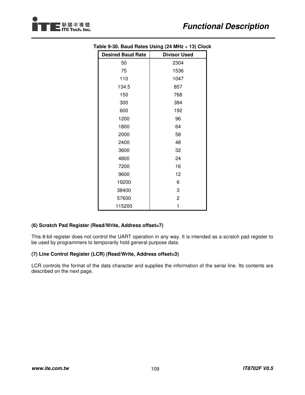| <b>Desired Baud Rate</b> | <b>Divisor Used</b> |
|--------------------------|---------------------|
| 50                       | 2304                |
| 75                       | 1536                |
| 110                      | 1047                |
| 134.5                    | 857                 |
| 150                      | 768                 |
| 300                      | 384                 |
| 600                      | 192                 |
| 1200                     | 96                  |
| 1800                     | 64                  |
| 2000                     | 58                  |
| 2400                     | 48                  |
| 3600                     | 32                  |
| 4800                     | 24                  |
| 7200                     | 16                  |
| 9600                     | 12                  |
| 19200                    | 6                   |
| 38400                    | 3                   |
| 57600                    | $\overline{c}$      |
| 115200                   | 1                   |

# **Table 9-30. Baud Rates Using (24 MHz** ÷ **13) Clock**

# **(6) Scratch Pad Register (Read/Write, Address offset=7)**

This 8-bit register does not control the UART operation in any way. It is intended as a scratch pad register to be used by programmers to temporarily hold general purpose data.

# **(7) Line Control Register (LCR) (Read/Write, Address offset=3)**

LCR controls the format of the data character and supplies the information of the serial line. Its contents are described on the next page.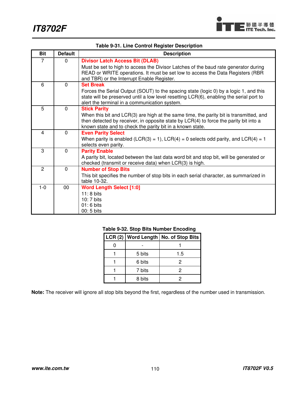

| <b>Bit</b>     | <b>Default</b> | <b>Description</b>                                                                                                                                                                                                                                                  |
|----------------|----------------|---------------------------------------------------------------------------------------------------------------------------------------------------------------------------------------------------------------------------------------------------------------------|
| 7              | 0              | <b>Divisor Latch Access Bit (DLAB)</b><br>Must be set to high to access the Divisor Latches of the baud rate generator during<br>READ or WRITE operations. It must be set low to access the Data Registers (RBR<br>and TBR) or the Interrupt Enable Register.       |
| 6              | $\Omega$       | <b>Set Break</b><br>Forces the Serial Output (SOUT) to the spacing state (logic 0) by a logic 1, and this<br>state will be preserved until a low level resetting LCR(6), enabling the serial port to<br>alert the terminal in a communication system.               |
| 5              | $\Omega$       | <b>Stick Parity</b><br>When this bit and LCR(3) are high at the same time, the parity bit is transmitted, and<br>then detected by receiver, in opposite state by LCR(4) to force the parity bit into a<br>known state and to check the parity bit in a known state. |
| 4              | 0              | <b>Even Parity Select</b><br>When parity is enabled (LCR(3) = 1), LCR(4) = 0 selects odd parity, and LCR(4) = 1<br>selects even parity.                                                                                                                             |
| 3              | $\Omega$       | <b>Parity Enable</b><br>A parity bit, located between the last data word bit and stop bit, will be generated or<br>checked (transmit or receive data) when LCR(3) is high.                                                                                          |
| $\overline{2}$ | $\Omega$       | <b>Number of Stop Bits</b><br>This bit specifies the number of stop bits in each serial character, as summarized in<br>table 10-32.                                                                                                                                 |
| $1 - 0$        | 00             | <b>Word Length Select [1:0]</b><br>$11:8 \text{ bits}$<br>10: 7 bits<br>$01:6$ bits<br>00: 5 bits                                                                                                                                                                   |

# **Table 9-31. Line Control Register Description**

# **Table 9-32. Stop Bits Number Encoding**

|        | LCR (2) Word Length   No. of Stop Bits |
|--------|----------------------------------------|
|        |                                        |
| 5 bits | 1.5                                    |
| 6 bits |                                        |
| 7 bits | 2                                      |
| 8 bits |                                        |

**Note:** The receiver will ignore all stop bits beyond the first, regardless of the number used in transmission.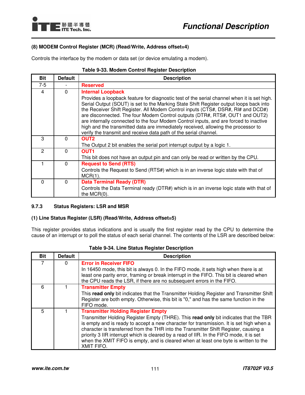

# **(8) MODEM Control Register (MCR) (Read/Write, Address offset=4)**

Controls the interface by the modem or data set (or device emulating a modem).

| Bit            | <b>Default</b> | <b>Description</b>                                                                                                                                                                                                                                                                                                                                                                                                                                                                                                                                                                                                                     |
|----------------|----------------|----------------------------------------------------------------------------------------------------------------------------------------------------------------------------------------------------------------------------------------------------------------------------------------------------------------------------------------------------------------------------------------------------------------------------------------------------------------------------------------------------------------------------------------------------------------------------------------------------------------------------------------|
| $7-5$          |                | <b>Reserved</b>                                                                                                                                                                                                                                                                                                                                                                                                                                                                                                                                                                                                                        |
| 4              | 0              | <b>Internal Loopback</b><br>Provides a loopback feature for diagnostic test of the serial channel when it is set high.<br>Serial Output (SOUT) is set to the Marking State Shift Register output loops back into<br>the Receiver Shift Register. All Modem Control inputs (CTS#, DSR#, RI# and DCD#)<br>are disconnected. The four Modem Control outputs (DTR#, RTS#, OUT1 and OUT2)<br>are internally connected to the four Modem Control inputs, and are forced to inactive<br>high and the transmitted data are immediately received, allowing the processor to<br>verify the transmit and receive data path of the serial channel. |
| 3              | 0              | OUT <sub>2</sub><br>The Output 2 bit enables the serial port interrupt output by a logic 1.                                                                                                                                                                                                                                                                                                                                                                                                                                                                                                                                            |
| $\overline{2}$ | $\Omega$       | OUT <sub>1</sub><br>This bit does not have an output pin and can only be read or written by the CPU.                                                                                                                                                                                                                                                                                                                                                                                                                                                                                                                                   |
|                | $\Omega$       | <b>Request to Send (RTS)</b><br>Controls the Request to Send (RTS#) which is in an inverse logic state with that of<br>$MCR(1)$ .                                                                                                                                                                                                                                                                                                                                                                                                                                                                                                      |
| 0              | $\mathbf{0}$   | <b>Data Terminal Ready (DTR)</b><br>Controls the Data Terminal ready (DTR#) which is in an inverse logic state with that of<br>the MCR(0).                                                                                                                                                                                                                                                                                                                                                                                                                                                                                             |

# **Table 9-33. Modem Control Register Description**

# **9.7.3 Status Registers: LSR and MSR**

# **(1) Line Status Register (LSR) (Read/Write, Address offset=5)**

This register provides status indications and is usually the first register read by the CPU to determine the cause of an interrupt or to poll the status of each serial channel. The contents of the LSR are described below:

| <b>Bit</b> | <b>Default</b> | <b>Description</b>                                                                                                                                                                                                                                                                                                                                                                                                                                                       |
|------------|----------------|--------------------------------------------------------------------------------------------------------------------------------------------------------------------------------------------------------------------------------------------------------------------------------------------------------------------------------------------------------------------------------------------------------------------------------------------------------------------------|
|            | $\Omega$       | <b>Error in Receiver FIFO</b>                                                                                                                                                                                                                                                                                                                                                                                                                                            |
|            |                | In 16450 mode, this bit is always 0. In the FIFO mode, it sets high when there is at                                                                                                                                                                                                                                                                                                                                                                                     |
|            |                | least one parity error, framing or break interrupt in the FIFO. This bit is cleared when<br>the CPU reads the LSR, if there are no subsequent errors in the FIFO.                                                                                                                                                                                                                                                                                                        |
| 6          |                | <b>Transmitter Empty</b>                                                                                                                                                                                                                                                                                                                                                                                                                                                 |
|            |                | This read only bit indicates that the Transmitter Holding Register and Transmitter Shift                                                                                                                                                                                                                                                                                                                                                                                 |
|            |                | Register are both empty. Otherwise, this bit is "0," and has the same function in the<br>FIFO mode.                                                                                                                                                                                                                                                                                                                                                                      |
| 5          |                | <b>Transmitter Holding Register Empty</b>                                                                                                                                                                                                                                                                                                                                                                                                                                |
|            |                | Transmitter Holding Register Empty (THRE). This read only bit indicates that the TBR<br>is empty and is ready to accept a new character for transmission. It is set high when a<br>character is transferred from the THR into the Transmitter Shift Register, causing a<br>priority 3 IIR interrupt which is cleared by a read of IIR. In the FIFO mode, it is set<br>when the XMIT FIFO is empty, and is cleared when at least one byte is written to the<br>XMIT FIFO. |

# **Table 9-34. Line Status Register Description**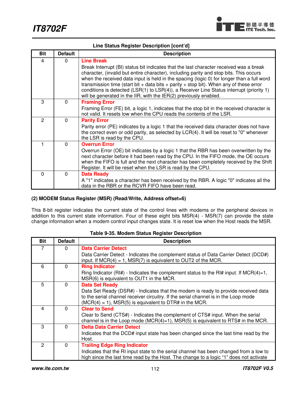

|              |                | Line Status Register Description (contra)                                                                                                                                                                                                                                                                                                                                                                                                                                                                                                      |
|--------------|----------------|------------------------------------------------------------------------------------------------------------------------------------------------------------------------------------------------------------------------------------------------------------------------------------------------------------------------------------------------------------------------------------------------------------------------------------------------------------------------------------------------------------------------------------------------|
| <b>Bit</b>   | <b>Default</b> | <b>Description</b>                                                                                                                                                                                                                                                                                                                                                                                                                                                                                                                             |
| 4            | 0              | <b>Line Break</b>                                                                                                                                                                                                                                                                                                                                                                                                                                                                                                                              |
|              |                | Break Interrupt (BI) status bit indicates that the last character received was a break<br>character, (invalid but entire character), including parity and stop bits. This occurs<br>when the received data input is held in the spacing (logic 0) for longer than a full word<br>transmission time (start bit $+$ data bits $+$ parity $+$ stop bit). When any of these error<br>conditions is detected (LSR(1) to LSR(4)), a Receiver Line Status interrupt (priority 1)<br>will be generated in the IIR, with the IER(2) previously enabled. |
| 3            | $\Omega$       | <b>Framing Error</b>                                                                                                                                                                                                                                                                                                                                                                                                                                                                                                                           |
|              |                | Framing Error (FE) bit, a logic 1, indicates that the stop bit in the received character is<br>not valid. It resets low when the CPU reads the contents of the LSR.                                                                                                                                                                                                                                                                                                                                                                            |
| 2            | $\Omega$       | <b>Parity Error</b>                                                                                                                                                                                                                                                                                                                                                                                                                                                                                                                            |
|              |                | Parity error (PE) indicates by a logic 1 that the received data character does not have<br>the correct even or odd parity, as selected by LCR(4). It will be reset to "0" whenever<br>the LSR is read by the CPU.                                                                                                                                                                                                                                                                                                                              |
|              | $\Omega$       | <b>Overrun Error</b>                                                                                                                                                                                                                                                                                                                                                                                                                                                                                                                           |
|              |                | Overrun Error (OE) bit indicates by a logic 1 that the RBR has been overwritten by the<br>next character before it had been read by the CPU. In the FIFO mode, the OE occurs<br>when the FIFO is full and the next character has been completely received by the Shift<br>Register. It will be reset when the LSR is read by the CPU.                                                                                                                                                                                                          |
| $\mathbf{0}$ | $\Omega$       | <b>Data Ready</b>                                                                                                                                                                                                                                                                                                                                                                                                                                                                                                                              |
|              |                | A "1" indicates a character has been received by the RBR. A logic "0" indicates all the<br>data in the RBR or the RCVR FIFO have been read.                                                                                                                                                                                                                                                                                                                                                                                                    |

# **Line Status Register Description [cont'd]**

# **(2) MODEM Status Register (MSR) (Read/Write, Address offset=6)**

This 8-bit register indicates the current state of the control lines with modems or the peripheral devices in addition to this current state information. Four of these eight bits MSR(4) - MSR(7) can provide the state change information when a modem control input changes state. It is reset low when the Host reads the MSR.

| Bit | <b>Default</b> | <b>Description</b>                                                                     |
|-----|----------------|----------------------------------------------------------------------------------------|
| 7   | $\Omega$       | <b>Data Carrier Detect</b>                                                             |
|     |                | Data Carrier Detect - Indicates the complement status of Data Carrier Detect (DCD#)    |
|     |                | input. If $MCR(4) = 1$ , $MSR(7)$ is equivalent to OUT2 of the MCR.                    |
| 6   | 0              | <b>Ring Indicator</b>                                                                  |
|     |                | Ring Indicator (RI#) - Indicates the complement status to the RI# input. If MCR(4)=1,  |
|     |                | MSR(6) is equivalent to OUT1 in the MCR.                                               |
| 5   | $\Omega$       | <b>Data Set Ready</b>                                                                  |
|     |                | Data Set Ready (DSR#) - Indicates that the modem is ready to provide received data     |
|     |                | to the serial channel receiver circuitry. If the serial channel is in the Loop mode    |
|     |                | $(MCR(4) = 1)$ , MSR(5) is equivalent to DTR# in the MCR.                              |
| 4   | $\Omega$       | <b>Clear to Send</b>                                                                   |
|     |                | Clear to Send (CTS#) - Indicates the complement of CTS# input. When the serial         |
|     |                | channel is in the Loop mode ( $MCR(4)=1$ ), $MSR(5)$ is equivalent to RTS# in the MCR. |
| 3   | $\Omega$       | <b>Delta Data Carrier Detect</b>                                                       |
|     |                | Indicates that the DCD# input state has been changed since the last time read by the   |
|     |                | Host.                                                                                  |
| 2   | $\Omega$       | <b>Trailing Edge Ring Indicator</b>                                                    |
|     |                | Indicates that the RI input state to the serial channel has been changed from a low to |
|     |                | high since the last time read by the Host. The change to a logic "1" does not activate |

## **Table 9-35. Modem Status Register Description**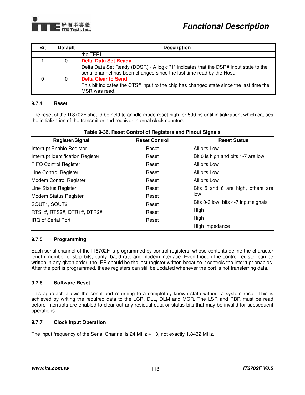

| Bit | <b>Default</b> | <b>Description</b>                                                                                                                                                                           |
|-----|----------------|----------------------------------------------------------------------------------------------------------------------------------------------------------------------------------------------|
|     |                | the TERI.                                                                                                                                                                                    |
|     | 0              | <b>Delta Data Set Ready</b><br>Delta Data Set Ready (DDSR) - A logic "1" indicates that the DSR# input state to the<br>serial channel has been changed since the last time read by the Host. |
|     |                | <b>Delta Clear to Send</b><br>This bit indicates the CTS# input to the chip has changed state since the last time the<br>MSR was read.                                                       |

# **9.7.4 Reset**

The reset of the IT8702F should be held to an idle mode reset high for 500 ns until initialization, which causes the initialization of the transmitter and receiver internal clock counters.

| Register/Signal                   | <b>Reset Control</b> | <b>Reset Status</b>                  |
|-----------------------------------|----------------------|--------------------------------------|
| Interrupt Enable Register         | Reset                | All bits Low                         |
| Interrupt Identification Register | Reset                | Bit 0 is high and bits 1-7 are low   |
| <b>FIFO Control Register</b>      | Reset                | All bits Low                         |
| Line Control Register             | Reset                | All bits Low                         |
| Modem Control Register            | Reset                | All bits Low                         |
| Line Status Register              | Reset                | Bits 5 and 6 are high, others are    |
| Modem Status Register             | Reset                | low                                  |
| SOUT1, SOUT2                      | Reset                | Bits 0-3 low, bits 4-7 input signals |
| RTS1#, RTS2#, DTR1#, DTR2#        | Reset                | High                                 |
| <b>IRQ of Serial Port</b>         | Reset                | High                                 |
|                                   |                      | High Impedance                       |

# **Table 9-36. Reset Control of Registers and Pinout Signals**

# **9.7.5 Programming**

Each serial channel of the IT8702F is programmed by control registers, whose contents define the character length, number of stop bits, parity, baud rate and modem interface. Even though the control register can be written in any given order, the IER should be the last register written because it controls the interrupt enables. After the port is programmed, these registers can still be updated whenever the port is not transferring data.

# **9.7.6 Software Reset**

This approach allows the serial port returning to a completely known state without a system reset. This is achieved by writing the required data to the LCR, DLL, DLM and MCR. The LSR and RBR must be read before interrupts are enabled to clear out any residual data or status bits that may be invalid for subsequent operations.

# **9.7.7 Clock Input Operation**

The input frequency of the Serial Channel is 24 MHz  $\div$  13, not exactly 1.8432 MHz.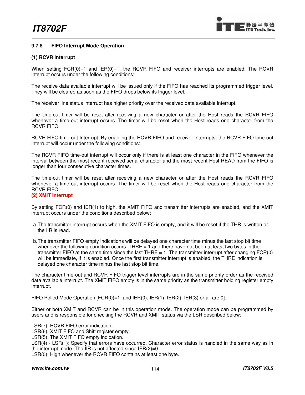# **9.7.8 FIFO Interrupt Mode Operation**

## **(1) RCVR Interrupt**

When setting  $FCR(0)=1$  and  $IER(0)=1$ , the RCVR FIFO and receiver interrupts are enabled. The RCVR interrupt occurs under the following conditions:

The receive data available interrupt will be issued only if the FIFO has reached its programmed trigger level. They will be cleared as soon as the FIFO drops below its trigger level.

The receiver line status interrupt has higher priority over the received data available interrupt.

The time-out timer will be reset after receiving a new character or after the Host reads the RCVR FIFO whenever a time-out interrupt occurs. The timer will be reset when the Host reads one character from the RCVR FIFO.

RCVR FIFO time-out Interrupt: By enabling the RCVR FIFO and receiver interrupts, the RCVR FIFO time-out interrupt will occur under the following conditions:

The RCVR FIFO time-out interrupt will occur only if there is at least one character in the FIFO whenever the interval between the most recent received serial character and the most recent Host READ from the FIFO is longer than four consecutive character times.

The time-out timer will be reset after receiving a new character or after the Host reads the RCVR FIFO whenever a time-out interrupt occurs. The timer will be reset when the Host reads one character from the RCVR FIFO.

## **(2) XMIT Interrupt**

By setting FCR(0) and IER(1) to high, the XMIT FIFO and transmitter interrupts are enabled, and the XMIT interrupt occurs under the conditions described below:

- a. The transmitter interrupt occurs when the XMIT FIFO is empty, and it will be reset if the THR is written or the IIR is read.
- b. The transmitter FIFO empty indications will be delayed one character time minus the last stop bit time whenever the following condition occurs: THRE  $=$  1 and there have not been at least two bytes in the transmitter FIFO at the same time since the last THRE  $= 1$ . The transmitter interrupt after changing  $FCR(0)$ will be immediate, if it is enabled. Once the first transmitter interrupt is enabled, the THRE indication is delayed one character time minus the last stop bit time.

The character time-out and RCVR FIFO trigger level interrupts are in the same priority order as the received data available interrupt. The XMIT FIFO empty is in the same priority as the transmitter holding register empty interrupt.

FIFO Polled Mode Operation  $[FCR(0)=1$ , and  $IER(0)$ ,  $IER(1)$ ,  $IER(2)$ ,  $IER(3)$  or all are 0].

Either or both XMIT and RCVR can be in this operation mode. The operation mode can be programmed by users and is responsible for checking the RCVR and XMIT status via the LSR described below:

LSR(7): RCVR FIFO error indication.

LSR(6): XMIT FIFO and Shift register empty.

LSR(5): The XMIT FIFO empty indication.

LSR(4) - LSR(1): Specify that errors have occurred. Character error status is handled in the same way as in the interrupt mode. The IIR is not affected since IER(2)=0.

LSR(0): High whenever the RCVR FIFO contains at least one byte.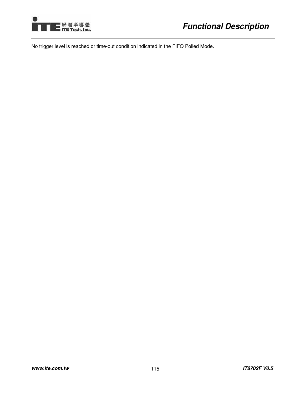

No trigger level is reached or time-out condition indicated in the FIFO Polled Mode.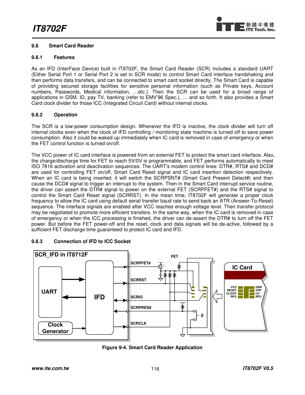

# **9.8 Smart Card Reader**

## **9.8.1 Features**

As an IFD (InterFace Device) built in IT8702F, the Smart Card Reader (SCR) includes a standard UART (Either Serial Port 1 or Serial Port 2 is set in SCR mode) to control Smart Card interface handshaking and then performs data transfers, and can be connected to smart card socket directly. The Smart Card is capable of providing secured storage facilities for sensitive personal information (such as Private keys, Account numbers, Passwords, Medical information, …etc.). Then the SCR can be used for a broad range of applications in GSM, ID, pay TV, banking (refer to EMV'96 Spec.), … and so forth. It also provides a Smart Card clock divider for those ICC (Integrated Circuit Card) without internal clocks.

# **9.8.2 Operation**

The SCR is a low-power consumption design. Whenever the IFD is inactive, the clock divider will turn off internal clocks even when the clock of IFD controlling / monitoring state machine is turned off to save power consumption. Also it could be waked up immediately when IC card is removed in case of emergency or when the FET control function is turned on/off.

The VCC power of IC card interface is powered from an external FET to protect the smart card interface. Also, the charge/discharge time for FET to reach 5V/0V is programmable, and FET performs automatically to meet ISO 7816 activation and deactivation sequences. The UART's modem control lines: DTR#, RTS# and DCD# are used for controlling FET on/off, Smart Card Reset signal and IC card insertion detection respectively. When an IC card is being inserted, it will switch the SCRPSNT# (Smart Card Present Detect#) and then cause the DCD# signal to trigger an interrupt to the system. Then in the Smart Card interrupt service routine, the driver can assert the DTR# signal to power on the external FET (SCRPFET#) and the RTS# signal to control the Smart Card Reset signal (SCRRST). In the mean time, IT8702F will generate a proper clock frequency to allow the IC card using default serial transfer baud rate to send back an ATR (Answer-To-Reset) sequence. The interface signals are enabled after VCC reaches enough voltage level. Then transfer protocol may be negotiated to promote more efficient transfers. In the same way, when the IC card is removed in case of emergency or when the ICC processing is finished, the driver can de-assert the DTR# to turn off the FET power. But before the FET power-off and the reset, clock and data signals will be de-active, followed by a sufficient FET discharge time guaranteed to protect IC card and IFD.

# **9.8.3 Connection of IFD to ICC Socket**



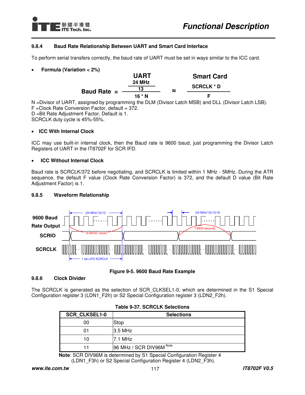

# **9.8.4 Baud Rate Relationship Between UART and Smart Card Interface**

To perform serial transfers correctly, the baud rate of UART must be set in ways similar to the ICC card.

### • **Formula (Variation < 2%)**

|               | <b>UART</b>  |           | <b>Smart Card</b> |
|---------------|--------------|-----------|-------------------|
|               | 24 MHz<br>13 | $\approx$ | <b>SCRCLK * D</b> |
| Baud Rate $=$ | 16 * N       |           |                   |

N =Divisor of UART, assigned by programming the DLM (Divisor Latch MSB) and DLL (Divisor Latch LSB).  $F =$ Clock Rate Conversion Factor, default = 372. D =Bit Rate Adjustment Factor, Default is 1.

SCRCLK duty cycle is 45%-55%.

### • **ICC With Internal Clock**

ICC may use built-in internal clock, then the Baud rate is 9600 baud, just programming the Divisor Latch Registers of UART in the IT8702F for SCR IFD.

### **ICC Without Internal Clock**

Baud rate is SCRCLK/372 before negotiating, and SCRCLK is limited within 1 MHz - 5MHz. During the ATR sequence, the default F value (Clock Rate Conversion Factor) is 372, and the default D value (Bit Rate Adjustment Factor) is 1.

#### **9.8.5 Waveform Relationship**



# **Figure 9-5. 9600 Baud Rate Example**

# **9.8.6 Clock Divider**

The SCRCLK is generated as the selection of SCR\_CLKSEL1-0, which are determined in the S1 Special Configuration register 3 (LDN1\_F2h) or S2 Special Configuration register 3 (LDN2\_F2h).

| <b>SCR CLKSEL1-0</b> | <b>Selections</b>        |
|----------------------|--------------------------|
| 00                   | Stop                     |
| 01                   | 3.5 MHz                  |
| 10                   | 7.1 MHz                  |
|                      | 96 MHz / SCR DIV96M Note |

## **Table 9-37. SCRCLK Selections**

**Note**: SCR DIV96M is determined by S1 Special Configuration Register 4 (LDN1\_F3h) or S2 Special Configuration Register 4 (LDN2\_F3h).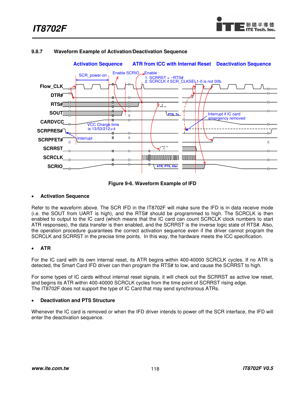



# **9.8.7 Waveform Example of Activation/Deactivation Sequence**

**Figure 9-6. Waveform Example of IFD** 

#### • **Activation Sequence**

Refer to the waveform above. The SCR IFD in the IT8702F will make sure the IFD is in data receive mode (i.e. the SOUT from UART is high), and the RTS# should be programmed to high. The SCRCLK is then enabled to output to the IC card (which means that the IC card can count SCRCLK clock numbers to start ATR responses), the data transfer is then enabled, and the SCRRST is the inverse logic state of RTS#. Also, the operation procedure guarantees the correct activation sequence even if the driver cannot program the SCRCLK and SCRRST in the precise time points. In this way, the hardware meets the ICC specification.

# • **ATR**

For the IC card with its own internal reset, its ATR begins within 400-40000 SCRCLK cycles. If no ATR is detected, the Smart Card IFD driver can then program the RTS# to low, and cause the SCRRST to high.

For some types of IC cards without internal reset signals, it will check out the SCRRST as active low reset, and begins its ATR within 400-40000 SCRCLK cycles from the time point of SCRRST rising edge. The IT8702F does not support the type of IC Card that may send synchronous ATRs.

# • **Deactivation and PTS Structure**

Whenever the IC card is removed or when the IFD driver intends to power off the SCR interface, the IFD will enter the deactivation sequence.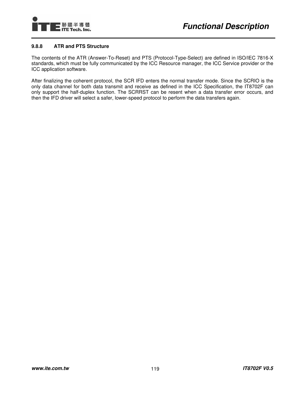

### **9.8.8 ATR and PTS Structure**

The contents of the ATR (Answer-To-Reset) and PTS (Protocol-Type-Select) are defined in ISO/IEC 7816-X standards, which must be fully communicated by the ICC Resource manager, the ICC Service provider or the ICC application software.

After finalizing the coherent protocol, the SCR IFD enters the normal transfer mode. Since the SCRIO is the only data channel for both data transmit and receive as defined in the ICC Specification, the IT8702F can only support the half-duplex function. The SCRRST can be resent when a data transfer error occurs, and then the IFD driver will select a safer, lower-speed protocol to perform the data transfers again.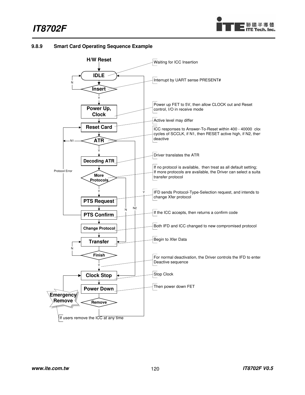# **9.8.9 Smart Card Operating Sequence Example**

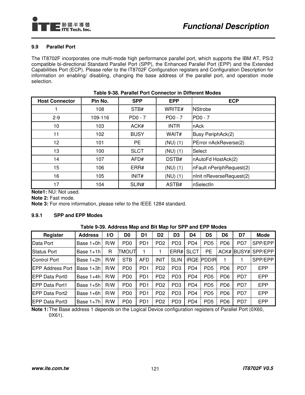

# **9.9 Parallel Port**

The IT8702F incorporates one multi-mode high performance parallel port, which supports the IBM AT, PS/2 compatible bi-directional Standard Parallel Port (SPP), the Enhanced Parallel Port (EPP) and the Extended Capabilities Port (ECP). Please refer to the IT8702F Configuration registers and Configuration Description for information on enabling/ disabling, changing the base address of the parallel port, and operation mode selection.

| <b>Host Connector</b> | Pin No. | <b>SPP</b>  | <b>EPP</b>   | <b>ECP</b>               |
|-----------------------|---------|-------------|--------------|--------------------------|
|                       | 108     | STB#        | WRITE#       | <b>NStrobe</b>           |
| $2 - 9$               | 109-116 | $PDO - 7$   | $PDO - 7$    | $PDO - 7$                |
| 10                    | 103     | ACK#        | <b>INTR</b>  | nAck                     |
| 11                    | 102     | <b>BUSY</b> | WAIT#        | Busy PeriphAck(2)        |
| 12                    | 101     | <b>PE</b>   | $(NU)$ $(1)$ | PError nAckReverse(2)    |
| 13                    | 100     | <b>SLCT</b> | $(NU)$ $(1)$ | Select                   |
| 14                    | 107     | AFD#        | DSTB#        | nAutoFd HostAck(2)       |
| 15                    | 106     | ERR#        | $(NU)$ $(1)$ | nFault nPeriphRequest(2) |
| 16                    | 105     | INIT#       | $(NU)$ $(1)$ | nlnit nReverseRequest(2) |
| 17                    | 104     | SLIN#       | ASTB#        | nSelectin                |

|  |  |  |  |  | Table 9-38. Parallel Port Connector in Different Modes |
|--|--|--|--|--|--------------------------------------------------------|
|--|--|--|--|--|--------------------------------------------------------|

**Note1:** NU: Not used.

**Note 2:** Fast mode.

**Note 3:** For more information, please refer to the IEEE 1284 standard.

# **9.9.1 SPP and EPP Modes**

# **Table 9-39. Address Map and Bit Map for SPP and EPP Modes**

| Register                | <b>Address</b> | I/O | D <sub>0</sub>              | D1               | D <sub>2</sub>              | D3               | D4                          | D <sub>5</sub>              | D6                          | D7               | <b>Mode</b>        |
|-------------------------|----------------|-----|-----------------------------|------------------|-----------------------------|------------------|-----------------------------|-----------------------------|-----------------------------|------------------|--------------------|
| Data Port               | Base $1+0h$    | R/W | P <sub>D</sub> <sub>0</sub> | P <sub>D</sub> 1 | P <sub>D</sub> <sub>2</sub> | P <sub>D</sub> 3 | PD <sub>4</sub>             | P <sub>D</sub> <sub>5</sub> | P <sub>D</sub> <sub>6</sub> | P <sub>D</sub> 7 | SPP/EPP            |
| <b>Status Port</b>      | Base $1+1h$    | R   | TMOUT                       |                  |                             | ERR#             | <b>SLCT</b>                 | PЕ                          |                             |                  | ACK# BUSY# SPP/EPP |
| <b>Control Port</b>     | Base 1+2h      | R/W | <b>STB</b>                  | <b>AFD</b>       | <b>INIT</b>                 | <b>SLIN</b>      |                             | <b>IROE PDDIRI</b>          |                             |                  | SPP/EPP            |
| <b>EPP Address Port</b> | Base 1+3h      | R/W | P <sub>D</sub> <sub>0</sub> | P <sub>D</sub> 1 | P <sub>D</sub> <sub>2</sub> | PD <sub>3</sub>  | P <sub>D</sub> 4            | PD <sub>5</sub>             | PD <sub>6</sub>             | P <sub>D</sub> 7 | <b>EPP</b>         |
| EPP Data Port0          | Base $1+4h$    | R/W | P <sub>D</sub> <sub>0</sub> | P <sub>D</sub> 1 | P <sub>D</sub> <sub>2</sub> | P <sub>D</sub> 3 | P <sub>D</sub> 4            | P <sub>D5</sub>             | P <sub>D</sub> <sub>6</sub> | P <sub>D</sub> 7 | <b>EPP</b>         |
| IEPP Data Port1         | Base $1+5h$    | R/W | P <sub>D</sub> <sub>0</sub> | P <sub>D</sub> 1 | P <sub>D</sub> <sub>2</sub> | P <sub>D</sub> 3 | P <sub>D</sub> 4            | P <sub>D5</sub>             | P <sub>D</sub> <sub>6</sub> | P <sub>D</sub> 7 | <b>EPP</b>         |
| EPP Data Port2          | Base 1+6h      | R/W | P <sub>D</sub> <sub>0</sub> | P <sub>D</sub> 1 | P <sub>D</sub> <sub>2</sub> | P <sub>D</sub> 3 | P <sub>D</sub> <sub>4</sub> | P <sub>D</sub> <sub>5</sub> | P <sub>D</sub> <sub>6</sub> | P <sub>D</sub> 7 | <b>EPP</b>         |
| EPP Data Port3          | Base 1+7h      | R/W | P <sub>D</sub> <sub>0</sub> | P <sub>D</sub> 1 | P <sub>D</sub> <sub>2</sub> | PD <sub>3</sub>  | P <sub>D</sub> 4            | P <sub>D</sub> <sub>5</sub> | P <sub>D</sub> <sub>6</sub> | P <sub>D</sub> 7 | <b>EPP</b>         |

**Note 1:** The Base address 1 depends on the Logical Device configuration registers of Parallel Port (0X60, 0X61).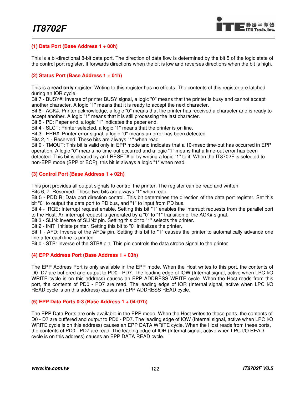

# **(1) Data Port (Base Address 1 + 00h)**

This is a bi-directional 8-bit data port. The direction of data flow is determined by the bit 5 of the logic state of the control port register. It forwards directions when the bit is low and reverses directions when the bit is high.

# **(2) Status Port (Base Address 1 + 01h)**

This is a **read only** register. Writing to this register has no effects. The contents of this register are latched during an IOR cycle.

Bit 7 - BUSY#: Inverse of printer BUSY signal, a logic "0" means that the printer is busy and cannot accept another character. A logic "1" means that it is ready to accept the next character.

Bit 6 - ACK#: Printer acknowledge, a logic "0" means that the printer has received a character and is ready to accept another. A logic "1" means that it is still processing the last character.

Bit 5 - PE: Paper end, a logic "1" indicates the paper end.

Bit 4 - SLCT: Printer selected, a logic "1" means that the printer is on line.

Bit 3 - ERR#: Printer error signal, a logic "0" means an error has been detected.

Bits 2, 1 - Reserved: These bits are always "1" when read.

Bit 0 - TMOUT: This bit is valid only in EPP mode and indicates that a 10-msec time-out has occurred in EPP operation. A logic "0" means no time-out occurred and a logic "1" means that a time-out error has been detected. This bit is cleared by an LRESET# or by writing a logic "1" to it. When the IT8702F is selected to non-EPP mode (SPP or ECP), this bit is always a logic "1" when read.

### **(3) Control Port (Base Address 1 + 02h)**

This port provides all output signals to control the printer. The register can be read and written.

Bits 6, 7- Reserved: These two bits are always "1" when read.

Bit 5 - PDDIR: Data port direction control. This bit determines the direction of the data port register. Set this bit "0" to output the data port to PD bus, and "1" to input from PD bus.

Bit 4 - IRQE: Interrupt request enable. Setting this bit "1" enables the interrupt requests from the parallel port to the Host. An interrupt request is generated by a "0" to "1" transition of the ACK# signal.

Bit 3 - SLIN: Inverse of SLIN# pin. Setting this bit to "1" selects the printer.

Bit 2 - INIT: Initiate printer. Setting this bit to "0" initializes the printer.

Bit 1 - AFD: Inverse of the AFD# pin. Setting this bit to "1" causes the printer to automatically advance one line after each line is printed.

Bit 0 - STB: Inverse of the STB# pin. This pin controls the data strobe signal to the printer.

#### **(4) EPP Address Port (Base Address 1 + 03h)**

The EPP Address Port is only available in the EPP mode. When the Host writes to this port, the contents of D0 -D7 are buffered and output to PD0 - PD7. The leading edge of IOW (Internal signal, active when LPC I/O WRITE cycle is on this address) causes an EPP ADDRESS WRITE cycle. When the Host reads from this port, the contents of PD0 - PD7 are read. The leading edge of IOR (Internal signal, active when LPC I/O READ cycle is on this address) causes an EPP ADDRESS READ cycle.

#### **(5) EPP Data Ports 0-3 (Base Address 1 + 04-07h)**

The EPP Data Ports are only available in the EPP mode. When the Host writes to these ports, the contents of D0 - D7 are buffered and output to PD0 - PD7. The leading edge of IOW (Internal signal, active when LPC I/O WRITE cycle is on this address) causes an EPP DATA WRITE cycle. When the Host reads from these ports, the contents of PD0 - PD7 are read. The leading edge of IOR (Internal signal, active when LPC I/O READ cycle is on this address) causes an EPP DATA READ cycle.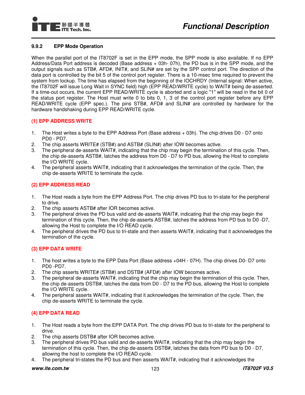

## **9.9.2 EPP Mode Operation**

When the parallel port of the IT8702F is set in the EPP mode, the SPP mode is also available. If no EPP Address/Data Port address is decoded (Base address + 03h- 07h), the PD bus is in the SPP mode, and the output signals such as STB#, AFD#, INIT#, and SLIN# are set by the SPP control port. The direction of the data port is controlled by the bit 5 of the control port register. There is a 10-msec time required to prevent the system from lockup. The time has elapsed from the beginning of the IOCHRDY (Internal signal: When active, the IT8702F will issue Long Wait in SYNC field) high (EPP READ/WRITE cycle) to WAIT# being de-asserted. If a time-out occurs, the current EPP READ/WRITE cycle is aborted and a logic "1" will be read in the bit 0 of the status port register. The Host must write 0 to bits 0, 1, 3 of the control port register before any EPP READ/WRITE cycle (EPP spec.). The pins STB#, AFD# and SLIN# are controlled by hardware for the hardware handshaking during EPP READ/WRITE cycle.

# **(1) EPP ADDRESS WRITE**

- 1. The Host writes a byte to the EPP Address Port (Base address + 03h). The chip drives D0 D7 onto PD0 - PD7.
- 2. The chip asserts WRITE# (STB#) and ASTB# (SLIN#) after IOW becomes active.
- 3. The peripheral de-asserts WAIT#, indicating that the chip may begin the termination of this cycle. Then, the chip de-asserts ASTB#, latches the address from D0 - D7 to PD bus, allowing the Host to complete the I/O WRITE cycle.
- 4. The peripheral asserts WAIT#, indicating that it acknowledges the termination of the cycle. Then, the chip de-asserts WRITE to terminate the cycle.

# **(2) EPP ADDRESS READ**

- 1. The Host reads a byte from the EPP Address Port. The chip drives PD bus to tri-state for the peripheral to drive.
- 2. The chip asserts ASTB# after IOR becomes active.
- 3. The peripheral drives the PD bus valid and de-asserts WAIT#, indicating that the chip may begin the termination of this cycle. Then, the chip de-asserts ASTB#, latches the address from PD bus to D0 -D7, allowing the Host to complete the I/O READ cycle.
- 4. The peripheral drives the PD bus to tri-state and then asserts WAIT#, indicating that it acknowledges the termination of the cycle.

# **(3) EPP DATA WRITE**

- 1. The host writes a byte to the EPP Data Port (Base address +04H 07H). The chip drives D0- D7 onto PD0 -PD7.
- 2. The chip asserts WRITE# (STB#) and DSTB# (AFD#) after IOW becomes active.
- 3. The peripheral de-asserts WAIT#, indicating that the chip may begin the termination of this cycle. Then, the chip de-asserts DSTB#, latches the data from D0 - D7 to the PD bus, allowing the Host to complete the I/O WRITE cycle.
- 4. The peripheral asserts WAIT#, indicating that it acknowledges the termination of the cycle. Then, the chip de-asserts WRITE to terminate the cycle.

# **(4) EPP DATA READ**

- 1. The Host reads a byte from the EPP DATA Port. The chip drives PD bus to tri-state for the peripheral to drive.
- 2. The chip asserts DSTB# after IOR becomes active.
- 3. The peripheral drives PD bus valid and de-asserts WAIT#, indicating that the chip may begin the termination of this cycle. Then, the chip de-asserts DSTB#, latches the data from PD bus to D0 - D7, allowing the host to complete the I/O READ cycle.
- 4. The peripheral tri-states the PD bus and then asserts WAIT#, indicating that it acknowledges the

#### *www.ite.com.tw* 123 *IT8702F V0.5*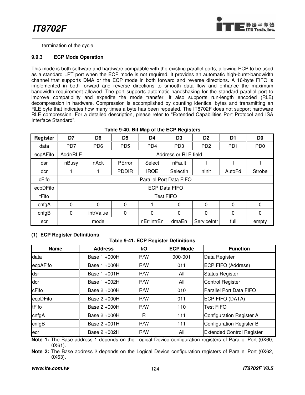

termination of the cycle.

## **9.9.3 ECP Mode Operation**

This mode is both software and hardware compatible with the existing parallel ports, allowing ECP to be used as a standard LPT port when the ECP mode is not required. It provides an automatic high-burst-bandwidth channel that supports DMA or the ECP mode in both forward and reverse directions. A 16-byte FIFO is implemented in both forward and reverse directions to smooth data flow and enhance the maximum bandwidth requirement allowed. The port supports automatic handshaking for the standard parallel port to improve compatibility and expedite the mode transfer. It also supports run-length encoded (RLE) decompression in hardware. Compression is accomplished by counting identical bytes and transmitting an RLE byte that indicates how many times a byte has been repeated. The IT8702F does not support hardware RLE compression. For a detailed description, please refer to "Extended Capabilities Port Protocol and ISA Interface Standard".

| Register | D7               | D <sub>6</sub>          | D <sub>5</sub>  | D <sub>4</sub>       | D <sub>3</sub>       | D <sub>2</sub>  | D <sub>1</sub>  | D <sub>0</sub>              |  |  |
|----------|------------------|-------------------------|-----------------|----------------------|----------------------|-----------------|-----------------|-----------------------------|--|--|
| data     | P <sub>D</sub> 7 | PD <sub>6</sub>         | PD <sub>5</sub> | PD <sub>4</sub>      | PD <sub>3</sub>      | PD <sub>2</sub> | PD <sub>1</sub> | P <sub>D</sub> <sub>0</sub> |  |  |
| ecpAFifo | Addr/RLE         |                         |                 |                      | Address or RLE field |                 |                 |                             |  |  |
| dsr      | nBusy            | nAck                    | PError          | Select               | nFault               |                 | 1               |                             |  |  |
| dcr      | 1                |                         | <b>PDDIR</b>    | <b>IRQE</b>          | Selectin             | nlnit           | AutoFd          | Strobe                      |  |  |
| cFifo    |                  | Parallel Port Data FIFO |                 |                      |                      |                 |                 |                             |  |  |
| ecpDFifo |                  |                         |                 | <b>ECP Data FIFO</b> |                      |                 |                 |                             |  |  |
| tFifo    |                  | <b>Test FIFO</b>        |                 |                      |                      |                 |                 |                             |  |  |
| cnfgA    | 0                | $\Omega$                | $\Omega$        |                      | $\Omega$             | $\mathbf{0}$    | $\Omega$        | 0                           |  |  |
| cnfgB    | 0                | intrValue               | 0               | $\Omega$             | $\Omega$             | $\mathbf{0}$    | 0               | 0                           |  |  |
| ecr      |                  | mode                    |                 | nErrintrEn           | dmaEn                | ServiceIntr     | full            | empty                       |  |  |

#### **Table 9-40. Bit Map of the ECP Registers**

# **(1) ECP Register Definitions**

**Table 9-41. ECP Register Definitions** 

| <b>Name</b> | <b>Address</b> | I/O | <b>ECP Mode</b> | <b>Function</b>                  |
|-------------|----------------|-----|-----------------|----------------------------------|
| data        | Base 1 +000H   | R/W | 000-001         | Data Register                    |
| ecpAFifo    | Base 1 +000H   | R/W | 011             | ECP FIFO (Address)               |
| dsr         | Base 1 +001H   | R/W | All             | <b>Status Register</b>           |
| ldcr        | Base 1 +002H   | R/W | All             | <b>Control Register</b>          |
| cFifo       | Base 2 +000H   | R/W | 010             | Parallel Port Data FIFO          |
| ecpDFifo    | Base 2 +000H   | R/W | 011             | ECP FIFO (DATA)                  |
| tFifo       | Base 2 +000H   | R/W | 110             | Test FIFO                        |
| cnfgA       | Base 2 +000H   | R   | 111             | Configuration Register A         |
| cnfgB       | Base 2 +001H   | R/W | 111             | Configuration Register B         |
| ecr         | Base 2 +002H   | R/W | All             | <b>Extended Control Register</b> |

**Note 1:** The Base address 1 depends on the Logical Device configuration registers of Parallel Port (0X60, 0X61).

**Note 2:** The Base address 2 depends on the Logical Device configuration registers of Parallel Port (0X62, 0X63).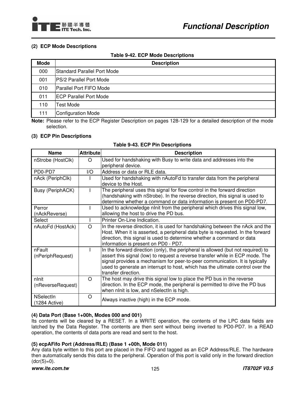

# **(2) ECP Mode Descriptions**

## **Table 9-42. ECP Mode Descriptions**

| <b>Mode</b> | <b>Description</b>            |
|-------------|-------------------------------|
| 000         | Standard Parallel Port Mode   |
| 001         | PS/2 Parallel Port Mode       |
| 010         | Parallel Port FIFO Mode       |
| 011         | <b>ECP Parallel Port Mode</b> |
| 110         | <b>Test Mode</b>              |
| 111         | Configuration Mode            |

**Note:** Please refer to the ECP Register Description on pages 128-129 for a detailed description of the mode selection.

### **(3) ECP Pin Descriptions**

| <b>Name</b>                        | <b>Attribute</b> | <b>Description</b>                                                                                                                                                                                                                                                                                                                                        |
|------------------------------------|------------------|-----------------------------------------------------------------------------------------------------------------------------------------------------------------------------------------------------------------------------------------------------------------------------------------------------------------------------------------------------------|
| nStrobe (HostClk)                  | O                | Used for handshaking with Busy to write data and addresses into the<br>peripheral device.                                                                                                                                                                                                                                                                 |
| PD0-PD7                            | I/O              | Address or data or RLE data.                                                                                                                                                                                                                                                                                                                              |
| nAck (PeriphClk)                   |                  | Used for handshaking with nAutoFd to transfer data from the peripheral<br>device to the Host.                                                                                                                                                                                                                                                             |
| Busy (PeriphACK)                   |                  | The peripheral uses this signal for flow control in the forward direction<br>(handshaking with nStrobe). In the reverse direction, this signal is used to<br>determine whether a command or data information is present on PD0-PD7.                                                                                                                       |
| Perror<br>(nAckReverse)            |                  | Used to acknowledge nlnit from the peripheral which drives this signal low,<br>allowing the host to drive the PD bus.                                                                                                                                                                                                                                     |
| Select                             |                  | Printer On-Line Indication.                                                                                                                                                                                                                                                                                                                               |
| nAutoFd (HostAck)                  | O                | In the reverse direction, it is used for handshaking between the nAck and the<br>Host. When it is asserted, a peripheral data byte is requested. In the forward<br>direction, this signal is used to determine whether a command or data<br>information is present on PD0 - PD7.                                                                          |
| nFault<br>(nPeriphRequest)         |                  | In the forward direction (only), the peripheral is allowed (but not required) to<br>assert this signal (low) to request a reverse transfer while in ECP mode. The<br>signal provides a mechanism for peer-to-peer communication. It is typically<br>used to generate an interrupt to host, which has the ultimate control over the<br>transfer direction. |
| nlnit<br>(nReverseRequest)         | O                | The host may drive this signal low to place the PD bus in the reverse<br>direction. In the ECP mode, the peripheral is permitted to drive the PD bus<br>when ninit is low, and nSelectin is high.                                                                                                                                                         |
| <b>N</b> Selectin<br>(1284 Active) | O                | Always inactive (high) in the ECP mode.                                                                                                                                                                                                                                                                                                                   |

#### **Table 9-43. ECP Pin Descriptions**

#### **(4) Data Port (Base 1+00h, Modes 000 and 001)**

Its contents will be cleared by a RESET. In a WRITE operation, the contents of the LPC data fields are latched by the Data Register. The contents are then sent without being inverted to PD0-PD7. In a READ operation, the contents of data ports are read and sent to the host.

# **(5) ecpAFifo Port (Address/RLE) (Base 1 +00h, Mode 011)**

Any data byte written to this port are placed in the FIFO and tagged as an ECP Address/RLE. The hardware then automatically sends this data to the peripheral. Operation of this port is valid only in the forward direction  $(dcr(5)=0)$ .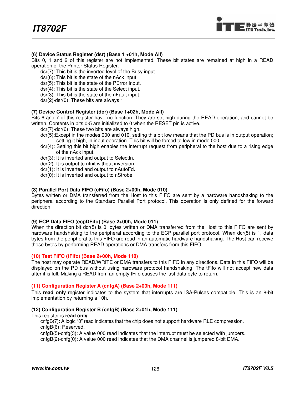聯陽半道器

### **(6) Device Status Register (dsr) (Base 1 +01h, Mode All)**

Bits 0, 1 and 2 of this register are not implemented. These bit states are remained at high in a READ operation of the Printer Status Register.

dsr(7): This bit is the inverted level of the Busy input.

dsr(6): This bit is the state of the nAck input.

dsr(5): This bit is the state of the PError input.

dsr(4): This bit is the state of the Select input.

dsr(3): This bit is the state of the nFault input.

dsr(2)-dsr(0): These bits are always 1.

### **(7) Device Control Register (dcr) (Base 1+02h, Mode All)**

Bits 6 and 7 of this register have no function. They are set high during the READ operation, and cannot be written. Contents in bits 0-5 are initialized to 0 when the RESET pin is active.

- dcr(7)-dcr(6): These two bits are always high.
- dcr(5): Except in the modes 000 and 010, setting this bit low means that the PD bus is in output operation; setting it high, in input operation. This bit will be forced to low in mode 000.
- dcr(4): Setting this bit high enables the interrupt request from peripheral to the host due to a rising edge of the nAck input.
- dcr(3): It is inverted and output to SelectIn.
- dcr(2): It is output to nInit without inversion.
- dcr(1): It is inverted and output to nAutoFd.
- dcr(0): It is inverted and output to nStrobe.

### **(8) Parallel Port Data FIFO (cFifo) (Base 2+00h, Mode 010)**

Bytes written or DMA transferred from the Host to this FIFO are sent by a hardware handshaking to the peripheral according to the Standard Parallel Port protocol. This operation is only defined for the forward direction.

#### **(9) ECP Data FIFO (ecpDFifo) (Base 2+00h, Mode 011)**

When the direction bit dcr(5) is 0, bytes written or DMA transferred from the Host to this FIFO are sent by hardware handshaking to the peripheral according to the ECP parallel port protocol. When dcr(5) is 1, data bytes from the peripheral to this FIFO are read in an automatic hardware handshaking. The Host can receive these bytes by performing READ operations or DMA transfers from this FIFO.

#### **(10) Test FIFO (tFifo) (Base 2+00h, Mode 110)**

The host may operate READ/WRITE or DMA transfers to this FIFO in any directions. Data in this FIFO will be displayed on the PD bus without using hardware protocol handshaking. The tFifo will not accept new data after it is full. Making a READ from an empty tFifo causes the last data byte to return.

#### **(11) Configuration Register A (cnfgA) (Base 2+00h, Mode 111)**

This **read only** register indicates to the system that interrupts are ISA-Pulses compatible. This is an 8-bit implementation by returning a 10h.

#### **(12) Configuration Register B (cnfgB) (Base 2+01h, Mode 111)**

This register is **read only**.

cnfgB(7): A logic "0" read indicates that the chip does not support hardware RLE compression. cnfgB(6): Reserved.

cnfgB(5)-cnfg(3): A value 000 read indicates that the interrupt must be selected with jumpers. cnfgB(2)-cnfg(0): A value 000 read indicates that the DMA channel is jumpered 8-bit DMA.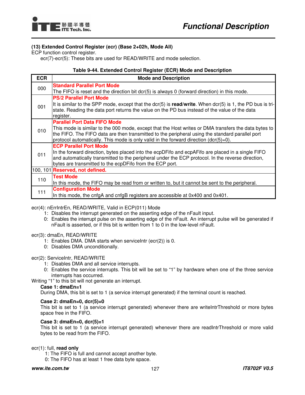

ECP function control register.

腦陽半導體

ecr(7)-ecr(5): These bits are used for READ/WRITE and mode selection.

# **Table 9-44. Extended Control Register (ECR) Mode and Description**

| <b>ECR</b> | <b>Mode and Description</b>                                                                                                                                                                                                                                                                        |
|------------|----------------------------------------------------------------------------------------------------------------------------------------------------------------------------------------------------------------------------------------------------------------------------------------------------|
| 000        | <b>Standard Parallel Port Mode</b>                                                                                                                                                                                                                                                                 |
|            | The FIFO is reset and the direction bit $dcr(5)$ is always 0 (forward direction) in this mode.                                                                                                                                                                                                     |
| 001        | <b>PS/2 Parallel Port Mode</b><br>It is similar to the SPP mode, except that the $\text{dcr}(5)$ is read/write. When $\text{dcr}(5)$ is 1, the PD bus is tri-                                                                                                                                      |
|            | state. Reading the data port returns the value on the PD bus instead of the value of the data<br>register.                                                                                                                                                                                         |
| 010        | <b>Parallel Port Data FIFO Mode</b>                                                                                                                                                                                                                                                                |
|            | This mode is similar to the 000 mode, except that the Host writes or DMA transfers the data bytes to<br>the FIFO. The FIFO data are then transmitted to the peripheral using the standard parallel port<br>protocol automatically. This mode is only valid in the forward direction $(dcr(5)=0)$ . |
| 011        | <b>ECP Parallel Port Mode</b>                                                                                                                                                                                                                                                                      |
|            | In the forward direction, bytes placed into the ecpDFifo and ecpAFifo are placed in a single FIFO<br>and automatically transmitted to the peripheral under the ECP protocol. In the reverse direction,<br>bytes are transmitted to the ecpDFifo from the ECP port.                                 |
|            | 100, 101 Reserved, not defined.                                                                                                                                                                                                                                                                    |
| 110        | <b>Test Mode</b>                                                                                                                                                                                                                                                                                   |
|            | In this mode, the FIFO may be read from or written to, but it cannot be sent to the peripheral.                                                                                                                                                                                                    |
| 111        | <b>Configuration Mode</b>                                                                                                                                                                                                                                                                          |
|            | In this mode, the cnfgA and cnfgB registers are accessible at 0x400 and 0x401.                                                                                                                                                                                                                     |

#### ecr(4): nErrIntrEn, READ/WRITE, Valid in ECP(011) Mode

- 1: Disables the interrupt generated on the asserting edge of the nFault input.
- 0: Enables the interrupt pulse on the asserting edge of the nFault. An interrupt pulse will be generated if nFault is asserted, or if this bit is written from 1 to 0 in the low-level nFault.

#### ecr(3): dmaEn, READ/WRITE

- 1: Enables DMA. DMA starts when serviceIntr (ecr(2)) is 0.
- 0: Disables DMA unconditionally.

# ecr(2): ServiceIntr, READ/WRITE

- 1: Disables DMA and all service interrupts.
- 0: Enables the service interrupts. This bit will be set to "1" by hardware when one of the three service interrupts has occurred.

Writing "1" to this bit will not generate an interrupt.

#### **Case 1: dmaEn=1**

During DMA, this bit is set to 1 (a service interrupt generated) if the terminal count is reached.

#### **Case 2: dmaEn=0, dcr(5)=0**

This bit is set to 1 (a service interrupt generated) whenever there are writeIntrThreshold or more bytes space free in the FIFO.

#### **Case 3: dmaEn=0, dcr(5)=1**

This bit is set to 1 (a service interrupt generated) whenever there are readIntrThreshold or more valid bytes to be read from the FIFO.

#### ecr(1): full, **read only**

1: The FIFO is full and cannot accept another byte.

0: The FIFO has at least 1 free data byte space.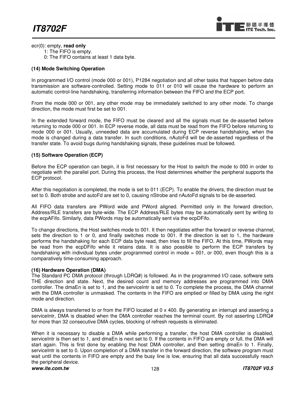#### ecr(0): empty, **read only**

1: The FIFO is empty.

0: The FIFO contains at least 1 data byte.

# **(14) Mode Switching Operation**

In programmed I/O control (mode 000 or 001), P1284 negotiation and all other tasks that happen before data transmission are software-controlled. Setting mode to 011 or 010 will cause the hardware to perform an automatic control-line handshaking, transferring information between the FIFO and the ECP port.

From the mode 000 or 001, any other mode may be immediately switched to any other mode. To change direction, the mode must first be set to 001.

In the extended forward mode, the FIFO must be cleared and all the signals must be de-asserted before returning to mode 000 or 001. In ECP reverse mode, all data must be read from the FIFO before returning to mode 000 or 001. Usually, unneeded data are accumulated during ECP reverse handshaking, when the mode is changed during a data transfer. In such conditions, nAutoFd will be de-asserted regardless of the transfer state. To avoid bugs during handshaking signals, these guidelines must be followed.

### **(15) Software Operation (ECP)**

Before the ECP operation can begin, it is first necessary for the Host to switch the mode to 000 in order to negotiate with the parallel port. During this process, the Host determines whether the peripheral supports the ECP protocol.

After this negotiation is completed, the mode is set to 011 (ECP). To enable the drivers, the direction must be set to 0. Both strobe and autoFd are set to 0, causing nStrobe and nAutoFd signals to be de-asserted.

All FIFO data transfers are PWord wide and PWord aligned. Permitted only in the forward direction, Address/RLE transfers are byte-wide. The ECP Address/RLE bytes may be automatically sent by writing to the ecpAFifo. Similarly, data PWords may be automatically sent via the ecpDFifo.

To change directions, the Host switches mode to 001. It then negotiates either the forward or reverse channel, sets the direction to 1 or 0, and finally switches mode to 001. If the direction is set to 1, the hardware performs the handshaking for each ECP data byte read, then tries to fill the FIFO. At this time, PWords may be read from the ecpDFifo while it retains data. It is also possible to perform the ECP transfers by handshaking with individual bytes under programmed control in mode = 001, or 000, even though this is a comparatively time-consuming approach.

#### **(16) Hardware Operation (DMA)**

The Standard PC DMA protocol (through LDRQ#) is followed. As in the programmed I/O case, software sets THE direction and state. Next, the desired count and memory addresses are programmed into DMA controller. The dmaEn is set to 1, and the serviceIntr is set to 0. To complete the process, the DMA channel with the DMA controller is unmasked. The contents in the FIFO are emptied or filled by DMA using the right mode and direction.

DMA is always transferred to or from the FIFO located at 0 x 400. By generating an interrupt and asserting a serviceIntr, DMA is disabled when the DMA controller reaches the terminal count. By not asserting LDRQ# for more than 32 consecutive DMA cycles, blocking of refresh requests is eliminated.

When it is necessary to disable a DMA while performing a transfer, the host DMA controller is disabled, serviceIntr is then set to 1, and dmaEn is next set to 0. If the contents in FIFO are empty or full, the DMA will start again. This is first done by enabling the host DMA controller, and then setting dmaEn to 1. Finally, serviceIntr is set to 0. Upon completion of a DMA transfer in the forward direction, the software program must wait until the contents in FIFO are empty and the busy line is low, ensuring that all data successfully reach the peripheral device.

## *www.ite.com.tw* 128 *IT8702F V0.5*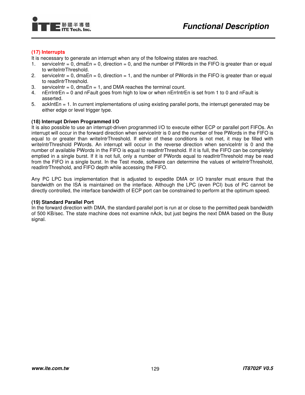

### **(17) Interrupts**

It is necessary to generate an interrupt when any of the following states are reached.

- 1. serviceIntr = 0, dmaEn = 0, direction = 0, and the number of PWords in the FIFO is greater than or equal to writeIntrThreshold.
- 2. serviceIntr = 0, dmaEn = 0, direction = 1, and the number of PWords in the FIFO is greater than or equal to readIntrThreshold.
- 3. serviceIntr = 0,  $dmaEn = 1$ , and DMA reaches the terminal count.
- 4. nErrIntrEn = 0 and nFault goes from high to low or when nErrIntrEn is set from 1 to 0 and nFault is asserted.
- 5. ackIntEn = 1. In current implementations of using existing parallel ports, the interrupt generated may be either edge or level trigger type.

### **(18) Interrupt Driven Programmed I/O**

It is also possible to use an interrupt-driven programmed I/O to execute either ECP or parallel port FIFOs. An interrupt will occur in the forward direction when serviceIntr is 0 and the number of free PWords in the FIFO is equal to or greater than writeIntrThreshold. If either of these conditions is not met, it may be filled with writeIntrThreshold PWords. An interrupt will occur in the reverse direction when serviceIntr is 0 and the number of available PWords in the FIFO is equal to readIntrThreshold. If it is full, the FIFO can be completely emptied in a single burst. If it is not full, only a number of PWords equal to readIntrThreshold may be read from the FIFO in a single burst. In the Test mode, software can determine the values of writeIntrThreshold, readIntrThreshold, and FIFO depth while accessing the FIFO.

Any PC LPC bus implementation that is adjusted to expedite DMA or I/O transfer must ensure that the bandwidth on the ISA is maintained on the interface. Although the LPC (even PCI) bus of PC cannot be directly controlled, the interface bandwidth of ECP port can be constrained to perform at the optimum speed.

#### **(19) Standard Parallel Port**

In the forward direction with DMA, the standard parallel port is run at or close to the permitted peak bandwidth of 500 KB/sec. The state machine does not examine nAck, but just begins the next DMA based on the Busy signal.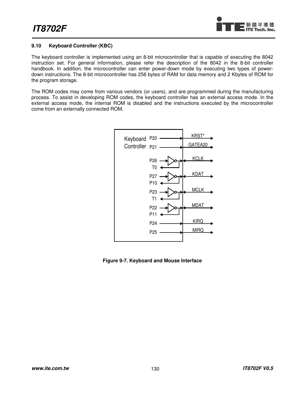

## **9.10 Keyboard Controller (KBC)**

The keyboard controller is implemented using an 8-bit microcontroller that is capable of executing the 8042 instruction set. For general information, please refer the description of the 8042 in the 8-bit controller handbook. In addition, the microcontroller can enter power-down mode by executing two types of powerdown instructions. The 8-bit microcontroller has 256 bytes of RAM for data memory and 2 Kbytes of ROM for the program storage.

The ROM codes may come from various vendors (or users), and are programmed during the manufacturing process. To assist in developing ROM codes, the keyboard controller has an external access mode. In the external access mode, the internal ROM is disabled and the instructions executed by the microcontroller come from an externally connected ROM.



**Figure 9-7. Keyboard and Mouse Interface**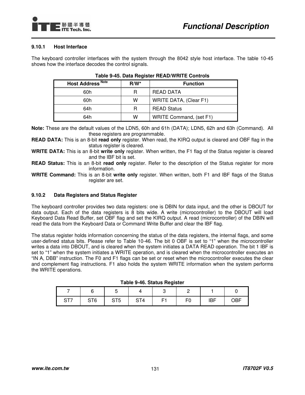

## **9.10.1 Host Interface**

The keyboard controller interfaces with the system through the 8042 style host interface. The table 10-45 shows how the interface decodes the control signals.

| <b>Host Address Note</b> | $R/W^*$ | <b>Function</b>         |
|--------------------------|---------|-------------------------|
| 60h                      |         | READ DATA               |
| 60h                      | W       | WRITE DATA, (Clear F1)  |
| 64h                      |         | <b>READ Status</b>      |
| 64h                      | W       | WRITE Command, (set F1) |

| Table 9-45. Data Register READ/WRITE Controls |  |  |  |  |  |
|-----------------------------------------------|--|--|--|--|--|
|-----------------------------------------------|--|--|--|--|--|

**Note:** These are the default values of the LDN5, 60h and 61h (DATA); LDN5, 62h and 63h (Command). All these registers are programmable.

**READ DATA:** This is an 8-bit **read only** register. When read, the KIRQ output is cleared and OBF flag in the status register is cleared.

**WRITE DATA:** This is an 8-bit **write only** register. When written, the F1 flag of the Status register is cleared and the IBF bit is set.

**READ Status:** This is an 8-bit **read only** register. Refer to the description of the Status register for more information.

**WRITE Command:** This is an 8-bit **write only** register. When written, both F1 and IBF flags of the Status register are set.

#### **9.10.2 Data Registers and Status Register**

The keyboard controller provides two data registers: one is DBIN for data input, and the other is DBOUT for data output. Each of the data registers is 8 bits wide. A write (microcontroller) to the DBOUT will load Keyboard Data Read Buffer, set OBF flag and set the KIRQ output. A read (microcontroller) of the DBIN will read the data from the Keyboard Data or Command Write Buffer and clear the IBF flag.

The status register holds information concerning the status of the data registers, the internal flags, and some user-defined status bits. Please refer to Table 10-46. The bit 0 OBF is set to "1" when the microcontroller writes a data into DBOUT, and is cleared when the system initiates a DATA READ operation. The bit 1 IBF is set to "1" when the system initiates a WRITE operation, and is cleared when the microcontroller executes an "IN A, DBB" instruction. The F0 and F1 flags can be set or reset when the microcontroller executes the clear and complement flag instructions. F1 also holds the system WRITE information when the system performs the WRITE operations.

|       | rapio o Toi otatao Rogiotor |             |  |  |  |            |     |
|-------|-----------------------------|-------------|--|--|--|------------|-----|
|       |                             |             |  |  |  |            |     |
| , , , | ST6                         | ᅐᅚ<br>ں ا ب |  |  |  | <b>IBF</b> | OBI |

#### **Table 9-46. Status Register**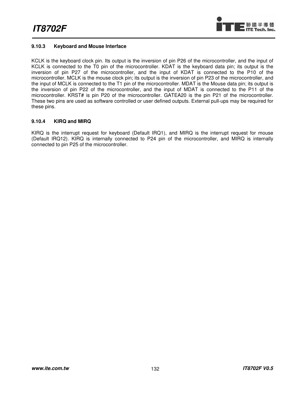

### **9.10.3 Keyboard and Mouse Interface**

KCLK is the keyboard clock pin. Its output is the inversion of pin P26 of the microcontroller, and the input of KCLK is connected to the T0 pin of the microcontroller. KDAT is the keyboard data pin; its output is the inversion of pin P27 of the microcontroller, and the input of KDAT is connected to the P10 of the microcontroller. MCLK is the mouse clock pin; its output is the inversion of pin P23 of the microcontroller, and the input of MCLK is connected to the T1 pin of the microcontroller. MDAT is the Mouse data pin; its output is the inversion of pin P22 of the microcontroller, and the input of MDAT is connected to the P11 of the microcontroller. KRST# is pin P20 of the microcontroller. GATEA20 is the pin P21 of the microcontroller. These two pins are used as software controlled or user defined outputs. External pull-ups may be required for these pins.

#### **9.10.4 KIRQ and MIRQ**

KIRQ is the interrupt request for keyboard (Default IRQ1), and MIRQ is the interrupt request for mouse (Default IRQ12). KIRQ is internally connected to P24 pin of the microcontroller, and MIRQ is internally connected to pin P25 of the microcontroller.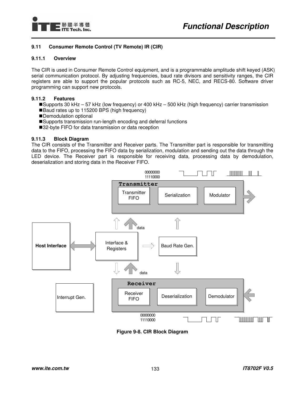

## **9.11 Consumer Remote Control (TV Remote) IR (CIR)**

### **9.11.1 Overview**

The CIR is used in Consumer Remote Control equipment, and is a programmable amplitude shift keyed (ASK) serial communication protocol. By adjusting frequencies, baud rate divisors and sensitivity ranges, the CIR registers are able to support the popular protocols such as RC-5, NEC, and RECS-80. Software driver programming can support new protocols.

#### **9.11.2 Features**

- ■Supports 30 kHz 57 kHz (low frequency) or 400 kHz 500 kHz (high frequency) carrier transmission Baud rates up to 115200 BPS (high frequency)
- Demodulation optional
- ■Supports transmission run-length encoding and deferral functions
- ■32-byte FIFO for data transmission or data reception

#### **9.11.3 Block Diagram**

The CIR consists of the Transmitter and Receiver parts. The Transmitter part is responsible for transmitting data to the FIFO, processing the FIFO data by serialization, modulation and sending out the data through the LED device. The Receiver part is responsible for receiving data, processing data by demodulation, deserialization and storing data in the Receiver FIFO.



**Figure 9-8. CIR Block Diagram**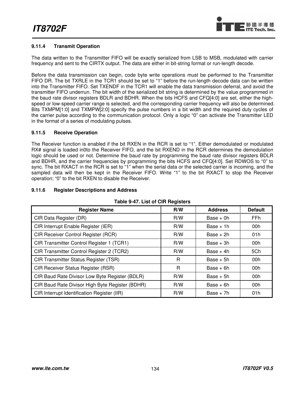

## **9.11.4 Transmit Operation**

The data written to the Transmitter FIFO will be exactly serialized from LSB to MSB, modulated with carrier frequency and sent to the CIRTX output. The data are either in bit-string format or run-length decode.

Before the data transmission can begin, code byte write operations must be performed to the Transmitter FIFO DR. The bit TXRLE in the TCR1 should be set to "1" before the run-length decode data can be written into the Transmitter FIFO. Set TXENDF in the TCR1 will enable the data transmission deferral, and avoid the transmitter FIFO underrun. The bit width of the serialized bit string is determined by the value programmed in the baud rate divisor registers BDLR and BDHR. When the bits HCFS and CFQ[4:0] are set, either the highspeed or low-speed carrier range is selected, and the corresponding carrier frequency will also be determined. Bits TXMPM[1:0] and TXMPW[2:0] specify the pulse numbers in a bit width and the required duty cycles of the carrier pulse according to the communication protocol. Only a logic "0" can activate the Transmitter LED in the format of a series of modulating pulses.

#### **9.11.5 Receive Operation**

The Receiver function is enabled if the bit RXEN in the RCR is set to "1". Either demodulated or modulated RX# signal is loaded in0to the Receiver FIFO, and the bit RXEND in the RCR determines the demodulation logic should be used or not. Determine the baud rate by programming the baud rate divisor registers BDLR and BDHR, and the carrier frequencies by programming the bits HCFS and CFQ[4:0]. Set RDWOS to "0" to sync. The bit RXACT in the RCR is set to "1" when the serial data or the selected carrier is incoming, and the sampled data will then be kept in the Receiver FIFO. Write "1" to the bit RXACT to stop the Receiver operation; "0" to the bit RXEN to disable the Receiver.

#### **9.11.6 Register Descriptions and Address**

| <b>Register Name</b>                             | R/W | <b>Address</b> | <b>Default</b> |
|--------------------------------------------------|-----|----------------|----------------|
| CIR Data Register (DR)                           | R/W | $Base + 0h$    | <b>FFh</b>     |
| CIR Interrupt Enable Register (IER)              | R/W | $Base + 1h$    | 00h            |
| <b>CIR Receiver Control Register (RCR)</b>       | R/W | $Base + 2h$    | 01h            |
| <b>CIR Transmitter Control Register 1 (TCR1)</b> | R/W | $Base + 3h$    | 00h            |
| CIR Transmitter Control Register 2 (TCR2)        | R/W | $Base + 4h$    | 5Ch            |
| <b>CIR Transmitter Status Register (TSR)</b>     | R   | $Base + 5h$    | 00h            |
| <b>CIR Receiver Status Register (RSR)</b>        | R   | $Base + 6h$    | 00h            |
| CIR Baud Rate Divisor Low Byte Register (BDLR)   | R/W | $Base + 5h$    | 00h            |
| CIR Baud Rate Divisor High Byte Register (BDHR)  | R/W | $Base + 6h$    | 00h            |
| CIR Interrupt Identification Register (IIR)      | R/W | $Base + 7h$    | 01h            |

#### **Table 9-47. List of CIR Registers**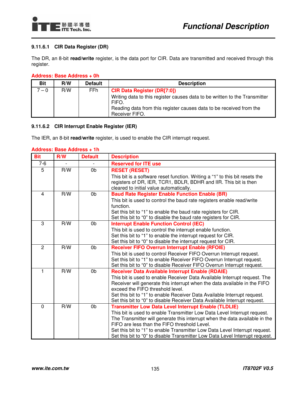

## **9.11.6.1 CIR Data Register (DR)**

The DR, an 8-bit **read/write** register, is the data port for CIR. Data are transmitted and received through this register.

#### **Address: Base Address + 0h**

| Bit     | R/W | <b>Default</b> | <b>Description</b>                                                                                                                                                           |
|---------|-----|----------------|------------------------------------------------------------------------------------------------------------------------------------------------------------------------------|
| $7 - 0$ | R/W | FFh.           | <b>CIR Data Register (DR[7:0])</b>                                                                                                                                           |
|         |     |                | Writing data to this register causes data to be written to the Transmitter<br>FIFO.<br>Reading data from this register causes data to be received from the<br>Receiver FIFO. |

#### **9.11.6.2 CIR Interrupt Enable Register (IER)**

The IER, an 8-bit **read/write** register, is used to enable the CIR interrupt request.

| <b>Bit</b>     | R/W | <b>Default</b> | <b>Description</b>                                                                                                                      |
|----------------|-----|----------------|-----------------------------------------------------------------------------------------------------------------------------------------|
| $7-6$          |     |                | <b>Reserved for ITE use</b>                                                                                                             |
| 5              | R/W | 0b             | <b>RESET (RESET)</b>                                                                                                                    |
|                |     |                | This bit is a software reset function. Writing a "1" to this bit resets the                                                             |
|                |     |                | registers of DR, IER, TCR1, BDLR, BDHR and IIR. This bit is then                                                                        |
| $\overline{4}$ | R/W | 0 <sub>b</sub> | cleared to initial value automatically.<br><b>Baud Rate Register Enable Function Enable (BR)</b>                                        |
|                |     |                | This bit is used to control the baud rate registers enable read/write                                                                   |
|                |     |                | function.                                                                                                                               |
|                |     |                | Set this bit to "1" to enable the baud rate registers for CIR.                                                                          |
|                |     |                | Set this bit to "0" to disable the baud rate registers for CIR.                                                                         |
| 3              | R/W | 0 <sub>b</sub> | <b>Interrupt Enable Function Control (IEC)</b>                                                                                          |
|                |     |                | This bit is used to control the interrupt enable function.                                                                              |
|                |     |                | Set this bit to "1" to enable the interrupt request for CIR.                                                                            |
| $\overline{2}$ | R/W | 0b             | Set this bit to "0" to disable the interrupt request for CIR.                                                                           |
|                |     |                | <b>Receiver FIFO Overrun Interrupt Enable (RFOIE)</b><br>This bit is used to control Receiver FIFO Overrun Interrupt request.           |
|                |     |                | Set this bit to "1" to enable Receiver FIFO Overrun Interrupt request.                                                                  |
|                |     |                | Set this bit to "0" to disable Receiver FIFO Overrun Interrupt request.                                                                 |
| 1              | R/W | 0 <sub>b</sub> | <b>Receiver Data Available Interrupt Enable (RDAIE)</b>                                                                                 |
|                |     |                | This bit is used to enable Receiver Data Available Interrupt request. The                                                               |
|                |     |                | Receiver will generate this interrupt when the data available in the FIFO                                                               |
|                |     |                | exceed the FIFO threshold level.                                                                                                        |
|                |     |                | Set this bit to "1" to enable Receiver Data Available Interrupt request.                                                                |
| $\Omega$       | R/W | 0b             | Set this bit to "0" to disable Receiver Data Available Interrupt request.                                                               |
|                |     |                | <b>Transmitter Low Data Level Interrupt Enable (TLDLIE)</b><br>This bit is used to enable Transmitter Low Data Level Interrupt request. |
|                |     |                | The Transmitter will generate this interrupt when the data available in the                                                             |
|                |     |                | FIFO are less than the FIFO threshold Level.                                                                                            |
|                |     |                | Set this bit to "1" to enable Transmitter Low Data Level Interrupt request.                                                             |
|                |     |                | Set this bit to "0" to disable Transmitter Low Data Level Interrupt request.                                                            |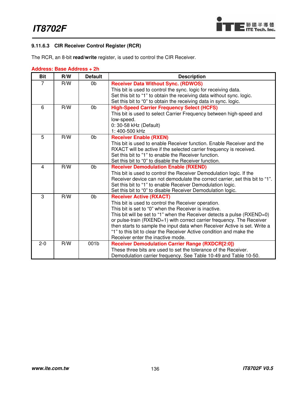## **9.11.6.3 CIR Receiver Control Register (RCR)**

The RCR, an 8-bit **read/write** register, is used to control the CIR Receiver.

| <b>Bit</b> | R/W | <b>Default</b> | <b>Description</b>                                                                                                                                                                                                                                                                                                                                                                                                                                                                          |
|------------|-----|----------------|---------------------------------------------------------------------------------------------------------------------------------------------------------------------------------------------------------------------------------------------------------------------------------------------------------------------------------------------------------------------------------------------------------------------------------------------------------------------------------------------|
| 7          | R/W | 0 <sub>b</sub> | <b>Receiver Data Without Sync. (RDWOS)</b><br>This bit is used to control the sync. logic for receiving data.<br>Set this bit to "1" to obtain the receiving data without sync. logic.<br>Set this bit to "0" to obtain the receiving data in sync. logic.                                                                                                                                                                                                                                  |
| 6          | R/W | 0 <sub>b</sub> | <b>High-Speed Carrier Frequency Select (HCFS)</b><br>This bit is used to select Carrier Frequency between high-speed and<br>low-speed.<br>0: 30-58 kHz (Default)<br>1:400-500 kHz                                                                                                                                                                                                                                                                                                           |
| 5          | R/W | 0 <sub>b</sub> | <b>Receiver Enable (RXEN)</b><br>This bit is used to enable Receiver function. Enable Receiver and the<br>RXACT will be active if the selected carrier frequency is received.<br>Set this bit to "1" to enable the Receiver function.<br>Set this bit to "0" to disable the Receiver function.                                                                                                                                                                                              |
| 4          | R/W | 0 <sub>b</sub> | <b>Receiver Demodulation Enable (RXEND)</b><br>This bit is used to control the Receiver Demodulation logic. If the<br>Receiver device can not demodulate the correct carrier, set this bit to "1".<br>Set this bit to "1" to enable Receiver Demodulation logic.<br>Set this bit to "0" to disable Receiver Demodulation logic.                                                                                                                                                             |
| 3          | R/W | 0 <sub>b</sub> | <b>Receiver Active (RXACT)</b><br>This bit is used to control the Receiver operation.<br>This bit is set to "0" when the Receiver is inactive.<br>This bit will be set to "1" when the Receiver detects a pulse (RXEND=0)<br>or pulse-train (RXEND=1) with correct carrier frequency. The Receiver<br>then starts to sample the input data when Receiver Active is set. Write a<br>"1" to this bit to clear the Receiver Active condition and make the<br>Receiver enter the inactive mode. |
| $2 - 0$    | R/W | 001b           | <b>Receiver Demodulation Carrier Range (RXDCR[2:0])</b><br>These three bits are used to set the tolerance of the Receiver.<br>Demodulation carrier frequency. See Table 10-49 and Table 10-50.                                                                                                                                                                                                                                                                                              |

#### **Address: Base Address + 2h**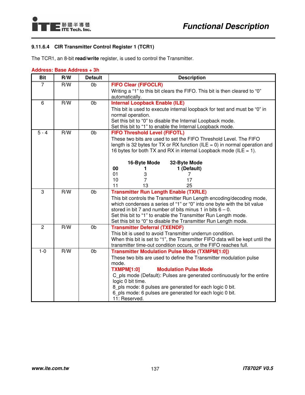

## **9.11.6.4 CIR Transmitter Control Register 1 (TCR1)**

The TCR1, an 8-bit **read/write** register, is used to control the Transmitter.

| <b>Bit</b>     | AUUI 699. DASG AUUI 699 + JII<br>R/W | <b>Default</b> | <b>Description</b>                                                                                                                                                                                                                                                                                                                                   |
|----------------|--------------------------------------|----------------|------------------------------------------------------------------------------------------------------------------------------------------------------------------------------------------------------------------------------------------------------------------------------------------------------------------------------------------------------|
| $\overline{7}$ | R/W                                  | 0b             | <b>FIFO Clear (FIFOCLR)</b>                                                                                                                                                                                                                                                                                                                          |
|                |                                      |                | Writing a "1" to this bit clears the FIFO. This bit is then cleared to "0"<br>automatically.                                                                                                                                                                                                                                                         |
| 6              | R/W                                  | 0 <sub>b</sub> | <b>Internal Loopback Enable (ILE)</b>                                                                                                                                                                                                                                                                                                                |
|                |                                      |                | This bit is used to execute internal loopback for test and must be "0" in<br>normal operation.<br>Set this bit to "0" to disable the Internal Loopback mode.<br>Set this bit to "1" to enable the Internal Loopback mode.                                                                                                                            |
| $5 - 4$        | R/W                                  | 0b             | <b>FIFO Threshold Level (FIFOTL)</b>                                                                                                                                                                                                                                                                                                                 |
|                |                                      |                | These two bits are used to set the FIFO Threshold Level. The FIFO<br>length is 32 bytes for TX or RX function (ILE = 0) in normal operation and<br>16 bytes for both TX and RX in internal Loopback mode (ILE $= 1$ ).                                                                                                                               |
|                |                                      |                | 16-Byte Mode<br>32-Byte Mode                                                                                                                                                                                                                                                                                                                         |
|                |                                      |                | 00<br>1 (Default)<br>1                                                                                                                                                                                                                                                                                                                               |
|                |                                      |                | 01<br>3<br>7                                                                                                                                                                                                                                                                                                                                         |
|                |                                      |                | 10<br>17<br>7<br>11<br>13<br>25                                                                                                                                                                                                                                                                                                                      |
| 3              | R/W                                  | 0 <sub>b</sub> | <b>Transmitter Run Length Enable (TXRLE)</b>                                                                                                                                                                                                                                                                                                         |
|                |                                      |                | This bit controls the Transmitter Run Length encoding/decoding mode,<br>which condenses a series of "1" or "0" into one byte with the bit value<br>stored in bit 7 and number of bits minus 1 in bits $6 - 0$ .<br>Set this bit to "1" to enable the Transmitter Run Length mode.<br>Set this bit to "0" to disable the Transmitter Run Length mode. |
| $\overline{2}$ | R/W                                  | 0 <sub>b</sub> | <b>Transmitter Deferral (TXENDF)</b>                                                                                                                                                                                                                                                                                                                 |
|                |                                      |                | This bit is used to avoid Transmitter underrun condition.<br>When this bit is set to "1", the Transmitter FIFO data will be kept until the<br>transmitter time-out condition occurs, or the FIFO reaches full.                                                                                                                                       |
| $1 - 0$        | R/W                                  | 0b             | <b>Transmitter Modulation Pulse Mode (TXMPM[1:0])</b>                                                                                                                                                                                                                                                                                                |
|                |                                      |                | These two bits are used to define the Transmitter modulation pulse                                                                                                                                                                                                                                                                                   |
|                |                                      |                | mode.                                                                                                                                                                                                                                                                                                                                                |
|                |                                      |                | <b>TXMPM[1:0]</b><br><b>Modulation Pulse Mode</b>                                                                                                                                                                                                                                                                                                    |
|                |                                      |                | C_pls mode (Default): Pulses are generated continuously for the entire<br>logic 0 bit time.                                                                                                                                                                                                                                                          |
|                |                                      |                | 8_pls mode: 8 pulses are generated for each logic 0 bit.                                                                                                                                                                                                                                                                                             |
|                |                                      |                | 6_pls mode: 6 pulses are generated for each logic 0 bit.<br>11: Reserved.                                                                                                                                                                                                                                                                            |

# **Address: Base Address + 3h**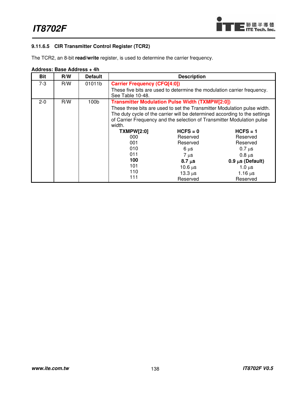

## **9.11.6.5 CIR Transmitter Control Register (TCR2)**

The TCR2, an 8-bit **read/write** register, is used to determine the carrier frequency.

| <b>Bit</b> | R/W | <b>Default</b> |                                                                                                                                                                                                                                                                                                      | <b>Description</b>                                                                                                      |                                                                                                                                          |  |
|------------|-----|----------------|------------------------------------------------------------------------------------------------------------------------------------------------------------------------------------------------------------------------------------------------------------------------------------------------------|-------------------------------------------------------------------------------------------------------------------------|------------------------------------------------------------------------------------------------------------------------------------------|--|
| $7-3$      | R/W | 01011b         | See Table 10-48.                                                                                                                                                                                                                                                                                     | <b>Carrier Frequency (CFQ[4:0])</b><br>These five bits are used to determine the modulation carrier frequency.          |                                                                                                                                          |  |
| $2 - 0$    | R/W | 100b           | <b>Transmitter Modulation Pulse Width (TXMPW[2:0])</b><br>These three bits are used to set the Transmitter Modulation pulse width.<br>The duty cycle of the carrier will be determined according to the settings<br>of Carrier Frequency and the selection of Transmitter Modulation pulse<br>width. |                                                                                                                         |                                                                                                                                          |  |
|            |     |                | <b>TXMPW[2:0]</b><br>000<br>001<br>010<br>011<br>100<br>101<br>110<br>111                                                                                                                                                                                                                            | $HCFS = 0$<br>Reserved<br>Reserved<br>$6 \mu s$<br>$7 \mu s$<br>$8.7 \mu s$<br>$10.6 \mu s$<br>$13.3 \mu s$<br>Reserved | $HCFS = 1$<br>Reserved<br>Reserved<br>$0.7 \mu s$<br>$0.8 \mu s$<br>$0.9 \,\mu s$ (Default)<br>$1.0 \mu s$<br>$1.16 \,\mu s$<br>Reserved |  |

#### **Address: Base Address + 4h**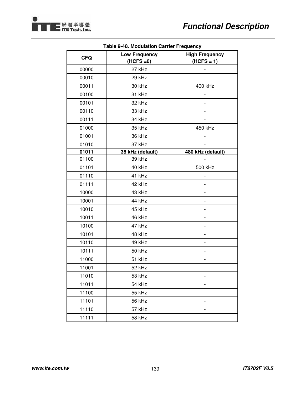| avic $3-$ -v. modulation carrier requericy |                                      |                                       |  |  |  |  |  |
|--------------------------------------------|--------------------------------------|---------------------------------------|--|--|--|--|--|
| <b>CFQ</b>                                 | <b>Low Frequency</b><br>$(HCFS = 0)$ | <b>High Frequency</b><br>$(HCFS = 1)$ |  |  |  |  |  |
| 00000                                      | 27 kHz                               |                                       |  |  |  |  |  |
| 00010                                      | 29 kHz                               |                                       |  |  |  |  |  |
| 00011                                      | 30 kHz                               | 400 kHz                               |  |  |  |  |  |
| 00100                                      | 31 kHz                               |                                       |  |  |  |  |  |
| 00101                                      | 32 kHz                               |                                       |  |  |  |  |  |
| 00110                                      | 33 kHz                               |                                       |  |  |  |  |  |
| 00111                                      | 34 kHz                               |                                       |  |  |  |  |  |
| 01000                                      | 35 kHz                               | 450 kHz                               |  |  |  |  |  |
| 01001                                      | 36 kHz                               |                                       |  |  |  |  |  |
| 01010                                      | 37 kHz                               |                                       |  |  |  |  |  |
| 01011                                      | 38 kHz (default)                     | 480 kHz (default)                     |  |  |  |  |  |
| 01100                                      | 39 kHz                               |                                       |  |  |  |  |  |
| 01101                                      | 40 kHz                               | 500 kHz                               |  |  |  |  |  |
| 01110                                      | 41 kHz                               |                                       |  |  |  |  |  |
| 01111                                      | 42 kHz                               |                                       |  |  |  |  |  |
| 10000                                      | 43 kHz                               |                                       |  |  |  |  |  |
| 10001                                      | 44 kHz                               |                                       |  |  |  |  |  |
| 10010                                      | 45 kHz                               |                                       |  |  |  |  |  |
| 10011                                      | 46 kHz                               |                                       |  |  |  |  |  |
| 10100                                      | 47 kHz                               |                                       |  |  |  |  |  |
| 10101                                      | 48 kHz                               |                                       |  |  |  |  |  |
| 10110                                      | 49 kHz                               |                                       |  |  |  |  |  |
| 10111                                      | 50 kHz                               |                                       |  |  |  |  |  |
| 11000                                      | 51 kHz                               |                                       |  |  |  |  |  |
| 11001                                      | 52 kHz                               |                                       |  |  |  |  |  |
| 11010                                      | 53 kHz                               | -                                     |  |  |  |  |  |
| 11011                                      | 54 kHz                               |                                       |  |  |  |  |  |
| 11100                                      | 55 kHz                               |                                       |  |  |  |  |  |
| 11101                                      | 56 kHz                               |                                       |  |  |  |  |  |
| 11110                                      | 57 kHz                               | $\qquad \qquad \blacksquare$          |  |  |  |  |  |
| 11111                                      | 58 kHz                               | $\overline{a}$                        |  |  |  |  |  |

## **Table 9-48. Modulation Carrier Frequency**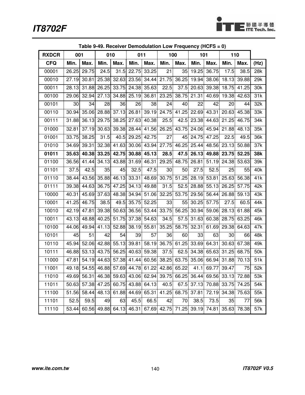| . 聯 陽 半 導 體    |
|----------------|
| ITE Tech. Inc. |

 $\sim$ 

| <b>RXDCR</b> | 001   |                   | 010         |                                                                         | 011   |       | 100   |             | 101   |                         | 110   |       |      |
|--------------|-------|-------------------|-------------|-------------------------------------------------------------------------|-------|-------|-------|-------------|-------|-------------------------|-------|-------|------|
| <b>CFQ</b>   | Min.  | Max.              | Min.        | Max.                                                                    | Min.  | Max.  | Min.  | Max.        | Min.  | Max.                    | Min.  | Max.  | (Hz) |
| 00001        | 26.25 | 29.75             | 24.5        | 31.5                                                                    | 22.75 | 33.25 | 21    | 35          | 19.25 | 36.75                   | 17.5  | 38.5  | 28k  |
| 00010        | 27.19 | 30.81             | 25.38       | 32.63                                                                   | 23.56 | 34.44 | 21.75 | 36.25       | 19.94 | 38.06                   | 18.13 | 39.88 | 29k  |
| 00011        | 28.13 | 31.88             | 26.25       | 33.75                                                                   | 24.38 | 35.63 | 22.5  | 37.5        | 20.63 | 39.38                   | 18.75 | 41.25 | 30k  |
| 00100        | 29.06 | 32.94             | 27.13       | 34.88                                                                   | 25.19 | 36.81 | 23.25 | 38.75       | 21.31 | 40.69                   | 19.38 | 42.63 | 31k  |
| 00101        | 30    | 34                | 28          | 36                                                                      | 26    | 38    | 24    | 40          | 22    | 42                      | 20    | 44    | 32k  |
| 00110        | 30.94 | 35.06             | 28.88       | 37.13                                                                   | 26.81 | 39.19 | 24.75 | 41.25       | 22.69 | 43.31                   | 20.63 | 45.38 | 33k  |
| 00111        | 31.88 | 36.13             | 29.75       | 38.25                                                                   | 27.63 | 40.38 | 25.5  | 42.5        | 23.38 | 44.63                   | 21.25 | 46.75 | 34k  |
| 01000        | 32.81 | 37.19             | 30.63       | 39.38                                                                   | 28.44 | 41.56 | 26.25 | 43.75       | 24.06 | 45.94                   | 21.88 | 48.13 | 35k  |
| 01001        | 33.75 | 38.25             | 31.5        | 40.5                                                                    | 29.25 | 42.75 | 27    | 45          | 24.75 | 47.25                   | 22.5  | 49.5  | 36k  |
| 01010        | 34.69 | 39.31             | 32.38       | 41.63                                                                   | 30.06 | 43.94 | 27.75 | 46.25       | 25.44 | 48.56                   | 23.13 | 50.88 | 37k  |
| 01011        | 35.63 | 40.38             | 33.25       | 42.75                                                                   | 30.88 | 45.13 | 28.5  | 47.5        | 26.13 | 49.88                   | 23.75 | 52.25 | 38k  |
| 01100        | 36.56 | 41.44             | 34.13       | 43.88                                                                   | 31.69 | 46.31 | 29.25 | 48.75       | 26.81 | 51.19                   | 24.38 | 53.63 | 39k  |
| 01101        | 37.5  | 42.5              | 35          | 45                                                                      | 32.5  | 47.5  | 30    | 50          | 27.5  | 52.5                    | 25    | 55    | 40k  |
| 01110        | 38.44 | 43.56             | 35.88       | 46.13                                                                   | 33.31 | 48.69 | 30.75 | 51.25       | 28.19 | 53.81                   | 25.63 | 56.38 | 41k  |
| 01111        | 39.38 | 44.63             | 36.75       | 47.25                                                                   | 34.13 | 49.88 | 31.5  | 52.5        | 28.88 | 55.13                   | 26.25 | 57.75 | 42k  |
| 10000        | 40.31 | 45.69             | 37.63       | 48.38                                                                   | 34.94 | 51.06 | 32.25 | 53.75       | 29.56 | 56.44                   | 26.88 | 59.13 | 43k  |
| 10001        | 41.25 | 46.75             | 38.5        | 49.5                                                                    | 35.75 | 52.25 | 33    | 55          | 30.25 | 57.75                   | 27.5  | 60.5  | 44k  |
| 10010        | 42.19 | 47.81             | 39.38       | 50.63                                                                   | 36.56 | 53.44 | 33.75 | 56.25       | 30.94 | 59.06                   | 28.13 | 61.88 | 45k  |
| 10011        | 43.13 | 48.88             | 40.25       | 51.75                                                                   | 37.38 | 54.63 | 34.5  | 57.5        | 31.63 | 60.38                   | 28.75 | 63.25 | 46k  |
| 10100        | 44.06 | 49.94             | 41.13       | 52.88                                                                   | 38.19 | 55.81 | 35.25 | 58.75       | 32.31 | 61.69                   | 29.38 | 64.63 | 47k  |
| 10101        | 45    | 51                | 42          | 54                                                                      | 39    | 57    | 36    | 60          | 33    | 63                      | 30    | 66    | 48k  |
| 10110        | 45.94 | 52.06             | 42.88       | 55.13                                                                   | 39.81 | 58.19 | 36.75 | 61.25       | 33.69 | 64.31                   | 30.63 | 67.38 | 49k  |
| 10111        | 46.88 | 53.13             | 43.75       | 56.25                                                                   | 40.63 | 59.38 | 37.5  | 62.5        | 34.38 | 65.63                   | 31.25 | 68.75 | 50k  |
| 11000        | 47.81 | 54.19             | 44.63       | 57.38                                                                   | 41.44 | 60.56 | 38.25 | 63.75       | 35.06 | 66.94                   | 31.88 | 70.13 | 51k  |
| 11001        | 49.18 | 54.55             | 46.88       | 57.69                                                                   | 44.78 | 61.22 | 42.86 | 65.22       | 41.1  | 69.77                   | 39.47 | 75    | 52k  |
| 11010        |       |                   |             | 49.69 56.31 46.38 59.63 43.06 62.94 39.75 66.25 36.44 69.56 33.13 72.88 |       |       |       |             |       |                         |       |       | 53k  |
| 11011        |       | 50.63 57.38 47.25 |             | 60.75                                                                   | 43.88 | 64.13 | 40.5  | 67.5        |       | 37.13 70.88 33.75 74.25 |       |       | 54k  |
| 11100        | 51.56 | 58.44             | 48.13       | 61.88                                                                   | 44.69 | 65.31 | 41.25 | 68.75       | 37.81 | 72.19                   | 34.38 | 75.63 | 55k  |
| 11101        | 52.5  | 59.5              | 49          | 63                                                                      | 45.5  | 66.5  | 42    | 70          | 38.5  | 73.5                    | 35    | 77    | 56k  |
| 11110        | 53.44 |                   | 60.56 49.88 | 64.13                                                                   | 46.31 | 67.69 |       | 42.75 71.25 | 39.19 | 74.81                   | 35.63 | 78.38 | 57k  |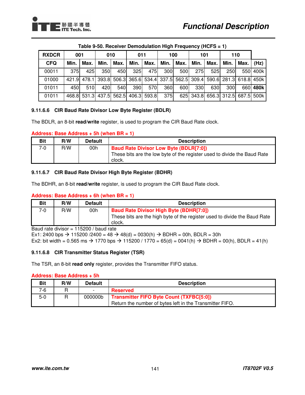| <b>RXDCR</b> | 001   |                                     | 010  |        | 011    |      | 100              |     | 101                                                                          |     | 110              |             |          |
|--------------|-------|-------------------------------------|------|--------|--------|------|------------------|-----|------------------------------------------------------------------------------|-----|------------------|-------------|----------|
| <b>CFQ</b>   | Min.  | Max.                                | Min. | Max. I | Min. l | Max. |                  |     | Min.   Max.   Min.   Max.                                                    |     |                  | Min.   Max. | (Hz)     |
| 00011        | 375 l | 425                                 | 350  | 450    | 325    | 475  | 300 <sub>1</sub> | 500 | 275                                                                          | 525 | 250              |             | 550 400k |
| 01000        |       |                                     |      |        |        |      |                  |     | 421.9 478.1 393.8 506.3 365.6 534.4 337.5 562.5 309.4 590.6 281.3 618.8 450k |     |                  |             |          |
| 01011        | 450   | 510                                 | 420  | 540    | 390    | 570  | 360              | 600 | 330                                                                          | 630 | 300 <sub>1</sub> |             | 660 480k |
| 01011        |       | 468.8 531.3 437.5 562.5 406.3 593.8 |      |        |        |      | 375              |     | 625 343.8 656.3 312.5 687.5 500k                                             |     |                  |             |          |

#### **Table 9-50. Receiver Demodulation High Frequency (HCFS = 1)**

### **9.11.6.6 CIR Baud Rate Divisor Low Byte Register (BDLR)**

The BDLR, an 8-bit **read/write** register, is used to program the CIR Baud Rate clock.

### **Address: Base Address + 5h (when BR = 1)**

| Bit | R/W | Default | <b>Description</b>                                                                                                                  |
|-----|-----|---------|-------------------------------------------------------------------------------------------------------------------------------------|
| 7-0 | R/W | 00h     | <b>Baud Rate Divisor Low Byte (BDLR[7:0])</b><br>These bits are the low byte of the register used to divide the Baud Rate<br>clock. |

### **9.11.6.7 CIR Baud Rate Divisor High Byte Register (BDHR)**

The BDHR, an 8-bit **read/write** register, is used to program the CIR Baud Rate clock.

## **Address: Base Address + 6h (when BR = 1)**

| Bit                      | R/W | <b>Default</b> | <b>Description</b>                                                                                                                    |
|--------------------------|-----|----------------|---------------------------------------------------------------------------------------------------------------------------------------|
| 7-0                      | R/W | 00h            | <b>Baud Rate Divisor High Byte (BDHR[7:0])</b><br>These bits are the high byte of the register used to divide the Baud Rate<br>clock. |
| $\overline{\phantom{0}}$ | .   | .              |                                                                                                                                       |

Baud rate divisor = 115200 / baud rate

Ex1: 2400 bps  $\rightarrow$  115200 /2400 = 48  $\rightarrow$  48(d) = 0030(h)  $\rightarrow$  BDHR = 00h, BDLR = 30h Ex2: bit width = 0.565 ms  $\rightarrow$  1770 bps  $\rightarrow$  115200 / 1770 = 65(d) = 0041(h)  $\rightarrow$  BDHR = 00(h), BDLR = 41(h)

### **9.11.6.8 CIR Transmitter Status Register (TSR)**

The TSR, an 8-bit **read only** register, provides the Transmitter FIFO status.

#### **Address: Base Address + 5h**

| Bit | R/W | <b>Default</b>           | <b>Description</b>                                       |
|-----|-----|--------------------------|----------------------------------------------------------|
| 7-6 | R   | $\overline{\phantom{0}}$ | <b>Reserved</b>                                          |
| 5-0 |     | 000000b                  | <b>Transmitter FIFO Byte Count (TXFBC[5:0])</b>          |
|     |     |                          | Return the number of bytes left in the Transmitter FIFO. |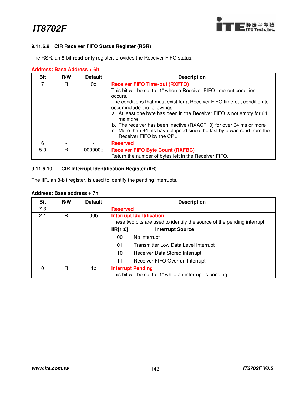## **9.11.6.9 CIR Receiver FIFO Status Register (RSR)**

The RSR, an 8-bit **read only** register, provides the Receiver FIFO status.

### **Address: Base Address + 6h**

| <b>Bit</b> | R/W | <b>Default</b> | <b>Description</b>                                                                                                                                                      |
|------------|-----|----------------|-------------------------------------------------------------------------------------------------------------------------------------------------------------------------|
|            | R   | 0b             | <b>Receiver FIFO Time-out (RXFTO)</b>                                                                                                                                   |
|            |     |                | This bit will be set to "1" when a Receiver FIFO time-out condition                                                                                                     |
|            |     |                | occurs.<br>The conditions that must exist for a Receiver FIFO time-out condition to<br>occur include the followings:                                                    |
|            |     |                | a. At least one byte has been in the Receiver FIFO is not empty for 64<br>ms more                                                                                       |
|            |     |                | b. The receiver has been inactive (RXACT=0) for over 64 ms or more<br>c. More than 64 ms have elapsed since the last byte was read from the<br>Receiver FIFO by the CPU |
| 6          |     |                | <b>Reserved</b>                                                                                                                                                         |
| $5-0$      | R   | 000000b        | <b>Receiver FIFO Byte Count (RXFBC)</b>                                                                                                                                 |
|            |     |                | Return the number of bytes left in the Receiver FIFO.                                                                                                                   |

#### **9.11.6.10 CIR Interrupt Identification Register (IIR)**

The IIR, an 8-bit register, is used to identify the pending interrupts.

## **Address: Base address + 7h**

| <b>Bit</b> | R/W | <b>Default</b>  | <b>Description</b>                                                       |  |  |  |  |
|------------|-----|-----------------|--------------------------------------------------------------------------|--|--|--|--|
| $7-3$      |     |                 | <b>Reserved</b>                                                          |  |  |  |  |
| $2 - 1$    | R   | 00 <sub>b</sub> | <b>Interrupt Identification</b>                                          |  |  |  |  |
|            |     |                 | These two bits are used to identify the source of the pending interrupt. |  |  |  |  |
|            |     |                 | IIR[1:0]<br><b>Interrupt Source</b>                                      |  |  |  |  |
|            |     |                 | No interrupt<br>00                                                       |  |  |  |  |
|            |     |                 | <b>Transmitter Low Data Level Interrupt</b><br>01                        |  |  |  |  |
|            |     |                 | Receiver Data Stored Interrupt<br>10                                     |  |  |  |  |
|            |     |                 | Receiver FIFO Overrun Interrupt<br>11                                    |  |  |  |  |
| 0          | R   | 1b              | <b>Interrupt Pending</b>                                                 |  |  |  |  |
|            |     |                 | This bit will be set to "1" while an interrupt is pending.               |  |  |  |  |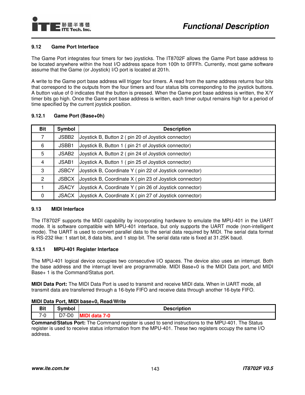

### **9.12 Game Port Interface**

The Game Port integrates four timers for two joysticks. The IT8702F allows the Game Port base address to be located anywhere within the host I/O address space from 100h to 0FFFh. Currently, most game software assume that the Game (or Joystick) I/O port is located at 201h.

A write to the Game port base address will trigger four timers. A read from the same address returns four bits that correspond to the outputs from the four timers and four status bits corresponding to the joystick buttons. A button value of 0 indicates that the button is pressed. When the Game port base address is written, the X/Y timer bits go high. Once the Game port base address is written, each timer output remains high for a period of time specified by the current joystick position.

| <b>Bit</b>           | Symbol            | <b>Description</b>                                      |
|----------------------|-------------------|---------------------------------------------------------|
| $\overline{7}$       | JSBB <sub>2</sub> | Joystick B, Button 2 (pin 20 of Joystick connector)     |
| 6                    | JSBB1             | Joystick B, Button 1 (pin 21 of Joystick connector)     |
| 5                    | JSAB <sub>2</sub> | Joystick A, Button 2 (pin 24 of Joystick connector)     |
| 4                    | JSAB1             | Joystick A, Button 1 (pin 25 of Joystick connector)     |
| 3                    | <b>JSBCY</b>      | Joystick B, Coordinate Y (pin 22 of Joystick connector) |
| $\mathbf{2}^{\circ}$ | <b>JSBCX</b>      | Joystick B, Coordinate X (pin 23 of Joystick connector) |
|                      | <b>JSACY</b>      | Joystick A, Coordinate Y (pin 26 of Joystick connector) |
| $\Omega$             | <b>JSACX</b>      | Joystick A, Coordinate X (pin 27 of Joystick connector) |

#### **9.12.1 Game Port (Base+0h)**

#### **9.13 MIDI Interface**

The IT8702F supports the MIDI capability by incorporating hardware to emulate the MPU-401 in the UART mode. It is software compatible with MPU-401 interface, but only supports the UART mode (non-intelligent mode). The UART is used to convert parallel data to the serial data required by MIDI. The serial data format is RS-232 like: 1 start bit, 8 data bits, and 1 stop bit. The serial data rate is fixed at 31.25K baud.

#### **9.13.1 MPU-401 Register Interface**

The MPU-401 logical device occupies two consecutive I/O spaces. The device also uses an interrupt. Both the base address and the interrupt level are programmable. MIDI Base+0 is the MIDI Data port, and MIDI Base+ 1 is the Command/Status port.

**MIDI Data Port:** The MIDI Data Port is used to transmit and receive MIDI data. When in UART mode, all transmit data are transferred through a 16-byte FIFO and receive data through another 16-byte FIFO.

#### **MIDI Data Port, MIDI base+0, Read/Write**

| Di+<br>ыı  | Cumbal                 | <b>Description</b> |
|------------|------------------------|--------------------|
| -<br>′ – u | $\sim$<br>·υι<br>' – I | ---                |

**Command/Status Port:** The Command register is used to send instructions to the MPU-401. The Status register is used to receive status information from the MPU-401. These two registers occupy the same I/O address.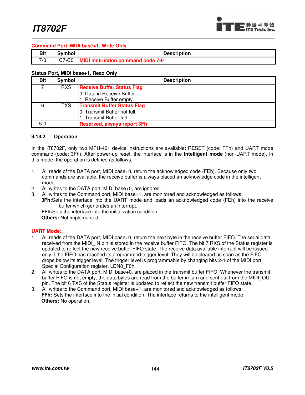#### **Command Port, MIDI base+1, Write Only**

| <b>Bit</b>                      | <b>Symbol</b> | <b>Description</b>                       |
|---------------------------------|---------------|------------------------------------------|
| $\overline{\phantom{0}}$<br>'-0 | $C7-C0$       | <b>MIDI instruction command code 7-0</b> |

## **Status Port, MIDI base+1, Read Only**

| Bit   | Symbol     | <b>Description</b>                 |
|-------|------------|------------------------------------|
|       | <b>RXS</b> | <b>Receive Buffer Status Flag</b>  |
|       |            | 0: Data in Receive Buffer.         |
|       |            | 1: Receive Buffer empty.           |
| 6     | <b>TXS</b> | <b>Transmit Buffer Status Flag</b> |
|       |            | 0: Transmit Buffer not full.       |
|       |            | 1: Transmit Buffer full.           |
| $5-0$ |            | <b>Reserved, always report 3Fh</b> |

#### **9.13.2 Operation**

In the IT8702F, only two MPU-401 device instructions are available: RESET (code: FFh) and UART mode command (code: 3Fh). After power-up reset, the interface is in the **Intelligent mode** (non-UART mode). In this mode, the operation is defined as follows:

- 1. All reads of the DATA port, MIDI base+0, return the acknowledged code (FEh). Because only two commands are available, the receive buffer is always placed an acknowledge code in the intelligent mode.
- 2. All writes to the DATA port, MIDI base+0, are ignored.
- 3. All writes to the Command port, MIDI base+1, are monitored and acknowledged as follows: **3Fh:**Sets the interface into the UART mode and loads an acknowledged code (FEh) into the receive buffer which generates an interrupt.

**FFh:**Sets the interface into the initialization condition. **Others:** Not implemented.

### **UART Mode:**

- 1. All reads of the DATA port, MIDI base+0, return the next byte in the receive buffer FIFO. The serial data received from the MIDI\_IN pin is stored in the receive buffer FIFO. The bit 7 RXS of the Status register is updated to reflect the new receive buffer FIFO state. The receive data available interrupt will be issued only if the FIFO has reached its programmed trigger level. They will be cleared as soon as the FIFO drops below its trigger level. The trigger level is programmable by changing bits 2-1 of the MIDI port Special Configuration register, LDN8\_F0h.
- 2. All writes to the DATA port, MIDI base+0, are placed in the transmit buffer FIFO. Whenever the transmit buffer FIFO is not empty, the data bytes are read from the buffer in turn and sent out from the MIDI\_OUT pin. The bit 6 TXS of the Status register is updated to reflect the new transmit buffer FIFO state.
- 3. All writes to the Command port, MIDI base+1, are monitored and acknowledged as follows: **FFh:** Sets the interface into the initial condition. The interface returns to the intelligent mode. **Others:** No operation.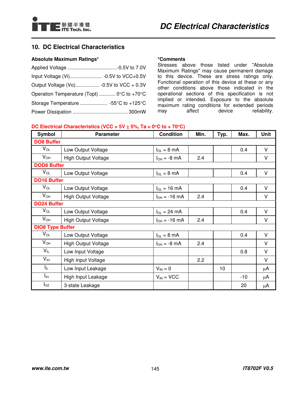

## **10. DC Electrical Characteristics**

#### **Absolute Maximum Ratings\***

| Operation Temperature (Topt)  0°C to +70°C |  |
|--------------------------------------------|--|
|                                            |  |
|                                            |  |

#### **\*Comments**

Stresses above those listed under "Absolute Maximum Ratings" may cause permanent damage to this device. These are stress ratings only. Functional operation of this device at these or any other conditions above those indicated in the operational sections of this specification is not implied or intended. Exposure to the absolute maximum rating conditions for extended periods<br>may affect device reliability. may affect device reliability.

### **DC Electrical Characteristics (VCC = 5V** ± **5%, Ta = 0**°**C to + 70**°**C)**

| Symbol                  | <b>Parameter</b>           | <b>Condition</b>        | Min. | Typ. | Max.  | Unit   |
|-------------------------|----------------------------|-------------------------|------|------|-------|--------|
| <b>DO8 Buffer</b>       |                            |                         |      |      |       |        |
| $V_{OL}$                | Low Output Voltage         | $I_{OL} = 8 \text{ mA}$ |      |      | 0.4   | V      |
| $V_{OH}$                | <b>High Output Voltage</b> | $I_{OH} = -8$ mA        | 2.4  |      |       | V      |
| <b>DOD8 Buffer</b>      |                            |                         |      |      |       |        |
| $V_{OL}$                | Low Output Voltage         | $I_{OL} = 8 \text{ mA}$ |      |      | 0.4   | V      |
| <b>DO16 Buffer</b>      |                            |                         |      |      |       |        |
| $V_{OL}$                | Low Output Voltage         | $I_{OL}$ = 16 mA        |      |      | 0.4   | $\vee$ |
| $V_{OH}$                | <b>High Output Voltage</b> | $I_{OH} = -16$ mA       | 2.4  |      |       | $\vee$ |
| <b>DO24 Buffer</b>      |                            |                         |      |      |       |        |
| $V_{OL}$                | Low Output Voltage         | $I_{OL}$ = 24 mA        |      |      | 0.4   | V      |
| $V_{OH}$                | <b>High Output Voltage</b> | $I_{OH} = -16$ mA       | 2.4  |      |       | $\vee$ |
| <b>DIO8 Type Buffer</b> |                            |                         |      |      |       |        |
| $V_{OL}$                | Low Output Voltage         | $I_{OL} = 8 \text{ mA}$ |      |      | 0.4   | $\vee$ |
| $V_{OH}$                | <b>High Output Voltage</b> | $I_{OH} = -8$ mA        | 2.4  |      |       | V      |
| $V_{IL}$                | Low Input Voltage          |                         |      |      | 0.8   | V      |
| $V_{\text{IH}}$         | High Input Voltage         |                         | 2.2  |      |       | V      |
| $I_{\rm IL}$            | Low Input Leakage          | $V_{IN} = 0$            |      | 10   |       | μA     |
| Iн                      | High Input Leakage         | $V_{IN}$ = VCC          |      |      | $-10$ | μA     |
| $I_{OZ}$                | 3-state Leakage            |                         |      |      | 20    | μA     |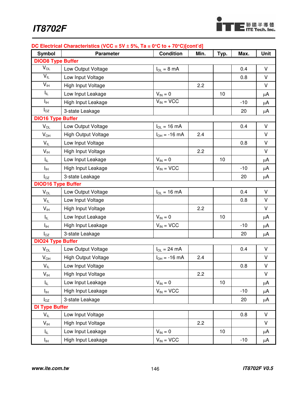| DC Electrical Characteristics (VCC = $5V \pm 5\%$ , Ta = 0°C to + 70°C)[cont'd] |  |  |
|---------------------------------------------------------------------------------|--|--|

| Symbol                     | $\frac{1}{2}$ of the condition of $\frac{1}{2}$ over $\frac{1}{2}$ over $\frac{1}{2}$ over $\frac{1}{2}$ of $\frac{1}{2}$ of $\frac{1}{2}$ of $\frac{1}{2}$ of $\frac{1}{2}$ of $\frac{1}{2}$ of $\frac{1}{2}$ of $\frac{1}{2}$ of $\frac{1}{2}$ of $\frac{1}{2}$ of $\frac{1}{2}$ of $\frac$<br><b>Parameter</b> | <b>Condition</b>                        | Min. | Typ. | Max.  | Unit    |
|----------------------------|-------------------------------------------------------------------------------------------------------------------------------------------------------------------------------------------------------------------------------------------------------------------------------------------------------------------|-----------------------------------------|------|------|-------|---------|
| <b>DIOD8 Type Buffer</b>   |                                                                                                                                                                                                                                                                                                                   |                                         |      |      |       |         |
| $V_{OL}$                   | Low Output Voltage                                                                                                                                                                                                                                                                                                | $I_{OL} = 8 \text{ mA}$                 |      |      | 0.4   | V       |
| $V_{IL}$                   | Low Input Voltage                                                                                                                                                                                                                                                                                                 |                                         |      |      | 0.8   | V       |
| $V_{IH}$                   | High Input Voltage                                                                                                                                                                                                                                                                                                |                                         | 2.2  |      |       | $\vee$  |
| $I_{\rm IL}$               | Low Input Leakage                                                                                                                                                                                                                                                                                                 | $V_{IN} = 0$                            |      | 10   |       | μA      |
| Iн                         | High Input Leakage                                                                                                                                                                                                                                                                                                | $V_{IN}$ = VCC                          |      |      | $-10$ | $\mu$ A |
| $I_{OZ}$                   | 3-state Leakage                                                                                                                                                                                                                                                                                                   |                                         |      |      | 20    | μA      |
| <b>DIO16 Type Buffer</b>   |                                                                                                                                                                                                                                                                                                                   |                                         |      |      |       |         |
| $V_{OL}$                   | Low Output Voltage                                                                                                                                                                                                                                                                                                | $I_{OL}$ = 16 mA                        |      |      | 0.4   | V       |
| $V_{OH}$                   | <b>High Output Voltage</b>                                                                                                                                                                                                                                                                                        | $I_{OH} = -16$ mA                       | 2.4  |      |       | V       |
| $V_{IL}$                   | Low Input Voltage                                                                                                                                                                                                                                                                                                 |                                         |      |      | 0.8   | V       |
| $V_{\sf IH}$               | High Input Voltage                                                                                                                                                                                                                                                                                                |                                         | 2.2  |      |       | $\vee$  |
| $I_{\rm IL}$               | Low Input Leakage                                                                                                                                                                                                                                                                                                 | $V_{IN} = 0$                            |      | 10   |       | $\mu$ A |
| $I_{\text{IH}}$            | High Input Leakage                                                                                                                                                                                                                                                                                                | $V_{IN}$ = VCC                          |      |      | $-10$ | μA      |
| $I_{OZ}$                   | 3-state Leakage                                                                                                                                                                                                                                                                                                   |                                         |      |      | 20    | μA      |
| <b>DIOD16 Type Buffer</b>  |                                                                                                                                                                                                                                                                                                                   |                                         |      |      |       |         |
| $V_{OL}$                   | Low Output Voltage                                                                                                                                                                                                                                                                                                | $I_{OL}$ = 16 mA                        |      |      | 0.4   | V       |
| $V_{IL}$                   | Low Input Voltage                                                                                                                                                                                                                                                                                                 |                                         |      |      | 0.8   | V       |
| $V_{IH}$                   | High Input Voltage                                                                                                                                                                                                                                                                                                |                                         | 2.2  |      |       | $\vee$  |
| $I_{\rm IL}$               | Low Input Leakage                                                                                                                                                                                                                                                                                                 | $V_{IN} = 0$                            |      | 10   |       | $\mu$ A |
| Iн                         | High Input Leakage                                                                                                                                                                                                                                                                                                | $\mathsf{V}_{\mathsf{IN}}=\mathsf{VCC}$ |      |      | $-10$ | $\mu$ A |
| $I_{OZ}$                   | 3-state Leakage                                                                                                                                                                                                                                                                                                   |                                         |      |      | 20    | μA      |
| <b>DIO24 Type Buffer</b>   |                                                                                                                                                                                                                                                                                                                   |                                         |      |      |       |         |
| $V_{OL}$                   | Low Output Voltage                                                                                                                                                                                                                                                                                                | $I_{OL}$ = 24 mA                        |      |      | 0.4   | V       |
| $\mathsf{V}_{\mathsf{OH}}$ | <b>High Output Voltage</b>                                                                                                                                                                                                                                                                                        | $I_{OH} = -16$ mA                       | 2.4  |      |       | V       |
| $V_{IL}$                   | Low Input Voltage                                                                                                                                                                                                                                                                                                 |                                         |      |      | 0.8   | V       |
| $V_{\text{IH}}$            | High Input Voltage                                                                                                                                                                                                                                                                                                |                                         | 2.2  |      |       | $\vee$  |
| Ι'n.                       | Low Input Leakage                                                                                                                                                                                                                                                                                                 | $V_{IN} = 0$                            |      | 10   |       | $\mu$ A |
| Iн                         | High Input Leakage                                                                                                                                                                                                                                                                                                | $V_{IN}$ = VCC                          |      |      | $-10$ | μA      |
| $I_{OZ}$                   | 3-state Leakage                                                                                                                                                                                                                                                                                                   |                                         |      |      | 20    | μA      |
| <b>DI Type Buffer</b>      |                                                                                                                                                                                                                                                                                                                   |                                         |      |      |       |         |
| $V_{IL}$                   | Low Input Voltage                                                                                                                                                                                                                                                                                                 |                                         |      |      | 0.8   | V       |
| $V_{\sf IH}$               | High Input Voltage                                                                                                                                                                                                                                                                                                |                                         | 2.2  |      |       | V       |
| $I_{\parallel L}$          | Low Input Leakage                                                                                                                                                                                                                                                                                                 | $V_{IN} = 0$                            |      | 10   |       | μA      |
| Iн                         | High Input Leakage                                                                                                                                                                                                                                                                                                | $V_{IN}$ = VCC                          |      |      | $-10$ | μA      |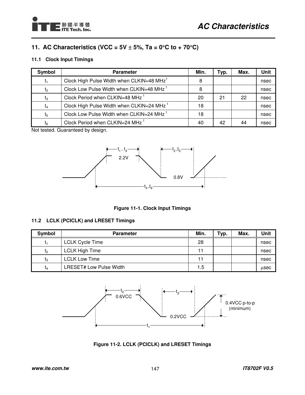

## **11. AC Characteristics (VCC =**  $5V \pm 5\%$ **, Ta =**  $0^{\circ}C$  **to +**  $70^{\circ}C$ **)**

## **11.1 Clock Input Timings**

| Symbol           | <b>Parameter</b>                                      | Min. | Typ. | Max. | Unit |
|------------------|-------------------------------------------------------|------|------|------|------|
| t,               | Clock High Pulse Width when CLKIN=48 MHz <sup>1</sup> | 8    |      |      | nsec |
| t <sub>2</sub>   | Clock Low Pulse Width when CLKIN=48 MHz <sup>1</sup>  |      |      |      | nsec |
| $\mathfrak{t}_3$ | Clock Period when CLKIN=48 MHz <sup>1</sup>           | 20   | 21   | 22   | nsec |
| t <sub>4</sub>   | Clock High Pulse Width when CLKIN=24 MHz <sup>1</sup> | 18   |      |      | nsec |
| t <sub>5</sub>   | Clock Low Pulse Width when CLKIN=24 MHz <sup>1</sup>  | 18   |      |      | nsec |
| $t_6$            | Clock Period when CLKIN=24 MHz <sup>1</sup>           | 40   | 42   | 44   | nsec |

Not tested. Guaranteed by design.



**Figure 11-1. Clock Input Timings** 

## **11.2 LCLK (PCICLK) and LRESET Timings**

| Symbol         | <b>Parameter</b>        | Min. | Typ. | Max. | Unit |
|----------------|-------------------------|------|------|------|------|
|                | <b>LCLK Cycle Time</b>  | 28   |      |      | nsec |
| t <sub>2</sub> | <b>LCLK High Time</b>   |      |      |      | nsec |
| $t_3$          | <b>LCLK Low Time</b>    |      |      |      | nsec |
| l4             | LRESET# Low Pulse Width | 1.5  |      |      | usec |



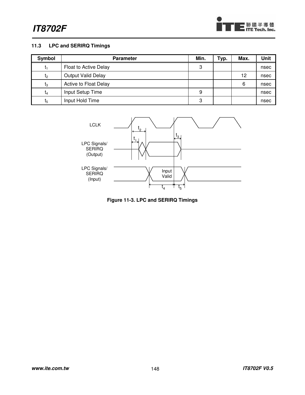## **11.3 LPC and SERIRQ Timings**

| Symbol         | <b>Parameter</b>          | Min. | Typ. | Max. | Unit |
|----------------|---------------------------|------|------|------|------|
| t,             | Float to Active Delay     | 3    |      |      | nsec |
| t <sub>2</sub> | <b>Output Valid Delay</b> |      |      | 12   | nsec |
| $t_3$          | Active to Float Delay     |      |      | 6    | nsec |
| $t_4$          | Input Setup Time          | 9    |      |      | nsec |
| t5             | Input Hold Time           | 3    |      |      | nsec |



**Figure 11-3. LPC and SERIRQ Timings**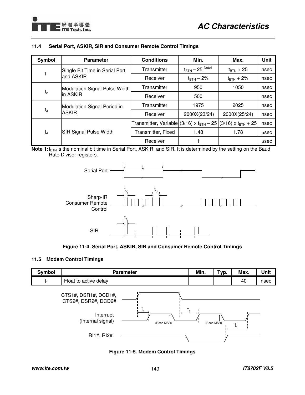|  | 11.4 Serial Port, ASKIR, SIR and Consumer Remote Control Timings |  |  |  |
|--|------------------------------------------------------------------|--|--|--|
|--|------------------------------------------------------------------|--|--|--|

| Symbol         | <b>Parameter</b>                            | <b>Conditions</b>                                                                   | Min.                                  | Max.                   | Unit |
|----------------|---------------------------------------------|-------------------------------------------------------------------------------------|---------------------------------------|------------------------|------|
|                | Single Bit Time in Serial Port              | Transmitter                                                                         | $t_{\sf BTN}\!-\!25$ <sup>Note1</sup> | $t_{\text{BTN}} + 25$  | nsec |
| $t_1$          | and ASKIR                                   | Receiver                                                                            | $t_{\text{BTN}}$ – 2%                 | $t_{\text{BTN}} + 2\%$ | nsec |
|                | Modulation Signal Pulse Width               | Transmitter                                                                         | 950                                   | 1050                   | nsec |
| t <sub>2</sub> | lin ASKIR                                   | Receiver                                                                            | 500                                   |                        | nsec |
|                | Modulation Signal Period in<br><b>ASKIR</b> | Transmitter                                                                         | 1975                                  | 2025                   | nsec |
| $t_3$          |                                             | Receiver                                                                            | 2000X(23/24)                          | 2000X(25/24)           | nsec |
|                |                                             | Transmitter, Variable (3/16) x t <sub>BTN</sub> - 25 (3/16) x t <sub>BTN</sub> + 25 |                                       |                        | nsec |
| $t_4$          | <b>SIR Signal Pulse Width</b>               | Transmitter, Fixed                                                                  | 1.48                                  | 1.78                   | usec |
|                |                                             | Receiver                                                                            |                                       |                        | usec |

Note 1: t<sub>BTN</sub> is the nominal bit time in Serial Port, ASKIR, and SIR. It is determined by the setting on the Baud Rate Divisor registers.





#### **11.5 Modem Control Timings**

| Symbol |                                                                                             | <b>Parameter</b> | Min. | Typ.       | Max. | <b>Unit</b> |
|--------|---------------------------------------------------------------------------------------------|------------------|------|------------|------|-------------|
| t,     | Float to active delay                                                                       |                  |      |            | 40   | nsec        |
|        | CTS1#, DSR1#, DCD1#,<br>CTS2#, DSR2#, DCD2#<br>Interrupt<br>(Internal signal)<br>RI1#, RI2# | ι.<br>(Read MSR) |      | (Read MSR) |      |             |

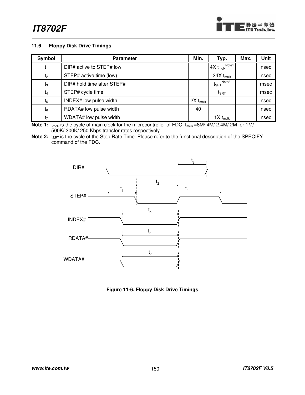## **11.6 Floppy Disk Drive Timings**

| Symbol         | <b>Parameter</b>           | Min.          | Typ.                                                | Max. | Unit |
|----------------|----------------------------|---------------|-----------------------------------------------------|------|------|
| t,             | DIR# active to STEP# low   |               | Note1<br>$4X t_{mclk}$                              |      | nsec |
| t <sub>2</sub> | STEP# active time (low)    |               | $24X$ t <sub>mclk</sub>                             |      | nsec |
| $t_3$          | DIR# hold time after STEP# |               | $t_{\footnotesize\rm SRT}^{\footnotesize\rm Note2}$ |      | msec |
| $t_4$          | STEP# cycle time           |               | $t_{\sf SRT}$                                       |      | msec |
| t <sub>5</sub> | INDEX# low pulse width     | $2X t_{mclk}$ |                                                     |      | nsec |
| $t_6$          | RDATA# low pulse width     | 40            |                                                     |      | nsec |
| t <sub>7</sub> | WDATA# low pulse width     |               | $1X t_{mclk}$                                       |      | nsec |

Note 1:  $t_{mclk}$  is the cycle of main clock for the microcontroller of FDC.  $t_{mclk} = 8M/ 4M/ 2.4M/ 2M$  for 1M/ 500K/ 300K/ 250 Kbps transfer rates respectively.

Note 2: t<sub>SRT</sub> is the cycle of the Step Rate Time. Please refer to the functional description of the SPECIFY command of the FDC.



**Figure 11-6. Floppy Disk Drive Timings**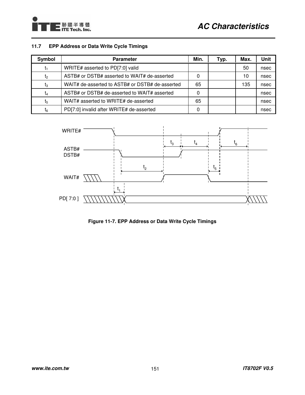

## **11.7 EPP Address or Data Write Cycle Timings**

| Symbol         | <b>Parameter</b>                                | Min. | Typ. | Max. | Unit |
|----------------|-------------------------------------------------|------|------|------|------|
| $t_1$          | WRITE# asserted to PD[7:0] valid                |      |      | 50   | nsec |
| t <sub>2</sub> | ASTB# or DSTB# asserted to WAIT# de-asserted    |      |      | 10   | nsec |
| t <sub>3</sub> | WAIT# de-asserted to ASTB# or DSTB# de-asserted | 65   |      | 135  | nsec |
| $t_4$          | ASTB# or DSTB# de-asserted to WAIT# asserted    |      |      |      | nsec |
| t <sub>5</sub> | WAIT# asserted to WRITE# de-asserted            | 65   |      |      | nsec |
| $t_6$          | PD[7:0] invalid after WRITE# de-asserted        |      |      |      | nsec |



**Figure 11-7. EPP Address or Data Write Cycle Timings**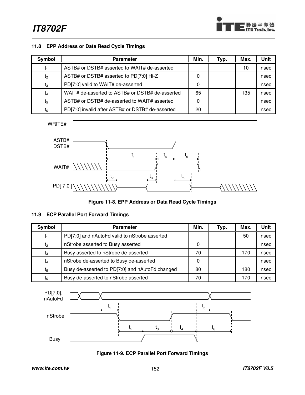### **11.8 EPP Address or Data Read Cycle Timings**

| Symbol         | <b>Parameter</b>                                 | Min. | Typ. | Max. | Unit |
|----------------|--------------------------------------------------|------|------|------|------|
| t,             | ASTB# or DSTB# asserted to WAIT# de-asserted     |      |      | 10   | nsec |
| t <sub>2</sub> | ASTB# or DSTB# asserted to PD[7:0] Hi-Z          |      |      |      | nsec |
| $t_3$          | PD[7:0] valid to WAIT# de-asserted               | 0    |      |      | nsec |
| $t_4$          | WAIT# de-asserted to ASTB# or DSTB# de-asserted  | 65   |      | 135  | nsec |
| t <sub>5</sub> | ASTB# or DSTB# de-asserted to WAIT# asserted     |      |      |      | nsec |
| $t_6$          | PD[7:0] invalid after ASTB# or DSTB# de-asserted | 20   |      |      | nsec |

## WRITE#



**Figure 11-8. EPP Address or Data Read Cycle Timings** 

## **11.9 ECP Parallel Port Forward Timings**

| Symbol           | <b>Parameter</b>                                | Min. | Typ. | Max. | Unit |
|------------------|-------------------------------------------------|------|------|------|------|
| t,               | PD[7:0] and nAutoFd valid to nStrobe asserted   |      |      | 50   | nsec |
| t <sub>2</sub>   | nStrobe asserted to Busy asserted               |      |      |      | nsec |
| $t_3$            | Busy asserted to nStrobe de-asserted            | 70   |      | 170  | nsec |
| $t_4$            | nStrobe de-asserted to Busy de-asserted         |      |      |      | nsec |
| t <sub>5</sub>   | Busy de-asserted to PD[7:0] and nAutoFd changed | 80   |      | 180  | nsec |
| $\mathfrak{t}_6$ | Busy de-asserted to nStrobe asserted            |      |      | 170  | nsec |



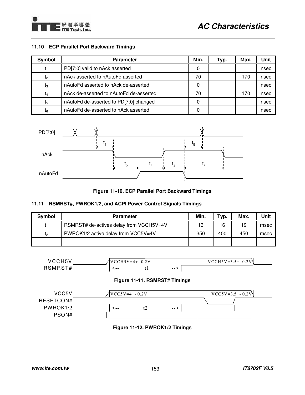

## **11.10 ECP Parallel Port Backward Timings**

| Symbol         | <b>Parameter</b>                        | Min. | Typ. | Max. | Unit |
|----------------|-----------------------------------------|------|------|------|------|
| t,             | PD[7:0] valid to nAck asserted          |      |      |      | nsec |
| t <sub>2</sub> | nAck asserted to nAutoFd asserted       | 70   |      | 170  | nsec |
| $t_3$          | nAutoFd asserted to nAck de-asserted    |      |      |      | nsec |
| $t_4$          | nAck de-asserted to nAutoFd de-asserted | 70   |      | 170  | nsec |
| t <sub>5</sub> | nAutoFd de-asserted to PD[7:0] changed  |      |      |      | nsec |
| $t_6$          | nAutoFd de-asserted to nAck asserted    |      |      |      | nsec |



**Figure 11-10. ECP Parallel Port Backward Timings**

## **11.11 RSMRST#, PWROK1/2, and ACPI Power Control Signals Timings**

| <b>Symbol</b> | <b>Parameter</b>                        | Min. | Typ. | Max. | Unit |
|---------------|-----------------------------------------|------|------|------|------|
|               | RSMRST# de-actives delay from VCCH5V=4V | 13   | 16   | 19   | msec |
| l2            | PWROK1/2 active delay from VCC5V=4V     | 350  | 400  | 450  | msec |
|               |                                         |      |      |      |      |



## **Figure 11-11. RSMRST# Timings**



**Figure 11-12. PWROK1/2 Timings**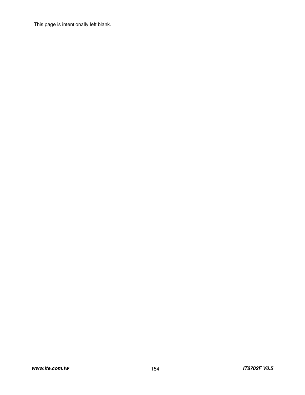This page is intentionally left blank.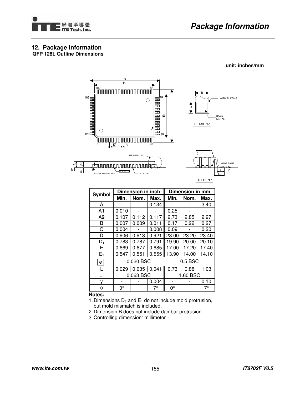

## **12. Package Information**

## **QFP 128L Outline Dimensions**

**unit: inches/mm** 



| Symbol      |           | Dimension in inch |           | Dimension in mm |          |           |
|-------------|-----------|-------------------|-----------|-----------------|----------|-----------|
|             | Min.      | Nom.              | Max.      | Min.            | Nom.     | Max.      |
| A           |           |                   | 0.134     |                 |          | 3.40      |
| A1          | 0.010     |                   |           | 0.25            |          |           |
| A2          | 0.107     | 0.112             | 0.117     | 2.73            | 2.85     | 2.97      |
| B           | 0.007     | 0.009             | 0.011     | 0.17            | 0.22     | 0.27      |
| С           | 0.004     |                   | 0.008     | 0.09            |          | 0.20      |
| D           | 0.906     | 0.913             | 0.921     | 23.00           | 23.20    | 23.40     |
| $D_1$       | 0.783     | 0.787             | 0.791     | 19.90           | 20.00    | 20.10     |
| E           | 0.669     | 0.677             | 0.685     | 17.00           | 17.20    | 17.40     |
| ${\sf E}_1$ | 0.547     | 0.551             | 0.555     | 13.90           | 14.00    | 14.10     |
| е           | 0.020 BSC |                   |           |                 | 0.5 BSC  |           |
|             | 0.029     | 0.035             | 0.041     | 0.73            | 0.88     | 1.03      |
| $L_1$       | 0.063 BSC |                   |           |                 | 1.60 BSC |           |
| ۷           |           |                   | 0.004     |                 |          | 0.10      |
| θ           | 0°        |                   | $7^\circ$ | 0°              |          | $7^\circ$ |

#### **Notes:**

- 1. Dimensions  $D_1$  and  $E_1$  do not include mold protrusion, but mold mismatch is included.
- 2. Dimension B does not include dambar protrusion.

3. Controlling dimension: millimeter.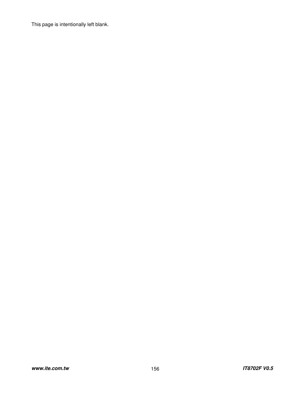This page is intentionally left blank.